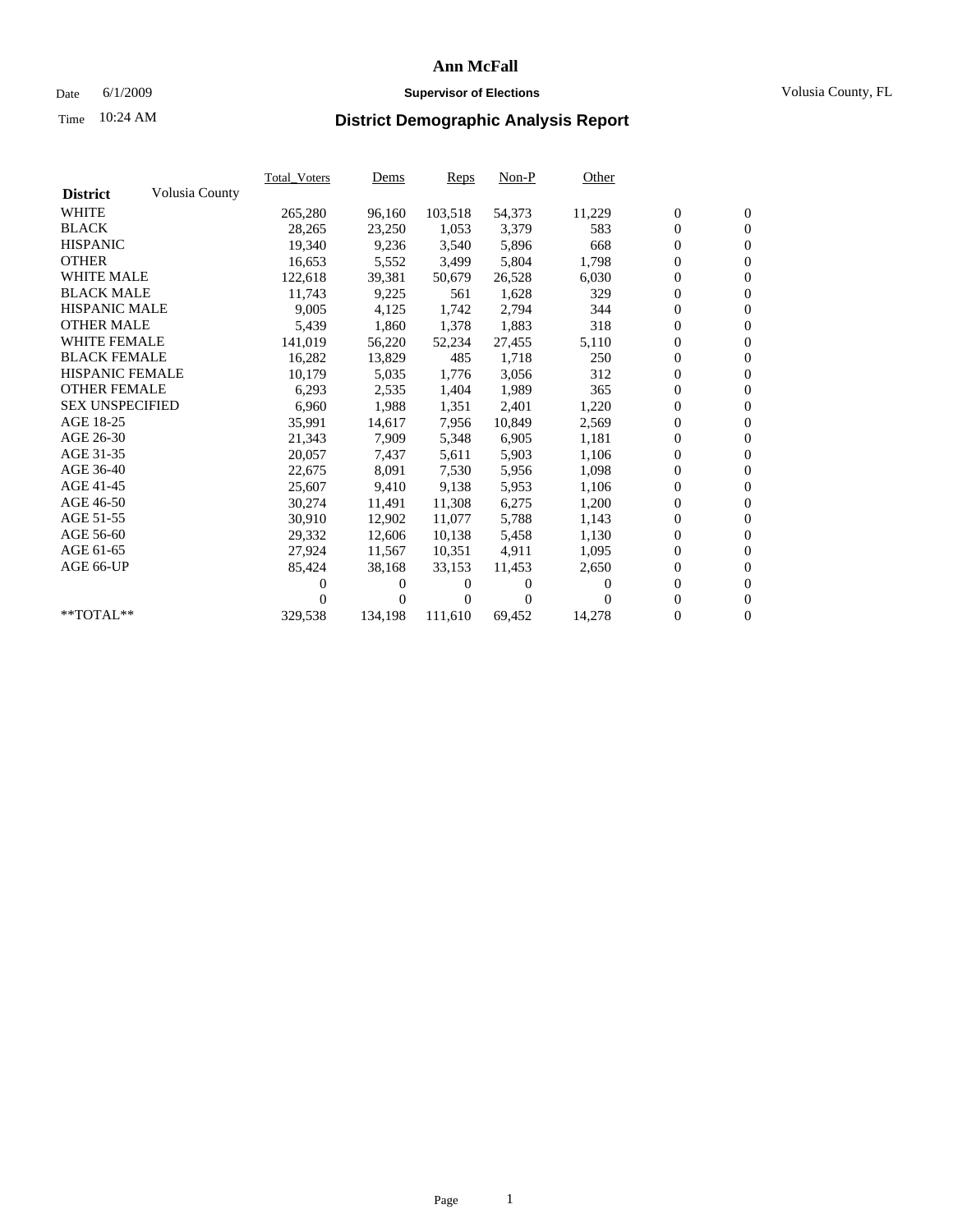### Date 6/1/2009 **Supervisor of Elections** Volusia County, FL

# Time **District Demographic Analysis Report** 10:24 AM

|                        |                | Total Voters | <b>Dems</b>    | Reps     | $Non-P$      | Other  |                  |                  |  |
|------------------------|----------------|--------------|----------------|----------|--------------|--------|------------------|------------------|--|
| <b>District</b>        | Volusia County |              |                |          |              |        |                  |                  |  |
| <b>WHITE</b>           |                | 265,280      | 96,160         | 103,518  | 54,373       | 11,229 | $\boldsymbol{0}$ | $\mathbf{0}$     |  |
| <b>BLACK</b>           |                | 28,265       | 23,250         | 1,053    | 3,379        | 583    | $\boldsymbol{0}$ | $\boldsymbol{0}$ |  |
| <b>HISPANIC</b>        |                | 19,340       | 9,236          | 3,540    | 5,896        | 668    | $\overline{0}$   | $\mathbf{0}$     |  |
| <b>OTHER</b>           |                | 16,653       | 5,552          | 3,499    | 5,804        | 1,798  | $\boldsymbol{0}$ | $\mathbf{0}$     |  |
| <b>WHITE MALE</b>      |                | 122,618      | 39,381         | 50,679   | 26,528       | 6,030  | $\boldsymbol{0}$ | $\boldsymbol{0}$ |  |
| <b>BLACK MALE</b>      |                | 11,743       | 9,225          | 561      | 1,628        | 329    | $\boldsymbol{0}$ | $\mathbf{0}$     |  |
| <b>HISPANIC MALE</b>   |                | 9,005        | 4,125          | 1,742    | 2,794        | 344    | $\boldsymbol{0}$ | $\overline{0}$   |  |
| <b>OTHER MALE</b>      |                | 5,439        | 1,860          | 1,378    | 1,883        | 318    | $\boldsymbol{0}$ | $\mathbf{0}$     |  |
| <b>WHITE FEMALE</b>    |                | 141,019      | 56,220         | 52,234   | 27,455       | 5,110  | $\overline{0}$   | $\mathbf{0}$     |  |
| <b>BLACK FEMALE</b>    |                | 16,282       | 13,829         | 485      | 1,718        | 250    | $\boldsymbol{0}$ | $\mathbf{0}$     |  |
| <b>HISPANIC FEMALE</b> |                | 10,179       | 5,035          | 1,776    | 3,056        | 312    | 0                | $\mathbf{0}$     |  |
| <b>OTHER FEMALE</b>    |                | 6,293        | 2,535          | 1,404    | 1,989        | 365    | $\mathbf{0}$     | $\mathbf{0}$     |  |
| <b>SEX UNSPECIFIED</b> |                | 6,960        | 1,988          | 1,351    | 2,401        | 1,220  | $\overline{0}$   | $\mathbf{0}$     |  |
| AGE 18-25              |                | 35,991       | 14,617         | 7,956    | 10,849       | 2,569  | $\boldsymbol{0}$ | $\mathbf{0}$     |  |
| AGE 26-30              |                | 21,343       | 7,909          | 5,348    | 6,905        | 1,181  | $\boldsymbol{0}$ | $\mathbf{0}$     |  |
| AGE 31-35              |                | 20,057       | 7,437          | 5,611    | 5,903        | 1,106  | $\mathbf{0}$     | $\overline{0}$   |  |
| AGE 36-40              |                | 22,675       | 8,091          | 7,530    | 5,956        | 1,098  | $\boldsymbol{0}$ | $\mathbf{0}$     |  |
| AGE 41-45              |                | 25,607       | 9,410          | 9,138    | 5,953        | 1,106  | $\boldsymbol{0}$ | $\overline{0}$   |  |
| AGE 46-50              |                | 30,274       | 11,491         | 11,308   | 6,275        | 1,200  | 0                | $\overline{0}$   |  |
| AGE 51-55              |                | 30,910       | 12,902         | 11,077   | 5,788        | 1,143  | $\boldsymbol{0}$ | $\mathbf{0}$     |  |
| AGE 56-60              |                | 29,332       | 12,606         | 10.138   | 5,458        | 1,130  | $\overline{0}$   | $\mathbf{0}$     |  |
| AGE 61-65              |                | 27,924       | 11,567         | 10,351   | 4,911        | 1,095  | 0                | $\mathbf{0}$     |  |
| AGE 66-UP              |                | 85,424       | 38,168         | 33,153   | 11,453       | 2,650  | $\boldsymbol{0}$ | $\mathbf{0}$     |  |
|                        |                | 0            | $\overline{0}$ | 0        | $\mathbf{0}$ | 0      | $\boldsymbol{0}$ | $\mathbf{0}$     |  |
|                        |                | $\theta$     | $\overline{0}$ | $^{(1)}$ | $\Omega$     | 0      | 0                | $\mathbf{0}$     |  |
| **TOTAL**              |                | 329,538      | 134,198        | 111,610  | 69,452       | 14,278 | 0                | $\boldsymbol{0}$ |  |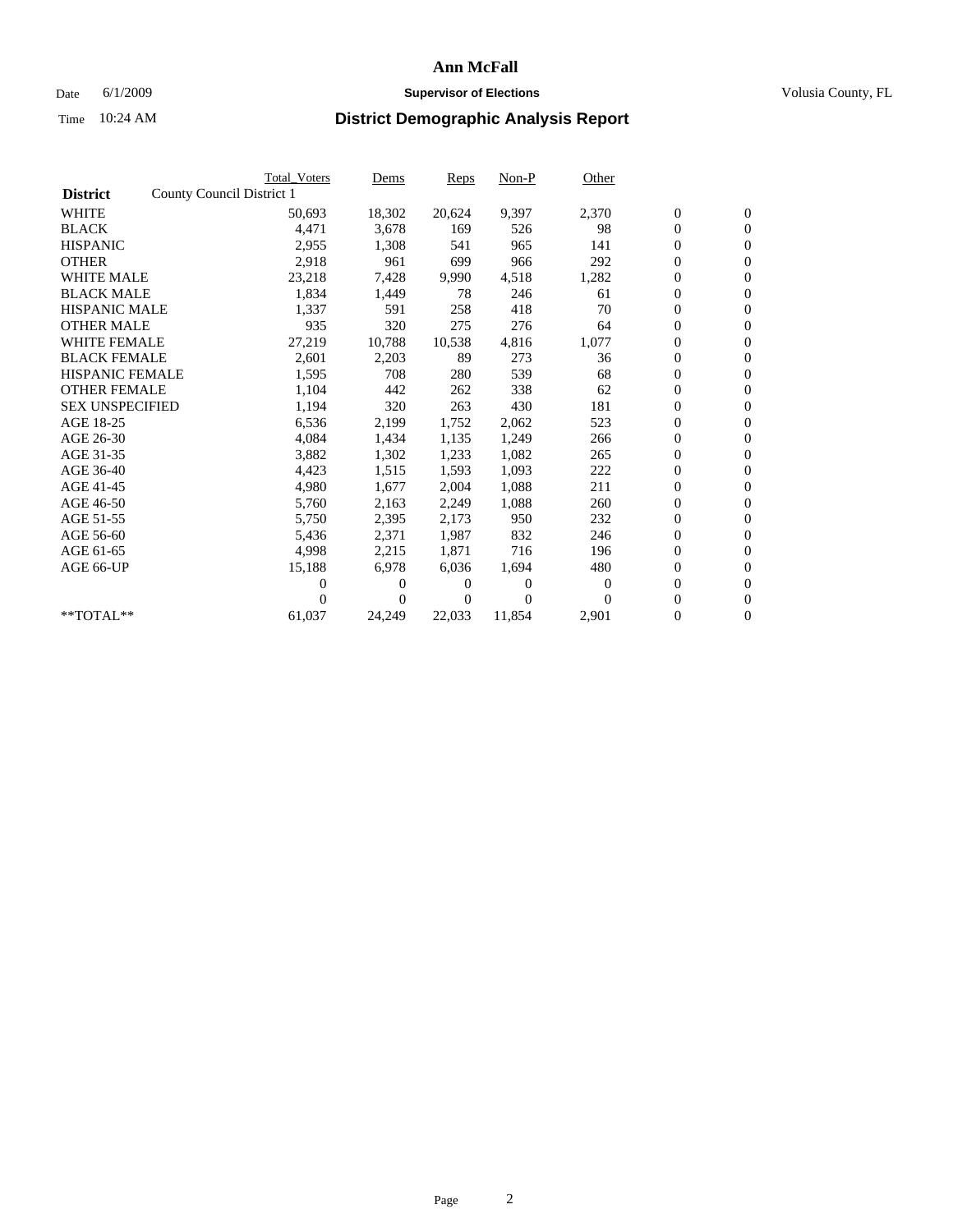### Date 6/1/2009 **Supervisor of Elections Supervisor of Elections** Volusia County, FL

|                        |                           | <b>Total Voters</b> | Dems   | <b>Reps</b> | $Non-P$  | Other    |                  |                  |  |
|------------------------|---------------------------|---------------------|--------|-------------|----------|----------|------------------|------------------|--|
| <b>District</b>        | County Council District 1 |                     |        |             |          |          |                  |                  |  |
| <b>WHITE</b>           |                           | 50,693              | 18,302 | 20,624      | 9,397    | 2,370    | $\boldsymbol{0}$ | $\boldsymbol{0}$ |  |
| <b>BLACK</b>           |                           | 4,471               | 3,678  | 169         | 526      | 98       | $\overline{0}$   | $\overline{0}$   |  |
| <b>HISPANIC</b>        |                           | 2,955               | 1,308  | 541         | 965      | 141      | $\overline{0}$   | $\overline{0}$   |  |
| <b>OTHER</b>           |                           | 2,918               | 961    | 699         | 966      | 292      | $\boldsymbol{0}$ | $\overline{0}$   |  |
| <b>WHITE MALE</b>      |                           | 23,218              | 7,428  | 9,990       | 4,518    | 1,282    | $\boldsymbol{0}$ | $\mathbf{0}$     |  |
| <b>BLACK MALE</b>      |                           | 1,834               | 1,449  | 78          | 246      | 61       | $\boldsymbol{0}$ | $\mathbf{0}$     |  |
| <b>HISPANIC MALE</b>   |                           | 1,337               | 591    | 258         | 418      | 70       | $\boldsymbol{0}$ | $\overline{0}$   |  |
| <b>OTHER MALE</b>      |                           | 935                 | 320    | 275         | 276      | 64       | $\boldsymbol{0}$ | $\mathbf{0}$     |  |
| <b>WHITE FEMALE</b>    |                           | 27,219              | 10,788 | 10,538      | 4,816    | 1,077    | $\boldsymbol{0}$ | $\overline{0}$   |  |
| <b>BLACK FEMALE</b>    |                           | 2,601               | 2,203  | 89          | 273      | 36       | $\boldsymbol{0}$ | $\Omega$         |  |
| <b>HISPANIC FEMALE</b> |                           | 1,595               | 708    | 280         | 539      | 68       | $\boldsymbol{0}$ | $\mathbf{0}$     |  |
| <b>OTHER FEMALE</b>    |                           | 1,104               | 442    | 262         | 338      | 62       | $\boldsymbol{0}$ | $\overline{0}$   |  |
| <b>SEX UNSPECIFIED</b> |                           | 1,194               | 320    | 263         | 430      | 181      | $\boldsymbol{0}$ | $\overline{0}$   |  |
| AGE 18-25              |                           | 6,536               | 2,199  | 1,752       | 2,062    | 523      | $\boldsymbol{0}$ | $\mathbf{0}$     |  |
| AGE 26-30              |                           | 4,084               | 1,434  | 1,135       | 1,249    | 266      | $\boldsymbol{0}$ | $\overline{0}$   |  |
| AGE 31-35              |                           | 3,882               | 1,302  | 1,233       | 1,082    | 265      | $\boldsymbol{0}$ | $\overline{0}$   |  |
| AGE 36-40              |                           | 4,423               | 1,515  | 1,593       | 1,093    | 222      | $\boldsymbol{0}$ | $\mathbf{0}$     |  |
| AGE 41-45              |                           | 4,980               | 1,677  | 2,004       | 1,088    | 211      | $\boldsymbol{0}$ | $\overline{0}$   |  |
| AGE 46-50              |                           | 5,760               | 2,163  | 2,249       | 1,088    | 260      | $\boldsymbol{0}$ | $\Omega$         |  |
| AGE 51-55              |                           | 5,750               | 2,395  | 2,173       | 950      | 232      | $\boldsymbol{0}$ | $\mathbf{0}$     |  |
| AGE 56-60              |                           | 5,436               | 2,371  | 1.987       | 832      | 246      | $\overline{0}$   | $\overline{0}$   |  |
| AGE 61-65              |                           | 4,998               | 2,215  | 1,871       | 716      | 196      | $\boldsymbol{0}$ | $\overline{0}$   |  |
| AGE 66-UP              |                           | 15,188              | 6,978  | 6,036       | 1,694    | 480      | $\overline{0}$   | $\mathbf{0}$     |  |
|                        |                           | 0                   | $_{0}$ | 0           | $\theta$ | 0        | $\boldsymbol{0}$ | $\overline{0}$   |  |
|                        |                           | 0                   | 0      | 0           | $\theta$ | $\Omega$ | 0                | $\overline{0}$   |  |
| $*$ TOTAL $**$         |                           | 61,037              | 24,249 | 22,033      | 11,854   | 2,901    | $\overline{0}$   | $\boldsymbol{0}$ |  |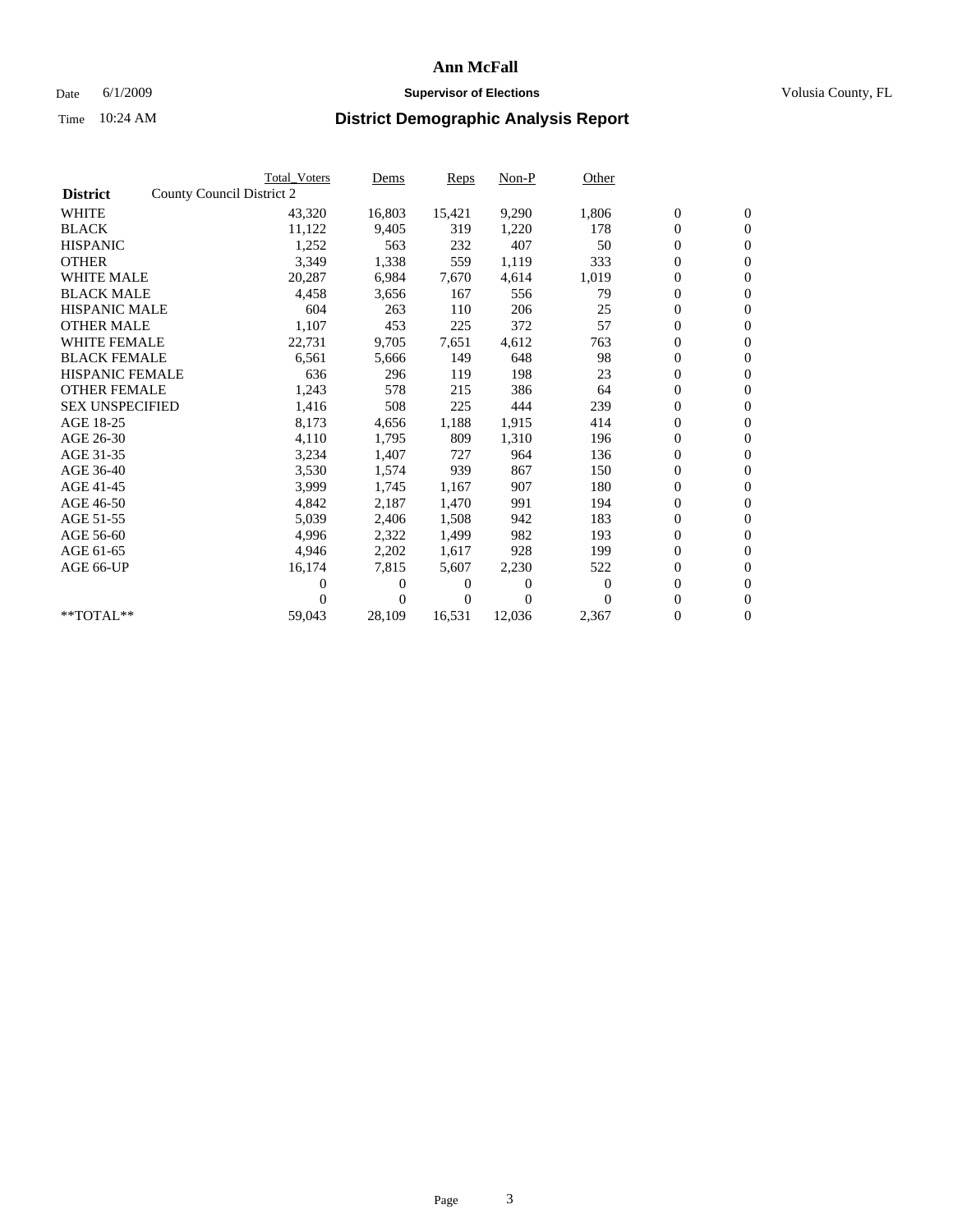### Date 6/1/2009 **Supervisor of Elections Supervisor of Elections** Volusia County, FL

|                        |                           | <b>Total Voters</b> | Dems   | Reps   | Non-P    | Other    |                  |                  |  |
|------------------------|---------------------------|---------------------|--------|--------|----------|----------|------------------|------------------|--|
| <b>District</b>        | County Council District 2 |                     |        |        |          |          |                  |                  |  |
| <b>WHITE</b>           |                           | 43,320              | 16,803 | 15,421 | 9,290    | 1,806    | $\boldsymbol{0}$ | $\boldsymbol{0}$ |  |
| <b>BLACK</b>           |                           | 11,122              | 9,405  | 319    | 1,220    | 178      | $\boldsymbol{0}$ | $\mathbf{0}$     |  |
| <b>HISPANIC</b>        |                           | 1,252               | 563    | 232    | 407      | 50       | $\boldsymbol{0}$ | $\mathbf{0}$     |  |
| <b>OTHER</b>           |                           | 3,349               | 1,338  | 559    | 1,119    | 333      | 0                | $\mathbf{0}$     |  |
| <b>WHITE MALE</b>      |                           | 20,287              | 6,984  | 7,670  | 4,614    | 1,019    | 0                | $\mathbf{0}$     |  |
| <b>BLACK MALE</b>      |                           | 4,458               | 3,656  | 167    | 556      | 79       | $\overline{0}$   | $\mathbf{0}$     |  |
| <b>HISPANIC MALE</b>   |                           | 604                 | 263    | 110    | 206      | 25       | 0                | $\mathbf{0}$     |  |
| <b>OTHER MALE</b>      |                           | 1,107               | 453    | 225    | 372      | 57       | $\boldsymbol{0}$ | $\mathbf{0}$     |  |
| <b>WHITE FEMALE</b>    |                           | 22,731              | 9,705  | 7,651  | 4,612    | 763      | $\boldsymbol{0}$ | $\mathbf{0}$     |  |
| <b>BLACK FEMALE</b>    |                           | 6,561               | 5,666  | 149    | 648      | 98       | 0                | $\mathbf{0}$     |  |
| <b>HISPANIC FEMALE</b> |                           | 636                 | 296    | 119    | 198      | 23       | $\boldsymbol{0}$ | $\mathbf{0}$     |  |
| <b>OTHER FEMALE</b>    |                           | 1,243               | 578    | 215    | 386      | 64       | 0                | $\mathbf{0}$     |  |
| <b>SEX UNSPECIFIED</b> |                           | 1,416               | 508    | 225    | 444      | 239      | 0                | $\mathbf{0}$     |  |
| AGE 18-25              |                           | 8,173               | 4,656  | 1,188  | 1,915    | 414      | 0                | $\mathbf{0}$     |  |
| AGE 26-30              |                           | 4,110               | 1,795  | 809    | 1,310    | 196      | 0                | $\mathbf{0}$     |  |
| AGE 31-35              |                           | 3,234               | 1,407  | 727    | 964      | 136      | 0                | $\mathbf{0}$     |  |
| AGE 36-40              |                           | 3,530               | 1,574  | 939    | 867      | 150      | 0                | $\mathbf{0}$     |  |
| AGE 41-45              |                           | 3,999               | 1,745  | 1,167  | 907      | 180      | 0                | $\mathbf{0}$     |  |
| AGE 46-50              |                           | 4,842               | 2,187  | 1,470  | 991      | 194      | 0                | $\mathbf{0}$     |  |
| AGE 51-55              |                           | 5,039               | 2,406  | 1,508  | 942      | 183      | $\boldsymbol{0}$ | $\mathbf{0}$     |  |
| AGE 56-60              |                           | 4.996               | 2,322  | 1.499  | 982      | 193      | 0                | $\mathbf{0}$     |  |
| AGE 61-65              |                           | 4,946               | 2,202  | 1.617  | 928      | 199      | 0                | $\mathbf{0}$     |  |
| AGE 66-UP              |                           | 16,174              | 7,815  | 5,607  | 2,230    | 522      | $\boldsymbol{0}$ | $\mathbf{0}$     |  |
|                        |                           | 0                   | 0      | 0      | $\theta$ | $\bf{0}$ | $\overline{0}$   | $\mathbf{0}$     |  |
|                        |                           | 0                   | 0      | 0      | $\Omega$ | $\Omega$ | 0                | $\mathbf{0}$     |  |
| **TOTAL**              |                           | 59,043              | 28,109 | 16,531 | 12,036   | 2,367    | 0                | $\boldsymbol{0}$ |  |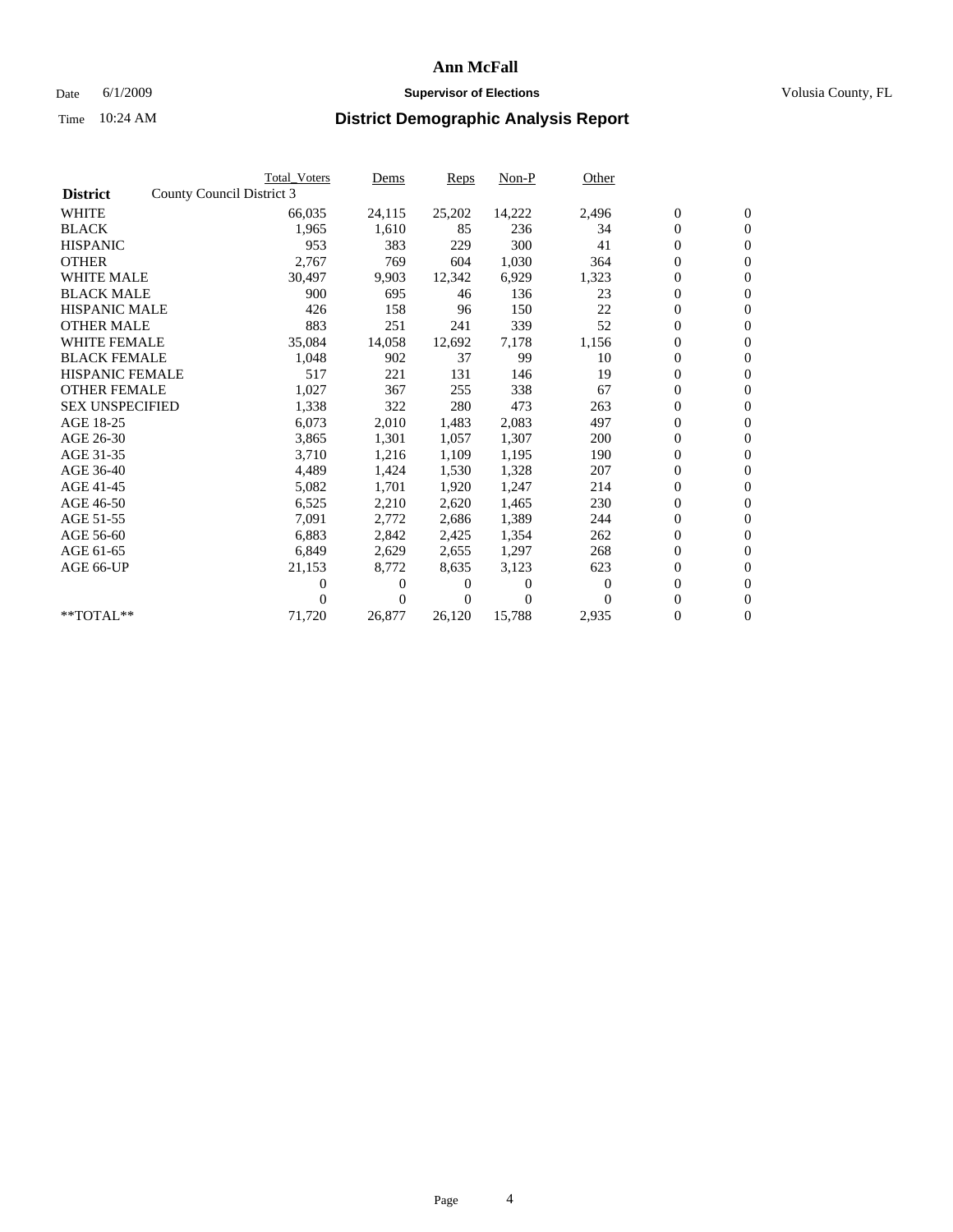### Date 6/1/2009 **Supervisor of Elections Supervisor of Elections** Volusia County, FL

|                        |                           | <b>Total Voters</b> | Dems         | Reps   | $Non-P$  | Other    |                  |                  |  |
|------------------------|---------------------------|---------------------|--------------|--------|----------|----------|------------------|------------------|--|
| <b>District</b>        | County Council District 3 |                     |              |        |          |          |                  |                  |  |
| <b>WHITE</b>           |                           | 66,035              | 24,115       | 25,202 | 14,222   | 2,496    | $\boldsymbol{0}$ | $\boldsymbol{0}$ |  |
| <b>BLACK</b>           |                           | 1,965               | 1,610        | 85     | 236      | 34       | $\overline{0}$   | $\mathbf{0}$     |  |
| <b>HISPANIC</b>        |                           | 953                 | 383          | 229    | 300      | 41       | $\overline{0}$   | $\mathbf{0}$     |  |
| <b>OTHER</b>           |                           | 2,767               | 769          | 604    | 1,030    | 364      | 0                | $\mathbf{0}$     |  |
| <b>WHITE MALE</b>      |                           | 30,497              | 9,903        | 12,342 | 6,929    | 1,323    | $\boldsymbol{0}$ | $\mathbf{0}$     |  |
| <b>BLACK MALE</b>      |                           | 900                 | 695          | 46     | 136      | 23       | $\boldsymbol{0}$ | $\mathbf{0}$     |  |
| <b>HISPANIC MALE</b>   |                           | 426                 | 158          | 96     | 150      | 22       | 0                | $\mathbf{0}$     |  |
| <b>OTHER MALE</b>      |                           | 883                 | 251          | 241    | 339      | 52       | $\boldsymbol{0}$ | $\mathbf{0}$     |  |
| <b>WHITE FEMALE</b>    |                           | 35,084              | 14,058       | 12,692 | 7,178    | 1,156    | 0                | $\mathbf{0}$     |  |
| <b>BLACK FEMALE</b>    |                           | 1,048               | 902          | 37     | 99       | 10       | 0                | $\Omega$         |  |
| <b>HISPANIC FEMALE</b> |                           | 517                 | 221          | 131    | 146      | 19       | $\boldsymbol{0}$ | $\mathbf{0}$     |  |
| <b>OTHER FEMALE</b>    |                           | 1,027               | 367          | 255    | 338      | 67       | 0                | $\mathbf{0}$     |  |
| <b>SEX UNSPECIFIED</b> |                           | 1,338               | 322          | 280    | 473      | 263      | 0                | $\Omega$         |  |
| AGE 18-25              |                           | 6,073               | 2,010        | 1,483  | 2,083    | 497      | $\overline{0}$   | $\mathbf{0}$     |  |
| AGE 26-30              |                           | 3,865               | 1,301        | 1,057  | 1,307    | 200      | 0                | $\mathbf{0}$     |  |
| AGE 31-35              |                           | 3,710               | 1,216        | 1,109  | 1,195    | 190      | 0                | $\mathbf{0}$     |  |
| AGE 36-40              |                           | 4,489               | 1,424        | 1,530  | 1,328    | 207      | $\overline{0}$   | $\mathbf{0}$     |  |
| AGE 41-45              |                           | 5,082               | 1,701        | 1,920  | 1,247    | 214      | 0                | $\mathbf{0}$     |  |
| AGE 46-50              |                           | 6,525               | 2,210        | 2,620  | 1,465    | 230      | 0                | $\Omega$         |  |
| AGE 51-55              |                           | 7,091               | 2,772        | 2,686  | 1,389    | 244      | $\boldsymbol{0}$ | $\mathbf{0}$     |  |
| AGE 56-60              |                           | 6,883               | 2.842        | 2,425  | 1.354    | 262      | 0                | $\mathbf{0}$     |  |
| AGE 61-65              |                           | 6,849               | 2,629        | 2,655  | 1,297    | 268      | 0                | $\Omega$         |  |
| AGE 66-UP              |                           | 21,153              | 8,772        | 8,635  | 3,123    | 623      | $\overline{0}$   | $\mathbf{0}$     |  |
|                        |                           | 0                   | 0            | 0      | $\theta$ | $\Omega$ | 0                | $\mathbf{0}$     |  |
|                        |                           | 0                   | $\mathbf{0}$ | 0      | $\Omega$ | $\Omega$ | 0                | $\mathbf{0}$     |  |
| $*$ TOTAL $**$         |                           | 71,720              | 26,877       | 26,120 | 15,788   | 2,935    | 0                | $\boldsymbol{0}$ |  |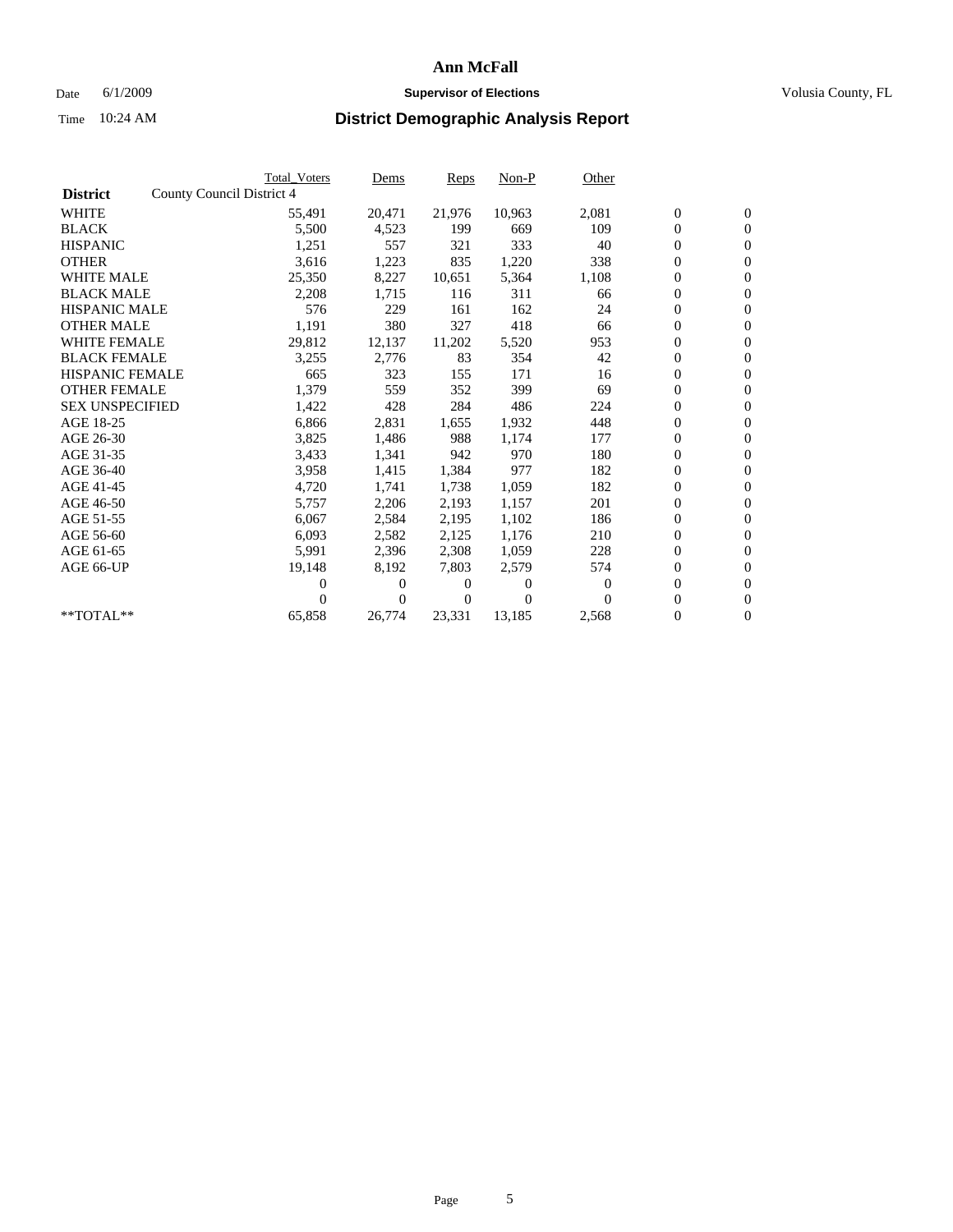### Date 6/1/2009 **Supervisor of Elections Supervisor of Elections** Volusia County, FL

|                        | <b>Total Voters</b>       | Dems              | Reps   | $Non-P$        | Other            |                  |                  |  |
|------------------------|---------------------------|-------------------|--------|----------------|------------------|------------------|------------------|--|
| <b>District</b>        | County Council District 4 |                   |        |                |                  |                  |                  |  |
| <b>WHITE</b>           | 55,491                    | 20,471            | 21,976 | 10,963         | 2,081            | $\boldsymbol{0}$ | $\boldsymbol{0}$ |  |
| <b>BLACK</b>           | 5,500                     | 4,523             | 199    | 669            | 109              | $\overline{0}$   | $\mathbf{0}$     |  |
| <b>HISPANIC</b>        | 1,251                     | 557               | 321    | 333            | 40               | $\overline{0}$   | $\mathbf{0}$     |  |
| <b>OTHER</b>           | 3,616                     | 1,223             | 835    | 1,220          | 338              | 0                | $\mathbf{0}$     |  |
| <b>WHITE MALE</b>      | 25,350                    | 8,227             | 10,651 | 5,364          | 1,108            | $\boldsymbol{0}$ | $\mathbf{0}$     |  |
| <b>BLACK MALE</b>      | 2,208                     | 1,715             | 116    | 311            | 66               | $\boldsymbol{0}$ | $\mathbf{0}$     |  |
| <b>HISPANIC MALE</b>   | 576                       | 229               | 161    | 162            | 24               | 0                | $\mathbf{0}$     |  |
| <b>OTHER MALE</b>      | 1,191                     | 380               | 327    | 418            | 66               | $\boldsymbol{0}$ | $\mathbf{0}$     |  |
| <b>WHITE FEMALE</b>    | 29,812                    | 12,137            | 11,202 | 5,520          | 953              | 0                | $\mathbf{0}$     |  |
| <b>BLACK FEMALE</b>    | 3,255                     | 2,776             | 83     | 354            | 42               | 0                | $\Omega$         |  |
| <b>HISPANIC FEMALE</b> | 665                       | 323               | 155    | 171            | 16               | $\boldsymbol{0}$ | $\mathbf{0}$     |  |
| <b>OTHER FEMALE</b>    | 1,379                     | 559               | 352    | 399            | 69               | $\boldsymbol{0}$ | $\mathbf{0}$     |  |
| <b>SEX UNSPECIFIED</b> | 1,422                     | 428               | 284    | 486            | 224              | 0                | $\mathbf{0}$     |  |
| AGE 18-25              | 6,866                     | 2,831             | 1,655  | 1,932          | 448              | $\boldsymbol{0}$ | $\mathbf{0}$     |  |
| AGE 26-30              | 3,825                     | 1,486             | 988    | 1,174          | 177              | $\boldsymbol{0}$ | $\mathbf{0}$     |  |
| AGE 31-35              | 3,433                     | 1,341             | 942    | 970            | 180              | 0                | $\mathbf{0}$     |  |
| AGE 36-40              | 3,958                     | 1,415             | 1,384  | 977            | 182              | $\overline{0}$   | $\mathbf{0}$     |  |
| AGE 41-45              | 4,720                     | 1,741             | 1,738  | 1,059          | 182              | $\boldsymbol{0}$ | $\mathbf{0}$     |  |
| AGE 46-50              | 5,757                     | 2,206             | 2,193  | 1,157          | 201              | 0                | $\Omega$         |  |
| AGE 51-55              | 6,067                     | 2,584             | 2,195  | 1,102          | 186              | $\boldsymbol{0}$ | $\boldsymbol{0}$ |  |
| AGE 56-60              | 6,093                     | 2,582             | 2,125  | 1,176          | 210              | $\overline{0}$   | $\mathbf{0}$     |  |
| AGE 61-65              | 5,991                     | 2,396             | 2,308  | 1,059          | 228              | 0                | $\mathbf{0}$     |  |
| AGE 66-UP              | 19,148                    | 8,192             | 7,803  | 2,579          | 574              | $\overline{0}$   | $\mathbf{0}$     |  |
|                        |                           | 0<br>0            | 0      | $\overline{0}$ | $\boldsymbol{0}$ | $\boldsymbol{0}$ | $\mathbf{0}$     |  |
|                        |                           | 0<br>$\mathbf{0}$ | 0      | $\Omega$       | $\Omega$         | 0                | $\mathbf{0}$     |  |
| $*$ TOTAL $**$         | 65,858                    | 26,774            | 23,331 | 13,185         | 2,568            | $\overline{0}$   | $\boldsymbol{0}$ |  |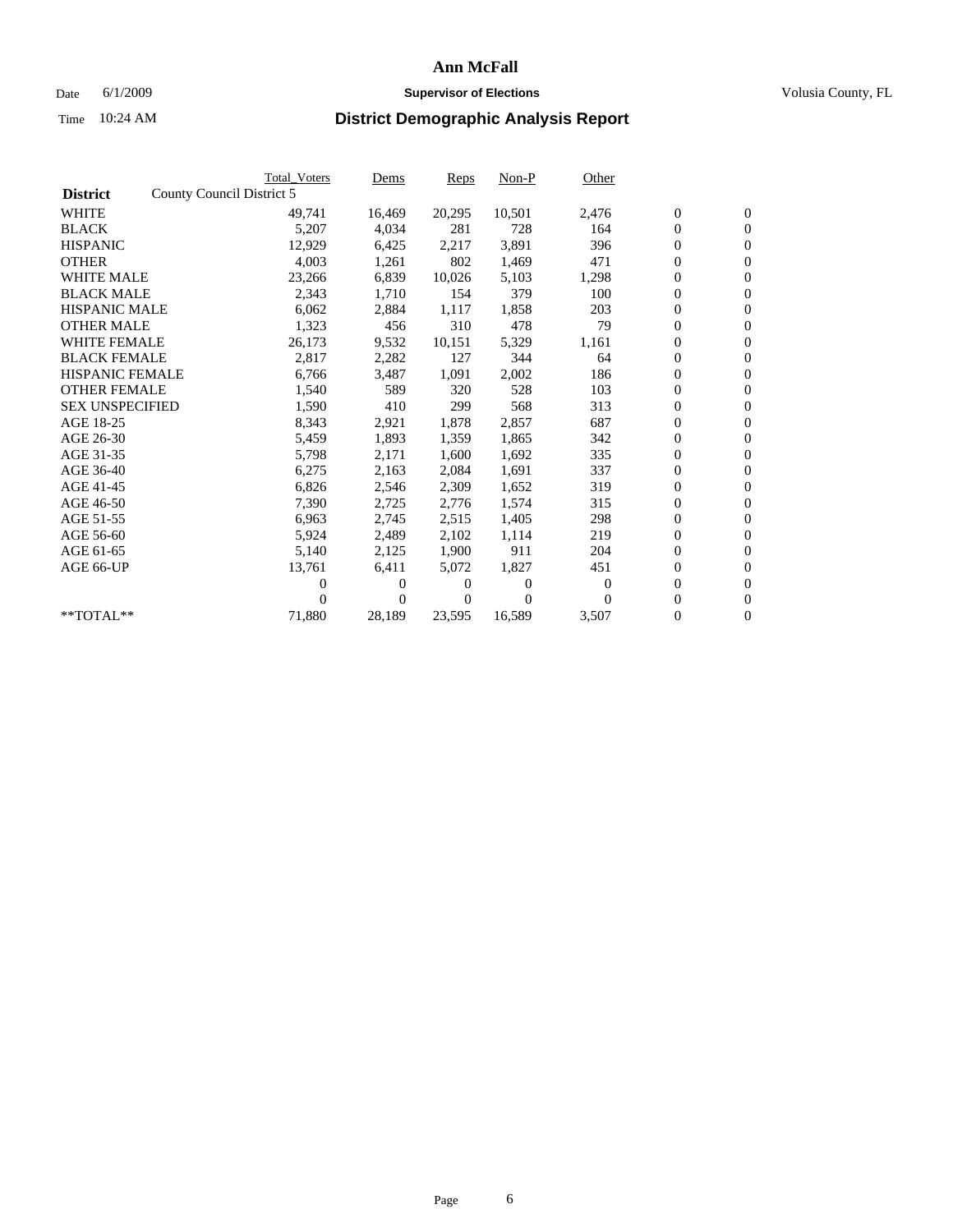### Date 6/1/2009 **Supervisor of Elections Supervisor of Elections** Volusia County, FL

|                        |                           | <b>Total Voters</b> | Dems         | Reps   | $Non-P$  | Other    |                  |                  |  |
|------------------------|---------------------------|---------------------|--------------|--------|----------|----------|------------------|------------------|--|
| <b>District</b>        | County Council District 5 |                     |              |        |          |          |                  |                  |  |
| <b>WHITE</b>           |                           | 49,741              | 16,469       | 20,295 | 10,501   | 2,476    | $\boldsymbol{0}$ | $\boldsymbol{0}$ |  |
| <b>BLACK</b>           |                           | 5,207               | 4,034        | 281    | 728      | 164      | $\overline{0}$   | $\mathbf{0}$     |  |
| <b>HISPANIC</b>        |                           | 12,929              | 6,425        | 2,217  | 3,891    | 396      | $\boldsymbol{0}$ | $\mathbf{0}$     |  |
| <b>OTHER</b>           |                           | 4,003               | 1,261        | 802    | 1,469    | 471      | 0                | $\mathbf{0}$     |  |
| <b>WHITE MALE</b>      |                           | 23,266              | 6,839        | 10,026 | 5,103    | 1,298    | $\boldsymbol{0}$ | $\mathbf{0}$     |  |
| <b>BLACK MALE</b>      |                           | 2,343               | 1,710        | 154    | 379      | 100      | $\boldsymbol{0}$ | $\mathbf{0}$     |  |
| <b>HISPANIC MALE</b>   |                           | 6,062               | 2,884        | 1,117  | 1,858    | 203      | 0                | $\mathbf{0}$     |  |
| <b>OTHER MALE</b>      |                           | 1,323               | 456          | 310    | 478      | 79       | $\boldsymbol{0}$ | $\mathbf{0}$     |  |
| <b>WHITE FEMALE</b>    |                           | 26,173              | 9,532        | 10,151 | 5,329    | 1,161    | 0                | $\mathbf{0}$     |  |
| <b>BLACK FEMALE</b>    |                           | 2,817               | 2,282        | 127    | 344      | 64       | 0                | $\mathbf{0}$     |  |
| <b>HISPANIC FEMALE</b> |                           | 6,766               | 3,487        | 1,091  | 2,002    | 186      | $\boldsymbol{0}$ | $\mathbf{0}$     |  |
| <b>OTHER FEMALE</b>    |                           | 1,540               | 589          | 320    | 528      | 103      | 0                | $\mathbf{0}$     |  |
| <b>SEX UNSPECIFIED</b> |                           | 1,590               | 410          | 299    | 568      | 313      | 0                | $\mathbf{0}$     |  |
| AGE 18-25              |                           | 8,343               | 2,921        | 1,878  | 2,857    | 687      | $\boldsymbol{0}$ | $\mathbf{0}$     |  |
| AGE 26-30              |                           | 5,459               | 1,893        | 1,359  | 1,865    | 342      | $\boldsymbol{0}$ | $\mathbf{0}$     |  |
| AGE 31-35              |                           | 5,798               | 2,171        | 1,600  | 1,692    | 335      | 0                | $\mathbf{0}$     |  |
| AGE 36-40              |                           | 6,275               | 2,163        | 2,084  | 1,691    | 337      | $\boldsymbol{0}$ | $\mathbf{0}$     |  |
| AGE 41-45              |                           | 6,826               | 2,546        | 2,309  | 1,652    | 319      | $\boldsymbol{0}$ | $\mathbf{0}$     |  |
| AGE 46-50              |                           | 7,390               | 2,725        | 2,776  | 1,574    | 315      | 0                | $\Omega$         |  |
| AGE 51-55              |                           | 6,963               | 2,745        | 2,515  | 1,405    | 298      | $\boldsymbol{0}$ | $\mathbf{0}$     |  |
| AGE 56-60              |                           | 5,924               | 2,489        | 2.102  | 1,114    | 219      | 0                | $\mathbf{0}$     |  |
| AGE 61-65              |                           | 5,140               | 2,125        | 1,900  | 911      | 204      | 0                | $\mathbf{0}$     |  |
| AGE 66-UP              |                           | 13,761              | 6,411        | 5,072  | 1,827    | 451      | $\overline{0}$   | $\mathbf{0}$     |  |
|                        |                           | 0                   | 0            | 0      | $\theta$ | $\theta$ | $\boldsymbol{0}$ | $\mathbf{0}$     |  |
|                        |                           | 0                   | $\mathbf{0}$ | 0      | $\Omega$ | $\Omega$ | 0                | $\mathbf{0}$     |  |
| $*$ TOTAL $**$         |                           | 71,880              | 28,189       | 23,595 | 16,589   | 3,507    | $\overline{0}$   | $\boldsymbol{0}$ |  |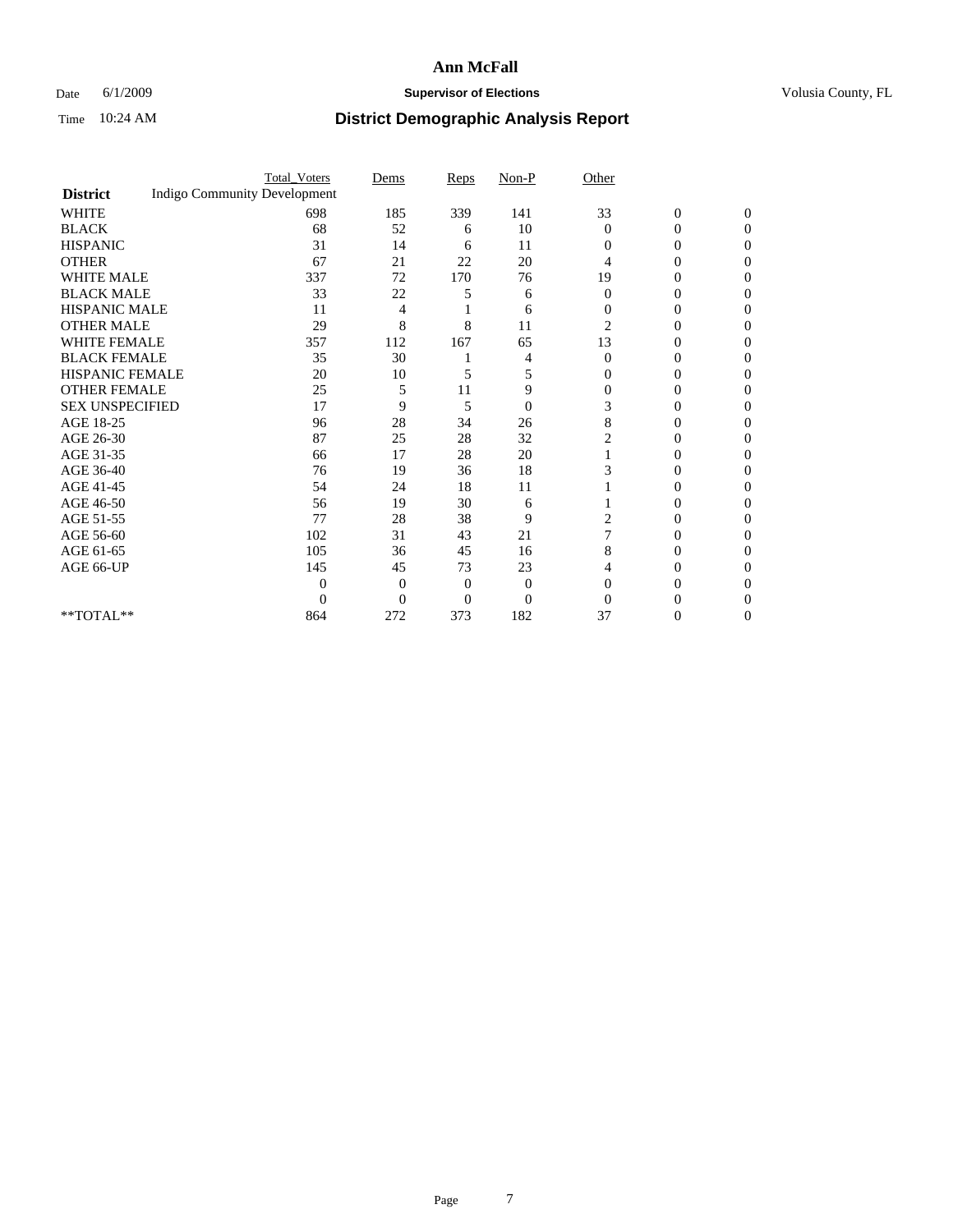### Date 6/1/2009 **Supervisor of Elections Supervisor of Elections** Volusia County, FL

|                        |                                     | <b>Total_Voters</b> | Dems     | Reps           | $Non-P$        | Other          |                  |              |  |
|------------------------|-------------------------------------|---------------------|----------|----------------|----------------|----------------|------------------|--------------|--|
| <b>District</b>        | <b>Indigo Community Development</b> |                     |          |                |                |                |                  |              |  |
| <b>WHITE</b>           |                                     | 698                 | 185      | 339            | 141            | 33             | $\boldsymbol{0}$ | $\mathbf{0}$ |  |
| <b>BLACK</b>           |                                     | 68                  | 52       | 6              | 10             | $\Omega$       | 0                | $\Omega$     |  |
| <b>HISPANIC</b>        |                                     | 31                  | 14       | 6              | 11             | $\Omega$       | 0                | 0            |  |
| <b>OTHER</b>           |                                     | 67                  | 21       | 22             | 20             | 4              | 0                | 0            |  |
| <b>WHITE MALE</b>      |                                     | 337                 | 72       | 170            | 76             | 19             | 0                | 0            |  |
| <b>BLACK MALE</b>      |                                     | 33                  | 22       | 5              | 6              | $\Omega$       | 0                | 0            |  |
| HISPANIC MALE          |                                     | 11                  | 4        |                | 6              | $\overline{0}$ | 0                | 0            |  |
| <b>OTHER MALE</b>      |                                     | 29                  | 8        | 8              | 11             | $\overline{2}$ | 0                | $\theta$     |  |
| <b>WHITE FEMALE</b>    |                                     | 357                 | 112      | 167            | 65             | 13             | 0                | 0            |  |
| <b>BLACK FEMALE</b>    |                                     | 35                  | 30       |                | 4              | $\overline{0}$ | 0                | 0            |  |
| <b>HISPANIC FEMALE</b> |                                     | 20                  | 10       | 5              | 5              | $\Omega$       | 0                | 0            |  |
| <b>OTHER FEMALE</b>    |                                     | 25                  | 5        | 11             | 9              | $\Omega$       | 0                | 0            |  |
| <b>SEX UNSPECIFIED</b> |                                     | 17                  | 9        | 5              | $\overline{0}$ | 3              | 0                | 0            |  |
| AGE 18-25              |                                     | 96                  | 28       | 34             | 26             | 8              | 0                | 0            |  |
| AGE 26-30              |                                     | 87                  | 25       | 28             | 32             |                | 0                | 0            |  |
| AGE 31-35              |                                     | 66                  | 17       | 28             | 20             |                | 0                | 0            |  |
| AGE 36-40              |                                     | 76                  | 19       | 36             | 18             |                | 0                | 0            |  |
| AGE 41-45              |                                     | 54                  | 24       | 18             | 11             |                | 0                | 0            |  |
| AGE 46-50              |                                     | 56                  | 19       | 30             | 6              |                | 0                | 0            |  |
| AGE 51-55              |                                     | 77                  | 28       | 38             | 9              | 2              | 0                | 0            |  |
| AGE 56-60              |                                     | 102                 | 31       | 43             | 21             |                | 0                | 0            |  |
| AGE 61-65              |                                     | 105                 | 36       | 45             | 16             | 8              | 0                | 0            |  |
| AGE 66-UP              |                                     | 145                 | 45       | 73             | 23             |                | 0                | $\theta$     |  |
|                        |                                     | $\Omega$            | $\Omega$ | $\overline{0}$ | $\theta$       | $\Omega$       | 0                | 0            |  |
|                        |                                     | $\Omega$            | $\Omega$ | 0              | $\overline{0}$ | $\Omega$       |                  |              |  |
| $**TOTAL**$            |                                     | 864                 | 272      | 373            | 182            | 37             | 0                | 0            |  |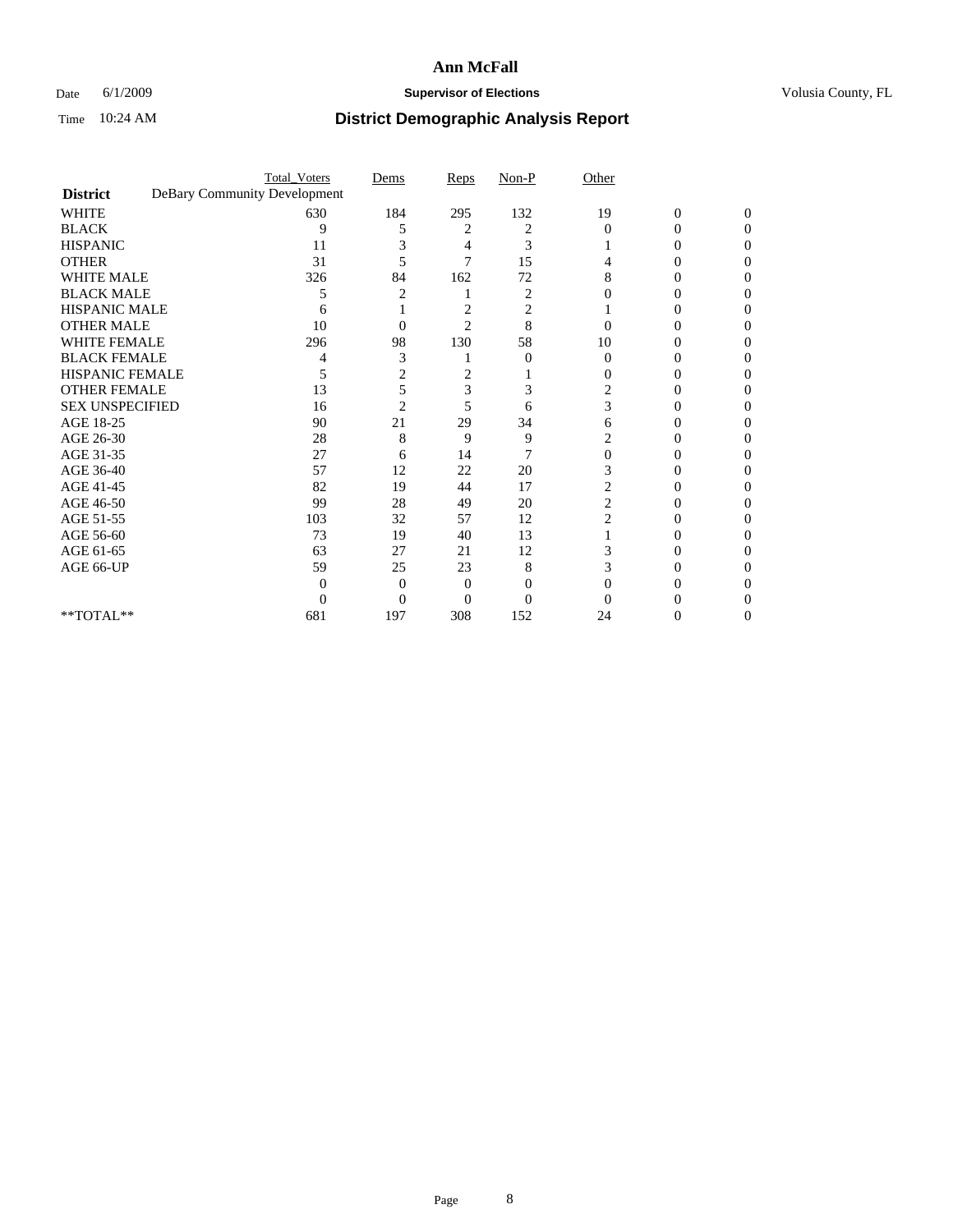### Date 6/1/2009 **Supervisor of Elections Supervisor of Elections** Volusia County, FL

|                                     | <b>Total_Voters</b>          | Dems           | Reps           | $Non-P$  | Other          |                  |              |  |
|-------------------------------------|------------------------------|----------------|----------------|----------|----------------|------------------|--------------|--|
| <b>District</b>                     | DeBary Community Development |                |                |          |                |                  |              |  |
| <b>WHITE</b>                        | 630                          | 184            | 295            | 132      | 19             | $\boldsymbol{0}$ | $\mathbf{0}$ |  |
| <b>BLACK</b>                        | 9                            | 5              | 2              | 2        | $\Omega$       | 0                | 0            |  |
| <b>HISPANIC</b>                     | 11                           |                | 4              | 3        |                |                  | 0            |  |
| <b>OTHER</b>                        | 31                           | 5              | 7              | 15       |                |                  | 0            |  |
| <b>WHITE MALE</b>                   | 326                          | 84             | 162            | 72       | 8              | 0                | 0            |  |
| <b>BLACK MALE</b>                   | 5                            |                |                | 2        |                | $\theta$         | 0            |  |
| HISPANIC MALE                       | 6                            |                | 2              | 2        |                |                  |              |  |
| <b>OTHER MALE</b>                   | 10                           | 0              | $\overline{2}$ | 8        |                | 0                |              |  |
| <b>WHITE FEMALE</b>                 | 296                          | 98             | 130            | 58       | 10             |                  | 0            |  |
| <b>BLACK FEMALE</b>                 | 4                            | 3              |                | $\theta$ | $\theta$       | 0                | 0            |  |
| <b>HISPANIC FEMALE</b>              | 5                            | 2              | 2              |          | 0              | 0                | 0            |  |
| <b>OTHER FEMALE</b>                 | 13                           | 5              | 3              | 3        | 2              |                  | 0            |  |
| <b>SEX UNSPECIFIED</b>              | 16                           | $\overline{2}$ | 5              | 6        | 3              |                  |              |  |
| AGE 18-25                           | 90                           | 21             | 29             | 34       | 6              | 0                | 0            |  |
| AGE 26-30                           | 28                           | 8              | 9              | 9        |                |                  | 0            |  |
| AGE 31-35                           | 27                           | 6              | 14             | 7        | 0              |                  |              |  |
| AGE 36-40                           | 57                           | 12             | 22             | 20       | 3              | 0                | 0            |  |
| AGE 41-45                           | 82                           | 19             | 44             | 17       | 2              |                  | 0            |  |
| AGE 46-50                           | 99                           | 28             | 49             | 20       | $\overline{c}$ | 0                | 0            |  |
| AGE 51-55                           | 103                          | 32             | 57             | 12       | 2              | 0                | 0            |  |
| AGE 56-60                           | 73                           | 19             | 40             | 13       |                |                  | 0            |  |
| AGE 61-65                           | 63                           | 27             | 21             | 12       |                |                  |              |  |
| AGE 66-UP                           | 59                           | 25             | 23             | 8        | 3              |                  | 0            |  |
|                                     | 0                            | $\Omega$       | $\Omega$       | 0        |                |                  |              |  |
|                                     | 0                            | $\Omega$       | 0              | $\Omega$ |                |                  |              |  |
| $\rm ^{\ast \ast}TOTAL^{\ast \ast}$ | 681                          | 197            | 308            | 152      | 24             | 0                | 0            |  |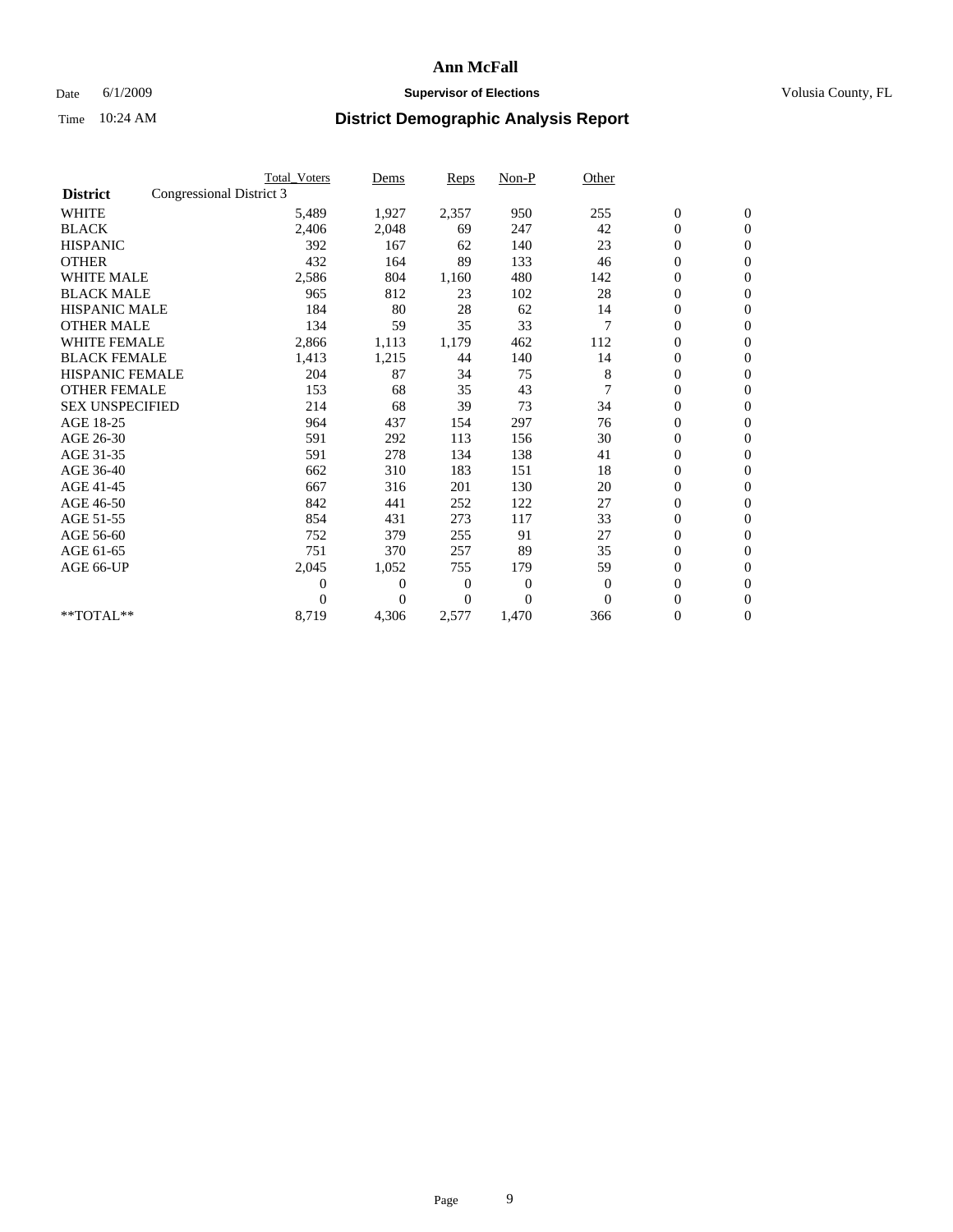### Date 6/1/2009 **Supervisor of Elections Supervisor of Elections** Volusia County, FL

|                        | <b>Total Voters</b>      | Dems           | <b>Reps</b>  | $Non-P$        | Other        |                  |                  |  |
|------------------------|--------------------------|----------------|--------------|----------------|--------------|------------------|------------------|--|
| <b>District</b>        | Congressional District 3 |                |              |                |              |                  |                  |  |
| <b>WHITE</b>           | 5,489                    | 1,927          | 2,357        | 950            | 255          | $\boldsymbol{0}$ | $\mathbf{0}$     |  |
| <b>BLACK</b>           | 2,406                    | 2,048          | 69           | 247            | 42           | $\boldsymbol{0}$ | $\mathbf{0}$     |  |
| <b>HISPANIC</b>        | 392                      | 167            | 62           | 140            | 23           | $\overline{0}$   | $\mathbf{0}$     |  |
| <b>OTHER</b>           | 432                      | 164            | 89           | 133            | 46           | $\boldsymbol{0}$ | $\mathbf{0}$     |  |
| <b>WHITE MALE</b>      | 2,586                    | 804            | 1,160        | 480            | 142          | $\boldsymbol{0}$ | $\mathbf{0}$     |  |
| <b>BLACK MALE</b>      | 965                      | 812            | 23           | 102            | 28           | $\boldsymbol{0}$ | $\mathbf{0}$     |  |
| <b>HISPANIC MALE</b>   | 184                      | 80             | 28           | 62             | 14           | $\boldsymbol{0}$ | $\mathbf{0}$     |  |
| <b>OTHER MALE</b>      | 134                      | 59             | 35           | 33             | 7            | 0                | $\mathbf{0}$     |  |
| <b>WHITE FEMALE</b>    | 2,866                    | 1,113          | 1,179        | 462            | 112          | $\mathbf{0}$     | $\mathbf{0}$     |  |
| <b>BLACK FEMALE</b>    | 1,413                    | 1,215          | 44           | 140            | 14           | $\boldsymbol{0}$ | $\mathbf{0}$     |  |
| <b>HISPANIC FEMALE</b> | 204                      | 87             | 34           | 75             | 8            | $\boldsymbol{0}$ | $\boldsymbol{0}$ |  |
| <b>OTHER FEMALE</b>    | 153                      | 68             | 35           | 43             |              | $\overline{0}$   | $\Omega$         |  |
| <b>SEX UNSPECIFIED</b> | 214                      | 68             | 39           | 73             | 34           | $\overline{0}$   | $\mathbf{0}$     |  |
| AGE 18-25              | 964                      | 437            | 154          | 297            | 76           | $\overline{0}$   | $\mathbf{0}$     |  |
| AGE 26-30              | 591                      | 292            | 113          | 156            | 30           | $\overline{0}$   | $\mathbf{0}$     |  |
| AGE 31-35              | 591                      | 278            | 134          | 138            | 41           | $\boldsymbol{0}$ | $\mathbf{0}$     |  |
| AGE 36-40              | 662                      | 310            | 183          | 151            | 18           | $\boldsymbol{0}$ | $\boldsymbol{0}$ |  |
| AGE 41-45              | 667                      | 316            | 201          | 130            | 20           | $\overline{0}$   | $\mathbf{0}$     |  |
| AGE 46-50              | 842                      | 441            | 252          | 122            | 27           | $\mathbf{0}$     | $\mathbf{0}$     |  |
| AGE 51-55              | 854                      | 431            | 273          | 117            | 33           | $\boldsymbol{0}$ | $\mathbf{0}$     |  |
| AGE 56-60              | 752                      | 379            | 255          | 91             | 27           | $\boldsymbol{0}$ | $\mathbf{0}$     |  |
| AGE 61-65              | 751                      | 370            | 257          | 89             | 35           | $\boldsymbol{0}$ | $\mathbf{0}$     |  |
| AGE 66-UP              | 2,045                    | 1,052          | 755          | 179            | 59           | $\boldsymbol{0}$ | $\mathbf{0}$     |  |
|                        | $\theta$                 | $\overline{0}$ | $\mathbf{0}$ | 0              | $\mathbf{0}$ | $\boldsymbol{0}$ | $\mathbf{0}$     |  |
|                        | $\Omega$                 | $\overline{0}$ | 0            | $\overline{0}$ | $\Omega$     | $\overline{0}$   | $\mathbf{0}$     |  |
| **TOTAL**              | 8,719                    | 4,306          | 2,577        | 1,470          | 366          | 0                | $\mathbf{0}$     |  |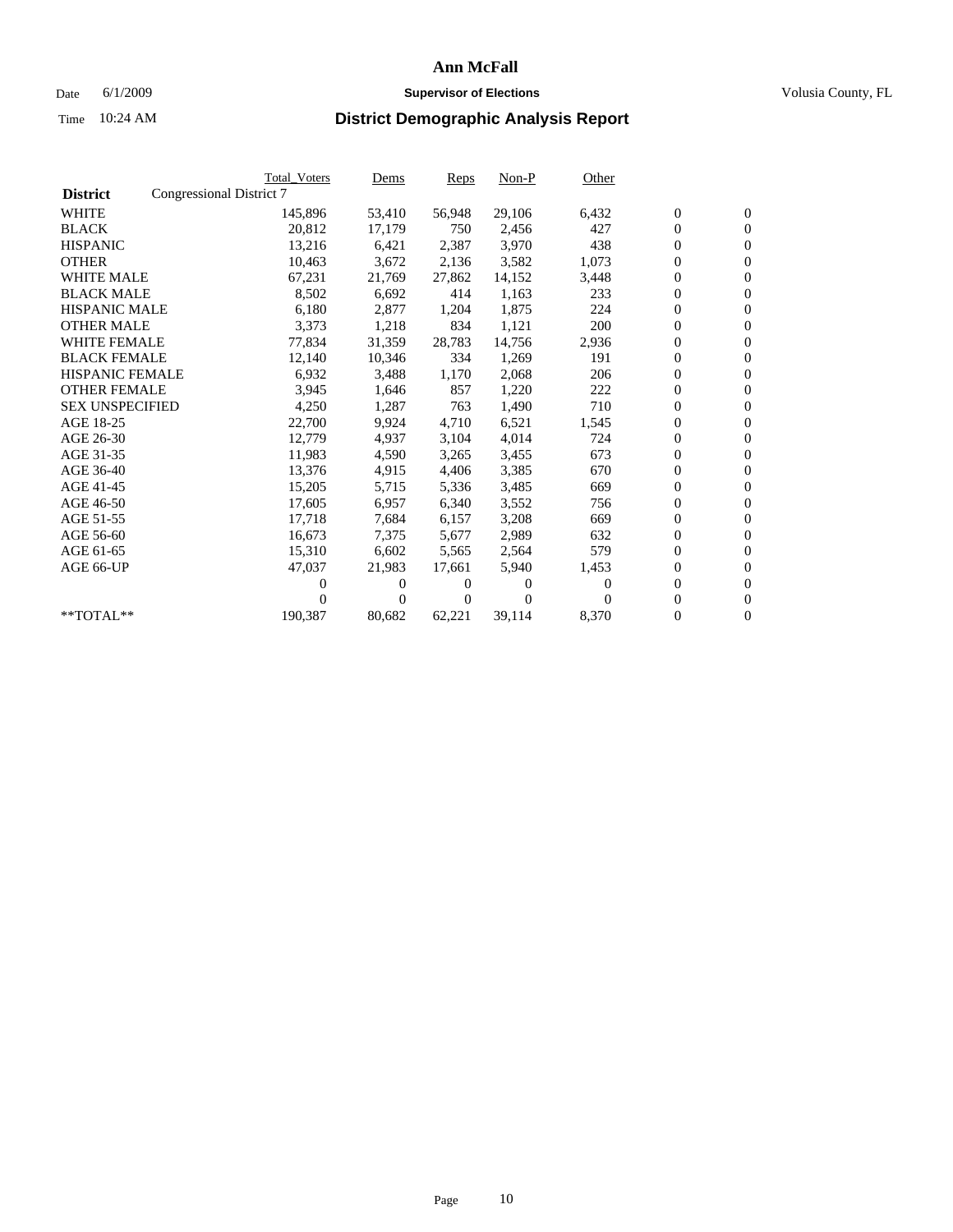### Date 6/1/2009 **Supervisor of Elections Supervisor of Elections** Volusia County, FL

|                        |                          | <b>Total Voters</b> | Dems   | Reps           | $Non-P$  | Other    |                  |                  |  |
|------------------------|--------------------------|---------------------|--------|----------------|----------|----------|------------------|------------------|--|
| <b>District</b>        | Congressional District 7 |                     |        |                |          |          |                  |                  |  |
| <b>WHITE</b>           |                          | 145,896             | 53,410 | 56,948         | 29,106   | 6,432    | $\boldsymbol{0}$ | $\boldsymbol{0}$ |  |
| <b>BLACK</b>           |                          | 20,812              | 17,179 | 750            | 2,456    | 427      | $\boldsymbol{0}$ | $\mathbf{0}$     |  |
| <b>HISPANIC</b>        |                          | 13,216              | 6,421  | 2,387          | 3,970    | 438      | $\boldsymbol{0}$ | $\mathbf{0}$     |  |
| <b>OTHER</b>           |                          | 10,463              | 3,672  | 2,136          | 3,582    | 1,073    | 0                | $\mathbf{0}$     |  |
| <b>WHITE MALE</b>      |                          | 67,231              | 21,769 | 27,862         | 14,152   | 3,448    | 0                | $\mathbf{0}$     |  |
| <b>BLACK MALE</b>      |                          | 8,502               | 6.692  | 414            | 1,163    | 233      | 0                | $\mathbf{0}$     |  |
| <b>HISPANIC MALE</b>   |                          | 6,180               | 2,877  | 1,204          | 1,875    | 224      | 0                | $\mathbf{0}$     |  |
| <b>OTHER MALE</b>      |                          | 3,373               | 1,218  | 834            | 1,121    | 200      | 0                | $\mathbf{0}$     |  |
| <b>WHITE FEMALE</b>    |                          | 77,834              | 31,359 | 28,783         | 14,756   | 2,936    | $\boldsymbol{0}$ | $\mathbf{0}$     |  |
| <b>BLACK FEMALE</b>    |                          | 12,140              | 10,346 | 334            | 1,269    | 191      | 0                | $\mathbf{0}$     |  |
| <b>HISPANIC FEMALE</b> |                          | 6,932               | 3,488  | 1,170          | 2,068    | 206      | 0                | $\mathbf{0}$     |  |
| <b>OTHER FEMALE</b>    |                          | 3,945               | 1,646  | 857            | 1,220    | 222      | 0                | $\mathbf{0}$     |  |
| <b>SEX UNSPECIFIED</b> |                          | 4,250               | 1,287  | 763            | 1,490    | 710      | 0                | $\mathbf{0}$     |  |
| AGE 18-25              |                          | 22,700              | 9,924  | 4,710          | 6,521    | 1,545    | $\overline{0}$   | $\mathbf{0}$     |  |
| AGE 26-30              |                          | 12,779              | 4,937  | 3,104          | 4,014    | 724      | 0                | $\mathbf{0}$     |  |
| AGE 31-35              |                          | 11,983              | 4,590  | 3,265          | 3,455    | 673      | 0                | $\mathbf{0}$     |  |
| AGE 36-40              |                          | 13,376              | 4,915  | 4,406          | 3,385    | 670      | 0                | $\mathbf{0}$     |  |
| AGE 41-45              |                          | 15,205              | 5,715  | 5,336          | 3,485    | 669      | 0                | $\mathbf{0}$     |  |
| AGE 46-50              |                          | 17,605              | 6,957  | 6,340          | 3,552    | 756      | 0                | $\mathbf{0}$     |  |
| AGE 51-55              |                          | 17,718              | 7,684  | 6,157          | 3,208    | 669      | 0                | $\mathbf{0}$     |  |
| AGE 56-60              |                          | 16.673              | 7,375  | 5.677          | 2,989    | 632      | 0                | $\mathbf{0}$     |  |
| AGE 61-65              |                          | 15,310              | 6,602  | 5,565          | 2,564    | 579      | 0                | $\mathbf{0}$     |  |
| AGE 66-UP              |                          | 47,037              | 21,983 | 17,661         | 5,940    | 1,453    | 0                | $\mathbf{0}$     |  |
|                        |                          | 0                   | 0      | 0              | $\Omega$ | $\Omega$ | $\overline{0}$   | $\mathbf{0}$     |  |
|                        |                          | 0                   | 0      | $\overline{0}$ | $\Omega$ | $\Omega$ | 0                | $\mathbf{0}$     |  |
| **TOTAL**              |                          | 190,387             | 80,682 | 62,221         | 39,114   | 8,370    | 0                | $\boldsymbol{0}$ |  |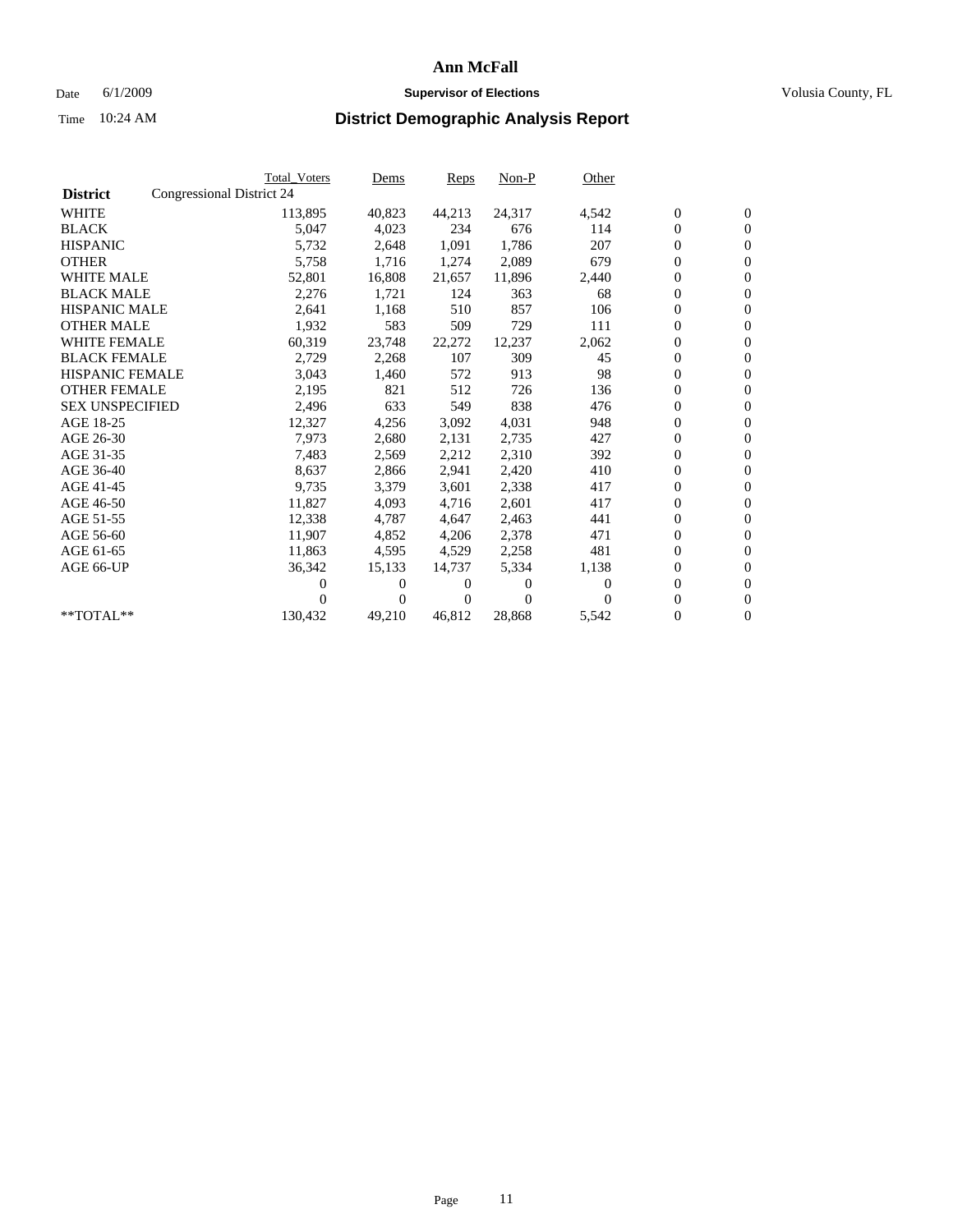### Date 6/1/2009 **Supervisor of Elections Supervisor of Elections** Volusia County, FL

|                        | <b>Total Voters</b>       | Dems           | <b>Reps</b> | $Non-P$  | Other    |                  |                  |  |
|------------------------|---------------------------|----------------|-------------|----------|----------|------------------|------------------|--|
| <b>District</b>        | Congressional District 24 |                |             |          |          |                  |                  |  |
| <b>WHITE</b>           | 113,895                   | 40,823         | 44,213      | 24,317   | 4,542    | $\boldsymbol{0}$ | $\mathbf{0}$     |  |
| <b>BLACK</b>           | 5,047                     | 4,023          | 234         | 676      | 114      | $\overline{0}$   | $\mathbf{0}$     |  |
| <b>HISPANIC</b>        | 5,732                     | 2,648          | 1,091       | 1,786    | 207      | $\overline{0}$   | $\mathbf{0}$     |  |
| <b>OTHER</b>           | 5,758                     | 1,716          | 1,274       | 2,089    | 679      | $\overline{0}$   | $\mathbf{0}$     |  |
| <b>WHITE MALE</b>      | 52,801                    | 16,808         | 21,657      | 11,896   | 2,440    | $\boldsymbol{0}$ | $\mathbf{0}$     |  |
| <b>BLACK MALE</b>      | 2,276                     | 1,721          | 124         | 363      | 68       | $\boldsymbol{0}$ | $\mathbf{0}$     |  |
| <b>HISPANIC MALE</b>   | 2,641                     | 1,168          | 510         | 857      | 106      | $\boldsymbol{0}$ | $\mathbf{0}$     |  |
| <b>OTHER MALE</b>      | 1,932                     | 583            | 509         | 729      | 111      | $\boldsymbol{0}$ | $\mathbf{0}$     |  |
| <b>WHITE FEMALE</b>    | 60,319                    | 23,748         | 22,272      | 12,237   | 2,062    | $\mathbf{0}$     | $\mathbf{0}$     |  |
| <b>BLACK FEMALE</b>    | 2,729                     | 2,268          | 107         | 309      | 45       | $\boldsymbol{0}$ | $\Omega$         |  |
| <b>HISPANIC FEMALE</b> | 3,043                     | 1,460          | 572         | 913      | 98       | $\boldsymbol{0}$ | $\mathbf{0}$     |  |
| <b>OTHER FEMALE</b>    | 2,195                     | 821            | 512         | 726      | 136      | $\overline{0}$   | $\mathbf{0}$     |  |
| <b>SEX UNSPECIFIED</b> | 2,496                     | 633            | 549         | 838      | 476      | $\boldsymbol{0}$ | $\mathbf{0}$     |  |
| AGE 18-25              | 12,327                    | 4,256          | 3,092       | 4,031    | 948      | $\boldsymbol{0}$ | $\mathbf{0}$     |  |
| AGE 26-30              | 7,973                     | 2,680          | 2,131       | 2,735    | 427      | $\overline{0}$   | $\mathbf{0}$     |  |
| AGE 31-35              | 7,483                     | 2,569          | 2,212       | 2,310    | 392      | $\boldsymbol{0}$ | $\mathbf{0}$     |  |
| AGE 36-40              | 8,637                     | 2,866          | 2,941       | 2,420    | 410      | $\boldsymbol{0}$ | $\mathbf{0}$     |  |
| AGE 41-45              | 9,735                     | 3,379          | 3,601       | 2,338    | 417      | $\boldsymbol{0}$ | $\mathbf{0}$     |  |
| AGE 46-50              | 11,827                    | 4,093          | 4,716       | 2,601    | 417      | $\boldsymbol{0}$ | $\Omega$         |  |
| AGE 51-55              | 12,338                    | 4,787          | 4,647       | 2,463    | 441      | $\boldsymbol{0}$ | $\mathbf{0}$     |  |
| AGE 56-60              | 11.907                    | 4,852          | 4,206       | 2,378    | 471      | $\mathbf{0}$     | $\mathbf{0}$     |  |
| AGE 61-65              | 11,863                    | 4,595          | 4,529       | 2,258    | 481      | $\boldsymbol{0}$ | $\mathbf{0}$     |  |
| AGE 66-UP              | 36,342                    | 15,133         | 14,737      | 5,334    | 1,138    | $\mathbf{0}$     | $\mathbf{0}$     |  |
|                        | 0                         | 0              | 0           | 0        | $\Omega$ | $\overline{0}$   | $\mathbf{0}$     |  |
|                        | 0                         | $\overline{0}$ | 0           | $\Omega$ | 0        | 0                | $\mathbf{0}$     |  |
| $*$ TOTAL $**$         | 130,432                   | 49,210         | 46,812      | 28,868   | 5,542    | 0                | $\boldsymbol{0}$ |  |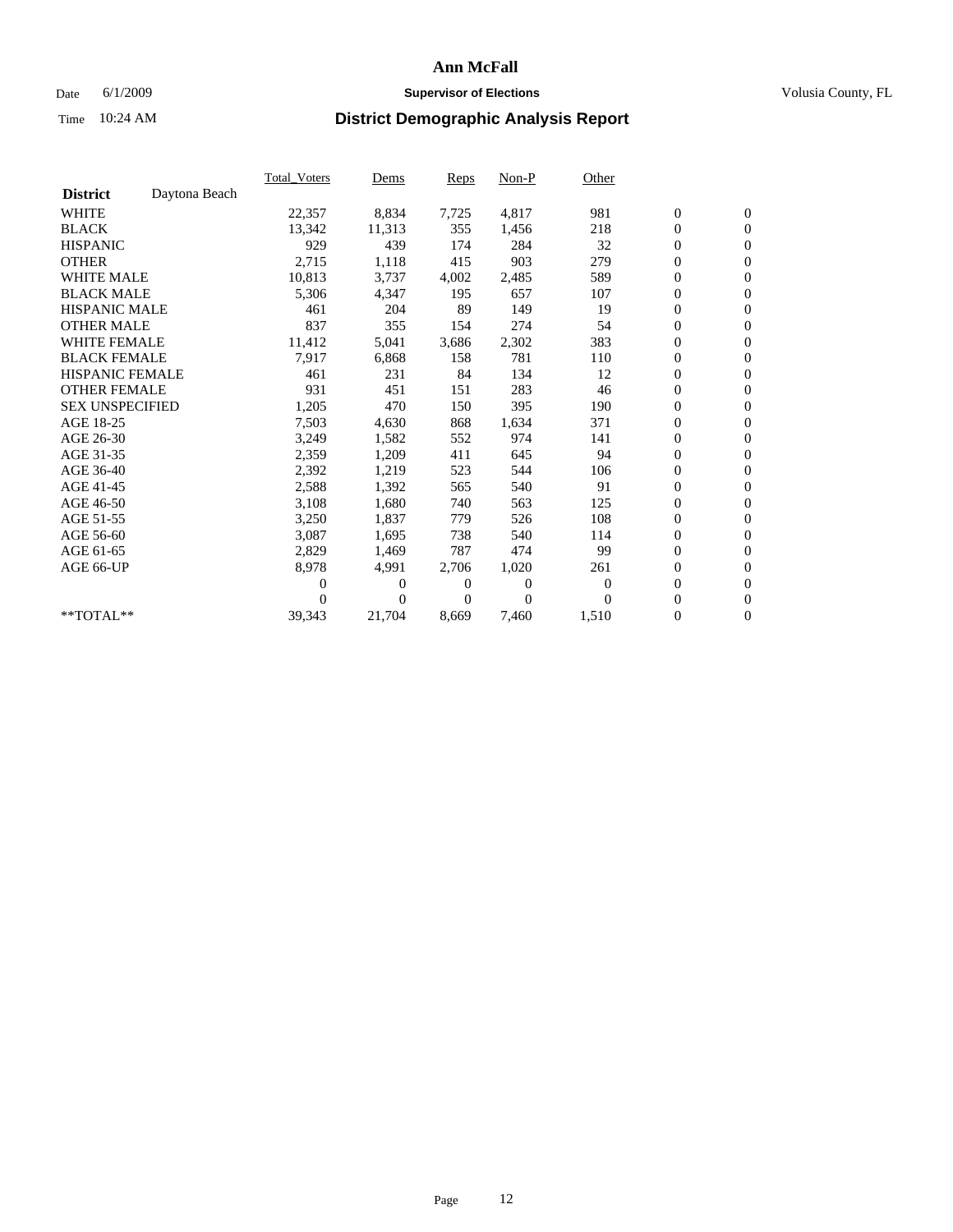### Date 6/1/2009 **Supervisor of Elections Supervisor of Elections** Volusia County, FL

|                        |               | <b>Total Voters</b> | Dems           | Reps  | Non-P    | Other    |                  |                  |  |
|------------------------|---------------|---------------------|----------------|-------|----------|----------|------------------|------------------|--|
| <b>District</b>        | Daytona Beach |                     |                |       |          |          |                  |                  |  |
| <b>WHITE</b>           |               | 22,357              | 8,834          | 7,725 | 4,817    | 981      | $\boldsymbol{0}$ | $\boldsymbol{0}$ |  |
| <b>BLACK</b>           |               | 13,342              | 11,313         | 355   | 1,456    | 218      | $\boldsymbol{0}$ | $\mathbf{0}$     |  |
| <b>HISPANIC</b>        |               | 929                 | 439            | 174   | 284      | 32       | $\boldsymbol{0}$ | $\mathbf{0}$     |  |
| <b>OTHER</b>           |               | 2,715               | 1,118          | 415   | 903      | 279      | 0                | $\mathbf{0}$     |  |
| <b>WHITE MALE</b>      |               | 10,813              | 3,737          | 4,002 | 2,485    | 589      | $\boldsymbol{0}$ | $\mathbf{0}$     |  |
| <b>BLACK MALE</b>      |               | 5,306               | 4,347          | 195   | 657      | 107      | $\overline{0}$   | $\mathbf{0}$     |  |
| <b>HISPANIC MALE</b>   |               | 461                 | 204            | 89    | 149      | 19       | $\boldsymbol{0}$ | $\mathbf{0}$     |  |
| <b>OTHER MALE</b>      |               | 837                 | 355            | 154   | 274      | 54       | $\boldsymbol{0}$ | $\mathbf{0}$     |  |
| <b>WHITE FEMALE</b>    |               | 11,412              | 5,041          | 3,686 | 2,302    | 383      | $\boldsymbol{0}$ | $\mathbf{0}$     |  |
| <b>BLACK FEMALE</b>    |               | 7,917               | 6,868          | 158   | 781      | 110      | 0                | $\mathbf{0}$     |  |
| <b>HISPANIC FEMALE</b> |               | 461                 | 231            | 84    | 134      | 12       | $\boldsymbol{0}$ | $\mathbf{0}$     |  |
| <b>OTHER FEMALE</b>    |               | 931                 | 451            | 151   | 283      | 46       | $\overline{0}$   | $\mathbf{0}$     |  |
| <b>SEX UNSPECIFIED</b> |               | 1,205               | 470            | 150   | 395      | 190      | 0                | $\mathbf{0}$     |  |
| AGE 18-25              |               | 7,503               | 4,630          | 868   | 1,634    | 371      | $\boldsymbol{0}$ | $\mathbf{0}$     |  |
| AGE 26-30              |               | 3,249               | 1,582          | 552   | 974      | 141      | $\boldsymbol{0}$ | $\mathbf{0}$     |  |
| AGE 31-35              |               | 2,359               | 1,209          | 411   | 645      | 94       | $\boldsymbol{0}$ | $\boldsymbol{0}$ |  |
| AGE 36-40              |               | 2,392               | 1,219          | 523   | 544      | 106      | $\boldsymbol{0}$ | $\mathbf{0}$     |  |
| AGE 41-45              |               | 2,588               | 1,392          | 565   | 540      | 91       | $\boldsymbol{0}$ | $\mathbf{0}$     |  |
| AGE 46-50              |               | 3,108               | 1,680          | 740   | 563      | 125      | $\boldsymbol{0}$ | $\mathbf{0}$     |  |
| AGE 51-55              |               | 3,250               | 1,837          | 779   | 526      | 108      | $\boldsymbol{0}$ | $\mathbf{0}$     |  |
| AGE 56-60              |               | 3,087               | 1,695          | 738   | 540      | 114      | 0                | $\mathbf{0}$     |  |
| AGE 61-65              |               | 2,829               | 1,469          | 787   | 474      | 99       | 0                | $\mathbf{0}$     |  |
| AGE 66-UP              |               | 8,978               | 4,991          | 2,706 | 1,020    | 261      | $\boldsymbol{0}$ | $\mathbf{0}$     |  |
|                        |               | 0                   | 0              | 0     | $\theta$ | $\theta$ | $\overline{0}$   | $\mathbf{0}$     |  |
|                        |               | 0                   | $\overline{0}$ | 0     | $\Omega$ | $\Omega$ | 0                | $\mathbf{0}$     |  |
| **TOTAL**              |               | 39,343              | 21,704         | 8,669 | 7,460    | 1,510    | 0                | $\boldsymbol{0}$ |  |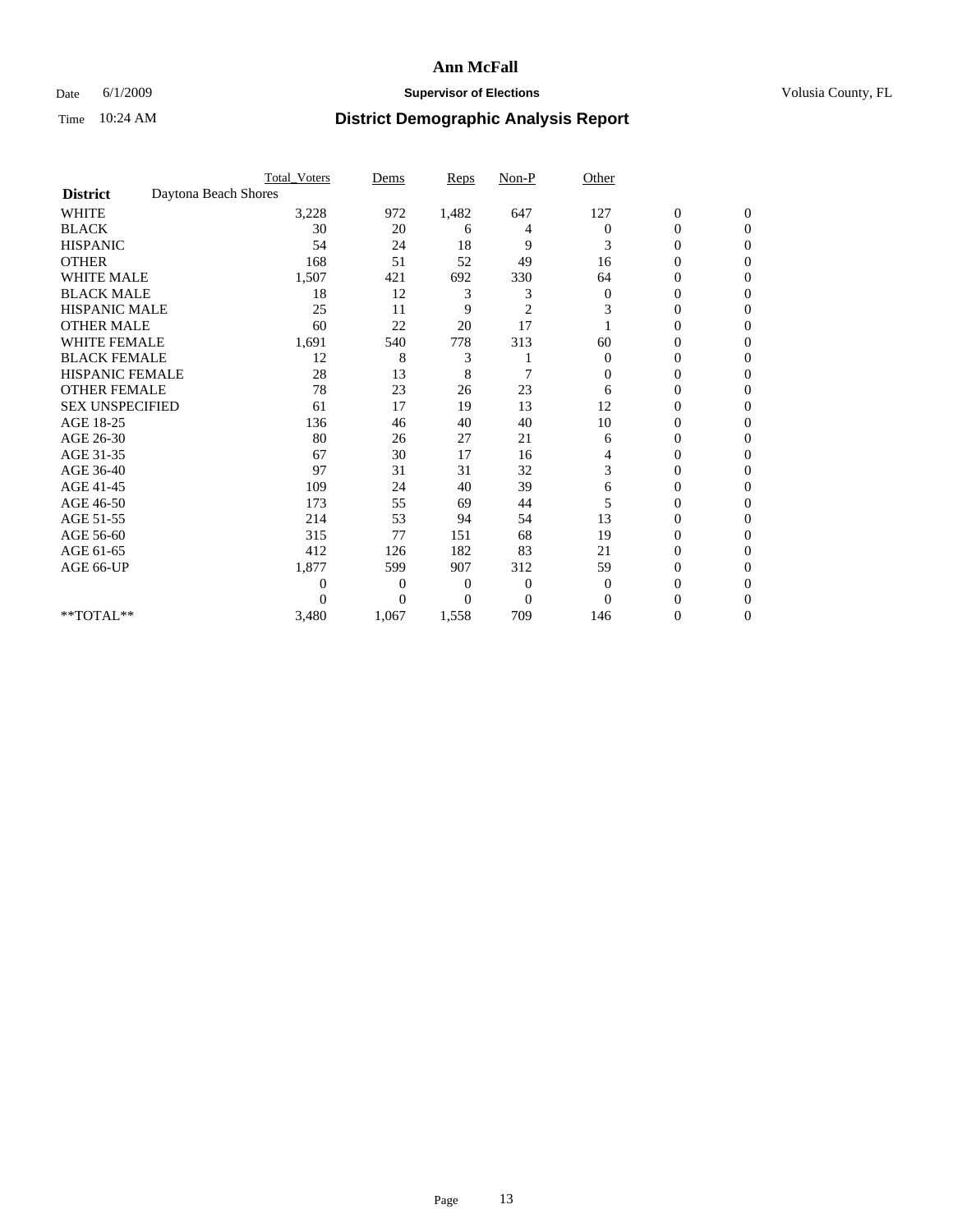### Date 6/1/2009 **Supervisor of Elections Supervisor of Elections** Volusia County, FL

|                        |                      | <b>Total_Voters</b> | Dems           | <b>Reps</b> | $Non-P$        | Other        |                  |                  |  |
|------------------------|----------------------|---------------------|----------------|-------------|----------------|--------------|------------------|------------------|--|
| <b>District</b>        | Daytona Beach Shores |                     |                |             |                |              |                  |                  |  |
| WHITE                  |                      | 3,228               | 972            | 1,482       | 647            | 127          | $\boldsymbol{0}$ | $\boldsymbol{0}$ |  |
| <b>BLACK</b>           |                      | 30                  | 20             | 6           | 4              | $\Omega$     | $\boldsymbol{0}$ | $\Omega$         |  |
| <b>HISPANIC</b>        |                      | 54                  | 24             | 18          | 9              | 3            | 0                | $\Omega$         |  |
| <b>OTHER</b>           |                      | 168                 | 51             | 52          | 49             | 16           | 0                | $\Omega$         |  |
| <b>WHITE MALE</b>      |                      | 1,507               | 421            | 692         | 330            | 64           | 0                | $\Omega$         |  |
| <b>BLACK MALE</b>      |                      | 18                  | 12             | 3           | 3              | 0            | 0                | 0                |  |
| <b>HISPANIC MALE</b>   |                      | 25                  | 11             | 9           | $\overline{2}$ | 3            | 0                | 0                |  |
| <b>OTHER MALE</b>      |                      | 60                  | 22             | 20          | 17             |              | 0                | 0                |  |
| WHITE FEMALE           |                      | 1,691               | 540            | 778         | 313            | 60           | 0                | $\Omega$         |  |
| <b>BLACK FEMALE</b>    |                      | 12                  | 8              | 3           |                | $\mathbf{0}$ | 0                | $\Omega$         |  |
| <b>HISPANIC FEMALE</b> |                      | 28                  | 13             | 8           | 7              | 0            | 0                | 0                |  |
| <b>OTHER FEMALE</b>    |                      | 78                  | 23             | 26          | 23             | 6            | 0                | $\Omega$         |  |
| <b>SEX UNSPECIFIED</b> |                      | 61                  | 17             | 19          | 13             | 12           | $\overline{0}$   | $\Omega$         |  |
| AGE 18-25              |                      | 136                 | 46             | 40          | 40             | 10           | 0                | 0                |  |
| AGE 26-30              |                      | 80                  | 26             | 27          | 21             | 6            | 0                | $\Omega$         |  |
| AGE 31-35              |                      | 67                  | 30             | 17          | 16             | 4            | 0                | $\Omega$         |  |
| AGE 36-40              |                      | 97                  | 31             | 31          | 32             | 3            | 0                | 0                |  |
| AGE 41-45              |                      | 109                 | 24             | 40          | 39             | 6            | 0                | 0                |  |
| AGE 46-50              |                      | 173                 | 55             | 69          | 44             | 5            | 0                | $\Omega$         |  |
| AGE 51-55              |                      | 214                 | 53             | 94          | 54             | 13           | 0                | $\mathbf{0}$     |  |
| AGE 56-60              |                      | 315                 | 77             | 151         | 68             | 19           | 0                | 0                |  |
| AGE 61-65              |                      | 412                 | 126            | 182         | 83             | 21           | $\overline{0}$   | $\Omega$         |  |
| AGE 66-UP              |                      | 1,877               | 599            | 907         | 312            | 59           | 0                | 0                |  |
|                        |                      | 0                   | 0              | 0           | $\mathbf{0}$   | $\mathbf{0}$ | 0                | $\Omega$         |  |
|                        |                      | $\theta$            | $\overline{0}$ | $\Omega$    | $\overline{0}$ | $\Omega$     | 0                | $\Omega$         |  |
| **TOTAL**              |                      | 3,480               | 1,067          | 1,558       | 709            | 146          | 0                | $\mathbf{0}$     |  |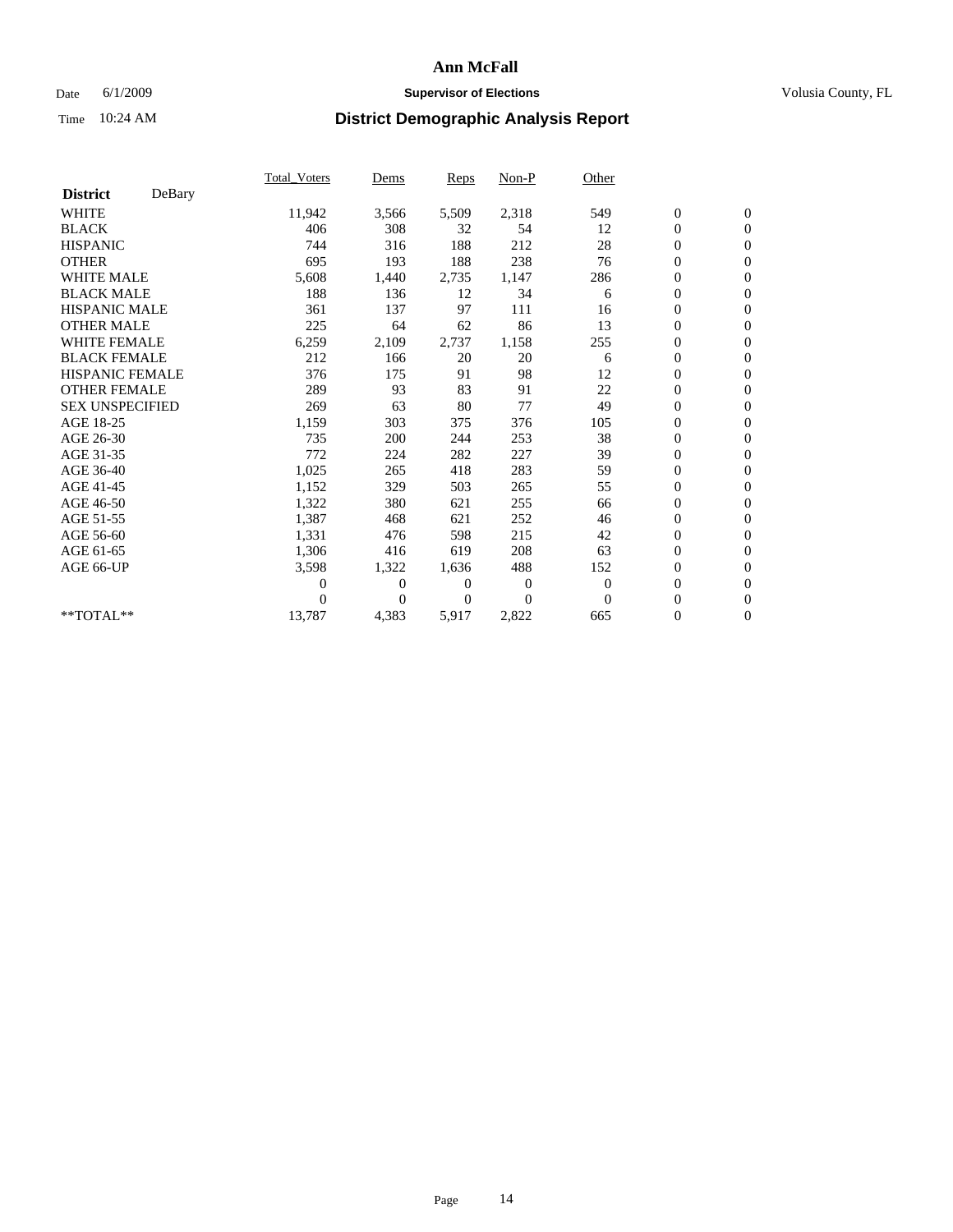### Date 6/1/2009 **Supervisor of Elections Supervisor of Elections** Volusia County, FL

|                        |        | <b>Total_Voters</b> | Dems           | Reps           | Non-P          | Other    |                  |                  |  |
|------------------------|--------|---------------------|----------------|----------------|----------------|----------|------------------|------------------|--|
| <b>District</b>        | DeBary |                     |                |                |                |          |                  |                  |  |
| <b>WHITE</b>           |        | 11,942              | 3,566          | 5,509          | 2,318          | 549      | $\boldsymbol{0}$ | $\boldsymbol{0}$ |  |
| <b>BLACK</b>           |        | 406                 | 308            | 32             | 54             | 12       | 0                | $\mathbf{0}$     |  |
| <b>HISPANIC</b>        |        | 744                 | 316            | 188            | 212            | 28       | $\overline{0}$   | $\mathbf{0}$     |  |
| <b>OTHER</b>           |        | 695                 | 193            | 188            | 238            | 76       | 0                | $\mathbf{0}$     |  |
| WHITE MALE             |        | 5,608               | 1,440          | 2,735          | 1,147          | 286      | 0                | $\mathbf{0}$     |  |
| <b>BLACK MALE</b>      |        | 188                 | 136            | 12             | 34             | 6        | $\overline{0}$   | $\mathbf{0}$     |  |
| <b>HISPANIC MALE</b>   |        | 361                 | 137            | 97             | 111            | 16       | 0                | $\mathbf{0}$     |  |
| <b>OTHER MALE</b>      |        | 225                 | 64             | 62             | 86             | 13       | 0                | $\mathbf{0}$     |  |
| <b>WHITE FEMALE</b>    |        | 6,259               | 2,109          | 2,737          | 1,158          | 255      | $\boldsymbol{0}$ | $\mathbf{0}$     |  |
| <b>BLACK FEMALE</b>    |        | 212                 | 166            | 20             | 20             | 6        | $\boldsymbol{0}$ | $\mathbf{0}$     |  |
| <b>HISPANIC FEMALE</b> |        | 376                 | 175            | 91             | 98             | 12       | $\boldsymbol{0}$ | $\mathbf{0}$     |  |
| <b>OTHER FEMALE</b>    |        | 289                 | 93             | 83             | 91             | 22       | $\overline{0}$   | $\mathbf{0}$     |  |
| <b>SEX UNSPECIFIED</b> |        | 269                 | 63             | 80             | 77             | 49       | 0                | $\mathbf{0}$     |  |
| AGE 18-25              |        | 1,159               | 303            | 375            | 376            | 105      | $\boldsymbol{0}$ | $\mathbf{0}$     |  |
| AGE 26-30              |        | 735                 | 200            | 244            | 253            | 38       | $\overline{0}$   | $\Omega$         |  |
| AGE 31-35              |        | 772                 | 224            | 282            | 227            | 39       | 0                | $\mathbf{0}$     |  |
| AGE 36-40              |        | 1,025               | 265            | 418            | 283            | 59       | 0                | $\mathbf{0}$     |  |
| AGE 41-45              |        | 1,152               | 329            | 503            | 265            | 55       | $\boldsymbol{0}$ | $\mathbf{0}$     |  |
| AGE 46-50              |        | 1,322               | 380            | 621            | 255            | 66       | 0                | $\mathbf{0}$     |  |
| AGE 51-55              |        | 1,387               | 468            | 621            | 252            | 46       | $\boldsymbol{0}$ | $\mathbf{0}$     |  |
| AGE 56-60              |        | 1,331               | 476            | 598            | 215            | 42       | $\overline{0}$   | $\mathbf{0}$     |  |
| AGE 61-65              |        | 1,306               | 416            | 619            | 208            | 63       | 0                | $\mathbf{0}$     |  |
| AGE 66-UP              |        | 3,598               | 1,322          | 1,636          | 488            | 152      | $\boldsymbol{0}$ | $\mathbf{0}$     |  |
|                        |        | 0                   | $\mathbf{0}$   | $\overline{0}$ | $\overline{0}$ | $\theta$ | $\overline{0}$   | $\mathbf{0}$     |  |
|                        |        | 0                   | $\overline{0}$ | 0              | $\Omega$       | $\theta$ | 0                | $\mathbf{0}$     |  |
| **TOTAL**              |        | 13,787              | 4,383          | 5,917          | 2,822          | 665      | 0                | $\boldsymbol{0}$ |  |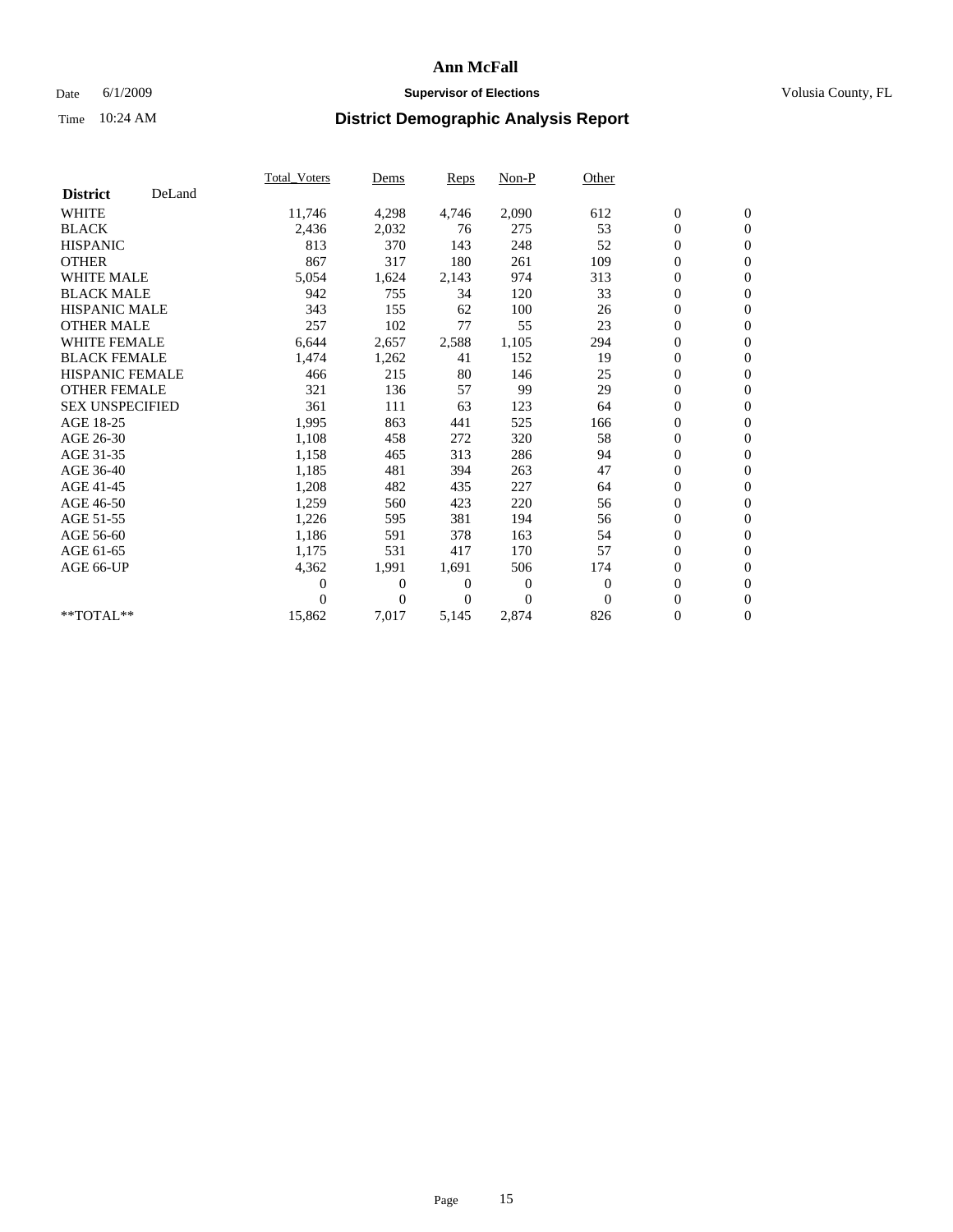### Date 6/1/2009 **Supervisor of Elections Supervisor of Elections** Volusia County, FL

|                        |        | <b>Total Voters</b> | Dems           | Reps           | Non-P    | Other    |                  |                  |  |
|------------------------|--------|---------------------|----------------|----------------|----------|----------|------------------|------------------|--|
| <b>District</b>        | DeLand |                     |                |                |          |          |                  |                  |  |
| <b>WHITE</b>           |        | 11,746              | 4,298          | 4,746          | 2,090    | 612      | $\boldsymbol{0}$ | $\boldsymbol{0}$ |  |
| <b>BLACK</b>           |        | 2,436               | 2,032          | 76             | 275      | 53       | $\boldsymbol{0}$ | $\mathbf{0}$     |  |
| <b>HISPANIC</b>        |        | 813                 | 370            | 143            | 248      | 52       | $\overline{0}$   | $\mathbf{0}$     |  |
| <b>OTHER</b>           |        | 867                 | 317            | 180            | 261      | 109      | 0                | $\mathbf{0}$     |  |
| <b>WHITE MALE</b>      |        | 5,054               | 1,624          | 2,143          | 974      | 313      | $\boldsymbol{0}$ | $\mathbf{0}$     |  |
| <b>BLACK MALE</b>      |        | 942                 | 755            | 34             | 120      | 33       | $\overline{0}$   | $\mathbf{0}$     |  |
| <b>HISPANIC MALE</b>   |        | 343                 | 155            | 62             | 100      | 26       | 0                | $\mathbf{0}$     |  |
| <b>OTHER MALE</b>      |        | 257                 | 102            | 77             | 55       | 23       | $\overline{0}$   | $\mathbf{0}$     |  |
| <b>WHITE FEMALE</b>    |        | 6,644               | 2,657          | 2,588          | 1,105    | 294      | $\boldsymbol{0}$ | $\mathbf{0}$     |  |
| <b>BLACK FEMALE</b>    |        | 1,474               | 1,262          | 41             | 152      | 19       | 0                | $\mathbf{0}$     |  |
| <b>HISPANIC FEMALE</b> |        | 466                 | 215            | 80             | 146      | 25       | $\boldsymbol{0}$ | $\mathbf{0}$     |  |
| <b>OTHER FEMALE</b>    |        | 321                 | 136            | 57             | 99       | 29       | $\overline{0}$   | $\mathbf{0}$     |  |
| <b>SEX UNSPECIFIED</b> |        | 361                 | 111            | 63             | 123      | 64       | 0                | $\mathbf{0}$     |  |
| AGE 18-25              |        | 1,995               | 863            | 441            | 525      | 166      | 0                | $\mathbf{0}$     |  |
| AGE 26-30              |        | 1,108               | 458            | 272            | 320      | 58       | $\boldsymbol{0}$ | $\mathbf{0}$     |  |
| AGE 31-35              |        | 1,158               | 465            | 313            | 286      | 94       | 0                | $\mathbf{0}$     |  |
| AGE 36-40              |        | 1,185               | 481            | 394            | 263      | 47       | 0                | $\mathbf{0}$     |  |
| AGE 41-45              |        | 1,208               | 482            | 435            | 227      | 64       | $\boldsymbol{0}$ | $\mathbf{0}$     |  |
| AGE 46-50              |        | 1,259               | 560            | 423            | 220      | 56       | 0                | $\mathbf{0}$     |  |
| AGE 51-55              |        | 1,226               | 595            | 381            | 194      | 56       | $\boldsymbol{0}$ | $\mathbf{0}$     |  |
| AGE 56-60              |        | 1,186               | 591            | 378            | 163      | 54       | 0                | $\mathbf{0}$     |  |
| AGE 61-65              |        | 1,175               | 531            | 417            | 170      | 57       | 0                | $\mathbf{0}$     |  |
| AGE 66-UP              |        | 4,362               | 1,991          | 1,691          | 506      | 174      | 0                | $\mathbf{0}$     |  |
|                        |        | $\overline{0}$      | $\mathbf{0}$   | $\overline{0}$ | $\theta$ | $\theta$ | $\overline{0}$   | $\mathbf{0}$     |  |
|                        |        | 0                   | $\overline{0}$ | 0              | $\theta$ | $\theta$ | 0                | $\mathbf{0}$     |  |
| **TOTAL**              |        | 15,862              | 7,017          | 5,145          | 2,874    | 826      | 0                | $\boldsymbol{0}$ |  |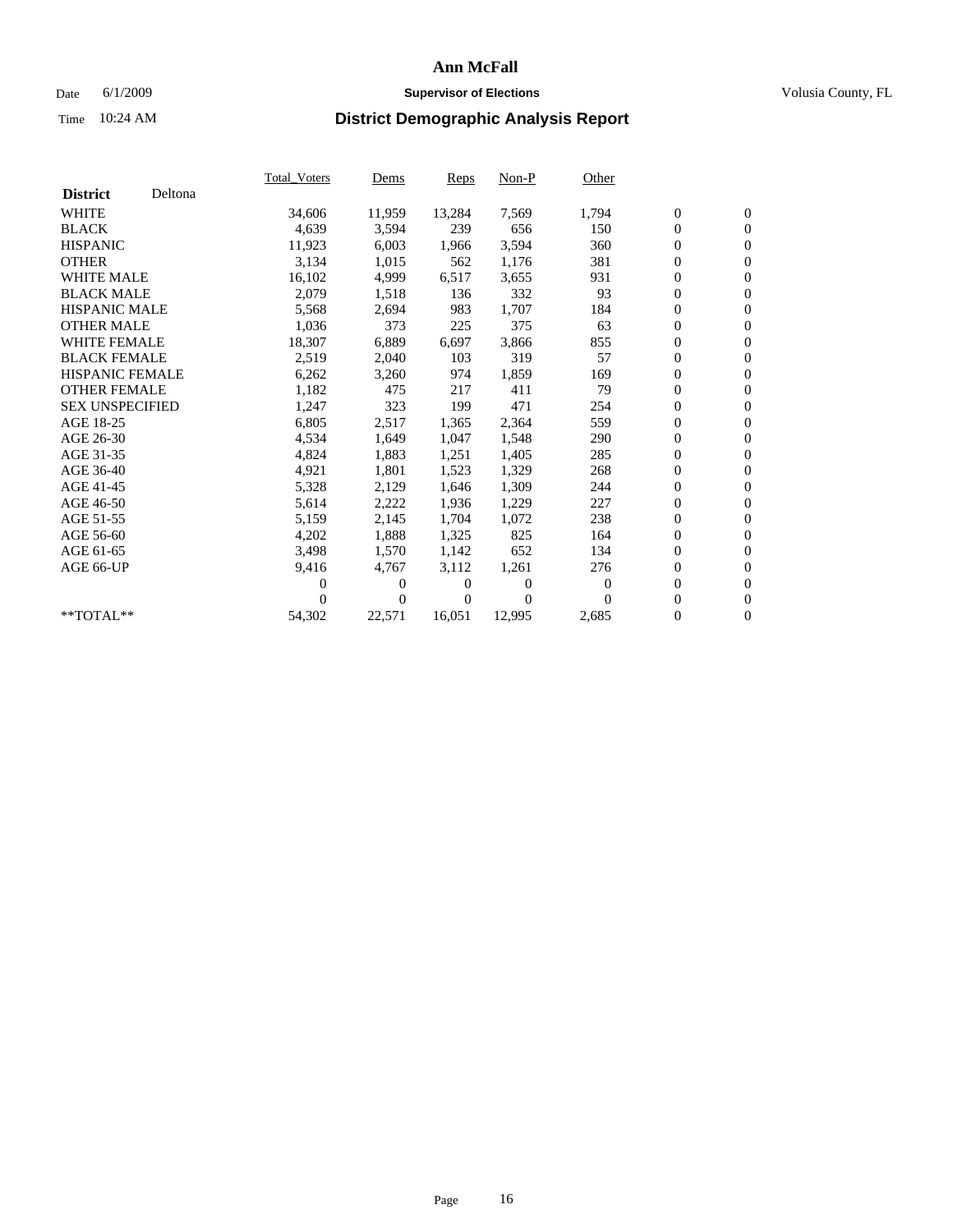### Date 6/1/2009 **Supervisor of Elections Supervisor of Elections** Volusia County, FL

|                        |         | <b>Total Voters</b> | Dems   | <b>Reps</b> | $Non-P$  | Other    |                  |                  |  |
|------------------------|---------|---------------------|--------|-------------|----------|----------|------------------|------------------|--|
| <b>District</b>        | Deltona |                     |        |             |          |          |                  |                  |  |
| <b>WHITE</b>           |         | 34,606              | 11,959 | 13,284      | 7,569    | 1,794    | $\boldsymbol{0}$ | $\boldsymbol{0}$ |  |
| <b>BLACK</b>           |         | 4,639               | 3,594  | 239         | 656      | 150      | 0                | $\mathbf{0}$     |  |
| <b>HISPANIC</b>        |         | 11,923              | 6,003  | 1,966       | 3,594    | 360      | 0                | $\mathbf{0}$     |  |
| <b>OTHER</b>           |         | 3,134               | 1,015  | 562         | 1,176    | 381      | 0                | $\mathbf{0}$     |  |
| <b>WHITE MALE</b>      |         | 16,102              | 4,999  | 6,517       | 3,655    | 931      | 0                | $\mathbf{0}$     |  |
| <b>BLACK MALE</b>      |         | 2,079               | 1,518  | 136         | 332      | 93       | 0                | $\mathbf{0}$     |  |
| <b>HISPANIC MALE</b>   |         | 5,568               | 2,694  | 983         | 1,707    | 184      | 0                | $\mathbf{0}$     |  |
| <b>OTHER MALE</b>      |         | 1,036               | 373    | 225         | 375      | 63       | 0                | $\mathbf{0}$     |  |
| <b>WHITE FEMALE</b>    |         | 18,307              | 6,889  | 6,697       | 3,866    | 855      | $\boldsymbol{0}$ | $\mathbf{0}$     |  |
| <b>BLACK FEMALE</b>    |         | 2,519               | 2,040  | 103         | 319      | 57       | 0                | $\mathbf{0}$     |  |
| <b>HISPANIC FEMALE</b> |         | 6,262               | 3,260  | 974         | 1,859    | 169      | 0                | $\mathbf{0}$     |  |
| <b>OTHER FEMALE</b>    |         | 1,182               | 475    | 217         | 411      | 79       | 0                | $\mathbf{0}$     |  |
| <b>SEX UNSPECIFIED</b> |         | 1,247               | 323    | 199         | 471      | 254      | 0                | $\mathbf{0}$     |  |
| AGE 18-25              |         | 6,805               | 2,517  | 1,365       | 2,364    | 559      | 0                | $\mathbf{0}$     |  |
| AGE 26-30              |         | 4,534               | 1,649  | 1,047       | 1,548    | 290      | 0                | $\mathbf{0}$     |  |
| AGE 31-35              |         | 4,824               | 1,883  | 1,251       | 1,405    | 285      | $\boldsymbol{0}$ | $\mathbf{0}$     |  |
| AGE 36-40              |         | 4,921               | 1,801  | 1,523       | 1,329    | 268      | 0                | $\mathbf{0}$     |  |
| AGE 41-45              |         | 5,328               | 2,129  | 1,646       | 1,309    | 244      | 0                | $\mathbf{0}$     |  |
| AGE 46-50              |         | 5,614               | 2,222  | 1,936       | 1,229    | 227      | 0                | $\mathbf{0}$     |  |
| AGE 51-55              |         | 5,159               | 2,145  | 1,704       | 1,072    | 238      | $\boldsymbol{0}$ | $\mathbf{0}$     |  |
| AGE 56-60              |         | 4,202               | 1,888  | 1,325       | 825      | 164      | 0                | $\mathbf{0}$     |  |
| AGE 61-65              |         | 3,498               | 1,570  | 1,142       | 652      | 134      | 0                | $\mathbf{0}$     |  |
| AGE 66-UP              |         | 9,416               | 4,767  | 3,112       | 1,261    | 276      | 0                | $\mathbf{0}$     |  |
|                        |         | 0                   | 0      | $\Omega$    | $\theta$ | $\theta$ | $\overline{0}$   | $\mathbf{0}$     |  |
|                        |         | 0                   | 0      | 0           | $\Omega$ | $\Omega$ | 0                | $\mathbf{0}$     |  |
| **TOTAL**              |         | 54,302              | 22,571 | 16,051      | 12,995   | 2,685    | 0                | $\boldsymbol{0}$ |  |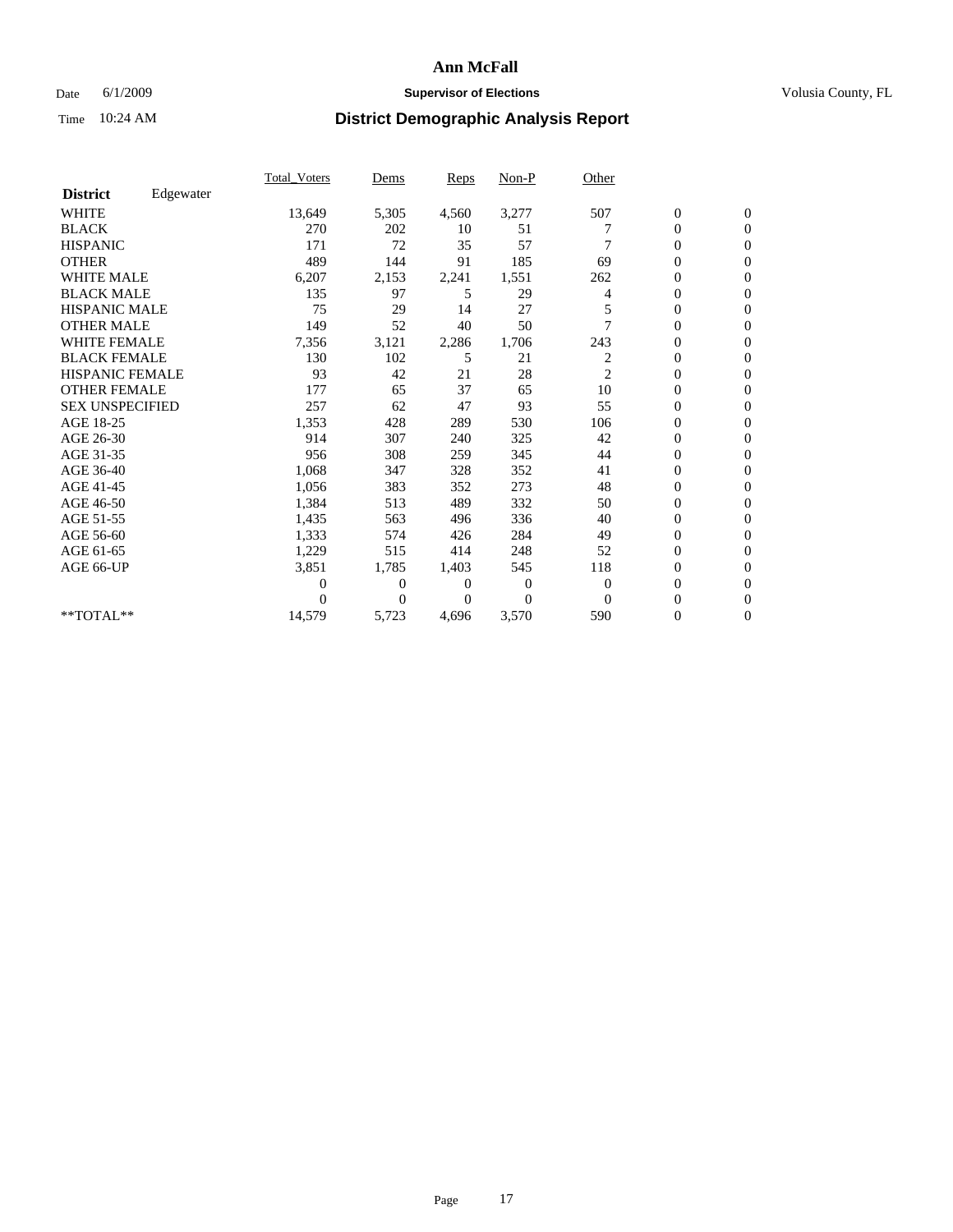### Date 6/1/2009 **Supervisor of Elections Supervisor of Elections** Volusia County, FL

|                        |           | <b>Total_Voters</b> | Dems         | <b>Reps</b> | Non-P    | Other          |                  |                |  |
|------------------------|-----------|---------------------|--------------|-------------|----------|----------------|------------------|----------------|--|
| <b>District</b>        | Edgewater |                     |              |             |          |                |                  |                |  |
| <b>WHITE</b>           |           | 13,649              | 5,305        | 4,560       | 3,277    | 507            | $\boldsymbol{0}$ | $\mathbf{0}$   |  |
| <b>BLACK</b>           |           | 270                 | 202          | 10          | 51       |                | $\boldsymbol{0}$ | $\mathbf{0}$   |  |
| <b>HISPANIC</b>        |           | 171                 | 72           | 35          | 57       |                | $\mathbf{0}$     | $\mathbf{0}$   |  |
| <b>OTHER</b>           |           | 489                 | 144          | 91          | 185      | 69             | 0                | $\mathbf{0}$   |  |
| <b>WHITE MALE</b>      |           | 6,207               | 2,153        | 2,241       | 1,551    | 262            | 0                | $\mathbf{0}$   |  |
| <b>BLACK MALE</b>      |           | 135                 | 97           | 5           | 29       | 4              | 0                | $\mathbf{0}$   |  |
| <b>HISPANIC MALE</b>   |           | 75                  | 29           | 14          | 27       |                | 0                | $\mathbf{0}$   |  |
| <b>OTHER MALE</b>      |           | 149                 | 52           | 40          | 50       |                | 0                | $\mathbf{0}$   |  |
| <b>WHITE FEMALE</b>    |           | 7,356               | 3,121        | 2,286       | 1,706    | 243            | 0                | $\Omega$       |  |
| <b>BLACK FEMALE</b>    |           | 130                 | 102          | 5           | 21       | 2              | $\boldsymbol{0}$ | $\mathbf{0}$   |  |
| HISPANIC FEMALE        |           | 93                  | 42           | 21          | 28       | $\overline{c}$ | 0                | $\mathbf{0}$   |  |
| <b>OTHER FEMALE</b>    |           | 177                 | 65           | 37          | 65       | 10             | 0                | $\Omega$       |  |
| <b>SEX UNSPECIFIED</b> |           | 257                 | 62           | 47          | 93       | 55             | 0                | $\mathbf{0}$   |  |
| AGE 18-25              |           | 1,353               | 428          | 289         | 530      | 106            | 0                | $\mathbf{0}$   |  |
| AGE 26-30              |           | 914                 | 307          | 240         | 325      | 42             | 0                | $\mathbf{0}$   |  |
| AGE 31-35              |           | 956                 | 308          | 259         | 345      | 44             | 0                | $\mathbf{0}$   |  |
| AGE 36-40              |           | 1,068               | 347          | 328         | 352      | 41             | 0                | $\mathbf{0}$   |  |
| AGE 41-45              |           | 1,056               | 383          | 352         | 273      | 48             | $\overline{0}$   | $\mathbf{0}$   |  |
| AGE 46-50              |           | 1,384               | 513          | 489         | 332      | 50             | 0                | $\mathbf{0}$   |  |
| AGE 51-55              |           | 1,435               | 563          | 496         | 336      | 40             | 0                | $\mathbf{0}$   |  |
| AGE 56-60              |           | 1,333               | 574          | 426         | 284      | 49             | 0                | $\Omega$       |  |
| AGE 61-65              |           | 1,229               | 515          | 414         | 248      | 52             | 0                | $\mathbf{0}$   |  |
| AGE 66-UP              |           | 3,851               | 1,785        | 1,403       | 545      | 118            | 0                | $\mathbf{0}$   |  |
|                        |           | 0                   | $\mathbf{0}$ | 0           | $\theta$ | $\theta$       | 0                | $\Omega$       |  |
|                        |           | 0                   | $\Omega$     | 0           | $\theta$ | $\Omega$       | $\overline{0}$   | $\overline{0}$ |  |
| **TOTAL**              |           | 14,579              | 5,723        | 4,696       | 3,570    | 590            | 0                | $\overline{0}$ |  |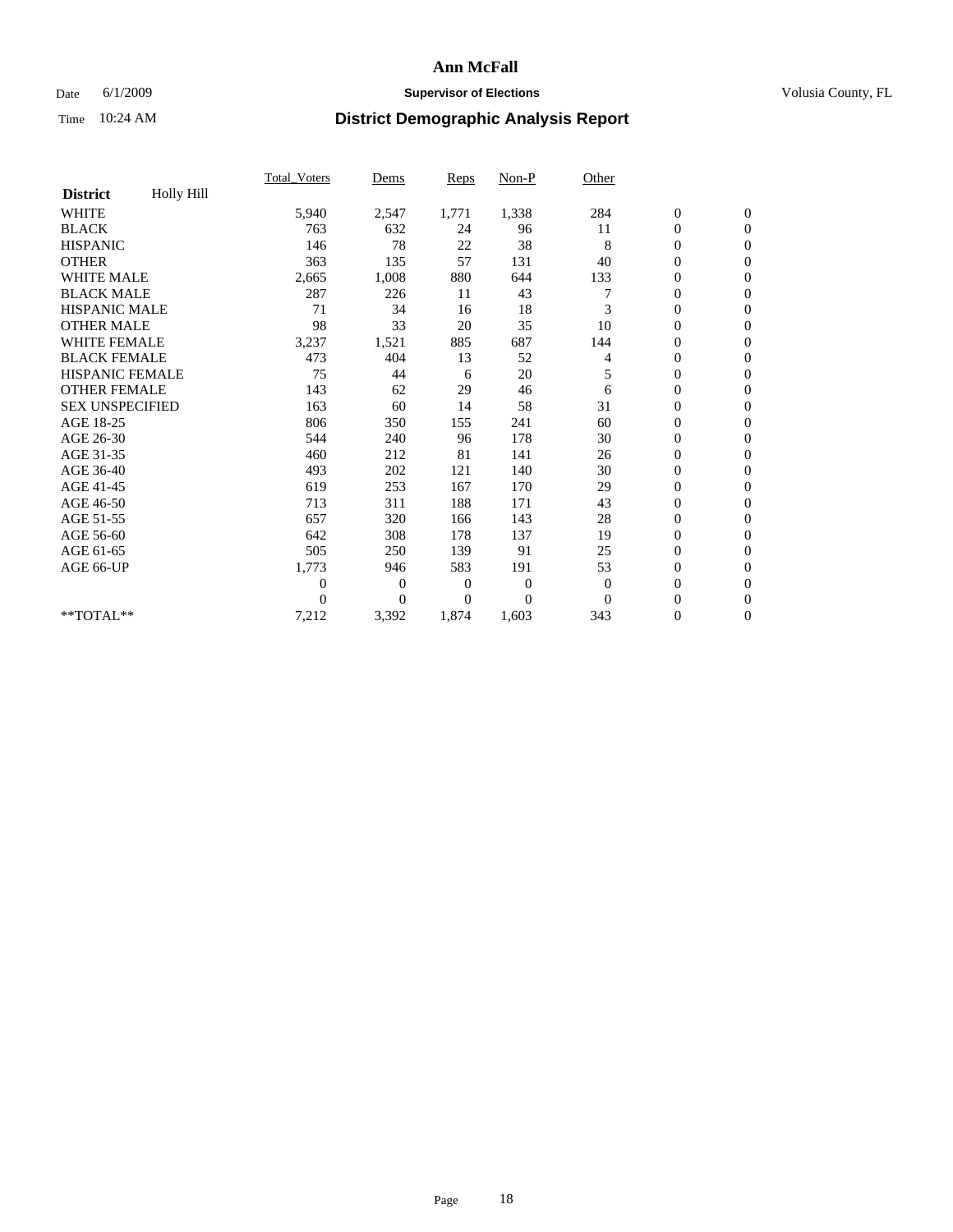### Date 6/1/2009 **Supervisor of Elections Supervisor of Elections** Volusia County, FL

|                        |            | <b>Total_Voters</b> | Dems           | Reps           | Non-P    | Other    |                  |                  |  |
|------------------------|------------|---------------------|----------------|----------------|----------|----------|------------------|------------------|--|
| <b>District</b>        | Holly Hill |                     |                |                |          |          |                  |                  |  |
| <b>WHITE</b>           |            | 5,940               | 2,547          | 1,771          | 1,338    | 284      | $\boldsymbol{0}$ | $\boldsymbol{0}$ |  |
| <b>BLACK</b>           |            | 763                 | 632            | 24             | 96       | 11       | $\boldsymbol{0}$ | $\mathbf{0}$     |  |
| <b>HISPANIC</b>        |            | 146                 | 78             | 22             | 38       | 8        | $\overline{0}$   | $\mathbf{0}$     |  |
| <b>OTHER</b>           |            | 363                 | 135            | 57             | 131      | 40       | 0                | $\mathbf{0}$     |  |
| <b>WHITE MALE</b>      |            | 2,665               | 1,008          | 880            | 644      | 133      | 0                | $\mathbf{0}$     |  |
| <b>BLACK MALE</b>      |            | 287                 | 226            | 11             | 43       |          | $\boldsymbol{0}$ | $\mathbf{0}$     |  |
| <b>HISPANIC MALE</b>   |            | 71                  | 34             | 16             | 18       | 3        | 0                | $\mathbf{0}$     |  |
| <b>OTHER MALE</b>      |            | 98                  | 33             | 20             | 35       | 10       | 0                | $\mathbf{0}$     |  |
| <b>WHITE FEMALE</b>    |            | 3,237               | 1,521          | 885            | 687      | 144      | 0                | $\mathbf{0}$     |  |
| <b>BLACK FEMALE</b>    |            | 473                 | 404            | 13             | 52       | 4        | 0                | $\mathbf{0}$     |  |
| <b>HISPANIC FEMALE</b> |            | 75                  | 44             | 6              | 20       | 5        | $\boldsymbol{0}$ | $\mathbf{0}$     |  |
| <b>OTHER FEMALE</b>    |            | 143                 | 62             | 29             | 46       | 6        | $\overline{0}$   | $\mathbf{0}$     |  |
| <b>SEX UNSPECIFIED</b> |            | 163                 | 60             | 14             | 58       | 31       | 0                | $\mathbf{0}$     |  |
| AGE 18-25              |            | 806                 | 350            | 155            | 241      | 60       | 0                | $\mathbf{0}$     |  |
| AGE 26-30              |            | 544                 | 240            | 96             | 178      | 30       | $\overline{0}$   | $\mathbf{0}$     |  |
| AGE 31-35              |            | 460                 | 212            | 81             | 141      | 26       | 0                | $\mathbf{0}$     |  |
| AGE 36-40              |            | 493                 | 202            | 121            | 140      | 30       | 0                | $\mathbf{0}$     |  |
| AGE 41-45              |            | 619                 | 253            | 167            | 170      | 29       | $\overline{0}$   | $\mathbf{0}$     |  |
| AGE 46-50              |            | 713                 | 311            | 188            | 171      | 43       | $\boldsymbol{0}$ | $\mathbf{0}$     |  |
| AGE 51-55              |            | 657                 | 320            | 166            | 143      | 28       | $\boldsymbol{0}$ | $\mathbf{0}$     |  |
| AGE 56-60              |            | 642                 | 308            | 178            | 137      | 19       | $\overline{0}$   | $\Omega$         |  |
| AGE 61-65              |            | 505                 | 250            | 139            | 91       | 25       | $\overline{0}$   | $\mathbf{0}$     |  |
| AGE 66-UP              |            | 1,773               | 946            | 583            | 191      | 53       | $\boldsymbol{0}$ | $\mathbf{0}$     |  |
|                        |            | 0                   | $\mathbf{0}$   | $\overline{0}$ | $\theta$ | $\theta$ | $\overline{0}$   | $\mathbf{0}$     |  |
|                        |            | 0                   | $\overline{0}$ | $\Omega$       | $\Omega$ | $\Omega$ | 0                | $\mathbf{0}$     |  |
| **TOTAL**              |            | 7,212               | 3,392          | 1,874          | 1,603    | 343      | 0                | $\overline{0}$   |  |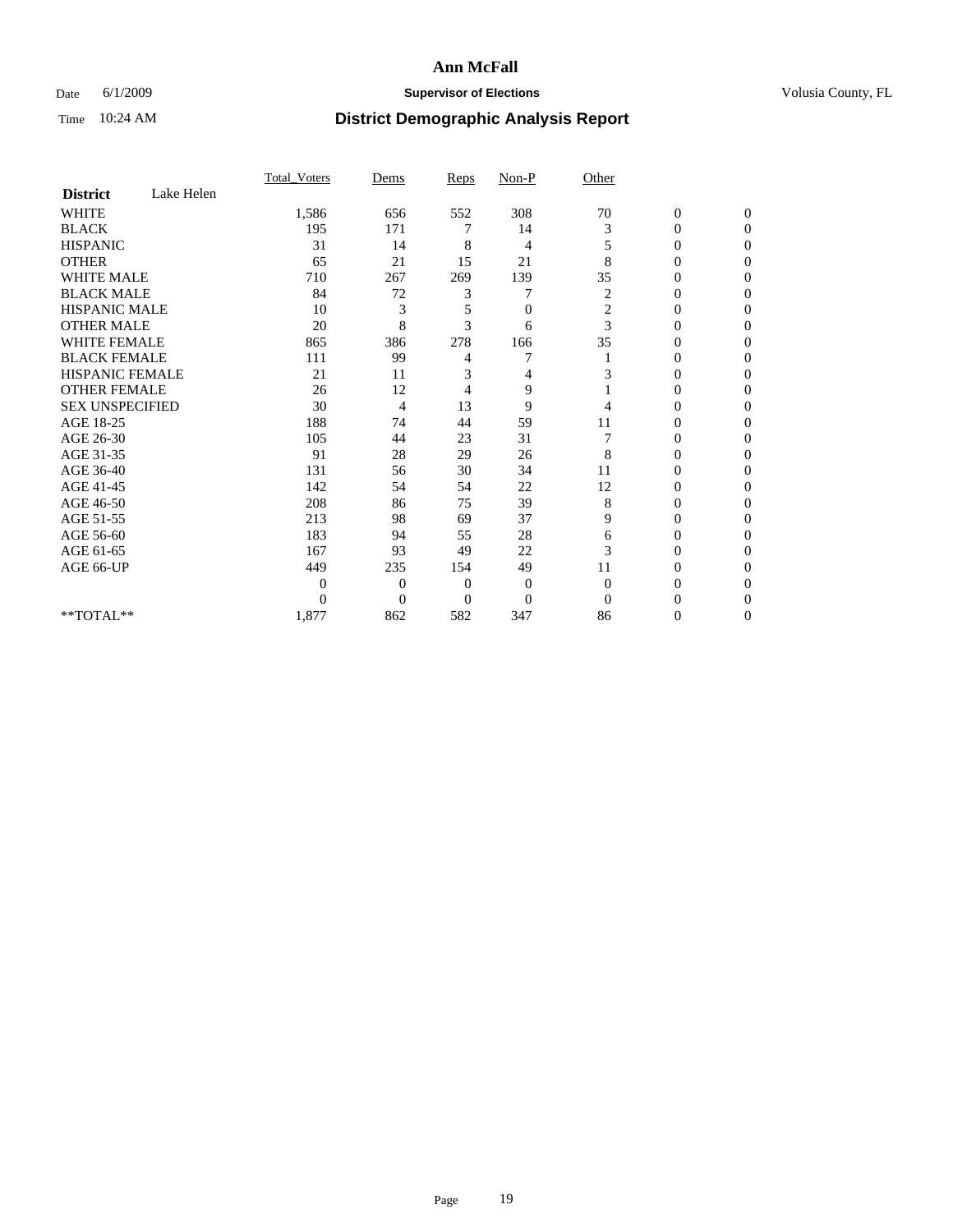### Date 6/1/2009 **Supervisor of Elections Supervisor of Elections** Volusia County, FL

|                        |            | Total Voters | Dems           | <b>Reps</b>  | $Non-P$        | Other            |                  |              |  |
|------------------------|------------|--------------|----------------|--------------|----------------|------------------|------------------|--------------|--|
| <b>District</b>        | Lake Helen |              |                |              |                |                  |                  |              |  |
| <b>WHITE</b>           |            | 1,586        | 656            | 552          | 308            | 70               | $\boldsymbol{0}$ | $\mathbf{0}$ |  |
| <b>BLACK</b>           |            | 195          | 171            | 7            | 14             | 3                | $\overline{0}$   | $\Omega$     |  |
| <b>HISPANIC</b>        |            | 31           | 14             | 8            | 4              | 5                | 0                | $\Omega$     |  |
| <b>OTHER</b>           |            | 65           | 21             | 15           | 21             | 8                | 0                | $\Omega$     |  |
| <b>WHITE MALE</b>      |            | 710          | 267            | 269          | 139            | 35               | 0                | 0            |  |
| <b>BLACK MALE</b>      |            | 84           | 72             | 3            | 7              | 2                | $\mathbf{0}$     | $\Omega$     |  |
| HISPANIC MALE          |            | 10           | 3              | 5            | $\overline{0}$ | $\boldsymbol{2}$ | 0                | $\Omega$     |  |
| <b>OTHER MALE</b>      |            | 20           | 8              | 3            | 6              | 3                | 0                | 0            |  |
| <b>WHITE FEMALE</b>    |            | 865          | 386            | 278          | 166            | 35               | 0                | $\Omega$     |  |
| <b>BLACK FEMALE</b>    |            | 111          | 99             | 4            | 7              |                  | 0                | $\Omega$     |  |
| <b>HISPANIC FEMALE</b> |            | 21           | 11             | 3            | 4              | 3                | 0                | 0            |  |
| <b>OTHER FEMALE</b>    |            | 26           | 12             | 4            | 9              |                  | 0                | 0            |  |
| <b>SEX UNSPECIFIED</b> |            | 30           | 4              | 13           | 9              | 4                | 0                | $\Omega$     |  |
| AGE 18-25              |            | 188          | 74             | 44           | 59             | 11               | 0                | $\Omega$     |  |
| AGE 26-30              |            | 105          | 44             | 23           | 31             |                  | 0                | 0            |  |
| AGE 31-35              |            | 91           | 28             | 29           | 26             | 8                | 0                | $\Omega$     |  |
| AGE 36-40              |            | 131          | 56             | 30           | 34             | 11               | 0                | 0            |  |
| AGE 41-45              |            | 142          | 54             | 54           | 22             | 12               | 0                | $\Omega$     |  |
| AGE 46-50              |            | 208          | 86             | 75           | 39             | 8                | 0                | $\Omega$     |  |
| AGE 51-55              |            | 213          | 98             | 69           | 37             | 9                | 0                | 0            |  |
| AGE 56-60              |            | 183          | 94             | 55           | 28             | 6                | 0                | $\Omega$     |  |
| AGE 61-65              |            | 167          | 93             | 49           | 22             | 3                | $\overline{0}$   | 0            |  |
| AGE 66-UP              |            | 449          | 235            | 154          | 49             | 11               | 0                | 0            |  |
|                        |            | 0            | $\overline{0}$ | $\mathbf{0}$ | $\mathbf{0}$   | $\Omega$         | 0                | $\Omega$     |  |
|                        |            | $\theta$     | $\overline{0}$ | $\Omega$     | $\overline{0}$ | $\Omega$         | 0                | 0            |  |
| **TOTAL**              |            | 1,877        | 862            | 582          | 347            | 86               | 0                | 0            |  |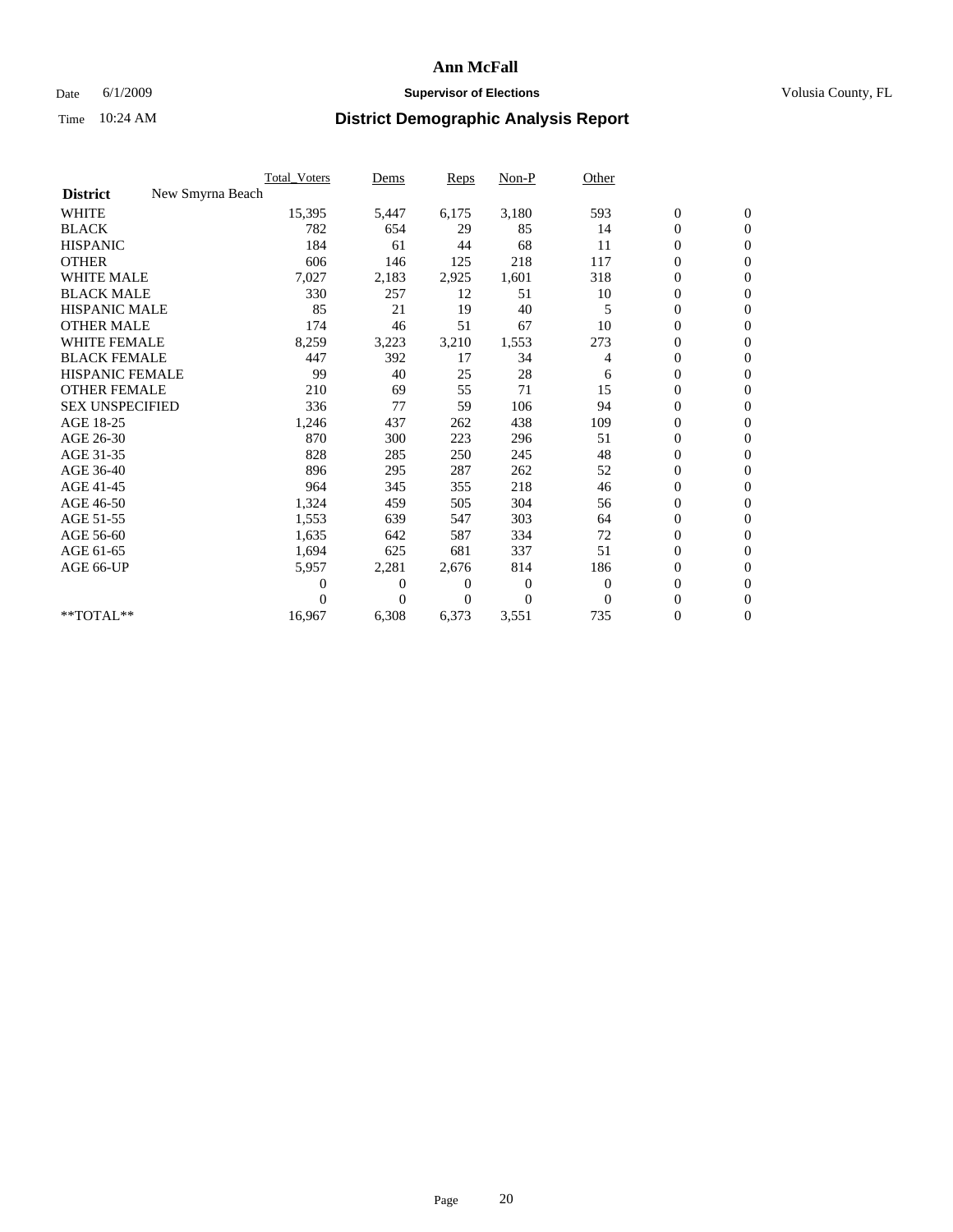### Date 6/1/2009 **Supervisor of Elections Supervisor of Elections** Volusia County, FL

|                        |                  | Total Voters | Dems     | <b>Reps</b> | Non-P          | Other        |                  |                  |  |
|------------------------|------------------|--------------|----------|-------------|----------------|--------------|------------------|------------------|--|
| <b>District</b>        | New Smyrna Beach |              |          |             |                |              |                  |                  |  |
| <b>WHITE</b>           |                  | 15,395       | 5,447    | 6,175       | 3,180          | 593          | $\boldsymbol{0}$ | $\boldsymbol{0}$ |  |
| <b>BLACK</b>           |                  | 782          | 654      | 29          | 85             | 14           | $\boldsymbol{0}$ | $\mathbf{0}$     |  |
| <b>HISPANIC</b>        |                  | 184          | 61       | 44          | 68             | 11           | $\overline{0}$   | $\mathbf{0}$     |  |
| <b>OTHER</b>           |                  | 606          | 146      | 125         | 218            | 117          | $\boldsymbol{0}$ | $\mathbf{0}$     |  |
| <b>WHITE MALE</b>      |                  | 7,027        | 2,183    | 2,925       | 1,601          | 318          | $\overline{0}$   | $\mathbf{0}$     |  |
| <b>BLACK MALE</b>      |                  | 330          | 257      | 12          | 51             | 10           | $\boldsymbol{0}$ | $\mathbf{0}$     |  |
| <b>HISPANIC MALE</b>   |                  | 85           | 21       | 19          | 40             | 5            | $\boldsymbol{0}$ | $\mathbf{0}$     |  |
| <b>OTHER MALE</b>      |                  | 174          | 46       | 51          | 67             | 10           | $\boldsymbol{0}$ | $\mathbf{0}$     |  |
| <b>WHITE FEMALE</b>    |                  | 8,259        | 3,223    | 3,210       | 1,553          | 273          | $\overline{0}$   | $\mathbf{0}$     |  |
| <b>BLACK FEMALE</b>    |                  | 447          | 392      | 17          | 34             | 4            | $\boldsymbol{0}$ | $\mathbf{0}$     |  |
| <b>HISPANIC FEMALE</b> |                  | 99           | 40       | 25          | 28             | 6            | $\boldsymbol{0}$ | $\mathbf{0}$     |  |
| <b>OTHER FEMALE</b>    |                  | 210          | 69       | 55          | 71             | 15           | $\mathbf{0}$     | $\mathbf{0}$     |  |
| <b>SEX UNSPECIFIED</b> |                  | 336          | 77       | 59          | 106            | 94           | $\boldsymbol{0}$ | $\mathbf{0}$     |  |
| AGE 18-25              |                  | 1,246        | 437      | 262         | 438            | 109          | $\overline{0}$   | $\mathbf{0}$     |  |
| AGE 26-30              |                  | 870          | 300      | 223         | 296            | 51           | $\overline{0}$   | $\mathbf{0}$     |  |
| AGE 31-35              |                  | 828          | 285      | 250         | 245            | 48           | $\boldsymbol{0}$ | $\mathbf{0}$     |  |
| AGE 36-40              |                  | 896          | 295      | 287         | 262            | 52           | 0                | $\mathbf{0}$     |  |
| AGE 41-45              |                  | 964          | 345      | 355         | 218            | 46           | $\overline{0}$   | $\mathbf{0}$     |  |
| AGE 46-50              |                  | 1,324        | 459      | 505         | 304            | 56           | $\boldsymbol{0}$ | $\mathbf{0}$     |  |
| AGE 51-55              |                  | 1,553        | 639      | 547         | 303            | 64           | $\boldsymbol{0}$ | $\mathbf{0}$     |  |
| AGE 56-60              |                  | 1,635        | 642      | 587         | 334            | 72           | $\boldsymbol{0}$ | $\Omega$         |  |
| AGE 61-65              |                  | 1,694        | 625      | 681         | 337            | 51           | $\overline{0}$   | $\mathbf{0}$     |  |
| AGE 66-UP              |                  | 5,957        | 2,281    | 2,676       | 814            | 186          | $\boldsymbol{0}$ | $\mathbf{0}$     |  |
|                        |                  | 0            | 0        | 0           | $\overline{0}$ | $\mathbf{0}$ | $\overline{0}$   | $\mathbf{0}$     |  |
|                        |                  | $\theta$     | $\theta$ | $\Omega$    | $\Omega$       | $\Omega$     | $\boldsymbol{0}$ | $\mathbf{0}$     |  |
| **TOTAL**              |                  | 16,967       | 6,308    | 6,373       | 3,551          | 735          | 0                | $\mathbf{0}$     |  |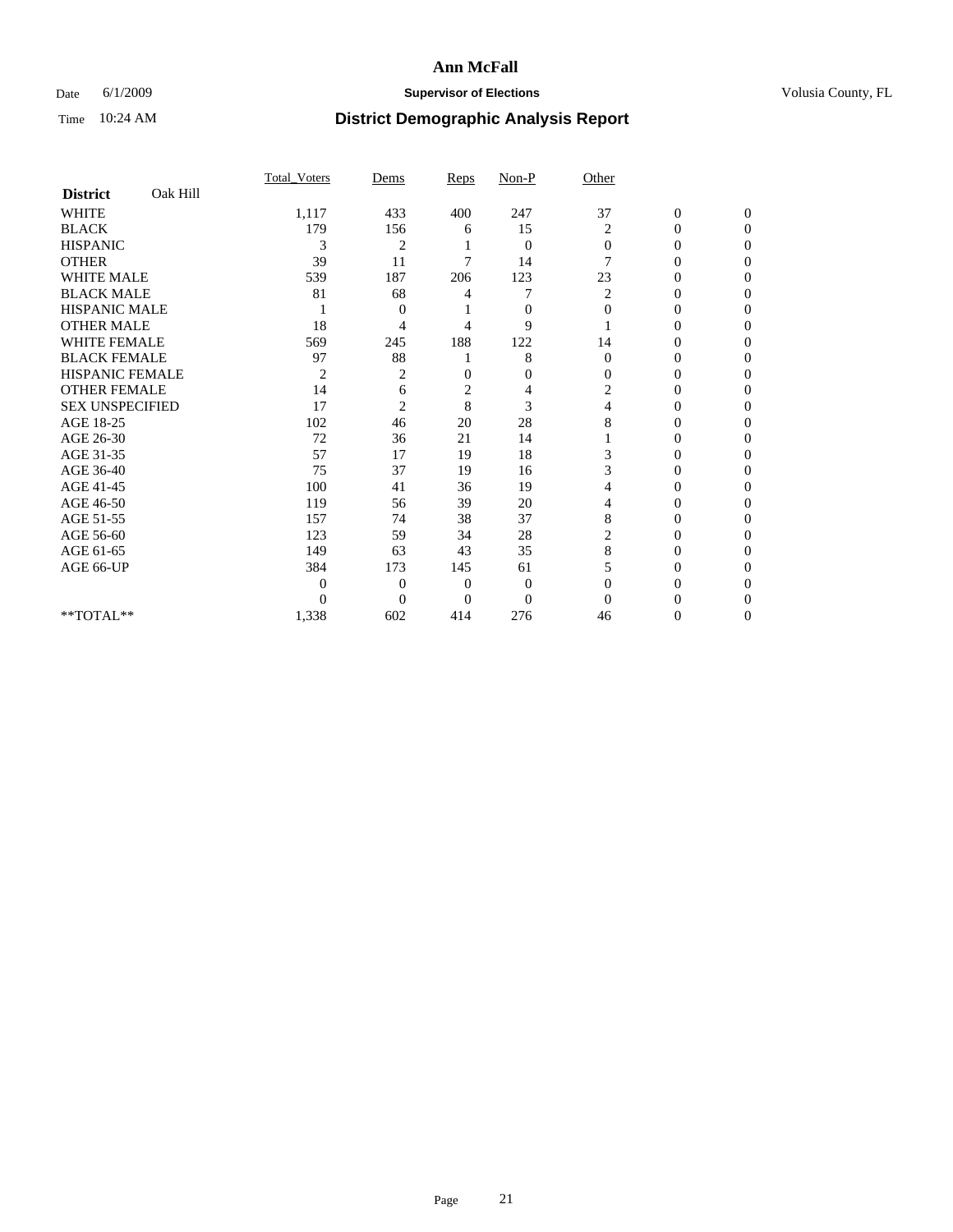### Date 6/1/2009 **Supervisor of Elections Supervisor of Elections** Volusia County, FL

|                        |          | <b>Total Voters</b> | Dems           | Reps           | Non-P          | Other          |                  |                  |
|------------------------|----------|---------------------|----------------|----------------|----------------|----------------|------------------|------------------|
| <b>District</b>        | Oak Hill |                     |                |                |                |                |                  |                  |
| <b>WHITE</b>           |          | 1,117               | 433            | 400            | 247            | 37             | $\boldsymbol{0}$ | $\boldsymbol{0}$ |
| <b>BLACK</b>           |          | 179                 | 156            | 6              | 15             | $\overline{2}$ | $\overline{0}$   | $\Omega$         |
| <b>HISPANIC</b>        |          | 3                   | $\overline{c}$ |                | $\mathbf{0}$   | $\Omega$       | $\overline{0}$   | $\Omega$         |
| <b>OTHER</b>           |          | 39                  | 11             | 7              | 14             | 7              | 0                | $\Omega$         |
| <b>WHITE MALE</b>      |          | 539                 | 187            | 206            | 123            | 23             | 0                | $\Omega$         |
| <b>BLACK MALE</b>      |          | 81                  | 68             | 4              | 7              | 2              | $\overline{0}$   | $\Omega$         |
| <b>HISPANIC MALE</b>   |          |                     | 0              |                | $\mathbf{0}$   | $\mathbf{0}$   | 0                | 0                |
| <b>OTHER MALE</b>      |          | 18                  | 4              | 4              | 9              |                | 0                | 0                |
| <b>WHITE FEMALE</b>    |          | 569                 | 245            | 188            | 122            | 14             | 0                | $\Omega$         |
| <b>BLACK FEMALE</b>    |          | 97                  | 88             |                | 8              | $\mathbf{0}$   | 0                | 0                |
| <b>HISPANIC FEMALE</b> |          | $\overline{2}$      | 2              | $\mathbf{0}$   | $\mathbf{0}$   | $\Omega$       | 0                | $\Omega$         |
| <b>OTHER FEMALE</b>    |          | 14                  | 6              | $\overline{c}$ | 4              | 2              | 0                | $\Omega$         |
| <b>SEX UNSPECIFIED</b> |          | 17                  | $\overline{2}$ | 8              | 3              | 4              | 0                | $\Omega$         |
| AGE 18-25              |          | 102                 | 46             | 20             | 28             | 8              | $\theta$         | $\Omega$         |
| AGE 26-30              |          | 72                  | 36             | 21             | 14             |                | 0                | 0                |
| AGE 31-35              |          | 57                  | 17             | 19             | 18             | 3              | $\overline{0}$   | 0                |
| AGE 36-40              |          | 75                  | 37             | 19             | 16             | 3              | $\theta$         | $\Omega$         |
| AGE 41-45              |          | 100                 | 41             | 36             | 19             |                | 0                | 0                |
| AGE 46-50              |          | 119                 | 56             | 39             | 20             | 4              | $\overline{0}$   | $\Omega$         |
| AGE 51-55              |          | 157                 | 74             | 38             | 37             | 8              | 0                | $\Omega$         |
| AGE 56-60              |          | 123                 | 59             | 34             | 28             | $\overline{c}$ | 0                | 0                |
| AGE 61-65              |          | 149                 | 63             | 43             | 35             | 8              | $\theta$         | $\Omega$         |
| AGE 66-UP              |          | 384                 | 173            | 145            | 61             |                | $\overline{0}$   | $\Omega$         |
|                        |          | $\theta$            | $\overline{0}$ | $\mathbf{0}$   | $\mathbf{0}$   | $\Omega$       | 0                | 0                |
|                        |          | $\theta$            | $\theta$       | $\theta$       | $\overline{0}$ | $\Omega$       | 0                | $\Omega$         |
| $**TOTAL**$            |          | 1,338               | 602            | 414            | 276            | 46             | 0                | $\overline{0}$   |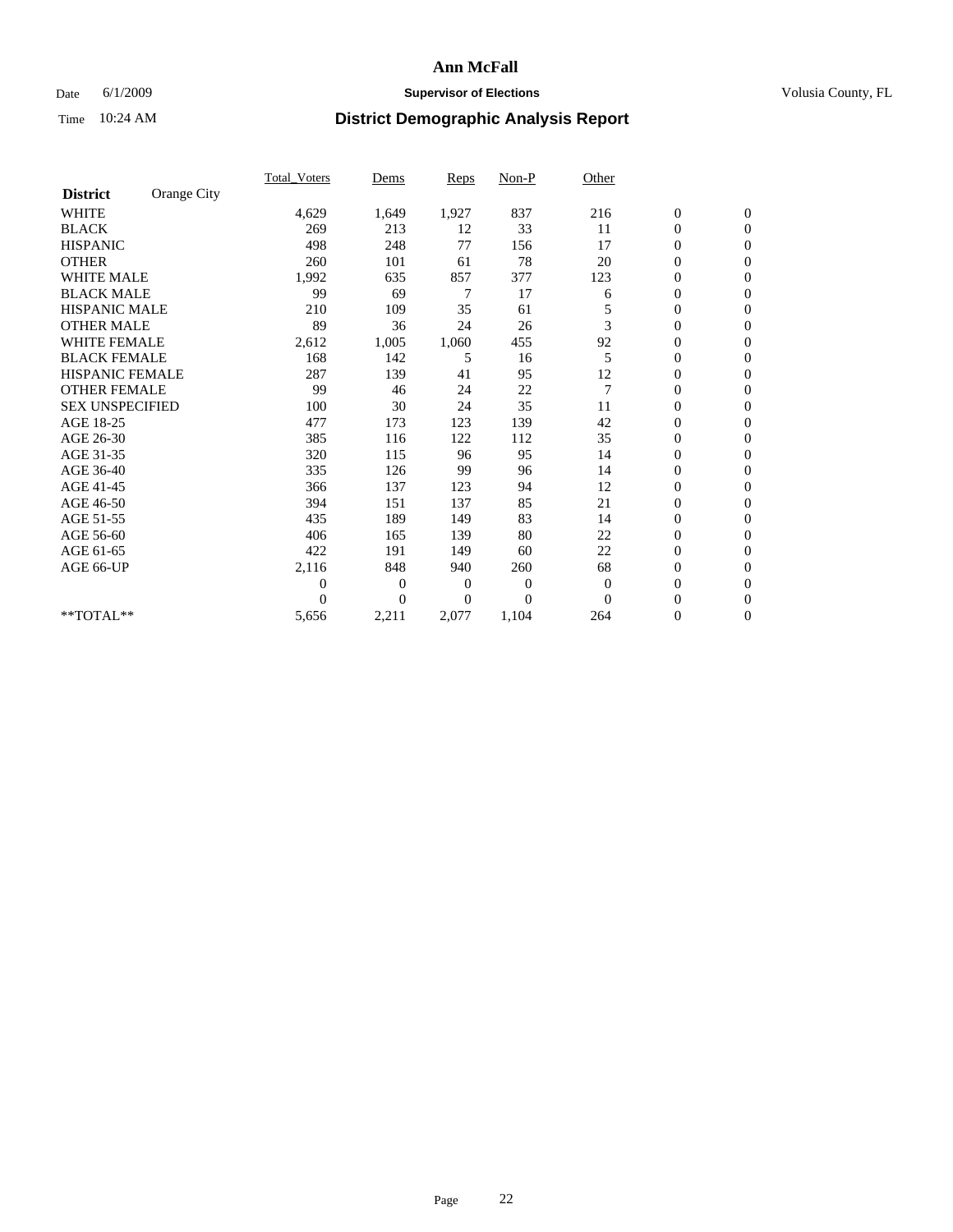### Date 6/1/2009 **Supervisor of Elections Supervisor of Elections** Volusia County, FL

|                        |             | <b>Total_Voters</b> | Dems         | Reps           | $Non-P$        | Other          |                  |                |  |
|------------------------|-------------|---------------------|--------------|----------------|----------------|----------------|------------------|----------------|--|
| <b>District</b>        | Orange City |                     |              |                |                |                |                  |                |  |
| <b>WHITE</b>           |             | 4,629               | 1,649        | 1,927          | 837            | 216            | $\boldsymbol{0}$ | $\mathbf{0}$   |  |
| <b>BLACK</b>           |             | 269                 | 213          | 12             | 33             | 11             | $\boldsymbol{0}$ | $\mathbf{0}$   |  |
| <b>HISPANIC</b>        |             | 498                 | 248          | 77             | 156            | 17             | $\mathbf{0}$     | $\mathbf{0}$   |  |
| <b>OTHER</b>           |             | 260                 | 101          | 61             | 78             | 20             | 0                | $\mathbf{0}$   |  |
| <b>WHITE MALE</b>      |             | 1,992               | 635          | 857            | 377            | 123            | 0                | $\mathbf{0}$   |  |
| <b>BLACK MALE</b>      |             | 99                  | 69           | 7              | 17             | 6              | 0                | $\mathbf{0}$   |  |
| HISPANIC MALE          |             | 210                 | 109          | 35             | 61             |                | 0                | $\mathbf{0}$   |  |
| <b>OTHER MALE</b>      |             | 89                  | 36           | 24             | 26             | 3              | 0                | $\mathbf{0}$   |  |
| <b>WHITE FEMALE</b>    |             | 2,612               | 1,005        | 1,060          | 455            | 92             | 0                | $\mathbf{0}$   |  |
| <b>BLACK FEMALE</b>    |             | 168                 | 142          | 5              | 16             | 5              | $\boldsymbol{0}$ | $\mathbf{0}$   |  |
| HISPANIC FEMALE        |             | 287                 | 139          | 41             | 95             | 12             | 0                | $\mathbf{0}$   |  |
| <b>OTHER FEMALE</b>    |             | 99                  | 46           | 24             | 22             | $\overline{7}$ | $\overline{0}$   | $\Omega$       |  |
| <b>SEX UNSPECIFIED</b> |             | 100                 | 30           | 24             | 35             | 11             | 0                | $\mathbf{0}$   |  |
| AGE 18-25              |             | 477                 | 173          | 123            | 139            | 42             | 0                | $\mathbf{0}$   |  |
| AGE 26-30              |             | 385                 | 116          | 122            | 112            | 35             | $\overline{0}$   | $\mathbf{0}$   |  |
| AGE 31-35              |             | 320                 | 115          | 96             | 95             | 14             | 0                | $\mathbf{0}$   |  |
| AGE 36-40              |             | 335                 | 126          | 99             | 96             | 14             | 0                | $\mathbf{0}$   |  |
| AGE 41-45              |             | 366                 | 137          | 123            | 94             | 12             | $\overline{0}$   | $\mathbf{0}$   |  |
| AGE 46-50              |             | 394                 | 151          | 137            | 85             | 21             | $\overline{0}$   | $\mathbf{0}$   |  |
| AGE 51-55              |             | 435                 | 189          | 149            | 83             | 14             | 0                | $\mathbf{0}$   |  |
| AGE 56-60              |             | 406                 | 165          | 139            | 80             | 22             | 0                | $\Omega$       |  |
| AGE 61-65              |             | 422                 | 191          | 149            | 60             | 22             | 0                | $\mathbf{0}$   |  |
| AGE 66-UP              |             | 2,116               | 848          | 940            | 260            | 68             | 0                | $\mathbf{0}$   |  |
|                        |             | 0                   | $\mathbf{0}$ | $\overline{0}$ | $\theta$       | $\theta$       | 0                | $\Omega$       |  |
|                        |             | $\Omega$            | $\Omega$     | $\theta$       | $\overline{0}$ | $\Omega$       | $\overline{0}$   | $\overline{0}$ |  |
| **TOTAL**              |             | 5,656               | 2,211        | 2,077          | 1,104          | 264            | 0                | $\overline{0}$ |  |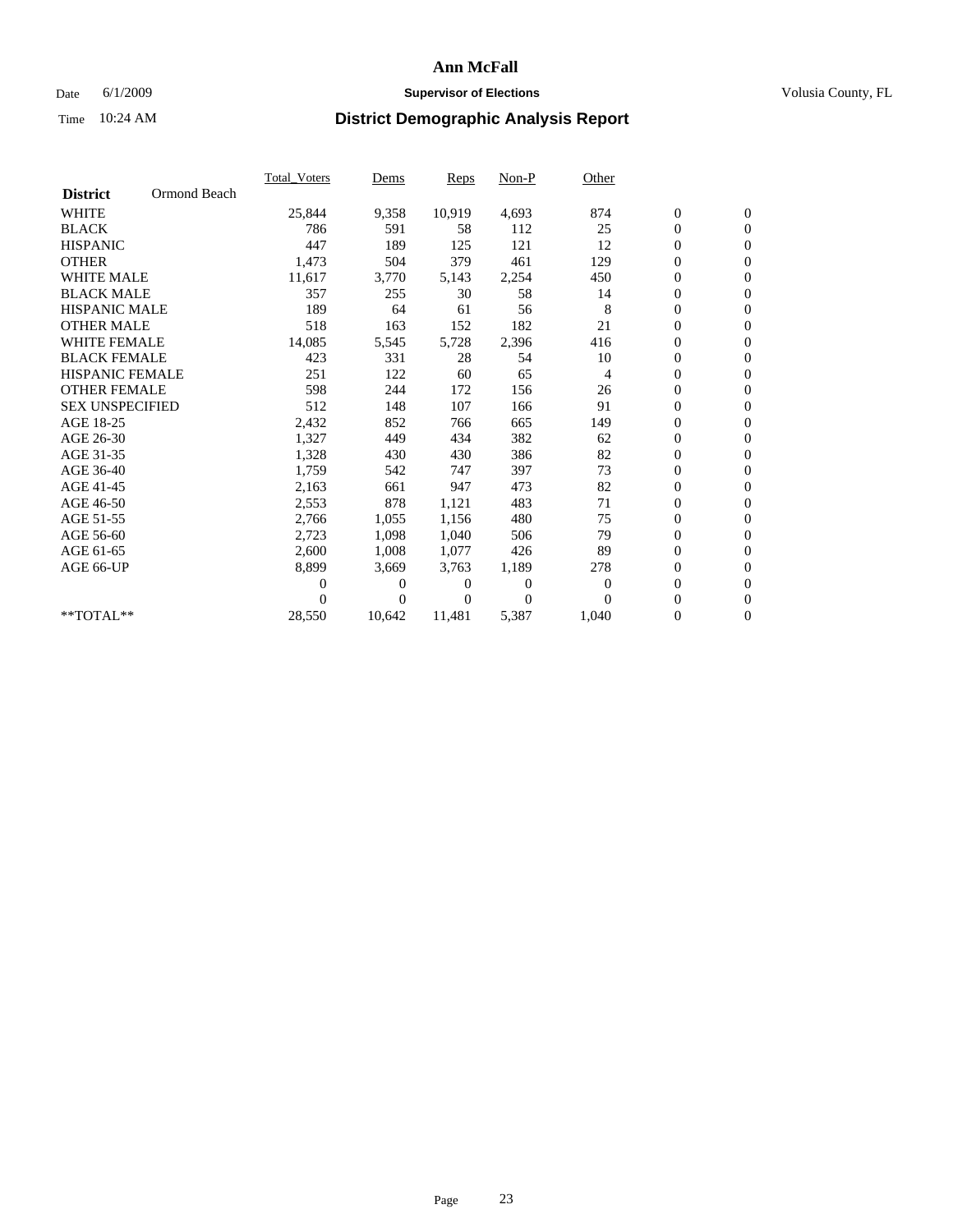### Date 6/1/2009 **Supervisor of Elections Supervisor of Elections** Volusia County, FL

|                        |              | <b>Total Voters</b> | Dems   | <b>Reps</b> | Non-P    | Other          |                  |                  |  |
|------------------------|--------------|---------------------|--------|-------------|----------|----------------|------------------|------------------|--|
| <b>District</b>        | Ormond Beach |                     |        |             |          |                |                  |                  |  |
| <b>WHITE</b>           |              | 25,844              | 9,358  | 10,919      | 4,693    | 874            | $\boldsymbol{0}$ | $\boldsymbol{0}$ |  |
| <b>BLACK</b>           |              | 786                 | 591    | 58          | 112      | 25             | $\boldsymbol{0}$ | $\mathbf{0}$     |  |
| <b>HISPANIC</b>        |              | 447                 | 189    | 125         | 121      | 12             | $\overline{0}$   | $\mathbf{0}$     |  |
| <b>OTHER</b>           |              | 1,473               | 504    | 379         | 461      | 129            | 0                | $\mathbf{0}$     |  |
| <b>WHITE MALE</b>      |              | 11,617              | 3,770  | 5,143       | 2,254    | 450            | 0                | $\mathbf{0}$     |  |
| <b>BLACK MALE</b>      |              | 357                 | 255    | 30          | 58       | 14             | $\overline{0}$   | $\mathbf{0}$     |  |
| <b>HISPANIC MALE</b>   |              | 189                 | 64     | 61          | 56       | 8              | 0                | $\mathbf{0}$     |  |
| <b>OTHER MALE</b>      |              | 518                 | 163    | 152         | 182      | 21             | 0                | $\mathbf{0}$     |  |
| <b>WHITE FEMALE</b>    |              | 14,085              | 5,545  | 5,728       | 2,396    | 416            | 0                | $\mathbf{0}$     |  |
| <b>BLACK FEMALE</b>    |              | 423                 | 331    | 28          | 54       | 10             | 0                | $\mathbf{0}$     |  |
| <b>HISPANIC FEMALE</b> |              | 251                 | 122    | 60          | 65       | $\overline{4}$ | 0                | $\mathbf{0}$     |  |
| <b>OTHER FEMALE</b>    |              | 598                 | 244    | 172         | 156      | 26             | 0                | $\mathbf{0}$     |  |
| <b>SEX UNSPECIFIED</b> |              | 512                 | 148    | 107         | 166      | 91             | 0                | $\mathbf{0}$     |  |
| AGE 18-25              |              | 2,432               | 852    | 766         | 665      | 149            | 0                | $\mathbf{0}$     |  |
| AGE 26-30              |              | 1,327               | 449    | 434         | 382      | 62             | 0                | $\mathbf{0}$     |  |
| AGE 31-35              |              | 1,328               | 430    | 430         | 386      | 82             | 0                | $\mathbf{0}$     |  |
| AGE 36-40              |              | 1,759               | 542    | 747         | 397      | 73             | 0                | $\mathbf{0}$     |  |
| AGE 41-45              |              | 2,163               | 661    | 947         | 473      | 82             | 0                | $\mathbf{0}$     |  |
| AGE 46-50              |              | 2,553               | 878    | 1,121       | 483      | 71             | 0                | $\mathbf{0}$     |  |
| AGE 51-55              |              | 2,766               | 1,055  | 1,156       | 480      | 75             | $\boldsymbol{0}$ | $\mathbf{0}$     |  |
| AGE 56-60              |              | 2,723               | 1,098  | 1.040       | 506      | 79             | 0                | $\mathbf{0}$     |  |
| AGE 61-65              |              | 2,600               | 1,008  | 1.077       | 426      | 89             | 0                | $\mathbf{0}$     |  |
| AGE 66-UP              |              | 8,899               | 3,669  | 3,763       | 1,189    | 278            | 0                | $\mathbf{0}$     |  |
|                        |              | 0                   | 0      | 0           | $\theta$ | $\theta$       | 0                | $\mathbf{0}$     |  |
|                        |              | 0                   | 0      | 0           | $\Omega$ | $\Omega$       | 0                | $\mathbf{0}$     |  |
| **TOTAL**              |              | 28,550              | 10,642 | 11,481      | 5,387    | 1,040          | 0                | $\boldsymbol{0}$ |  |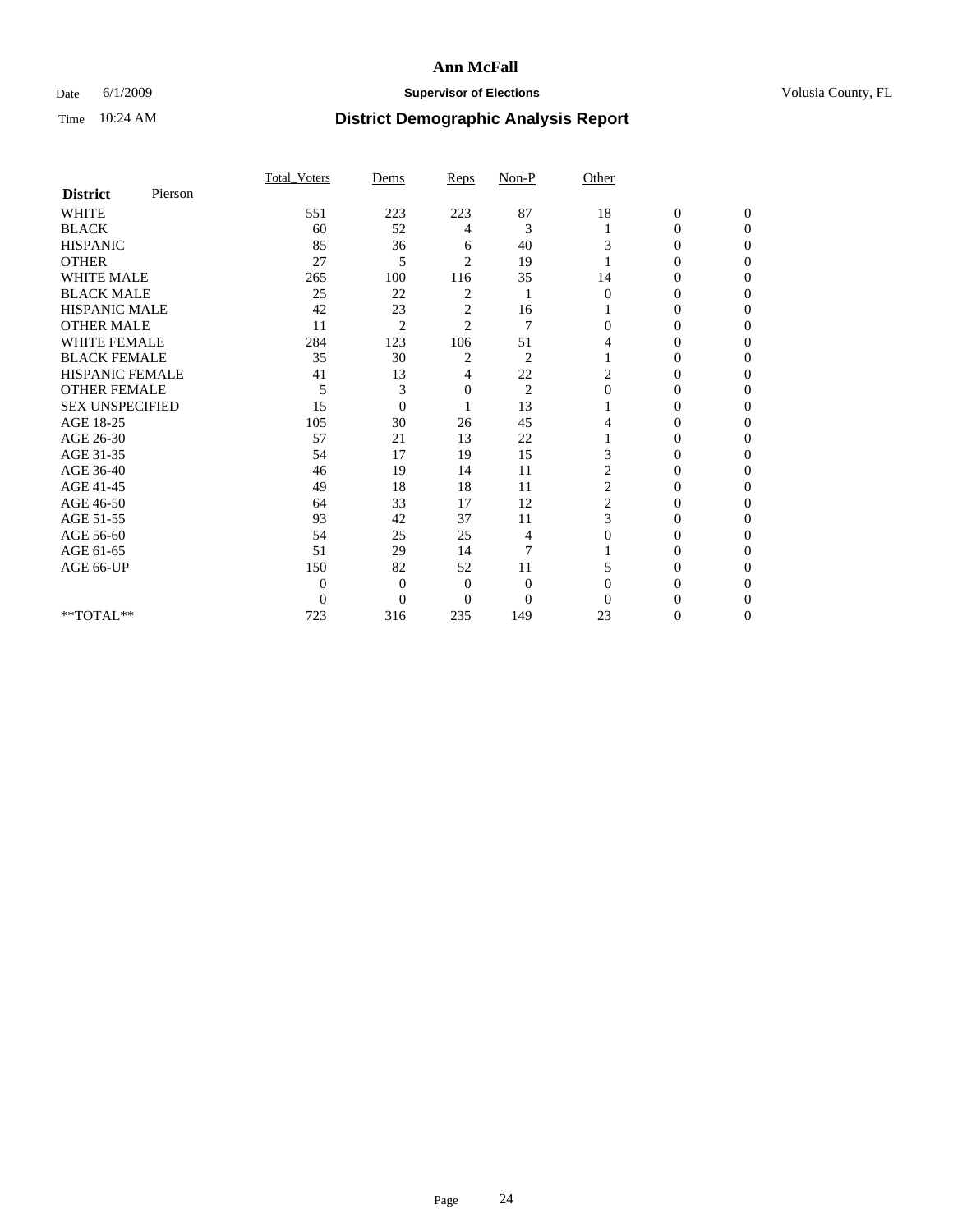### Date 6/1/2009 **Supervisor of Elections Supervisor of Elections** Volusia County, FL

|                        |         | Total Voters   | Dems           | Reps           | $Non-P$        | Other          |                  |              |  |
|------------------------|---------|----------------|----------------|----------------|----------------|----------------|------------------|--------------|--|
| <b>District</b>        | Pierson |                |                |                |                |                |                  |              |  |
| <b>WHITE</b>           |         | 551            | 223            | 223            | 87             | 18             | $\boldsymbol{0}$ | $\mathbf{0}$ |  |
| <b>BLACK</b>           |         | 60             | 52             | 4              | 3              |                | $\mathbf{0}$     | $\Omega$     |  |
| <b>HISPANIC</b>        |         | 85             | 36             | 6              | 40             | 3              | 0                | $\Omega$     |  |
| <b>OTHER</b>           |         | 27             | 5              | $\overline{2}$ | 19             |                | 0                | 0            |  |
| <b>WHITE MALE</b>      |         | 265            | 100            | 116            | 35             | 14             | 0                | 0            |  |
| <b>BLACK MALE</b>      |         | 25             | 22             | 2              |                | $\Omega$       | 0                | $\Omega$     |  |
| HISPANIC MALE          |         | 42             | 23             | $\overline{c}$ | 16             |                | 0                | $\Omega$     |  |
| <b>OTHER MALE</b>      |         | 11             | $\overline{2}$ | $\overline{2}$ | 7              | 0              | 0                | 0            |  |
| <b>WHITE FEMALE</b>    |         | 284            | 123            | 106            | 51             | 4              | 0                | $\Omega$     |  |
| <b>BLACK FEMALE</b>    |         | 35             | 30             | 2              | $\overline{c}$ |                | $\overline{0}$   | 0            |  |
| <b>HISPANIC FEMALE</b> |         | 41             | 13             | 4              | 22             | 2              | 0                | 0            |  |
| <b>OTHER FEMALE</b>    |         | 5              | 3              | 0              | $\overline{2}$ | $\Omega$       | 0                | 0            |  |
| <b>SEX UNSPECIFIED</b> |         | 15             | $\overline{0}$ |                | 13             |                | 0                | 0            |  |
| AGE 18-25              |         | 105            | 30             | 26             | 45             | 4              | 0                | $\Omega$     |  |
| AGE 26-30              |         | 57             | 21             | 13             | 22             |                | 0                | 0            |  |
| AGE 31-35              |         | 54             | 17             | 19             | 15             | 3              | 0                | 0            |  |
| AGE 36-40              |         | 46             | 19             | 14             | 11             | 2              | 0                | 0            |  |
| AGE 41-45              |         | 49             | 18             | 18             | 11             | 2              | 0                | $\Omega$     |  |
| AGE 46-50              |         | 64             | 33             | 17             | 12             | $\overline{c}$ | 0                | $\Omega$     |  |
| AGE 51-55              |         | 93             | 42             | 37             | 11             | 3              | 0                | 0            |  |
| AGE 56-60              |         | 54             | 25             | 25             | 4              | $\Omega$       | 0                | 0            |  |
| AGE 61-65              |         | 51             | 29             | 14             | $\overline{7}$ |                | 0                | 0            |  |
| AGE 66-UP              |         | 150            | 82             | 52             | 11             | 5              | 0                | 0            |  |
|                        |         | $\theta$       | $\overline{0}$ | $\mathbf{0}$   | $\mathbf{0}$   | $\Omega$       | 0                | 0            |  |
|                        |         | $\overline{0}$ | $\overline{0}$ | $\overline{0}$ | $\overline{0}$ | 0              |                  | 0            |  |
| **TOTAL**              |         | 723            | 316            | 235            | 149            | 23             | 0                | 0            |  |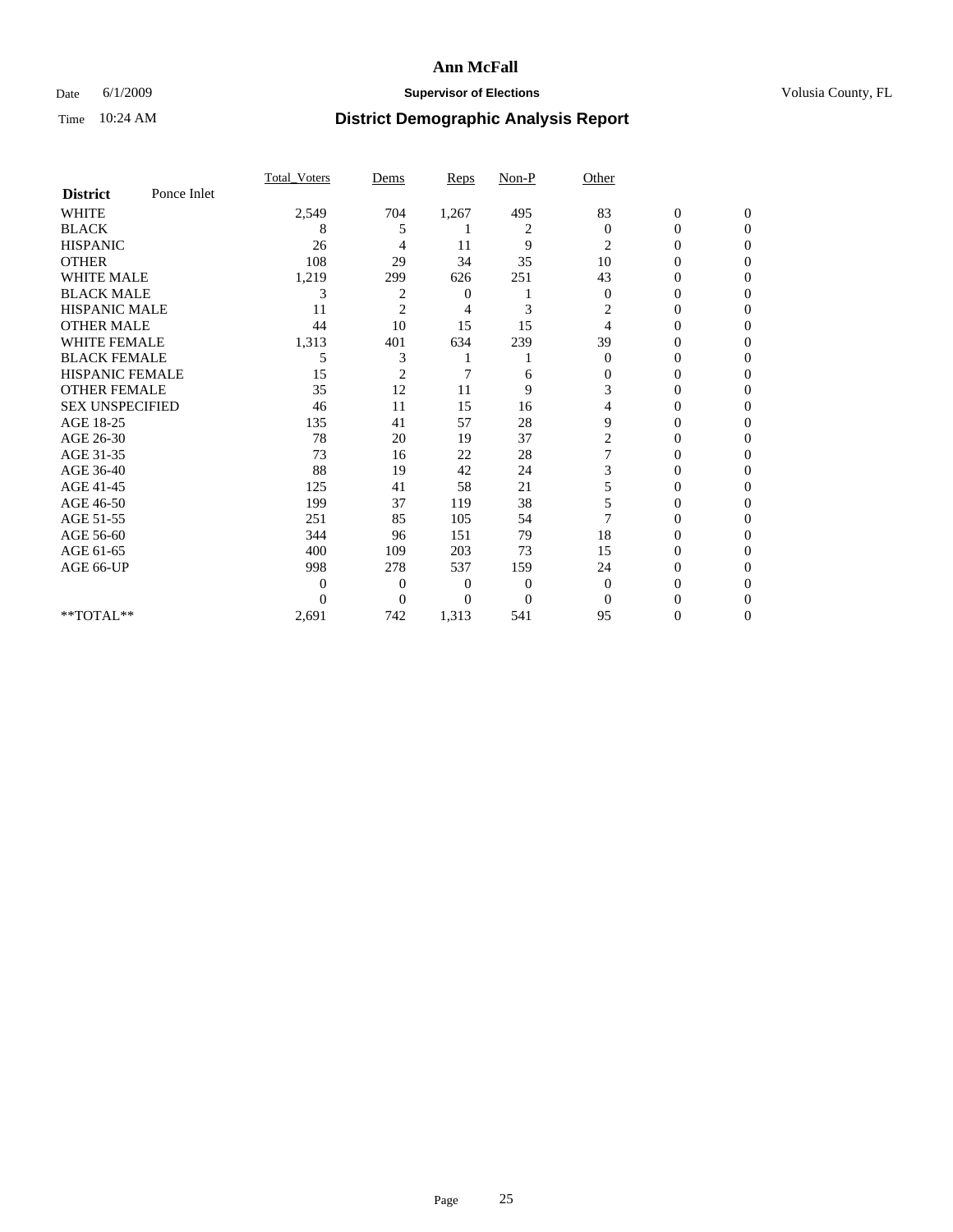### Date 6/1/2009 **Supervisor of Elections Supervisor of Elections** Volusia County, FL

|                        |             | Total Voters | Dems           | <b>Reps</b> | $Non-P$        | Other        |                  |              |  |
|------------------------|-------------|--------------|----------------|-------------|----------------|--------------|------------------|--------------|--|
| <b>District</b>        | Ponce Inlet |              |                |             |                |              |                  |              |  |
| <b>WHITE</b>           |             | 2,549        | 704            | 1,267       | 495            | 83           | $\boldsymbol{0}$ | $\mathbf{0}$ |  |
| <b>BLACK</b>           |             | 8            | 5              |             | 2              | $\Omega$     | $\mathbf{0}$     | $\Omega$     |  |
| <b>HISPANIC</b>        |             | 26           | 4              | 11          | 9              | 2            | 0                | $\Omega$     |  |
| <b>OTHER</b>           |             | 108          | 29             | 34          | 35             | 10           | 0                | $\Omega$     |  |
| <b>WHITE MALE</b>      |             | 1,219        | 299            | 626         | 251            | 43           | 0                | 0            |  |
| <b>BLACK MALE</b>      |             | 3            | 2              | 0           |                | $\mathbf{0}$ | $\mathbf{0}$     | $\Omega$     |  |
| HISPANIC MALE          |             | 11           | $\overline{2}$ | 4           | 3              | 2            | 0                | $\Omega$     |  |
| <b>OTHER MALE</b>      |             | 44           | 10             | 15          | 15             | 4            | 0                | 0            |  |
| <b>WHITE FEMALE</b>    |             | 1,313        | 401            | 634         | 239            | 39           | 0                | $\Omega$     |  |
| <b>BLACK FEMALE</b>    |             | 5            | 3              |             |                | $\mathbf{0}$ | 0                | 0            |  |
| <b>HISPANIC FEMALE</b> |             | 15           | $\overline{2}$ | 7           | 6              | 0            | 0                | 0            |  |
| <b>OTHER FEMALE</b>    |             | 35           | 12             | 11          | 9              | 3            | 0                | 0            |  |
| <b>SEX UNSPECIFIED</b> |             | 46           | 11             | 15          | 16             | 4            | 0                | $\Omega$     |  |
| AGE 18-25              |             | 135          | 41             | 57          | 28             | 9            | 0                | $\Omega$     |  |
| AGE 26-30              |             | 78           | 20             | 19          | 37             | 2            | 0                | 0            |  |
| AGE 31-35              |             | 73           | 16             | 22          | 28             |              | 0                | 0            |  |
| AGE 36-40              |             | 88           | 19             | 42          | 24             | 3            | 0                | 0            |  |
| AGE 41-45              |             | 125          | 41             | 58          | 21             | 5            | 0                | $\Omega$     |  |
| AGE 46-50              |             | 199          | 37             | 119         | 38             | 5            | 0                | $\Omega$     |  |
| AGE 51-55              |             | 251          | 85             | 105         | 54             | 7            | 0                | 0            |  |
| AGE 56-60              |             | 344          | 96             | 151         | 79             | 18           | 0                | 0            |  |
| AGE 61-65              |             | 400          | 109            | 203         | 73             | 15           | $\overline{0}$   | 0            |  |
| AGE 66-UP              |             | 998          | 278            | 537         | 159            | 24           | 0                | 0            |  |
|                        |             | $\Omega$     | $\overline{0}$ | 0           | $\overline{0}$ | $\Omega$     | 0                | 0            |  |
|                        |             | $\Omega$     | $\overline{0}$ | 0           | $\overline{0}$ | $\Omega$     |                  | 0            |  |
| **TOTAL**              |             | 2,691        | 742            | 1,313       | 541            | 95           | 0                | 0            |  |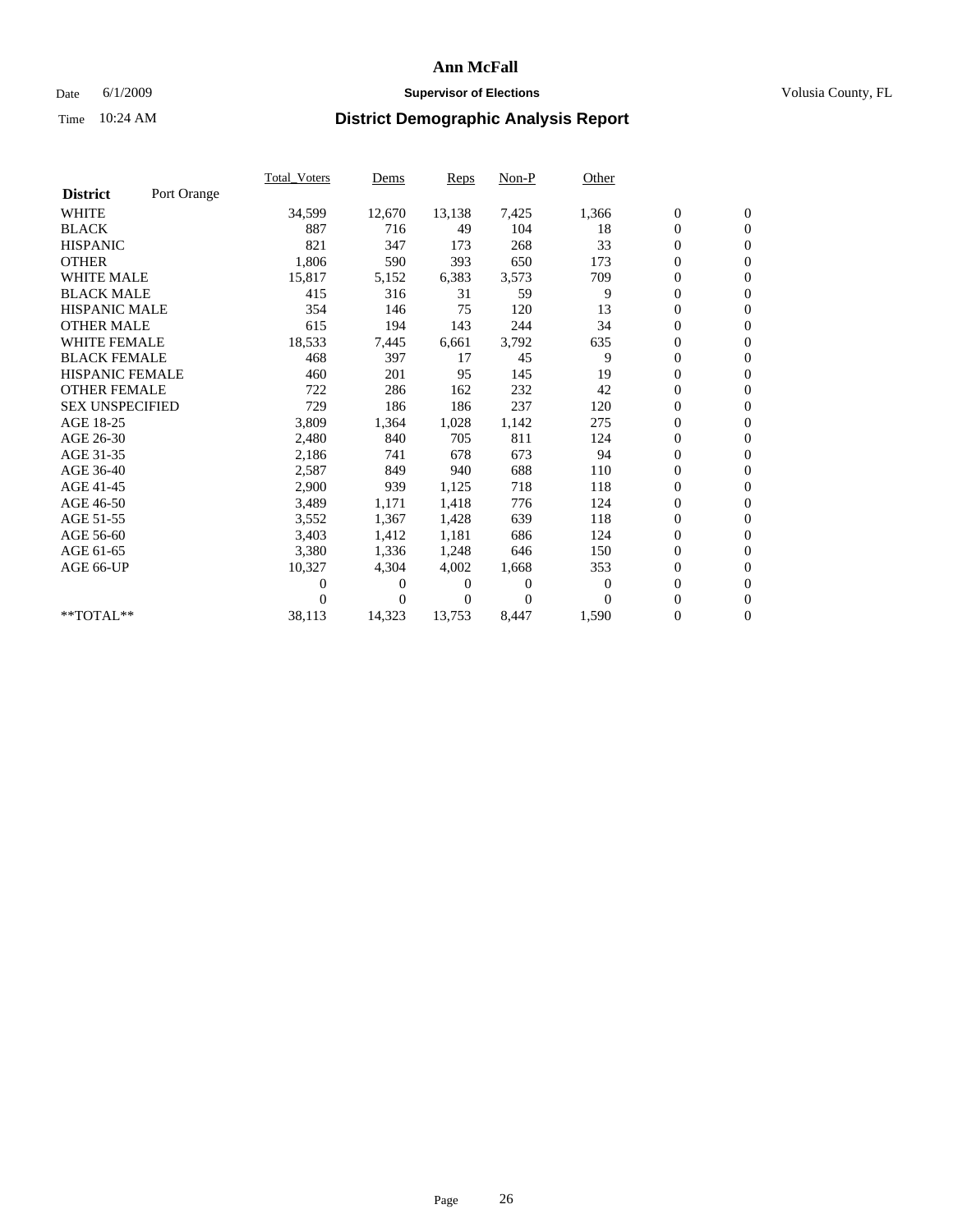### Date 6/1/2009 **Supervisor of Elections Supervisor of Elections** Volusia County, FL

|                        |             | <b>Total Voters</b> | Dems     | <b>Reps</b> | $Non-P$  | Other    |                  |                  |  |
|------------------------|-------------|---------------------|----------|-------------|----------|----------|------------------|------------------|--|
| <b>District</b>        | Port Orange |                     |          |             |          |          |                  |                  |  |
| <b>WHITE</b>           |             | 34,599              | 12,670   | 13,138      | 7,425    | 1,366    | $\boldsymbol{0}$ | $\boldsymbol{0}$ |  |
| <b>BLACK</b>           |             | 887                 | 716      | 49          | 104      | 18       | $\overline{0}$   | $\mathbf{0}$     |  |
| <b>HISPANIC</b>        |             | 821                 | 347      | 173         | 268      | 33       | $\overline{0}$   | $\mathbf{0}$     |  |
| <b>OTHER</b>           |             | 1,806               | 590      | 393         | 650      | 173      | 0                | $\mathbf{0}$     |  |
| <b>WHITE MALE</b>      |             | 15,817              | 5,152    | 6,383       | 3,573    | 709      | $\boldsymbol{0}$ | $\mathbf{0}$     |  |
| <b>BLACK MALE</b>      |             | 415                 | 316      | 31          | 59       | 9        | $\boldsymbol{0}$ | $\mathbf{0}$     |  |
| <b>HISPANIC MALE</b>   |             | 354                 | 146      | 75          | 120      | 13       | 0                | $\mathbf{0}$     |  |
| <b>OTHER MALE</b>      |             | 615                 | 194      | 143         | 244      | 34       | $\boldsymbol{0}$ | $\mathbf{0}$     |  |
| <b>WHITE FEMALE</b>    |             | 18,533              | 7,445    | 6,661       | 3,792    | 635      | 0                | $\mathbf{0}$     |  |
| <b>BLACK FEMALE</b>    |             | 468                 | 397      | 17          | 45       | 9        | 0                | $\Omega$         |  |
| <b>HISPANIC FEMALE</b> |             | 460                 | 201      | 95          | 145      | 19       | $\boldsymbol{0}$ | $\mathbf{0}$     |  |
| <b>OTHER FEMALE</b>    |             | 722                 | 286      | 162         | 232      | 42       | 0                | $\mathbf{0}$     |  |
| <b>SEX UNSPECIFIED</b> |             | 729                 | 186      | 186         | 237      | 120      | 0                | $\Omega$         |  |
| AGE 18-25              |             | 3,809               | 1,364    | 1,028       | 1,142    | 275      | $\overline{0}$   | $\mathbf{0}$     |  |
| AGE 26-30              |             | 2,480               | 840      | 705         | 811      | 124      | $\boldsymbol{0}$ | $\mathbf{0}$     |  |
| AGE 31-35              |             | 2,186               | 741      | 678         | 673      | 94       | 0                | $\mathbf{0}$     |  |
| AGE 36-40              |             | 2,587               | 849      | 940         | 688      | 110      | $\overline{0}$   | $\mathbf{0}$     |  |
| AGE 41-45              |             | 2,900               | 939      | 1,125       | 718      | 118      | $\boldsymbol{0}$ | $\mathbf{0}$     |  |
| AGE 46-50              |             | 3,489               | 1,171    | 1,418       | 776      | 124      | 0                | $\Omega$         |  |
| AGE 51-55              |             | 3,552               | 1,367    | 1,428       | 639      | 118      | $\boldsymbol{0}$ | $\mathbf{0}$     |  |
| AGE 56-60              |             | 3,403               | 1,412    | 1,181       | 686      | 124      | 0                | $\mathbf{0}$     |  |
| AGE 61-65              |             | 3,380               | 1,336    | 1,248       | 646      | 150      | 0                | $\Omega$         |  |
| AGE 66-UP              |             | 10,327              | 4,304    | 4,002       | 1,668    | 353      | $\overline{0}$   | $\mathbf{0}$     |  |
|                        |             | 0                   | 0        | 0           | $\theta$ | $\theta$ | $\boldsymbol{0}$ | $\mathbf{0}$     |  |
|                        |             | 0                   | $\Omega$ | 0           | $\Omega$ | $\Omega$ | 0                | $\mathbf{0}$     |  |
| **TOTAL**              |             | 38,113              | 14,323   | 13,753      | 8,447    | 1,590    | $\overline{0}$   | $\boldsymbol{0}$ |  |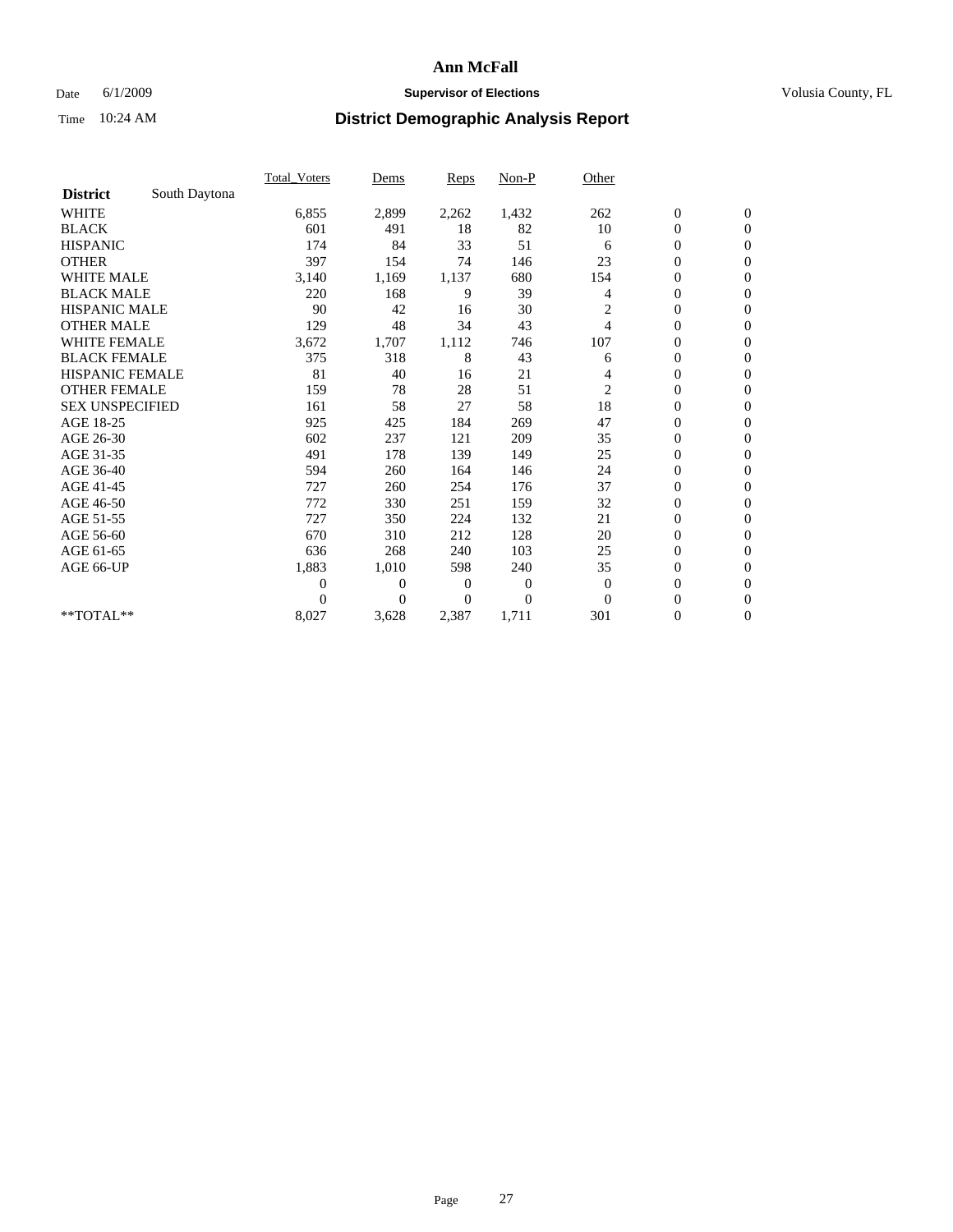### Date 6/1/2009 **Supervisor of Elections Supervisor of Elections** Volusia County, FL

|                        |               | Total Voters   | Dems           | <b>Reps</b> | $Non-P$      | Other          |                  |                  |  |
|------------------------|---------------|----------------|----------------|-------------|--------------|----------------|------------------|------------------|--|
| <b>District</b>        | South Daytona |                |                |             |              |                |                  |                  |  |
| <b>WHITE</b>           |               | 6,855          | 2,899          | 2,262       | 1,432        | 262            | $\boldsymbol{0}$ | $\boldsymbol{0}$ |  |
| <b>BLACK</b>           |               | 601            | 491            | 18          | 82           | 10             | $\boldsymbol{0}$ | $\mathbf{0}$     |  |
| <b>HISPANIC</b>        |               | 174            | 84             | 33          | 51           | 6              | $\overline{0}$   | $\mathbf{0}$     |  |
| <b>OTHER</b>           |               | 397            | 154            | 74          | 146          | 23             | $\boldsymbol{0}$ | $\Omega$         |  |
| <b>WHITE MALE</b>      |               | 3,140          | 1,169          | 1,137       | 680          | 154            | $\overline{0}$   | $\mathbf{0}$     |  |
| <b>BLACK MALE</b>      |               | 220            | 168            | 9           | 39           | 4              | $\boldsymbol{0}$ | $\mathbf{0}$     |  |
| <b>HISPANIC MALE</b>   |               | 90             | 42             | 16          | 30           | $\overline{c}$ | $\overline{0}$   | $\overline{0}$   |  |
| <b>OTHER MALE</b>      |               | 129            | 48             | 34          | 43           | 4              | $\boldsymbol{0}$ | $\mathbf{0}$     |  |
| WHITE FEMALE           |               | 3,672          | 1,707          | 1,112       | 746          | 107            | $\overline{0}$   | $\mathbf{0}$     |  |
| <b>BLACK FEMALE</b>    |               | 375            | 318            | 8           | 43           | 6              | $\boldsymbol{0}$ | $\mathbf{0}$     |  |
| <b>HISPANIC FEMALE</b> |               | 81             | 40             | 16          | 21           | 4              | $\boldsymbol{0}$ | $\mathbf{0}$     |  |
| <b>OTHER FEMALE</b>    |               | 159            | 78             | 28          | 51           | $\overline{c}$ | $\mathbf{0}$     | $\mathbf{0}$     |  |
| <b>SEX UNSPECIFIED</b> |               | 161            | 58             | 27          | 58           | 18             | $\boldsymbol{0}$ | $\mathbf{0}$     |  |
| AGE 18-25              |               | 925            | 425            | 184         | 269          | 47             | $\overline{0}$   | $\mathbf{0}$     |  |
| AGE 26-30              |               | 602            | 237            | 121         | 209          | 35             | $\overline{0}$   | $\mathbf{0}$     |  |
| AGE 31-35              |               | 491            | 178            | 139         | 149          | 25             | $\boldsymbol{0}$ | $\mathbf{0}$     |  |
| AGE 36-40              |               | 594            | 260            | 164         | 146          | 24             | $\boldsymbol{0}$ | $\mathbf{0}$     |  |
| AGE 41-45              |               | 727            | 260            | 254         | 176          | 37             | $\overline{0}$   | $\mathbf{0}$     |  |
| AGE 46-50              |               | 772            | 330            | 251         | 159          | 32             | $\boldsymbol{0}$ | $\mathbf{0}$     |  |
| AGE 51-55              |               | 727            | 350            | 224         | 132          | 21             | $\boldsymbol{0}$ | $\mathbf{0}$     |  |
| AGE 56-60              |               | 670            | 310            | 212         | 128          | 20             | $\overline{0}$   | $\Omega$         |  |
| AGE 61-65              |               | 636            | 268            | 240         | 103          | 25             | $\mathbf{0}$     | $\mathbf{0}$     |  |
| AGE 66-UP              |               | 1,883          | 1,010          | 598         | 240          | 35             | $\boldsymbol{0}$ | $\mathbf{0}$     |  |
|                        |               | $\overline{0}$ | $\overline{0}$ | 0           | $\mathbf{0}$ | $\theta$       | $\overline{0}$   | $\mathbf{0}$     |  |
|                        |               | $\Omega$       | $\theta$       | $\Omega$    | $\theta$     | $\Omega$       | $\boldsymbol{0}$ | $\mathbf{0}$     |  |
| **TOTAL**              |               | 8,027          | 3,628          | 2,387       | 1,711        | 301            | 0                | $\mathbf{0}$     |  |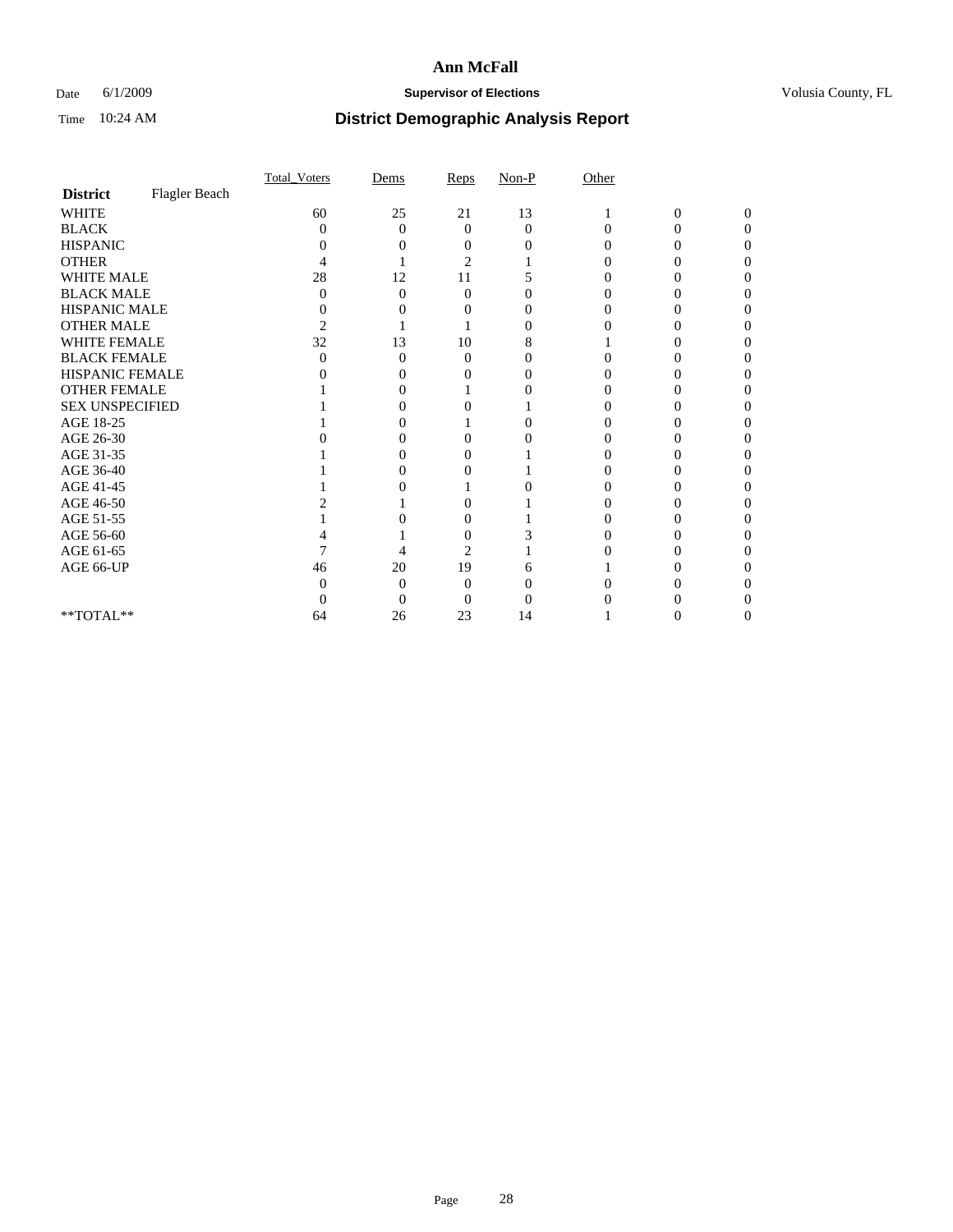### Date 6/1/2009 **Supervisor of Elections Supervisor of Elections** Volusia County, FL

|                        |               | Total Voters   | Dems              | Reps     | $Non-P$           | Other    |                |              |  |
|------------------------|---------------|----------------|-------------------|----------|-------------------|----------|----------------|--------------|--|
| <b>District</b>        | Flagler Beach |                |                   |          |                   |          |                |              |  |
| <b>WHITE</b>           |               | 60             | 25                | 21       | 13                |          | $\overline{0}$ | $\mathbf{0}$ |  |
| <b>BLACK</b>           |               | 0              | $\theta$          | $\Omega$ | $\Omega$          | $\Omega$ | 0              | 0            |  |
| <b>HISPANIC</b>        |               |                |                   |          |                   |          |                |              |  |
| <b>OTHER</b>           |               |                |                   | 2        |                   |          |                |              |  |
| WHITE MALE             |               | 28             | 12                | 11       |                   |          |                |              |  |
| <b>BLACK MALE</b>      |               | 0              | 0                 | $\Omega$ |                   |          |                |              |  |
| HISPANIC MALE          |               | 0              |                   |          |                   |          |                |              |  |
| <b>OTHER MALE</b>      |               | $\overline{c}$ |                   |          | $\mathbf{\Omega}$ |          |                |              |  |
| WHITE FEMALE           |               | 32             | 13                | 10       | 8                 |          |                |              |  |
| <b>BLACK FEMALE</b>    |               | 0              | 0                 | $\theta$ |                   |          |                |              |  |
| HISPANIC FEMALE        |               |                |                   |          |                   |          |                |              |  |
| <b>OTHER FEMALE</b>    |               |                |                   |          |                   |          |                |              |  |
| <b>SEX UNSPECIFIED</b> |               |                |                   |          |                   |          |                |              |  |
| AGE 18-25              |               |                |                   |          | 0                 |          |                |              |  |
| AGE 26-30              |               |                | $\mathbf{\Omega}$ | 0        |                   |          |                |              |  |
| AGE 31-35              |               |                |                   |          |                   |          |                |              |  |
| AGE 36-40              |               |                |                   |          |                   |          |                |              |  |
| AGE 41-45              |               |                |                   |          |                   |          |                |              |  |
| AGE 46-50              |               |                |                   |          |                   |          |                |              |  |
| AGE 51-55              |               |                |                   | 0        |                   |          |                |              |  |
| AGE 56-60              |               |                |                   | $\theta$ |                   |          |                |              |  |
| AGE 61-65              |               |                |                   | 2        |                   |          |                |              |  |
| AGE 66-UP              |               | 46             | 20                | 19       |                   |          |                |              |  |
|                        |               |                | $\Omega$          | 0        |                   |          |                |              |  |
|                        |               |                | 0                 | 0        |                   |          |                |              |  |
| **TOTAL**              |               | 64             | 26                | 23       | 14                |          |                |              |  |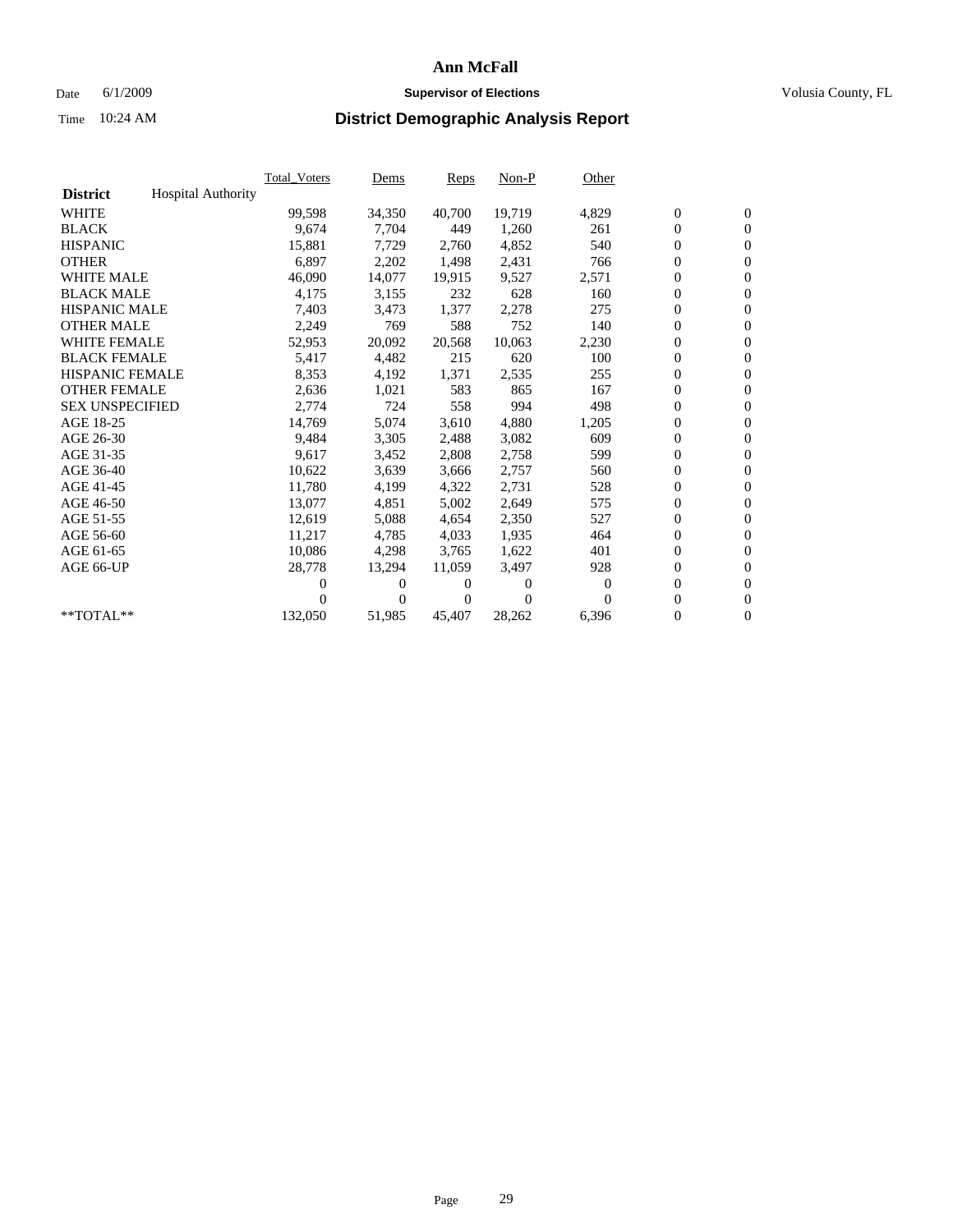### Date 6/1/2009 **Supervisor of Elections Supervisor of Elections** Volusia County, FL

|                        |                           | <b>Total Voters</b> | Dems           | <b>Reps</b> | $Non-P$  | Other    |                  |                  |  |
|------------------------|---------------------------|---------------------|----------------|-------------|----------|----------|------------------|------------------|--|
| <b>District</b>        | <b>Hospital Authority</b> |                     |                |             |          |          |                  |                  |  |
| <b>WHITE</b>           |                           | 99,598              | 34,350         | 40,700      | 19,719   | 4,829    | $\boldsymbol{0}$ | $\boldsymbol{0}$ |  |
| <b>BLACK</b>           |                           | 9,674               | 7,704          | 449         | 1,260    | 261      | $\boldsymbol{0}$ | $\mathbf{0}$     |  |
| <b>HISPANIC</b>        |                           | 15,881              | 7,729          | 2,760       | 4,852    | 540      | $\overline{0}$   | $\mathbf{0}$     |  |
| <b>OTHER</b>           |                           | 6,897               | 2,202          | 1,498       | 2,431    | 766      | $\overline{0}$   | $\mathbf{0}$     |  |
| <b>WHITE MALE</b>      |                           | 46,090              | 14,077         | 19,915      | 9,527    | 2,571    | $\boldsymbol{0}$ | $\mathbf{0}$     |  |
| <b>BLACK MALE</b>      |                           | 4,175               | 3,155          | 232         | 628      | 160      | $\boldsymbol{0}$ | $\mathbf{0}$     |  |
| <b>HISPANIC MALE</b>   |                           | 7,403               | 3,473          | 1,377       | 2,278    | 275      | $\boldsymbol{0}$ | $\mathbf{0}$     |  |
| <b>OTHER MALE</b>      |                           | 2,249               | 769            | 588         | 752      | 140      | $\boldsymbol{0}$ | $\mathbf{0}$     |  |
| <b>WHITE FEMALE</b>    |                           | 52,953              | 20,092         | 20,568      | 10,063   | 2,230    | $\boldsymbol{0}$ | $\mathbf{0}$     |  |
| <b>BLACK FEMALE</b>    |                           | 5,417               | 4,482          | 215         | 620      | 100      | $\boldsymbol{0}$ | $\Omega$         |  |
| <b>HISPANIC FEMALE</b> |                           | 8,353               | 4,192          | 1,371       | 2,535    | 255      | $\boldsymbol{0}$ | $\mathbf{0}$     |  |
| <b>OTHER FEMALE</b>    |                           | 2,636               | 1,021          | 583         | 865      | 167      | $\mathbf{0}$     | $\mathbf{0}$     |  |
| <b>SEX UNSPECIFIED</b> |                           | 2,774               | 724            | 558         | 994      | 498      | $\boldsymbol{0}$ | $\mathbf{0}$     |  |
| AGE 18-25              |                           | 14,769              | 5,074          | 3,610       | 4,880    | 1,205    | $\boldsymbol{0}$ | $\mathbf{0}$     |  |
| AGE 26-30              |                           | 9,484               | 3,305          | 2,488       | 3,082    | 609      | $\boldsymbol{0}$ | $\mathbf{0}$     |  |
| AGE 31-35              |                           | 9,617               | 3,452          | 2,808       | 2,758    | 599      | $\boldsymbol{0}$ | $\mathbf{0}$     |  |
| AGE 36-40              |                           | 10,622              | 3,639          | 3,666       | 2,757    | 560      | $\boldsymbol{0}$ | $\mathbf{0}$     |  |
| AGE 41-45              |                           | 11,780              | 4,199          | 4,322       | 2,731    | 528      | $\boldsymbol{0}$ | $\mathbf{0}$     |  |
| AGE 46-50              |                           | 13,077              | 4,851          | 5,002       | 2,649    | 575      | $\boldsymbol{0}$ | $\Omega$         |  |
| AGE 51-55              |                           | 12,619              | 5,088          | 4,654       | 2,350    | 527      | $\boldsymbol{0}$ | $\mathbf{0}$     |  |
| AGE 56-60              |                           | 11,217              | 4.785          | 4.033       | 1,935    | 464      | $\mathbf{0}$     | $\mathbf{0}$     |  |
| AGE 61-65              |                           | 10,086              | 4,298          | 3,765       | 1,622    | 401      | $\boldsymbol{0}$ | $\mathbf{0}$     |  |
| AGE 66-UP              |                           | 28,778              | 13,294         | 11,059      | 3,497    | 928      | $\mathbf{0}$     | $\mathbf{0}$     |  |
|                        |                           | 0                   | 0              | 0           | 0        | $\bf{0}$ | $\boldsymbol{0}$ | $\mathbf{0}$     |  |
|                        |                           | 0                   | $\overline{0}$ | 0           | $\Omega$ | $\Omega$ | 0                | $\mathbf{0}$     |  |
| **TOTAL**              |                           | 132,050             | 51,985         | 45,407      | 28,262   | 6,396    | $\boldsymbol{0}$ | $\boldsymbol{0}$ |  |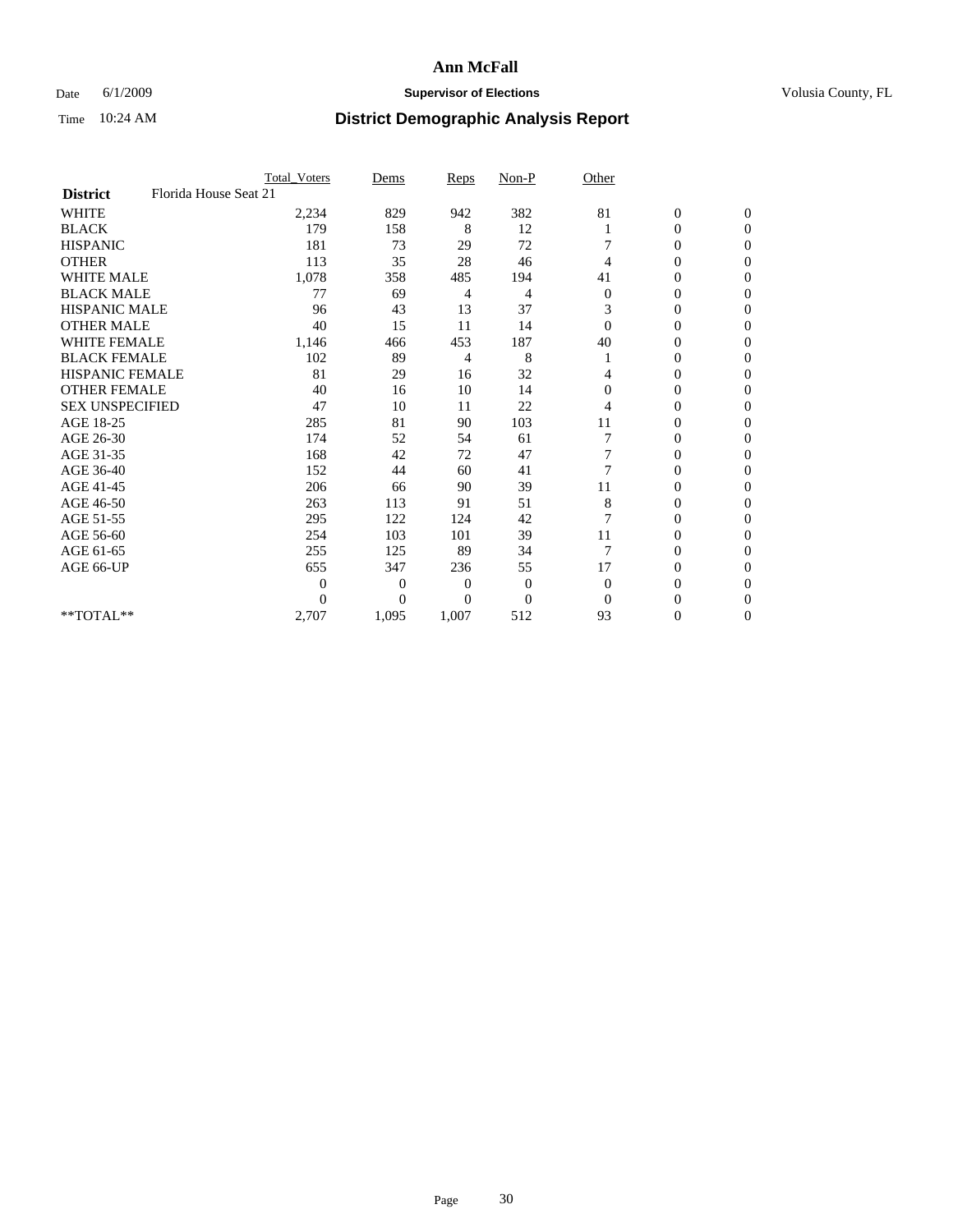### Date 6/1/2009 **Supervisor of Elections Supervisor of Elections** Volusia County, FL

|                        |                       | <b>Total_Voters</b> | Dems           | <b>Reps</b>  | $Non-P$        | Other          |                  |              |
|------------------------|-----------------------|---------------------|----------------|--------------|----------------|----------------|------------------|--------------|
| <b>District</b>        | Florida House Seat 21 |                     |                |              |                |                |                  |              |
| <b>WHITE</b>           |                       | 2,234               | 829            | 942          | 382            | 81             | $\boldsymbol{0}$ | $\mathbf{0}$ |
| <b>BLACK</b>           |                       | 179                 | 158            | 8            | 12             |                | $\boldsymbol{0}$ | $\mathbf{0}$ |
| <b>HISPANIC</b>        |                       | 181                 | 73             | 29           | 72             |                | $\mathbf{0}$     | $\Omega$     |
| <b>OTHER</b>           |                       | 113                 | 35             | 28           | 46             | 4              | 0                | $\Omega$     |
| <b>WHITE MALE</b>      |                       | 1,078               | 358            | 485          | 194            | 41             | 0                | $\Omega$     |
| <b>BLACK MALE</b>      |                       | 77                  | 69             | 4            | 4              | $\overline{0}$ | 0                | $\Omega$     |
| <b>HISPANIC MALE</b>   |                       | 96                  | 43             | 13           | 37             | 3              | $\boldsymbol{0}$ | $\Omega$     |
| <b>OTHER MALE</b>      |                       | 40                  | 15             | 11           | 14             | $\Omega$       | 0                | $\Omega$     |
| <b>WHITE FEMALE</b>    |                       | 1,146               | 466            | 453          | 187            | 40             | 0                | $\Omega$     |
| <b>BLACK FEMALE</b>    |                       | 102                 | 89             | 4            | 8              |                | $\overline{0}$   | $\mathbf{0}$ |
| <b>HISPANIC FEMALE</b> |                       | 81                  | 29             | 16           | 32             | 4              | 0                | $\Omega$     |
| <b>OTHER FEMALE</b>    |                       | 40                  | 16             | 10           | 14             | $\Omega$       | 0                | 0            |
| <b>SEX UNSPECIFIED</b> |                       | 47                  | 10             | 11           | 22             | 4              | 0                | $\Omega$     |
| AGE 18-25              |                       | 285                 | 81             | 90           | 103            | 11             | 0                | $\mathbf{0}$ |
| AGE 26-30              |                       | 174                 | 52             | 54           | 61             |                | 0                | $\Omega$     |
| AGE 31-35              |                       | 168                 | 42             | 72           | 47             |                | 0                | $\Omega$     |
| AGE 36-40              |                       | 152                 | 44             | 60           | 41             | $\overline{7}$ | 0                | $\mathbf{0}$ |
| AGE 41-45              |                       | 206                 | 66             | 90           | 39             | 11             | 0                | $\Omega$     |
| AGE 46-50              |                       | 263                 | 113            | 91           | 51             | 8              | $\overline{0}$   | $\mathbf{0}$ |
| AGE 51-55              |                       | 295                 | 122            | 124          | 42             | 7              | 0                | 0            |
| AGE 56-60              |                       | 254                 | 103            | 101          | 39             | 11             | 0                | $\Omega$     |
| AGE 61-65              |                       | 255                 | 125            | 89           | 34             | $\overline{7}$ | $\overline{0}$   | $\Omega$     |
| AGE 66-UP              |                       | 655                 | 347            | 236          | 55             | 17             | 0                | 0            |
|                        |                       | $\theta$            | $\overline{0}$ | $\mathbf{0}$ | $\mathbf{0}$   | $\Omega$       | 0                | $\Omega$     |
|                        |                       | $\theta$            | $\overline{0}$ | $\Omega$     | $\overline{0}$ | $\Omega$       | $\theta$         | $\Omega$     |
| **TOTAL**              |                       | 2,707               | 1,095          | 1,007        | 512            | 93             | 0                | $\mathbf{0}$ |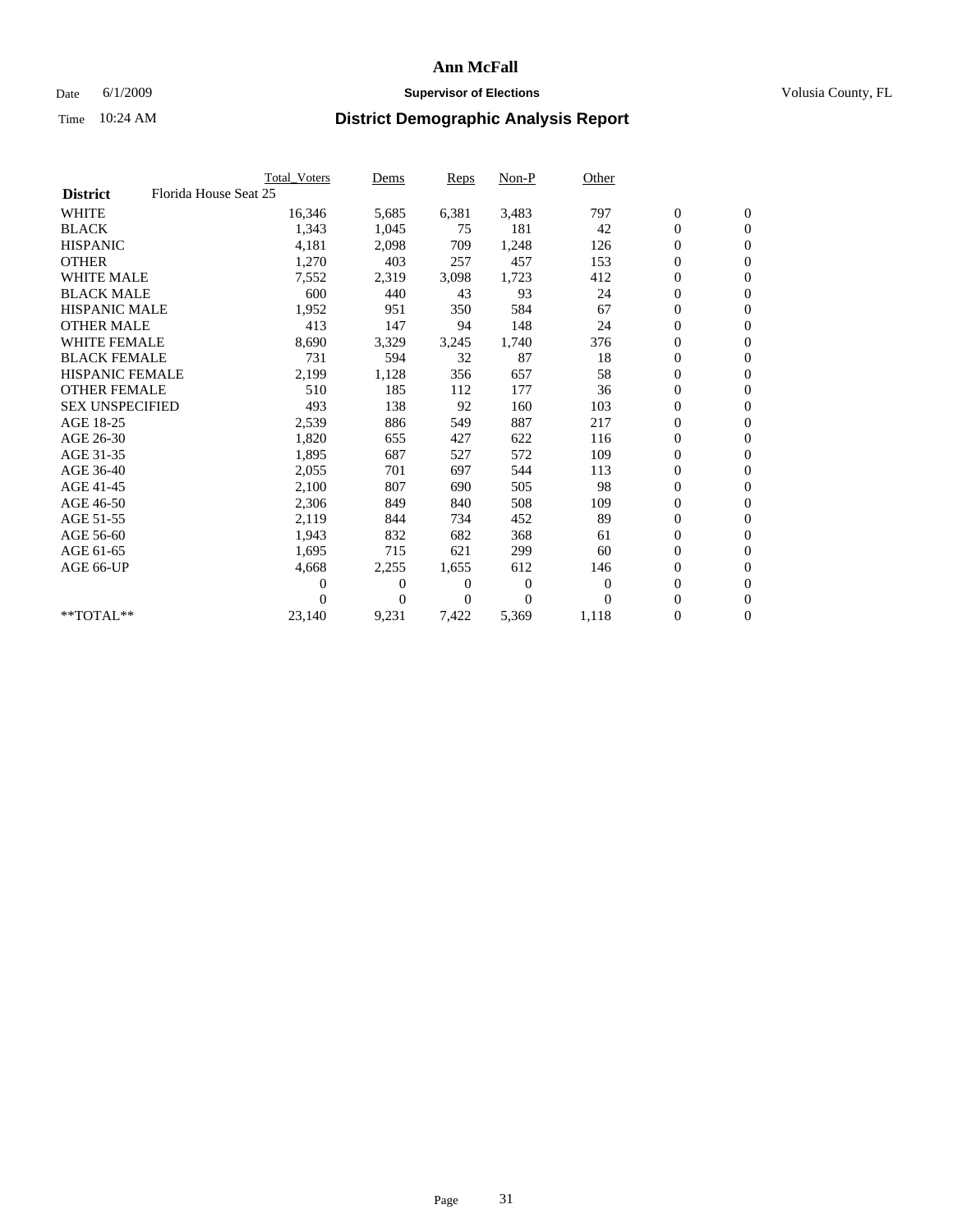### Date 6/1/2009 **Supervisor of Elections Supervisor of Elections** Volusia County, FL

|                        |                       | Total Voters | Dems     | <b>Reps</b> | $Non-P$        | Other        |                  |                  |  |
|------------------------|-----------------------|--------------|----------|-------------|----------------|--------------|------------------|------------------|--|
| <b>District</b>        | Florida House Seat 25 |              |          |             |                |              |                  |                  |  |
| <b>WHITE</b>           |                       | 16,346       | 5,685    | 6,381       | 3,483          | 797          | $\boldsymbol{0}$ | $\boldsymbol{0}$ |  |
| <b>BLACK</b>           |                       | 1,343        | 1,045    | 75          | 181            | 42           | $\boldsymbol{0}$ | $\mathbf{0}$     |  |
| <b>HISPANIC</b>        |                       | 4,181        | 2,098    | 709         | 1.248          | 126          | $\overline{0}$   | $\mathbf{0}$     |  |
| <b>OTHER</b>           |                       | 1,270        | 403      | 257         | 457            | 153          | $\boldsymbol{0}$ | $\mathbf{0}$     |  |
| <b>WHITE MALE</b>      |                       | 7,552        | 2,319    | 3,098       | 1,723          | 412          | $\boldsymbol{0}$ | $\mathbf{0}$     |  |
| <b>BLACK MALE</b>      |                       | 600          | 440      | 43          | 93             | 24           | $\boldsymbol{0}$ | $\mathbf{0}$     |  |
| <b>HISPANIC MALE</b>   |                       | 1,952        | 951      | 350         | 584            | 67           | $\boldsymbol{0}$ | $\mathbf{0}$     |  |
| <b>OTHER MALE</b>      |                       | 413          | 147      | 94          | 148            | 24           | $\boldsymbol{0}$ | $\mathbf{0}$     |  |
| <b>WHITE FEMALE</b>    |                       | 8,690        | 3,329    | 3,245       | 1,740          | 376          | $\boldsymbol{0}$ | $\mathbf{0}$     |  |
| <b>BLACK FEMALE</b>    |                       | 731          | 594      | 32          | 87             | 18           | $\boldsymbol{0}$ | $\mathbf{0}$     |  |
| <b>HISPANIC FEMALE</b> |                       | 2,199        | 1,128    | 356         | 657            | 58           | 0                | $\mathbf{0}$     |  |
| <b>OTHER FEMALE</b>    |                       | 510          | 185      | 112         | 177            | 36           | $\mathbf{0}$     | $\mathbf{0}$     |  |
| <b>SEX UNSPECIFIED</b> |                       | 493          | 138      | 92          | 160            | 103          | $\boldsymbol{0}$ | $\mathbf{0}$     |  |
| AGE 18-25              |                       | 2,539        | 886      | 549         | 887            | 217          | $\overline{0}$   | $\mathbf{0}$     |  |
| AGE 26-30              |                       | 1,820        | 655      | 427         | 622            | 116          | $\boldsymbol{0}$ | $\mathbf{0}$     |  |
| AGE 31-35              |                       | 1,895        | 687      | 527         | 572            | 109          | $\boldsymbol{0}$ | $\mathbf{0}$     |  |
| AGE 36-40              |                       | 2,055        | 701      | 697         | 544            | 113          | 0                | $\mathbf{0}$     |  |
| AGE 41-45              |                       | 2,100        | 807      | 690         | 505            | 98           | $\overline{0}$   | $\mathbf{0}$     |  |
| AGE 46-50              |                       | 2,306        | 849      | 840         | 508            | 109          | $\boldsymbol{0}$ | $\mathbf{0}$     |  |
| AGE 51-55              |                       | 2,119        | 844      | 734         | 452            | 89           | $\boldsymbol{0}$ | $\mathbf{0}$     |  |
| AGE 56-60              |                       | 1,943        | 832      | 682         | 368            | 61           | $\boldsymbol{0}$ | $\Omega$         |  |
| AGE 61-65              |                       | 1,695        | 715      | 621         | 299            | 60           | $\mathbf{0}$     | $\mathbf{0}$     |  |
| AGE 66-UP              |                       | 4,668        | 2,255    | 1,655       | 612            | 146          | $\boldsymbol{0}$ | $\boldsymbol{0}$ |  |
|                        |                       | 0            | 0        | 0           | $\overline{0}$ | $\mathbf{0}$ | $\overline{0}$   | $\mathbf{0}$     |  |
|                        |                       | $\theta$     | $\Omega$ | 0           | $\Omega$       | $\Omega$     | $\boldsymbol{0}$ | $\mathbf{0}$     |  |
| **TOTAL**              |                       | 23,140       | 9,231    | 7,422       | 5,369          | 1,118        | 0                | $\mathbf{0}$     |  |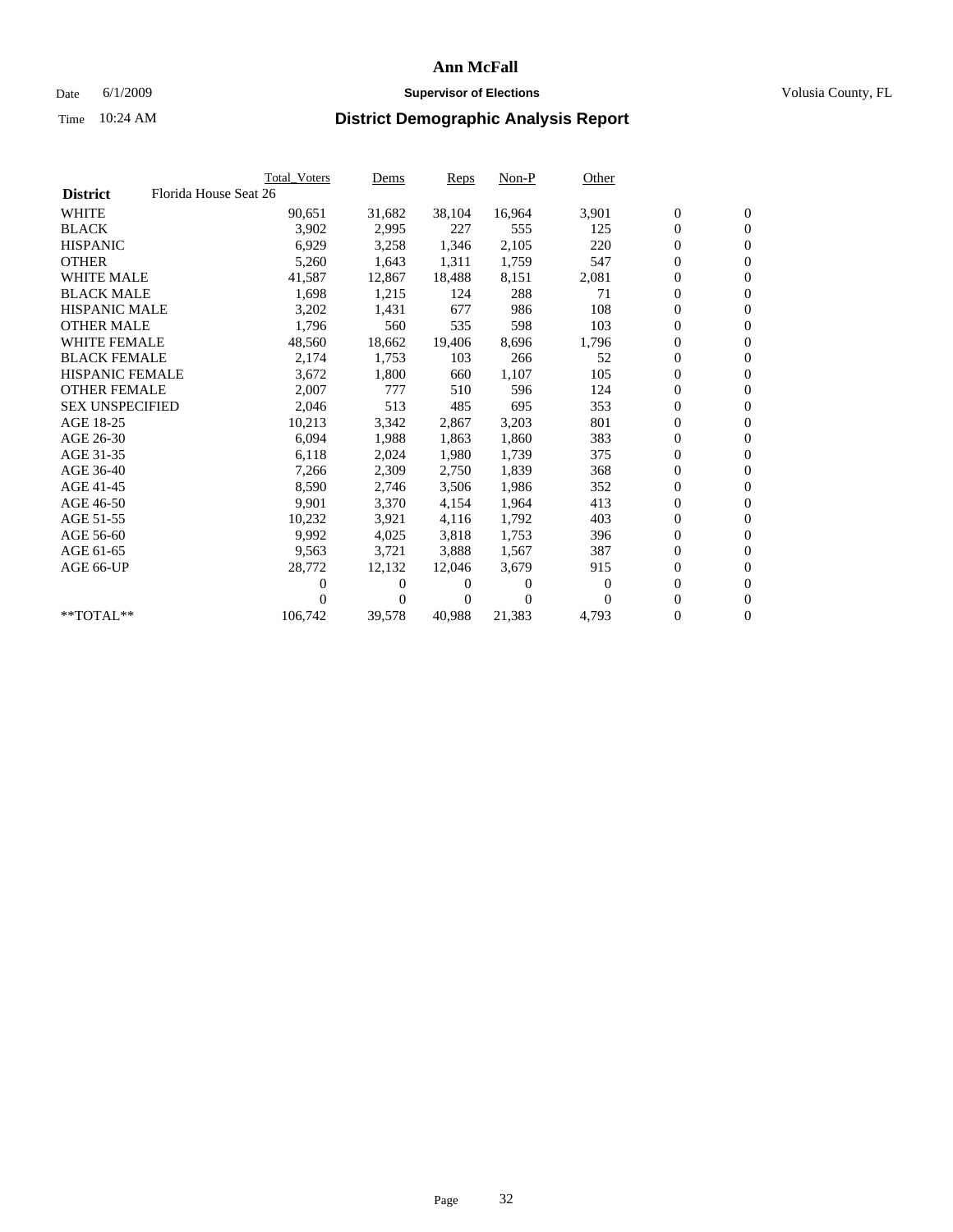### Date 6/1/2009 **Supervisor of Elections Supervisor of Elections** Volusia County, FL

|                        | Total Voters          | <u>Dems</u>    | <b>Reps</b> | $Non-P$      | Other    |                  |                  |  |
|------------------------|-----------------------|----------------|-------------|--------------|----------|------------------|------------------|--|
| <b>District</b>        | Florida House Seat 26 |                |             |              |          |                  |                  |  |
| <b>WHITE</b>           | 90,651                | 31,682         | 38,104      | 16,964       | 3,901    | $\boldsymbol{0}$ | $\boldsymbol{0}$ |  |
| <b>BLACK</b>           | 3,902                 | 2,995          | 227         | 555          | 125      | $\boldsymbol{0}$ | $\mathbf{0}$     |  |
| <b>HISPANIC</b>        | 6,929                 | 3,258          | 1,346       | 2,105        | 220      | $\boldsymbol{0}$ | $\mathbf{0}$     |  |
| <b>OTHER</b>           | 5,260                 | 1,643          | 1,311       | 1,759        | 547      | 0                | $\overline{0}$   |  |
| <b>WHITE MALE</b>      | 41,587                | 12,867         | 18,488      | 8,151        | 2,081    | $\boldsymbol{0}$ | $\mathbf{0}$     |  |
| <b>BLACK MALE</b>      | 1,698                 | 1,215          | 124         | 288          | 71       | $\overline{0}$   | $\mathbf{0}$     |  |
| <b>HISPANIC MALE</b>   | 3,202                 | 1,431          | 677         | 986          | 108      | 0                | $\Omega$         |  |
| <b>OTHER MALE</b>      | 1,796                 | 560            | 535         | 598          | 103      | 0                | $\mathbf{0}$     |  |
| <b>WHITE FEMALE</b>    | 48,560                | 18,662         | 19,406      | 8,696        | 1,796    | $\boldsymbol{0}$ | $\mathbf{0}$     |  |
| <b>BLACK FEMALE</b>    | 2,174                 | 1,753          | 103         | 266          | 52       | $\boldsymbol{0}$ | $\overline{0}$   |  |
| <b>HISPANIC FEMALE</b> | 3,672                 | 1,800          | 660         | 1,107        | 105      | 0                | $\mathbf{0}$     |  |
| <b>OTHER FEMALE</b>    | 2,007                 | 777            | 510         | 596          | 124      | $\overline{0}$   | $\mathbf{0}$     |  |
| <b>SEX UNSPECIFIED</b> | 2,046                 | 513            | 485         | 695          | 353      | $\boldsymbol{0}$ | $\mathbf{0}$     |  |
| AGE 18-25              | 10,213                | 3,342          | 2,867       | 3,203        | 801      | $\boldsymbol{0}$ | $\mathbf{0}$     |  |
| AGE 26-30              | 6,094                 | 1,988          | 1,863       | 1,860        | 383      | 0                | $\mathbf{0}$     |  |
| AGE 31-35              | 6,118                 | 2,024          | 1,980       | 1,739        | 375      | $\boldsymbol{0}$ | $\mathbf{0}$     |  |
| AGE 36-40              | 7,266                 | 2,309          | 2,750       | 1,839        | 368      | $\boldsymbol{0}$ | $\mathbf{0}$     |  |
| AGE 41-45              | 8,590                 | 2,746          | 3,506       | 1,986        | 352      | 0                | $\mathbf{0}$     |  |
| AGE 46-50              | 9,901                 | 3,370          | 4,154       | 1,964        | 413      | 0                | $\Omega$         |  |
| AGE 51-55              | 10,232                | 3,921          | 4,116       | 1,792        | 403      | $\boldsymbol{0}$ | $\mathbf{0}$     |  |
| AGE 56-60              | 9.992                 | 4,025          | 3.818       | 1,753        | 396      | 0                | $\mathbf{0}$     |  |
| AGE 61-65              | 9,563                 | 3,721          | 3,888       | 1,567        | 387      | 0                | $\mathbf{0}$     |  |
| AGE 66-UP              | 28,772                | 12,132         | 12,046      | 3,679        | 915      | $\boldsymbol{0}$ | $\mathbf{0}$     |  |
|                        | 0                     | $\overline{0}$ | $^{(1)}$    | $\mathbf{0}$ | 0        | $\mathbf{0}$     | $\mathbf{0}$     |  |
|                        | 0                     | $\overline{0}$ | 0           | $\Omega$     | $\Omega$ | 0                | $\mathbf{0}$     |  |
| **TOTAL**              | 106,742               | 39,578         | 40,988      | 21,383       | 4,793    | 0                | $\boldsymbol{0}$ |  |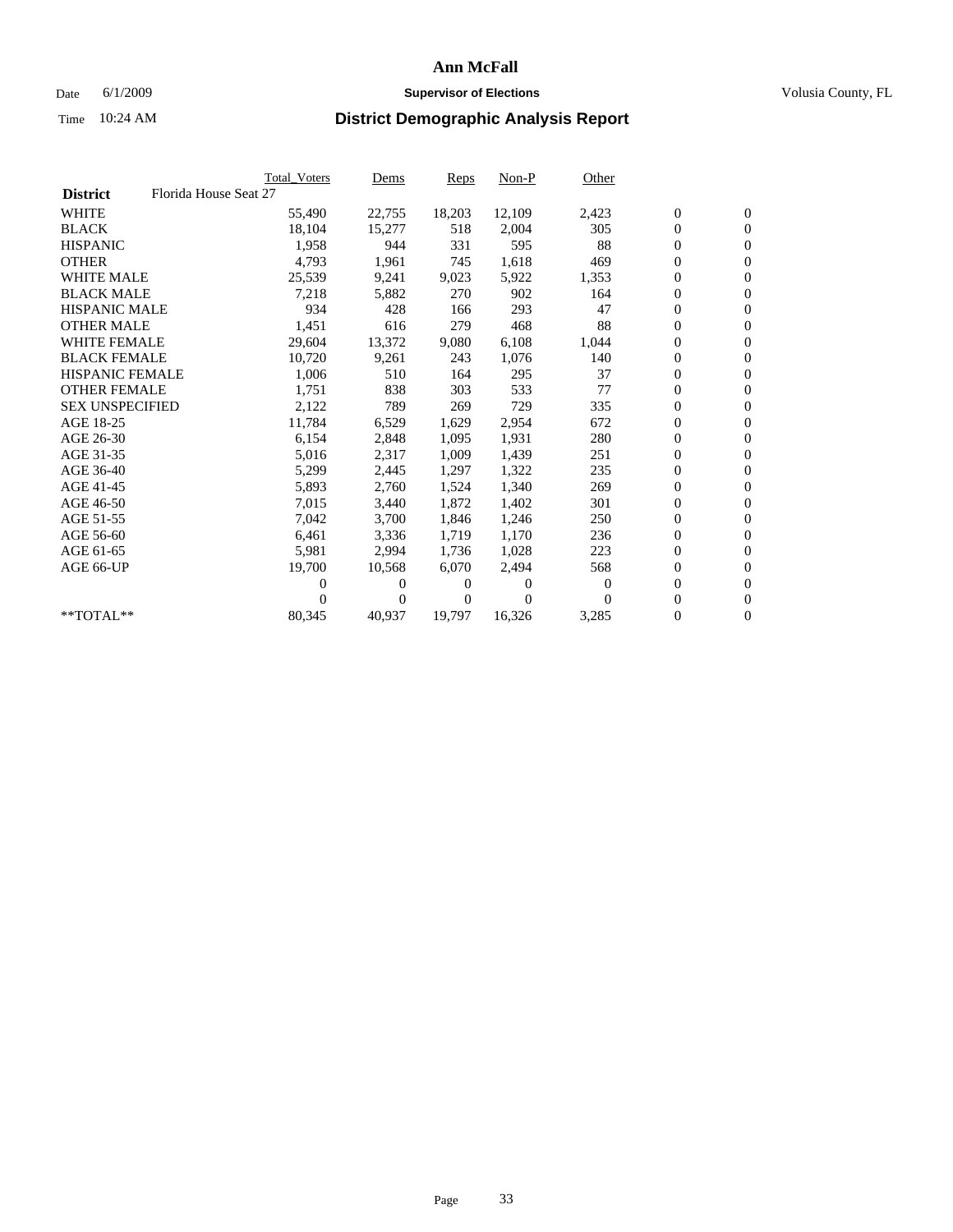### Date 6/1/2009 **Supervisor of Elections Supervisor of Elections** Volusia County, FL

|                        |                       | <b>Total Voters</b> | Dems           | <b>Reps</b> | $Non-P$  | Other    |                  |                  |  |
|------------------------|-----------------------|---------------------|----------------|-------------|----------|----------|------------------|------------------|--|
| <b>District</b>        | Florida House Seat 27 |                     |                |             |          |          |                  |                  |  |
| <b>WHITE</b>           |                       | 55,490              | 22,755         | 18,203      | 12,109   | 2,423    | $\boldsymbol{0}$ | $\boldsymbol{0}$ |  |
| <b>BLACK</b>           |                       | 18,104              | 15,277         | 518         | 2,004    | 305      | $\overline{0}$   | $\mathbf{0}$     |  |
| <b>HISPANIC</b>        |                       | 1,958               | 944            | 331         | 595      | 88       | $\overline{0}$   | $\mathbf{0}$     |  |
| <b>OTHER</b>           |                       | 4,793               | 1,961          | 745         | 1,618    | 469      | 0                | $\mathbf{0}$     |  |
| <b>WHITE MALE</b>      |                       | 25,539              | 9,241          | 9,023       | 5,922    | 1,353    | $\boldsymbol{0}$ | $\mathbf{0}$     |  |
| <b>BLACK MALE</b>      |                       | 7,218               | 5,882          | 270         | 902      | 164      | $\boldsymbol{0}$ | $\mathbf{0}$     |  |
| <b>HISPANIC MALE</b>   |                       | 934                 | 428            | 166         | 293      | 47       | 0                | $\mathbf{0}$     |  |
| <b>OTHER MALE</b>      |                       | 1,451               | 616            | 279         | 468      | 88       | $\boldsymbol{0}$ | $\mathbf{0}$     |  |
| <b>WHITE FEMALE</b>    |                       | 29,604              | 13,372         | 9,080       | 6,108    | 1,044    | 0                | $\mathbf{0}$     |  |
| <b>BLACK FEMALE</b>    |                       | 10,720              | 9,261          | 243         | 1,076    | 140      | 0                | $\Omega$         |  |
| <b>HISPANIC FEMALE</b> |                       | 1,006               | 510            | 164         | 295      | 37       | $\boldsymbol{0}$ | $\mathbf{0}$     |  |
| <b>OTHER FEMALE</b>    |                       | 1,751               | 838            | 303         | 533      | 77       | 0                | $\mathbf{0}$     |  |
| <b>SEX UNSPECIFIED</b> |                       | 2,122               | 789            | 269         | 729      | 335      | 0                | $\mathbf{0}$     |  |
| AGE 18-25              |                       | 11,784              | 6,529          | 1,629       | 2,954    | 672      | $\overline{0}$   | $\mathbf{0}$     |  |
| AGE 26-30              |                       | 6,154               | 2,848          | 1,095       | 1,931    | 280      | 0                | $\mathbf{0}$     |  |
| AGE 31-35              |                       | 5,016               | 2,317          | 1,009       | 1,439    | 251      | 0                | $\mathbf{0}$     |  |
| AGE 36-40              |                       | 5,299               | 2,445          | 1,297       | 1,322    | 235      | $\overline{0}$   | $\mathbf{0}$     |  |
| AGE 41-45              |                       | 5,893               | 2,760          | 1,524       | 1,340    | 269      | $\boldsymbol{0}$ | $\mathbf{0}$     |  |
| AGE 46-50              |                       | 7,015               | 3,440          | 1,872       | 1,402    | 301      | 0                | $\Omega$         |  |
| AGE 51-55              |                       | 7,042               | 3,700          | 1,846       | 1,246    | 250      | $\boldsymbol{0}$ | $\mathbf{0}$     |  |
| AGE 56-60              |                       | 6,461               | 3,336          | 1,719       | 1.170    | 236      | 0                | $\mathbf{0}$     |  |
| AGE 61-65              |                       | 5,981               | 2,994          | 1,736       | 1,028    | 223      | 0                | $\Omega$         |  |
| AGE 66-UP              |                       | 19,700              | 10,568         | 6,070       | 2,494    | 568      | $\overline{0}$   | $\mathbf{0}$     |  |
|                        |                       | 0                   | 0              | 0           | $\theta$ | $\Omega$ | 0                | $\mathbf{0}$     |  |
|                        |                       | 0                   | $\overline{0}$ | 0           | $\Omega$ | $\Omega$ | 0                | $\mathbf{0}$     |  |
| $*$ TOTAL $**$         |                       | 80,345              | 40,937         | 19,797      | 16,326   | 3,285    | 0                | $\boldsymbol{0}$ |  |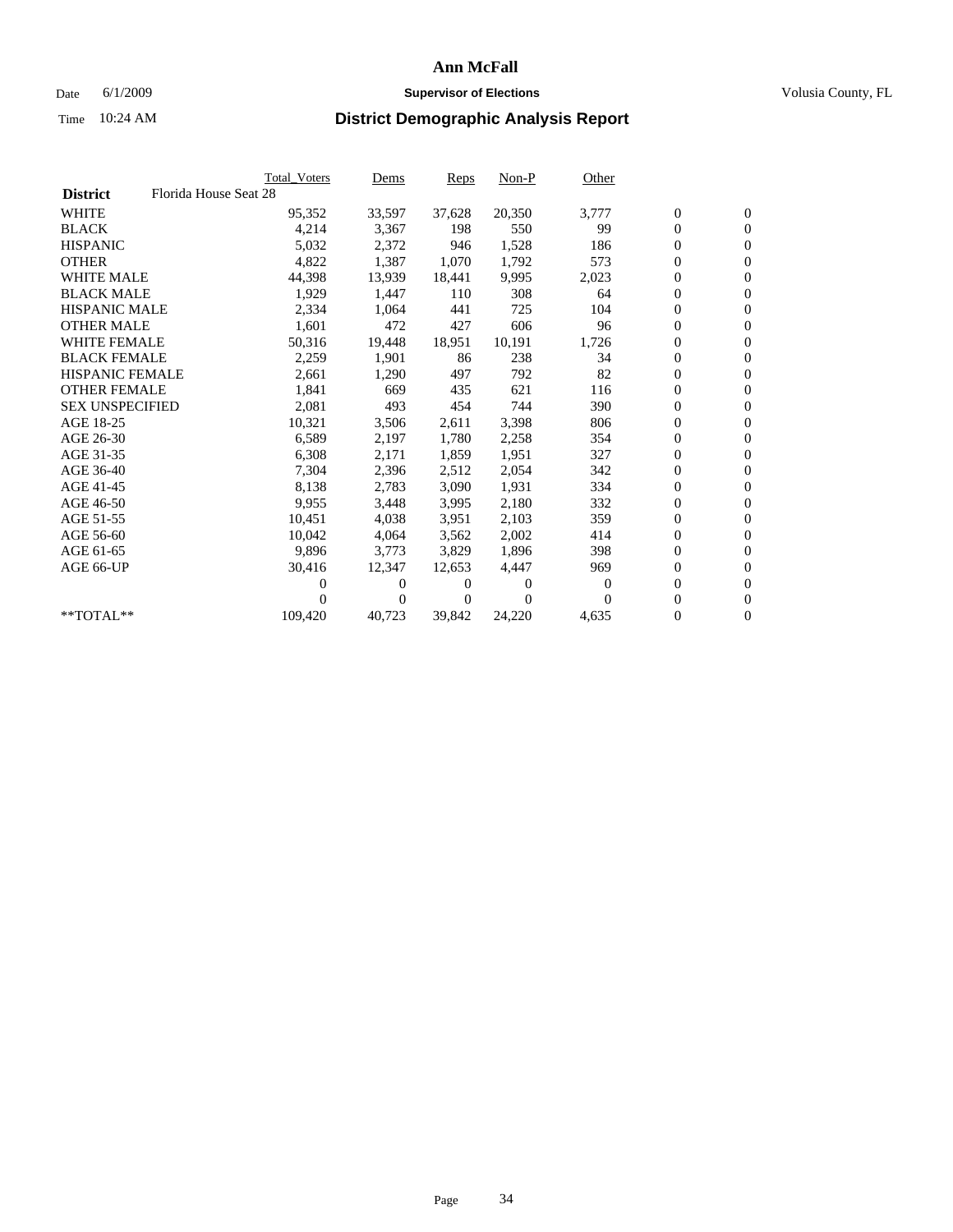### Date 6/1/2009 **Supervisor of Elections Supervisor of Elections** Volusia County, FL

|                        |                       | <b>Total Voters</b> | Dems   | <b>Reps</b> | $Non-P$  | Other            |                  |                  |  |
|------------------------|-----------------------|---------------------|--------|-------------|----------|------------------|------------------|------------------|--|
| <b>District</b>        | Florida House Seat 28 |                     |        |             |          |                  |                  |                  |  |
| <b>WHITE</b>           |                       | 95,352              | 33,597 | 37,628      | 20,350   | 3,777            | $\boldsymbol{0}$ | $\boldsymbol{0}$ |  |
| <b>BLACK</b>           |                       | 4,214               | 3,367  | 198         | 550      | 99               | $\overline{0}$   | $\mathbf{0}$     |  |
| <b>HISPANIC</b>        |                       | 5,032               | 2,372  | 946         | 1,528    | 186              | 0                | $\mathbf{0}$     |  |
| <b>OTHER</b>           |                       | 4,822               | 1,387  | 1,070       | 1,792    | 573              | 0                | $\mathbf{0}$     |  |
| <b>WHITE MALE</b>      |                       | 44,398              | 13,939 | 18,441      | 9,995    | 2,023            | 0                | $\mathbf{0}$     |  |
| <b>BLACK MALE</b>      |                       | 1,929               | 1,447  | 110         | 308      | 64               | 0                | $\mathbf{0}$     |  |
| <b>HISPANIC MALE</b>   |                       | 2,334               | 1,064  | 441         | 725      | 104              | 0                | $\mathbf{0}$     |  |
| <b>OTHER MALE</b>      |                       | 1,601               | 472    | 427         | 606      | 96               | 0                | $\mathbf{0}$     |  |
| <b>WHITE FEMALE</b>    |                       | 50,316              | 19,448 | 18,951      | 10,191   | 1,726            | $\boldsymbol{0}$ | $\mathbf{0}$     |  |
| <b>BLACK FEMALE</b>    |                       | 2,259               | 1,901  | 86          | 238      | 34               | 0                | $\mathbf{0}$     |  |
| <b>HISPANIC FEMALE</b> |                       | 2,661               | 1,290  | 497         | 792      | 82               | 0                | $\mathbf{0}$     |  |
| <b>OTHER FEMALE</b>    |                       | 1,841               | 669    | 435         | 621      | 116              | 0                | $\mathbf{0}$     |  |
| <b>SEX UNSPECIFIED</b> |                       | 2,081               | 493    | 454         | 744      | 390              | 0                | $\mathbf{0}$     |  |
| AGE 18-25              |                       | 10,321              | 3,506  | 2,611       | 3,398    | 806              | 0                | $\mathbf{0}$     |  |
| AGE 26-30              |                       | 6,589               | 2,197  | 1,780       | 2,258    | 354              | 0                | $\mathbf{0}$     |  |
| AGE 31-35              |                       | 6,308               | 2,171  | 1,859       | 1,951    | 327              | 0                | $\mathbf{0}$     |  |
| AGE 36-40              |                       | 7,304               | 2,396  | 2,512       | 2,054    | 342              | 0                | $\mathbf{0}$     |  |
| AGE 41-45              |                       | 8,138               | 2,783  | 3,090       | 1,931    | 334              | 0                | $\mathbf{0}$     |  |
| AGE 46-50              |                       | 9,955               | 3,448  | 3,995       | 2,180    | 332              | 0                | $\mathbf{0}$     |  |
| AGE 51-55              |                       | 10,451              | 4,038  | 3,951       | 2,103    | 359              | 0                | $\mathbf{0}$     |  |
| AGE 56-60              |                       | 10,042              | 4,064  | 3,562       | 2,002    | 414              | 0                | $\mathbf{0}$     |  |
| AGE 61-65              |                       | 9,896               | 3,773  | 3,829       | 1,896    | 398              | 0                | $\mathbf{0}$     |  |
| AGE 66-UP              |                       | 30,416              | 12,347 | 12,653      | 4,447    | 969              | 0                | $\mathbf{0}$     |  |
|                        |                       | 0                   | 0      | 0           | $\theta$ | $\boldsymbol{0}$ | 0                | $\mathbf{0}$     |  |
|                        |                       | 0                   | 0      | 0           | $\Omega$ | $\Omega$         | 0                | $\mathbf{0}$     |  |
| **TOTAL**              |                       | 109,420             | 40,723 | 39,842      | 24,220   | 4,635            | 0                | $\boldsymbol{0}$ |  |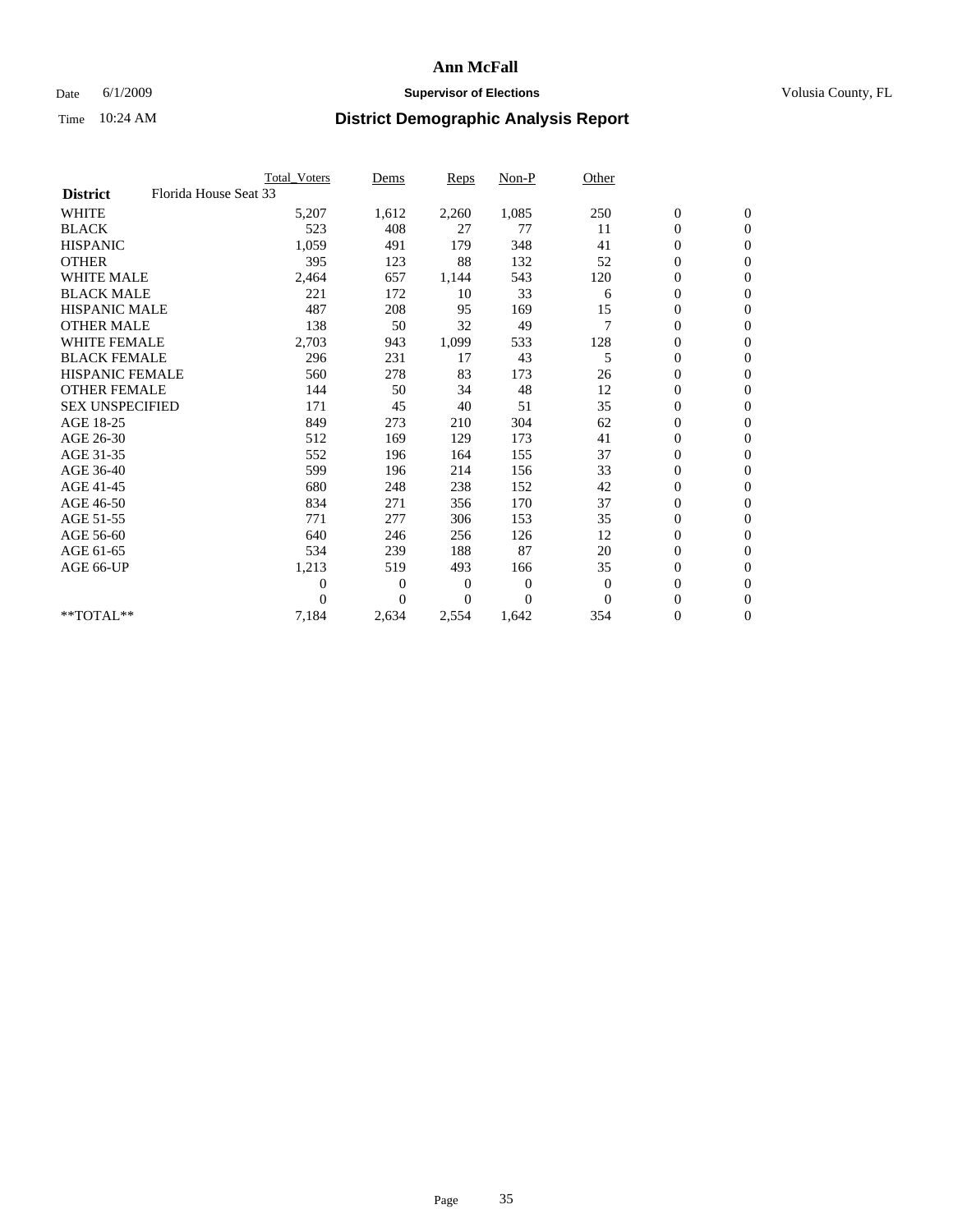### Date 6/1/2009 **Supervisor of Elections Supervisor of Elections** Volusia County, FL

|                        |                       | Total Voters     | Dems           | <b>Reps</b> | Non-P          | Other        |                  |                  |  |
|------------------------|-----------------------|------------------|----------------|-------------|----------------|--------------|------------------|------------------|--|
| <b>District</b>        | Florida House Seat 33 |                  |                |             |                |              |                  |                  |  |
| <b>WHITE</b>           |                       | 5,207            | 1,612          | 2,260       | 1,085          | 250          | $\boldsymbol{0}$ | $\boldsymbol{0}$ |  |
| <b>BLACK</b>           |                       | 523              | 408            | 27          | 77             | 11           | $\boldsymbol{0}$ | $\mathbf{0}$     |  |
| <b>HISPANIC</b>        |                       | 1,059            | 491            | 179         | 348            | 41           | $\overline{0}$   | $\mathbf{0}$     |  |
| <b>OTHER</b>           |                       | 395              | 123            | 88          | 132            | 52           | $\boldsymbol{0}$ | $\mathbf{0}$     |  |
| <b>WHITE MALE</b>      |                       | 2,464            | 657            | 1,144       | 543            | 120          | $\boldsymbol{0}$ | $\mathbf{0}$     |  |
| <b>BLACK MALE</b>      |                       | 221              | 172            | 10          | 33             | 6            | $\boldsymbol{0}$ | $\mathbf{0}$     |  |
| <b>HISPANIC MALE</b>   |                       | 487              | 208            | 95          | 169            | 15           | $\boldsymbol{0}$ | $\mathbf{0}$     |  |
| <b>OTHER MALE</b>      |                       | 138              | 50             | 32          | 49             | 7            | $\boldsymbol{0}$ | $\mathbf{0}$     |  |
| <b>WHITE FEMALE</b>    |                       | 2,703            | 943            | 1,099       | 533            | 128          | $\overline{0}$   | $\mathbf{0}$     |  |
| <b>BLACK FEMALE</b>    |                       | 296              | 231            | 17          | 43             | 5            | $\boldsymbol{0}$ | $\mathbf{0}$     |  |
| <b>HISPANIC FEMALE</b> |                       | 560              | 278            | 83          | 173            | 26           | $\boldsymbol{0}$ | $\mathbf{0}$     |  |
| <b>OTHER FEMALE</b>    |                       | 144              | 50             | 34          | 48             | 12           | $\mathbf{0}$     | $\mathbf{0}$     |  |
| <b>SEX UNSPECIFIED</b> |                       | 171              | 45             | 40          | 51             | 35           | $\boldsymbol{0}$ | $\mathbf{0}$     |  |
| AGE 18-25              |                       | 849              | 273            | 210         | 304            | 62           | $\overline{0}$   | $\mathbf{0}$     |  |
| AGE 26-30              |                       | 512              | 169            | 129         | 173            | 41           | $\boldsymbol{0}$ | $\mathbf{0}$     |  |
| AGE 31-35              |                       | 552              | 196            | 164         | 155            | 37           | $\boldsymbol{0}$ | $\mathbf{0}$     |  |
| AGE 36-40              |                       | 599              | 196            | 214         | 156            | 33           | 0                | $\mathbf{0}$     |  |
| AGE 41-45              |                       | 680              | 248            | 238         | 152            | 42           | $\overline{0}$   | $\mathbf{0}$     |  |
| AGE 46-50              |                       | 834              | 271            | 356         | 170            | 37           | $\boldsymbol{0}$ | $\mathbf{0}$     |  |
| AGE 51-55              |                       | 771              | 277            | 306         | 153            | 35           | $\boldsymbol{0}$ | $\mathbf{0}$     |  |
| AGE 56-60              |                       | 640              | 246            | 256         | 126            | 12           | $\overline{0}$   | $\Omega$         |  |
| AGE 61-65              |                       | 534              | 239            | 188         | 87             | 20           | $\mathbf{0}$     | $\mathbf{0}$     |  |
| AGE 66-UP              |                       | 1,213            | 519            | 493         | 166            | 35           | $\boldsymbol{0}$ | $\mathbf{0}$     |  |
|                        |                       | $\boldsymbol{0}$ | $\overline{0}$ | 0           | $\overline{0}$ | $\mathbf{0}$ | $\overline{0}$   | $\mathbf{0}$     |  |
|                        |                       | $\theta$         | $\theta$       | 0           | $\Omega$       | $\Omega$     | $\boldsymbol{0}$ | $\mathbf{0}$     |  |
| **TOTAL**              |                       | 7,184            | 2,634          | 2,554       | 1,642          | 354          | 0                | $\mathbf{0}$     |  |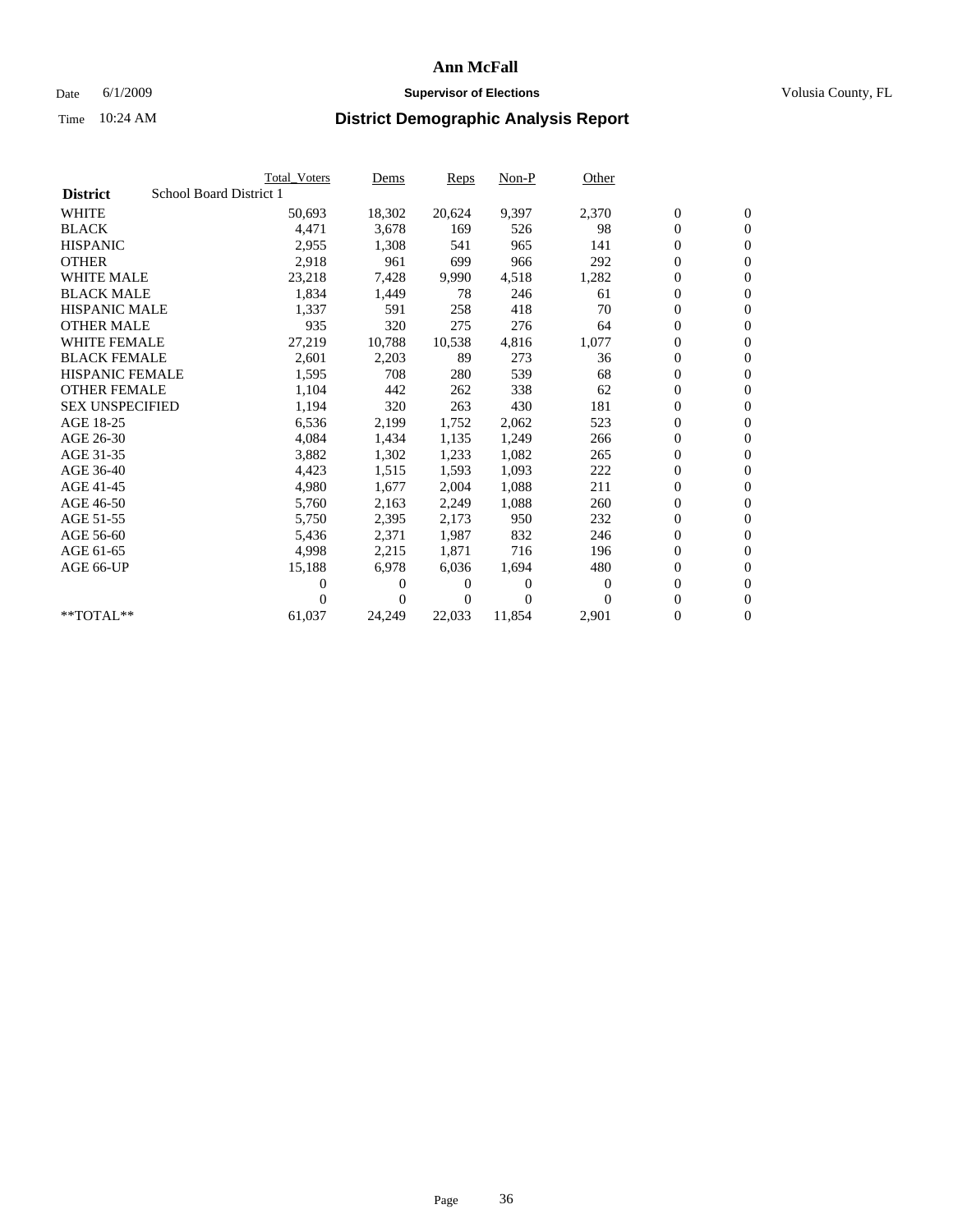### Date 6/1/2009 **Supervisor of Elections Supervisor of Elections** Volusia County, FL

|                        |                         | <b>Total Voters</b> | Dems           | <b>Reps</b> | $Non-P$  | Other    |                  |                  |  |
|------------------------|-------------------------|---------------------|----------------|-------------|----------|----------|------------------|------------------|--|
| <b>District</b>        | School Board District 1 |                     |                |             |          |          |                  |                  |  |
| <b>WHITE</b>           |                         | 50,693              | 18,302         | 20,624      | 9,397    | 2,370    | $\boldsymbol{0}$ | $\boldsymbol{0}$ |  |
| <b>BLACK</b>           |                         | 4,471               | 3,678          | 169         | 526      | 98       | $\overline{0}$   | $\mathbf{0}$     |  |
| <b>HISPANIC</b>        |                         | 2,955               | 1,308          | 541         | 965      | 141      | 0                | $\mathbf{0}$     |  |
| <b>OTHER</b>           |                         | 2,918               | 961            | 699         | 966      | 292      | 0                | $\mathbf{0}$     |  |
| <b>WHITE MALE</b>      |                         | 23,218              | 7,428          | 9,990       | 4,518    | 1,282    | 0                | $\mathbf{0}$     |  |
| <b>BLACK MALE</b>      |                         | 1,834               | 1,449          | 78          | 246      | 61       | $\boldsymbol{0}$ | $\mathbf{0}$     |  |
| <b>HISPANIC MALE</b>   |                         | 1,337               | 591            | 258         | 418      | 70       | 0                | $\mathbf{0}$     |  |
| <b>OTHER MALE</b>      |                         | 935                 | 320            | 275         | 276      | 64       | 0                | $\mathbf{0}$     |  |
| <b>WHITE FEMALE</b>    |                         | 27,219              | 10,788         | 10,538      | 4,816    | 1,077    | 0                | $\mathbf{0}$     |  |
| <b>BLACK FEMALE</b>    |                         | 2,601               | 2,203          | 89          | 273      | 36       | 0                | $\Omega$         |  |
| HISPANIC FEMALE        |                         | 1,595               | 708            | 280         | 539      | 68       | $\boldsymbol{0}$ | $\mathbf{0}$     |  |
| <b>OTHER FEMALE</b>    |                         | 1,104               | 442            | 262         | 338      | 62       | 0                | $\mathbf{0}$     |  |
| <b>SEX UNSPECIFIED</b> |                         | 1,194               | 320            | 263         | 430      | 181      | 0                | $\Omega$         |  |
| AGE 18-25              |                         | 6,536               | 2,199          | 1,752       | 2,062    | 523      | $\overline{0}$   | $\mathbf{0}$     |  |
| AGE 26-30              |                         | 4,084               | 1,434          | 1,135       | 1,249    | 266      | 0                | $\mathbf{0}$     |  |
| AGE 31-35              |                         | 3,882               | 1,302          | 1,233       | 1,082    | 265      | 0                | $\mathbf{0}$     |  |
| AGE 36-40              |                         | 4,423               | 1,515          | 1,593       | 1,093    | 222      | $\overline{0}$   | $\mathbf{0}$     |  |
| AGE 41-45              |                         | 4,980               | 1,677          | 2,004       | 1,088    | 211      | 0                | $\mathbf{0}$     |  |
| AGE 46-50              |                         | 5,760               | 2,163          | 2,249       | 1,088    | 260      | 0                | $\Omega$         |  |
| AGE 51-55              |                         | 5,750               | 2,395          | 2,173       | 950      | 232      | $\boldsymbol{0}$ | $\mathbf{0}$     |  |
| AGE 56-60              |                         | 5,436               | 2,371          | 1.987       | 832      | 246      | 0                | $\mathbf{0}$     |  |
| AGE 61-65              |                         | 4,998               | 2,215          | 1,871       | 716      | 196      | 0                | $\Omega$         |  |
| AGE 66-UP              |                         | 15,188              | 6,978          | 6,036       | 1,694    | 480      | $\overline{0}$   | $\mathbf{0}$     |  |
|                        |                         | 0                   | 0              | 0           | $\theta$ | $\Omega$ | 0                | $\mathbf{0}$     |  |
|                        |                         | 0                   | $\overline{0}$ | 0           | $\Omega$ | $\Omega$ | 0                | $\mathbf{0}$     |  |
| $*$ TOTAL $**$         |                         | 61,037              | 24,249         | 22,033      | 11,854   | 2,901    | 0                | $\boldsymbol{0}$ |  |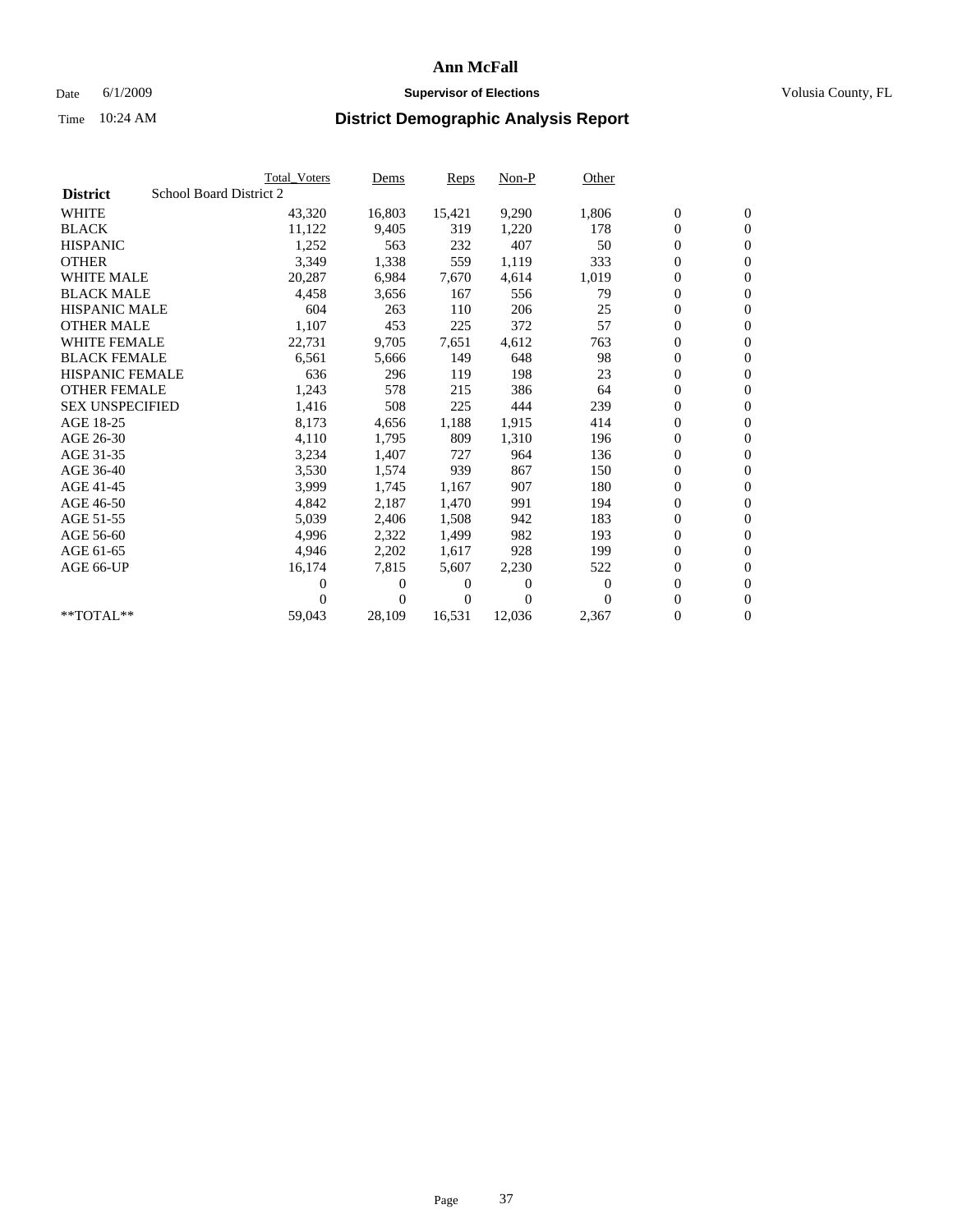## Date 6/1/2009 **Supervisor of Elections Supervisor of Elections** Volusia County, FL

|                        | <b>Total Voters</b>     | <u>Dems</u> | <b>Reps</b> | $Non-P$  | Other    |                  |                  |  |
|------------------------|-------------------------|-------------|-------------|----------|----------|------------------|------------------|--|
| <b>District</b>        | School Board District 2 |             |             |          |          |                  |                  |  |
| <b>WHITE</b>           | 43,320                  | 16,803      | 15,421      | 9,290    | 1,806    | $\boldsymbol{0}$ | $\boldsymbol{0}$ |  |
| <b>BLACK</b>           | 11,122                  | 9,405       | 319         | 1,220    | 178      | $\boldsymbol{0}$ | $\mathbf{0}$     |  |
| <b>HISPANIC</b>        | 1,252                   | 563         | 232         | 407      | 50       | $\overline{0}$   | $\mathbf{0}$     |  |
| <b>OTHER</b>           | 3,349                   | 1,338       | 559         | 1,119    | 333      | 0                | $\mathbf{0}$     |  |
| <b>WHITE MALE</b>      | 20,287                  | 6,984       | 7,670       | 4,614    | 1,019    | $\boldsymbol{0}$ | $\mathbf{0}$     |  |
| <b>BLACK MALE</b>      | 4,458                   | 3,656       | 167         | 556      | 79       | $\boldsymbol{0}$ | $\mathbf{0}$     |  |
| <b>HISPANIC MALE</b>   | 604                     | 263         | 110         | 206      | 25       | $\boldsymbol{0}$ | $\overline{0}$   |  |
| <b>OTHER MALE</b>      | 1,107                   | 453         | 225         | 372      | 57       | $\boldsymbol{0}$ | $\mathbf{0}$     |  |
| <b>WHITE FEMALE</b>    | 22,731                  | 9,705       | 7,651       | 4,612    | 763      | $\overline{0}$   | $\mathbf{0}$     |  |
| <b>BLACK FEMALE</b>    | 6,561                   | 5,666       | 149         | 648      | 98       | $\boldsymbol{0}$ | $\mathbf{0}$     |  |
| HISPANIC FEMALE        | 636                     | 296         | 119         | 198      | 23       | 0                | $\mathbf{0}$     |  |
| <b>OTHER FEMALE</b>    | 1,243                   | 578         | 215         | 386      | 64       | 0                | $\mathbf{0}$     |  |
| <b>SEX UNSPECIFIED</b> | 1,416                   | 508         | 225         | 444      | 239      | $\overline{0}$   | $\mathbf{0}$     |  |
| AGE 18-25              | 8,173                   | 4,656       | 1,188       | 1,915    | 414      | 0                | $\mathbf{0}$     |  |
| AGE 26-30              | 4,110                   | 1,795       | 809         | 1,310    | 196      | 0                | $\mathbf{0}$     |  |
| AGE 31-35              | 3,234                   | 1,407       | 727         | 964      | 136      | $\boldsymbol{0}$ | $\mathbf{0}$     |  |
| AGE 36-40              | 3,530                   | 1,574       | 939         | 867      | 150      | 0                | $\mathbf{0}$     |  |
| AGE 41-45              | 3,999                   | 1,745       | 1.167       | 907      | 180      | 0                | $\mathbf{0}$     |  |
| AGE 46-50              | 4,842                   | 2,187       | 1,470       | 991      | 194      | $\boldsymbol{0}$ | $\mathbf{0}$     |  |
| AGE 51-55              | 5,039                   | 2,406       | 1,508       | 942      | 183      | 0                | $\mathbf{0}$     |  |
| AGE 56-60              | 4.996                   | 2,322       | 1,499       | 982      | 193      | 0                | $\mathbf{0}$     |  |
| AGE 61-65              | 4,946                   | 2,202       | 1,617       | 928      | 199      | $\overline{0}$   | $\mathbf{0}$     |  |
| AGE 66-UP              | 16,174                  | 7,815       | 5,607       | 2,230    | 522      | $\boldsymbol{0}$ | $\mathbf{0}$     |  |
|                        | 0                       | 0           | 0           | 0        | $\bf{0}$ | 0                | $\mathbf{0}$     |  |
|                        | 0                       | $\Omega$    | $\Omega$    | $\Omega$ | $\Omega$ | $\boldsymbol{0}$ | $\mathbf{0}$     |  |
| $*$ TOTAL $*$          | 59,043                  | 28,109      | 16,531      | 12,036   | 2,367    | 0                | $\mathbf{0}$     |  |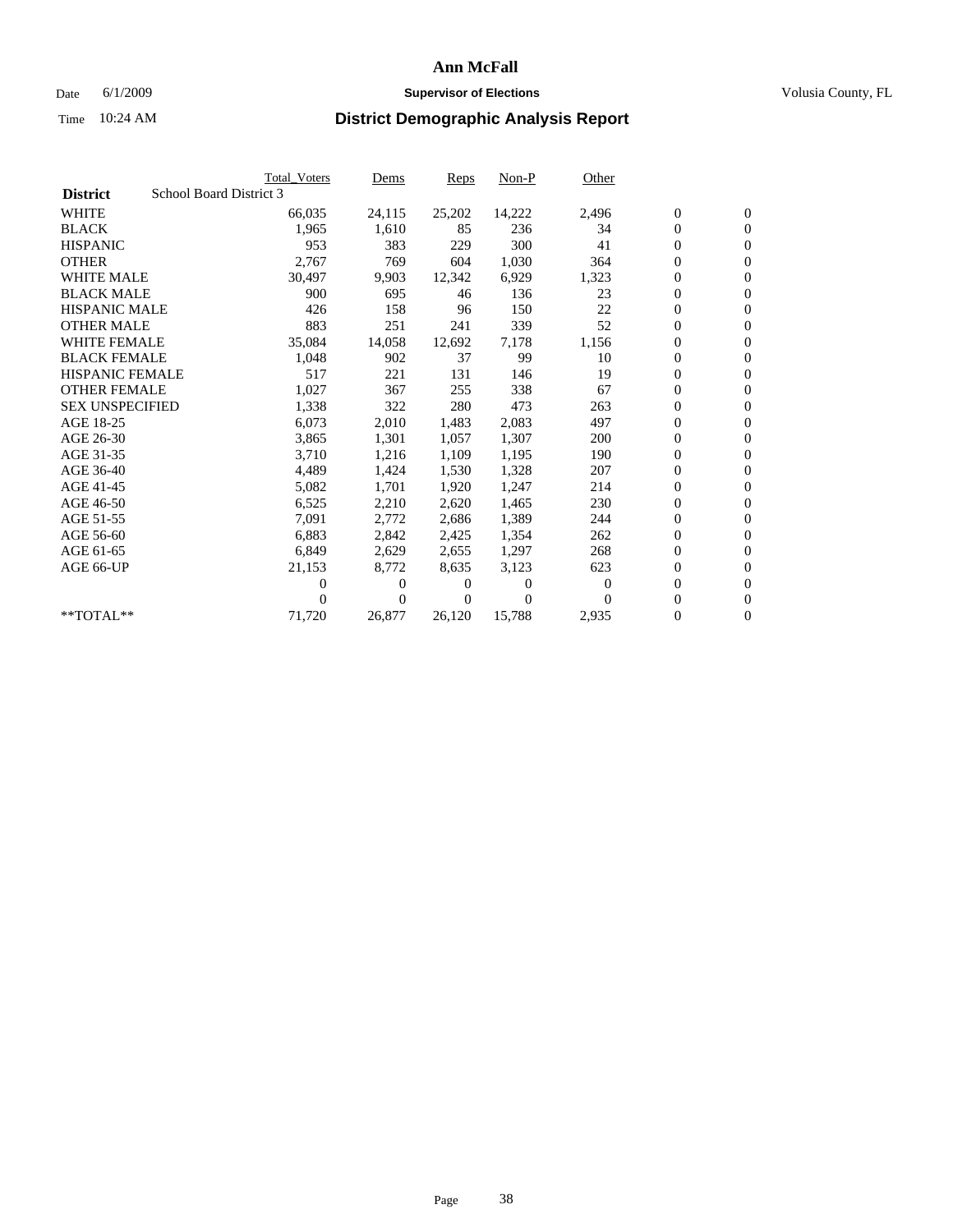### Date 6/1/2009 **Supervisor of Elections Supervisor of Elections** Volusia County, FL

|                        |                         | <b>Total Voters</b> | Dems         | Reps   | $Non-P$  | Other    |                  |                  |  |
|------------------------|-------------------------|---------------------|--------------|--------|----------|----------|------------------|------------------|--|
| <b>District</b>        | School Board District 3 |                     |              |        |          |          |                  |                  |  |
| <b>WHITE</b>           |                         | 66,035              | 24,115       | 25,202 | 14,222   | 2,496    | $\boldsymbol{0}$ | $\mathbf{0}$     |  |
| <b>BLACK</b>           |                         | 1,965               | 1,610        | 85     | 236      | 34       | $\overline{0}$   | $\mathbf{0}$     |  |
| <b>HISPANIC</b>        |                         | 953                 | 383          | 229    | 300      | 41       | 0                | $\mathbf{0}$     |  |
| <b>OTHER</b>           |                         | 2,767               | 769          | 604    | 1,030    | 364      | 0                | $\mathbf{0}$     |  |
| <b>WHITE MALE</b>      |                         | 30,497              | 9,903        | 12,342 | 6,929    | 1,323    | 0                | $\mathbf{0}$     |  |
| <b>BLACK MALE</b>      |                         | 900                 | 695          | 46     | 136      | 23       | $\boldsymbol{0}$ | $\mathbf{0}$     |  |
| <b>HISPANIC MALE</b>   |                         | 426                 | 158          | 96     | 150      | 22       | 0                | $\mathbf{0}$     |  |
| <b>OTHER MALE</b>      |                         | 883                 | 251          | 241    | 339      | 52       | 0                | $\mathbf{0}$     |  |
| <b>WHITE FEMALE</b>    |                         | 35,084              | 14,058       | 12,692 | 7,178    | 1,156    | 0                | $\mathbf{0}$     |  |
| <b>BLACK FEMALE</b>    |                         | 1,048               | 902          | 37     | 99       | 10       | 0                | $\Omega$         |  |
| HISPANIC FEMALE        |                         | 517                 | 221          | 131    | 146      | 19       | 0                | $\mathbf{0}$     |  |
| <b>OTHER FEMALE</b>    |                         | 1,027               | 367          | 255    | 338      | 67       | 0                | $\mathbf{0}$     |  |
| <b>SEX UNSPECIFIED</b> |                         | 1,338               | 322          | 280    | 473      | 263      | 0                | $\Omega$         |  |
| AGE 18-25              |                         | 6,073               | 2,010        | 1,483  | 2,083    | 497      | $\overline{0}$   | $\mathbf{0}$     |  |
| AGE 26-30              |                         | 3,865               | 1,301        | 1,057  | 1,307    | 200      | 0                | $\mathbf{0}$     |  |
| AGE 31-35              |                         | 3,710               | 1,216        | 1,109  | 1,195    | 190      | 0                | $\mathbf{0}$     |  |
| AGE 36-40              |                         | 4,489               | 1,424        | 1,530  | 1,328    | 207      | 0                | $\mathbf{0}$     |  |
| AGE 41-45              |                         | 5,082               | 1,701        | 1,920  | 1,247    | 214      | 0                | $\mathbf{0}$     |  |
| AGE 46-50              |                         | 6,525               | 2,210        | 2,620  | 1,465    | 230      | 0                | $\Omega$         |  |
| AGE 51-55              |                         | 7,091               | 2,772        | 2,686  | 1,389    | 244      | $\boldsymbol{0}$ | $\mathbf{0}$     |  |
| AGE 56-60              |                         | 6,883               | 2.842        | 2,425  | 1.354    | 262      | 0                | $\mathbf{0}$     |  |
| AGE 61-65              |                         | 6,849               | 2,629        | 2,655  | 1,297    | 268      | 0                | $\Omega$         |  |
| AGE 66-UP              |                         | 21,153              | 8,772        | 8,635  | 3,123    | 623      | $\overline{0}$   | $\mathbf{0}$     |  |
|                        |                         | 0                   | 0            | 0      | $\theta$ | $\Omega$ | 0                | $\mathbf{0}$     |  |
|                        |                         | 0                   | $\mathbf{0}$ | 0      | $\Omega$ | $\Omega$ | 0                | $\mathbf{0}$     |  |
| $*$ TOTAL $**$         |                         | 71,720              | 26,877       | 26,120 | 15,788   | 2,935    | 0                | $\boldsymbol{0}$ |  |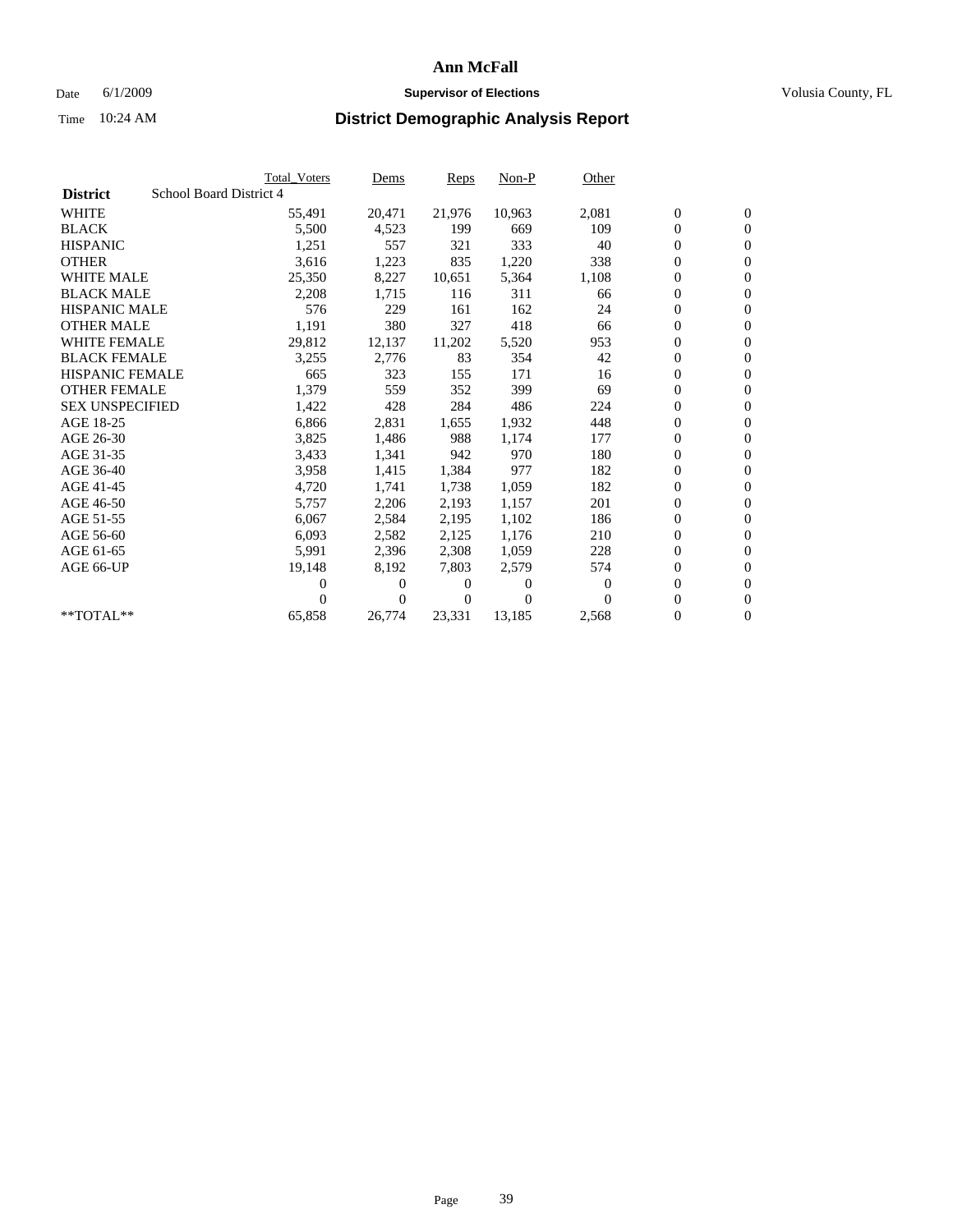## Date 6/1/2009 **Supervisor of Elections Supervisor of Elections** Volusia County, FL

|                                            | <b>Total Voters</b> | Dems           | <b>Reps</b> | $Non-P$  | Other    |                  |                  |  |
|--------------------------------------------|---------------------|----------------|-------------|----------|----------|------------------|------------------|--|
| School Board District 4<br><b>District</b> |                     |                |             |          |          |                  |                  |  |
| <b>WHITE</b>                               | 55,491              | 20,471         | 21,976      | 10,963   | 2,081    | $\boldsymbol{0}$ | $\boldsymbol{0}$ |  |
| <b>BLACK</b>                               | 5,500               | 4,523          | 199         | 669      | 109      | $\overline{0}$   | $\mathbf{0}$     |  |
| <b>HISPANIC</b>                            | 1,251               | 557            | 321         | 333      | 40       | $\overline{0}$   | $\mathbf{0}$     |  |
| <b>OTHER</b>                               | 3,616               | 1,223          | 835         | 1,220    | 338      | 0                | $\mathbf{0}$     |  |
| <b>WHITE MALE</b>                          | 25,350              | 8,227          | 10,651      | 5,364    | 1,108    | $\boldsymbol{0}$ | $\mathbf{0}$     |  |
| <b>BLACK MALE</b>                          | 2,208               | 1,715          | 116         | 311      | 66       | $\boldsymbol{0}$ | $\mathbf{0}$     |  |
| <b>HISPANIC MALE</b>                       | 576                 | 229            | 161         | 162      | 24       | 0                | $\overline{0}$   |  |
| <b>OTHER MALE</b>                          | 1,191               | 380            | 327         | 418      | 66       | $\boldsymbol{0}$ | $\mathbf{0}$     |  |
| <b>WHITE FEMALE</b>                        | 29,812              | 12,137         | 11,202      | 5,520    | 953      | $\mathbf{0}$     | $\mathbf{0}$     |  |
| <b>BLACK FEMALE</b>                        | 3,255               | 2,776          | 83          | 354      | 42       | $\boldsymbol{0}$ | $\Omega$         |  |
| <b>HISPANIC FEMALE</b>                     | 665                 | 323            | 155         | 171      | 16       | $\boldsymbol{0}$ | $\mathbf{0}$     |  |
| <b>OTHER FEMALE</b>                        | 1,379               | 559            | 352         | 399      | 69       | $\mathbf{0}$     | $\mathbf{0}$     |  |
| <b>SEX UNSPECIFIED</b>                     | 1,422               | 428            | 284         | 486      | 224      | $\boldsymbol{0}$ | $\mathbf{0}$     |  |
| AGE 18-25                                  | 6,866               | 2,831          | 1,655       | 1,932    | 448      | $\boldsymbol{0}$ | $\mathbf{0}$     |  |
| AGE 26-30                                  | 3,825               | 1,486          | 988         | 1,174    | 177      | $\overline{0}$   | $\mathbf{0}$     |  |
| AGE 31-35                                  | 3,433               | 1,341          | 942         | 970      | 180      | $\boldsymbol{0}$ | $\mathbf{0}$     |  |
| AGE 36-40                                  | 3,958               | 1,415          | 1,384       | 977      | 182      | $\boldsymbol{0}$ | $\mathbf{0}$     |  |
| AGE 41-45                                  | 4,720               | 1,741          | 1,738       | 1,059    | 182      | $\boldsymbol{0}$ | $\mathbf{0}$     |  |
| AGE 46-50                                  | 5,757               | 2,206          | 2,193       | 1,157    | 201      | 0                | $\Omega$         |  |
| AGE 51-55                                  | 6,067               | 2,584          | 2,195       | 1,102    | 186      | $\boldsymbol{0}$ | $\mathbf{0}$     |  |
| AGE 56-60                                  | 6,093               | 2,582          | 2,125       | 1,176    | 210      | $\mathbf{0}$     | $\mathbf{0}$     |  |
| AGE 61-65                                  | 5,991               | 2,396          | 2,308       | 1,059    | 228      | 0                | $\mathbf{0}$     |  |
| AGE 66-UP                                  | 19,148              | 8,192          | 7,803       | 2,579    | 574      | $\mathbf{0}$     | $\mathbf{0}$     |  |
|                                            | 0                   | $\overline{0}$ | 0           | 0        | $\bf{0}$ | $\overline{0}$   | $\mathbf{0}$     |  |
|                                            | 0                   | $\overline{0}$ | 0           | $\Omega$ | $\Omega$ | 0                | $\mathbf{0}$     |  |
| $*$ TOTAL $**$                             | 65,858              | 26,774         | 23,331      | 13,185   | 2,568    | $\boldsymbol{0}$ | $\boldsymbol{0}$ |  |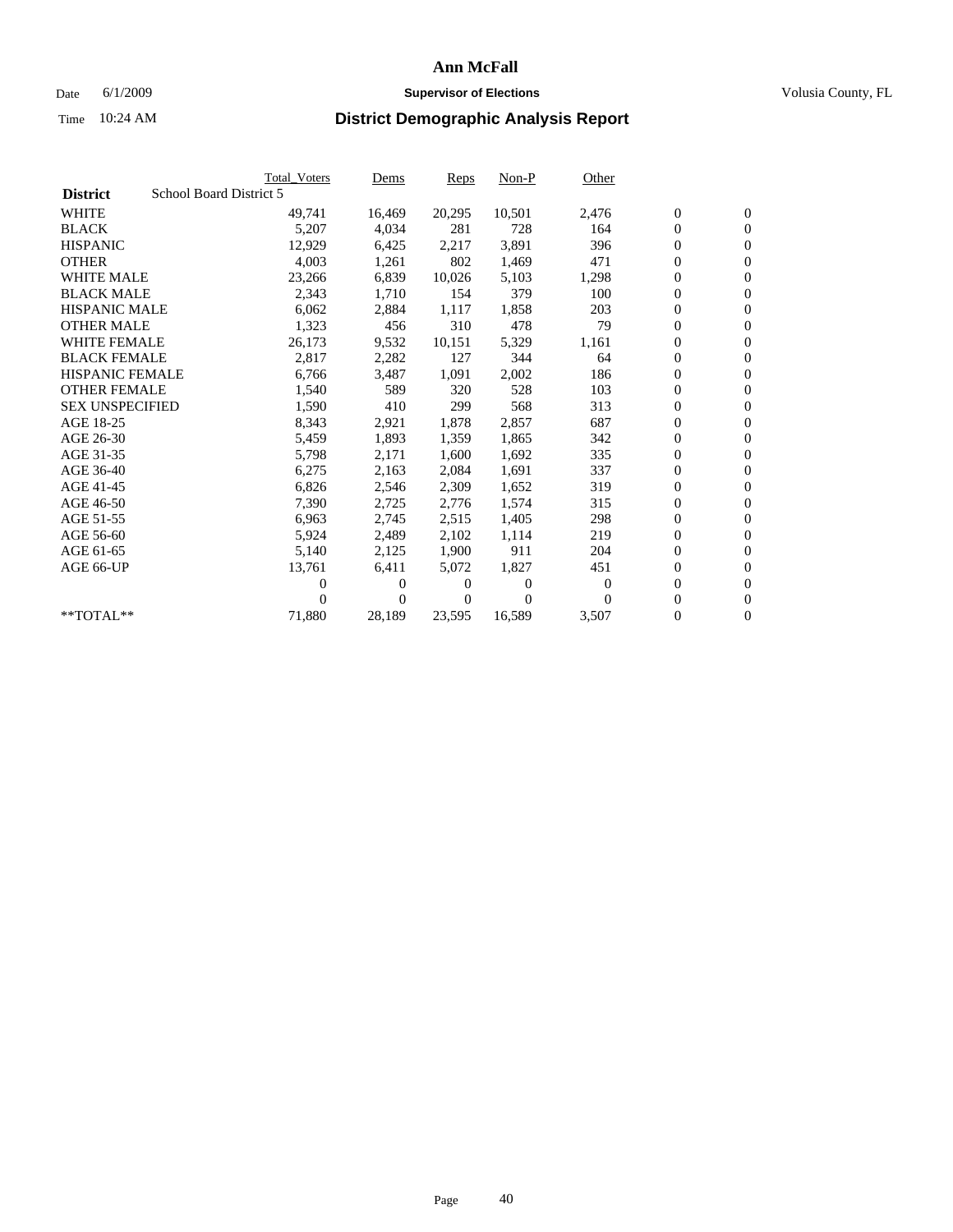## Date 6/1/2009 **Supervisor of Elections Supervisor of Elections** Volusia County, FL

|                        | <b>Total Voters</b>     | <u>Dems</u>    | <b>Reps</b> | $Non-P$      | Other    |                  |                  |  |
|------------------------|-------------------------|----------------|-------------|--------------|----------|------------------|------------------|--|
| <b>District</b>        | School Board District 5 |                |             |              |          |                  |                  |  |
| <b>WHITE</b>           | 49,741                  | 16,469         | 20,295      | 10,501       | 2,476    | $\boldsymbol{0}$ | $\boldsymbol{0}$ |  |
| <b>BLACK</b>           | 5,207                   | 4,034          | 281         | 728          | 164      | $\boldsymbol{0}$ | $\mathbf{0}$     |  |
| <b>HISPANIC</b>        | 12,929                  | 6,425          | 2,217       | 3,891        | 396      | $\boldsymbol{0}$ | $\mathbf{0}$     |  |
| <b>OTHER</b>           | 4,003                   | 1,261          | 802         | 1,469        | 471      | 0                | $\mathbf{0}$     |  |
| <b>WHITE MALE</b>      | 23,266                  | 6,839          | 10,026      | 5,103        | 1,298    | $\boldsymbol{0}$ | $\mathbf{0}$     |  |
| <b>BLACK MALE</b>      | 2,343                   | 1.710          | 154         | 379          | 100      | $\overline{0}$   | $\mathbf{0}$     |  |
| <b>HISPANIC MALE</b>   | 6,062                   | 2,884          | 1,117       | 1,858        | 203      | 0                | $\mathbf{0}$     |  |
| <b>OTHER MALE</b>      | 1,323                   | 456            | 310         | 478          | 79       | $\overline{0}$   | $\mathbf{0}$     |  |
| <b>WHITE FEMALE</b>    | 26,173                  | 9,532          | 10,151      | 5,329        | 1,161    | $\boldsymbol{0}$ | $\mathbf{0}$     |  |
| <b>BLACK FEMALE</b>    | 2,817                   | 2,282          | 127         | 344          | 64       | $\boldsymbol{0}$ | $\mathbf{0}$     |  |
| <b>HISPANIC FEMALE</b> | 6,766                   | 3,487          | 1,091       | 2,002        | 186      | $\boldsymbol{0}$ | $\mathbf{0}$     |  |
| <b>OTHER FEMALE</b>    | 1,540                   | 589            | 320         | 528          | 103      | $\mathbf{0}$     | $\mathbf{0}$     |  |
| <b>SEX UNSPECIFIED</b> | 1,590                   | 410            | 299         | 568          | 313      | $\boldsymbol{0}$ | $\mathbf{0}$     |  |
| AGE 18-25              | 8,343                   | 2,921          | 1,878       | 2,857        | 687      | $\boldsymbol{0}$ | $\mathbf{0}$     |  |
| AGE 26-30              | 5,459                   | 1,893          | 1,359       | 1,865        | 342      | $\overline{0}$   | $\mathbf{0}$     |  |
| AGE 31-35              | 5,798                   | 2,171          | 1,600       | 1,692        | 335      | $\boldsymbol{0}$ | $\mathbf{0}$     |  |
| AGE 36-40              | 6,275                   | 2,163          | 2,084       | 1,691        | 337      | $\boldsymbol{0}$ | $\mathbf{0}$     |  |
| AGE 41-45              | 6,826                   | 2,546          | 2,309       | 1,652        | 319      | $\boldsymbol{0}$ | $\mathbf{0}$     |  |
| AGE 46-50              | 7,390                   | 2,725          | 2,776       | 1,574        | 315      | $\boldsymbol{0}$ | $\mathbf{0}$     |  |
| AGE 51-55              | 6,963                   | 2,745          | 2,515       | 1,405        | 298      | $\boldsymbol{0}$ | $\mathbf{0}$     |  |
| AGE 56-60              | 5,924                   | 2,489          | 2,102       | 1,114        | 219      | $\overline{0}$   | $\mathbf{0}$     |  |
| AGE 61-65              | 5,140                   | 2,125          | 1,900       | 911          | 204      | 0                | $\mathbf{0}$     |  |
| AGE 66-UP              | 13,761                  | 6,411          | 5,072       | 1,827        | 451      | $\boldsymbol{0}$ | $\mathbf{0}$     |  |
|                        | 0                       | $\overline{0}$ | 0           | $\mathbf{0}$ | $\bf{0}$ | $\mathbf{0}$     | $\mathbf{0}$     |  |
|                        | 0                       | $\overline{0}$ | 0           | $\Omega$     | 0        | 0                | $\mathbf{0}$     |  |
| **TOTAL**              | 71,880                  | 28,189         | 23,595      | 16,589       | 3,507    | 0                | $\boldsymbol{0}$ |  |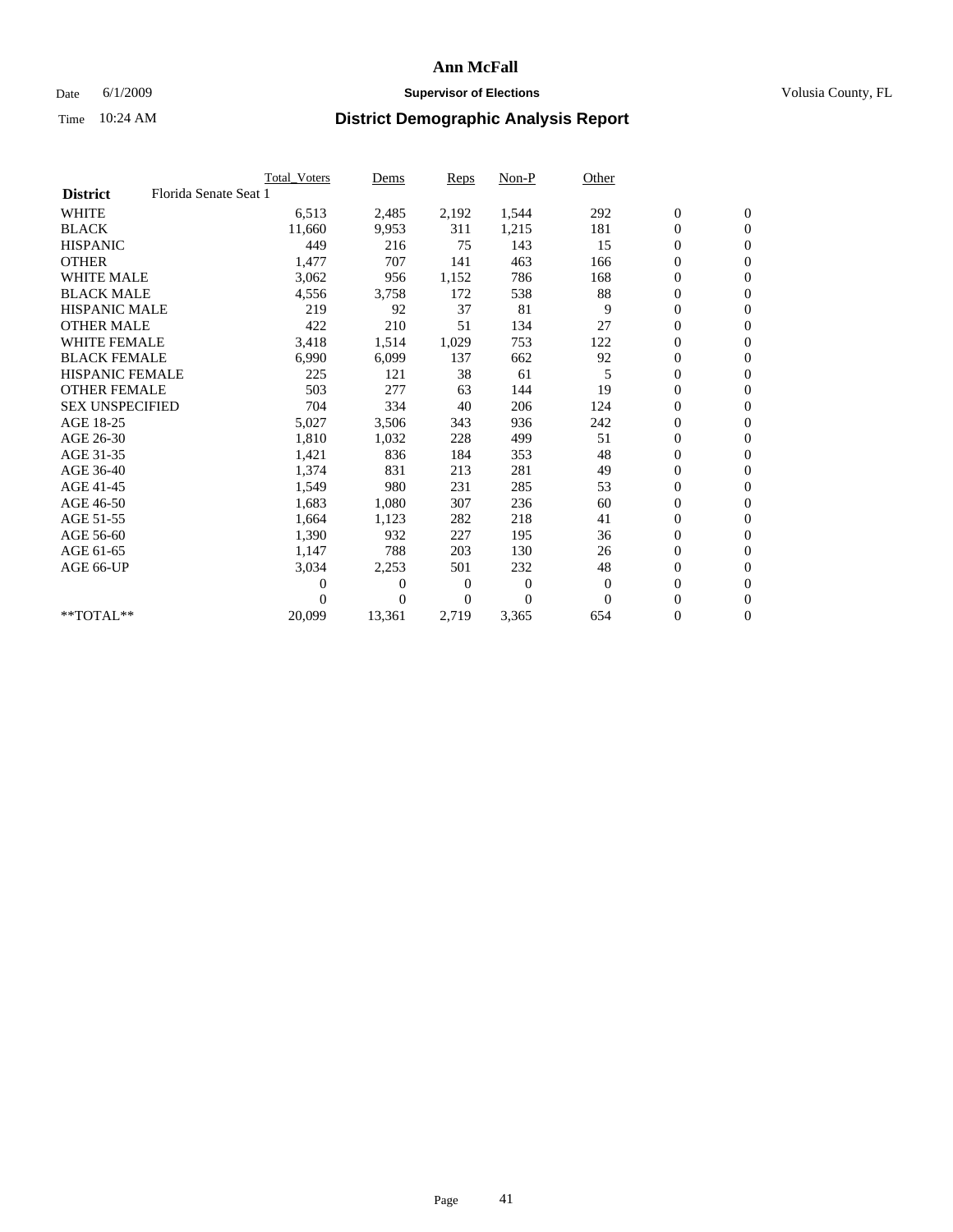## Date 6/1/2009 **Supervisor of Elections Supervisor of Elections** Volusia County, FL

|                        |                       | Total Voters | Dems     | <b>Reps</b> | $Non-P$        | Other        |                  |                  |  |
|------------------------|-----------------------|--------------|----------|-------------|----------------|--------------|------------------|------------------|--|
| <b>District</b>        | Florida Senate Seat 1 |              |          |             |                |              |                  |                  |  |
| <b>WHITE</b>           |                       | 6,513        | 2,485    | 2,192       | 1,544          | 292          | $\boldsymbol{0}$ | $\boldsymbol{0}$ |  |
| <b>BLACK</b>           |                       | 11,660       | 9,953    | 311         | 1,215          | 181          | $\boldsymbol{0}$ | $\mathbf{0}$     |  |
| <b>HISPANIC</b>        |                       | 449          | 216      | 75          | 143            | 15           | $\overline{0}$   | $\mathbf{0}$     |  |
| <b>OTHER</b>           |                       | 1,477        | 707      | 141         | 463            | 166          | 0                | $\mathbf{0}$     |  |
| <b>WHITE MALE</b>      |                       | 3,062        | 956      | 1,152       | 786            | 168          | $\boldsymbol{0}$ | $\mathbf{0}$     |  |
| <b>BLACK MALE</b>      |                       | 4,556        | 3,758    | 172         | 538            | 88           | $\boldsymbol{0}$ | $\mathbf{0}$     |  |
| <b>HISPANIC MALE</b>   |                       | 219          | 92       | 37          | 81             | 9            | $\boldsymbol{0}$ | $\mathbf{0}$     |  |
| <b>OTHER MALE</b>      |                       | 422          | 210      | 51          | 134            | 27           | 0                | $\mathbf{0}$     |  |
| <b>WHITE FEMALE</b>    |                       | 3,418        | 1,514    | 1,029       | 753            | 122          | $\overline{0}$   | $\mathbf{0}$     |  |
| <b>BLACK FEMALE</b>    |                       | 6,990        | 6,099    | 137         | 662            | 92           | $\boldsymbol{0}$ | $\mathbf{0}$     |  |
| HISPANIC FEMALE        |                       | 225          | 121      | 38          | 61             | 5            | $\boldsymbol{0}$ | $\mathbf{0}$     |  |
| <b>OTHER FEMALE</b>    |                       | 503          | 277      | 63          | 144            | 19           | $\mathbf{0}$     | $\mathbf{0}$     |  |
| <b>SEX UNSPECIFIED</b> |                       | 704          | 334      | 40          | 206            | 124          | $\boldsymbol{0}$ | $\mathbf{0}$     |  |
| AGE 18-25              |                       | 5,027        | 3,506    | 343         | 936            | 242          | 0                | $\mathbf{0}$     |  |
| AGE 26-30              |                       | 1,810        | 1,032    | 228         | 499            | 51           | $\overline{0}$   | $\mathbf{0}$     |  |
| AGE 31-35              |                       | 1,421        | 836      | 184         | 353            | 48           | $\boldsymbol{0}$ | $\mathbf{0}$     |  |
| AGE 36-40              |                       | 1,374        | 831      | 213         | 281            | 49           | 0                | $\mathbf{0}$     |  |
| AGE 41-45              |                       | 1,549        | 980      | 231         | 285            | 53           | $\overline{0}$   | $\mathbf{0}$     |  |
| AGE 46-50              |                       | 1,683        | 1,080    | 307         | 236            | 60           | $\boldsymbol{0}$ | $\mathbf{0}$     |  |
| AGE 51-55              |                       | 1,664        | 1,123    | 282         | 218            | 41           | $\boldsymbol{0}$ | $\mathbf{0}$     |  |
| AGE 56-60              |                       | 1,390        | 932      | 227         | 195            | 36           | $\boldsymbol{0}$ | $\Omega$         |  |
| AGE 61-65              |                       | 1,147        | 788      | 203         | 130            | 26           | $\mathbf{0}$     | $\mathbf{0}$     |  |
| AGE 66-UP              |                       | 3,034        | 2,253    | 501         | 232            | 48           | $\boldsymbol{0}$ | $\mathbf{0}$     |  |
|                        |                       | 0            | 0        | 0           | $\overline{0}$ | $\mathbf{0}$ | $\overline{0}$   | $\mathbf{0}$     |  |
|                        |                       | $\theta$     | $\theta$ | $\Omega$    | $\Omega$       | $\Omega$     | $\boldsymbol{0}$ | $\boldsymbol{0}$ |  |
| $*$ TOTAL $**$         |                       | 20,099       | 13,361   | 2,719       | 3,365          | 654          | 0                | $\mathbf{0}$     |  |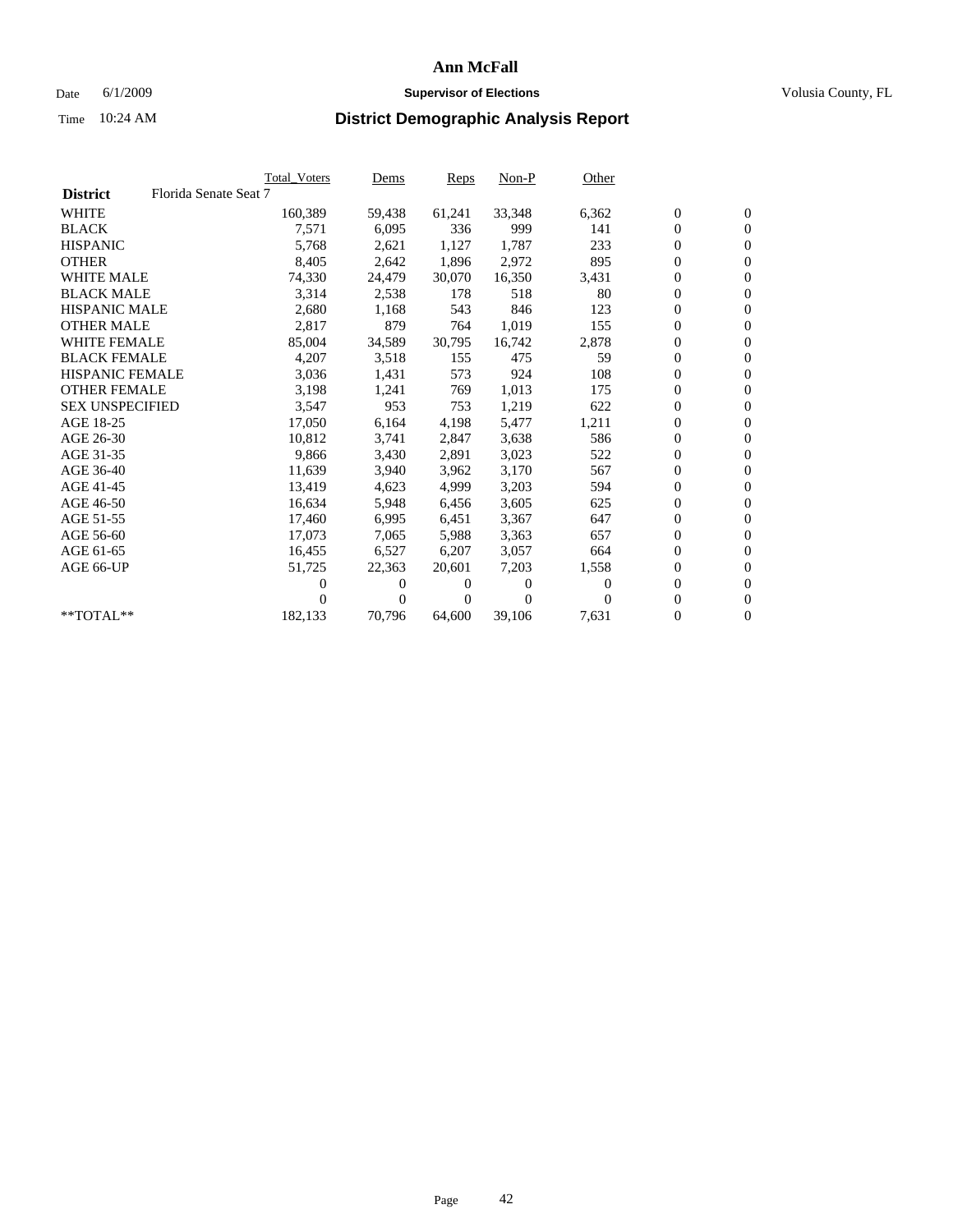## Date 6/1/2009 **Supervisor of Elections Supervisor of Elections** Volusia County, FL

|                        |                       | <b>Total Voters</b> | <u>Dems</u>    | <b>Reps</b> | $Non-P$      | Other    |                  |                  |  |
|------------------------|-----------------------|---------------------|----------------|-------------|--------------|----------|------------------|------------------|--|
| <b>District</b>        | Florida Senate Seat 7 |                     |                |             |              |          |                  |                  |  |
| <b>WHITE</b>           |                       | 160,389             | 59,438         | 61,241      | 33,348       | 6,362    | $\boldsymbol{0}$ | $\boldsymbol{0}$ |  |
| <b>BLACK</b>           |                       | 7,571               | 6,095          | 336         | 999          | 141      | $\boldsymbol{0}$ | $\mathbf{0}$     |  |
| <b>HISPANIC</b>        |                       | 5,768               | 2,621          | 1,127       | 1,787        | 233      | $\boldsymbol{0}$ | $\mathbf{0}$     |  |
| <b>OTHER</b>           |                       | 8,405               | 2,642          | 1,896       | 2,972        | 895      | 0                | $\overline{0}$   |  |
| <b>WHITE MALE</b>      |                       | 74,330              | 24,479         | 30,070      | 16,350       | 3,431    | $\boldsymbol{0}$ | $\mathbf{0}$     |  |
| <b>BLACK MALE</b>      |                       | 3,314               | 2,538          | 178         | 518          | 80       | $\overline{0}$   | $\mathbf{0}$     |  |
| <b>HISPANIC MALE</b>   |                       | 2,680               | 1,168          | 543         | 846          | 123      | 0                | $\overline{0}$   |  |
| <b>OTHER MALE</b>      |                       | 2,817               | 879            | 764         | 1,019        | 155      | $\overline{0}$   | $\mathbf{0}$     |  |
| <b>WHITE FEMALE</b>    |                       | 85,004              | 34,589         | 30,795      | 16,742       | 2,878    | $\boldsymbol{0}$ | $\mathbf{0}$     |  |
| <b>BLACK FEMALE</b>    |                       | 4,207               | 3,518          | 155         | 475          | 59       | $\boldsymbol{0}$ | $\overline{0}$   |  |
| <b>HISPANIC FEMALE</b> |                       | 3,036               | 1,431          | 573         | 924          | 108      | 0                | $\mathbf{0}$     |  |
| <b>OTHER FEMALE</b>    |                       | 3,198               | 1,241          | 769         | 1,013        | 175      | $\overline{0}$   | $\mathbf{0}$     |  |
| <b>SEX UNSPECIFIED</b> |                       | 3,547               | 953            | 753         | 1,219        | 622      | $\boldsymbol{0}$ | $\mathbf{0}$     |  |
| AGE 18-25              |                       | 17,050              | 6,164          | 4,198       | 5,477        | 1,211    | $\boldsymbol{0}$ | $\mathbf{0}$     |  |
| AGE 26-30              |                       | 10,812              | 3,741          | 2,847       | 3,638        | 586      | 0                | $\mathbf{0}$     |  |
| AGE 31-35              |                       | 9,866               | 3,430          | 2,891       | 3,023        | 522      | $\boldsymbol{0}$ | $\mathbf{0}$     |  |
| AGE 36-40              |                       | 11,639              | 3,940          | 3,962       | 3,170        | 567      | $\boldsymbol{0}$ | $\mathbf{0}$     |  |
| AGE 41-45              |                       | 13,419              | 4,623          | 4,999       | 3,203        | 594      | 0                | $\mathbf{0}$     |  |
| AGE 46-50              |                       | 16,634              | 5,948          | 6,456       | 3,605        | 625      | $\boldsymbol{0}$ | $\overline{0}$   |  |
| AGE 51-55              |                       | 17,460              | 6,995          | 6,451       | 3,367        | 647      | $\boldsymbol{0}$ | $\mathbf{0}$     |  |
| AGE 56-60              |                       | 17.073              | 7.065          | 5.988       | 3,363        | 657      | $\overline{0}$   | $\mathbf{0}$     |  |
| AGE 61-65              |                       | 16,455              | 6,527          | 6,207       | 3,057        | 664      | 0                | $\mathbf{0}$     |  |
| AGE 66-UP              |                       | 51,725              | 22,363         | 20,601      | 7,203        | 1,558    | 0                | $\mathbf{0}$     |  |
|                        |                       | 0                   | 0              | 0           | $\mathbf{0}$ | $\Omega$ | $\mathbf{0}$     | $\mathbf{0}$     |  |
|                        |                       | 0                   | $\overline{0}$ | 0           | $\Omega$     | 0        | 0                | $\mathbf{0}$     |  |
| **TOTAL**              |                       | 182,133             | 70,796         | 64,600      | 39,106       | 7,631    | 0                | $\boldsymbol{0}$ |  |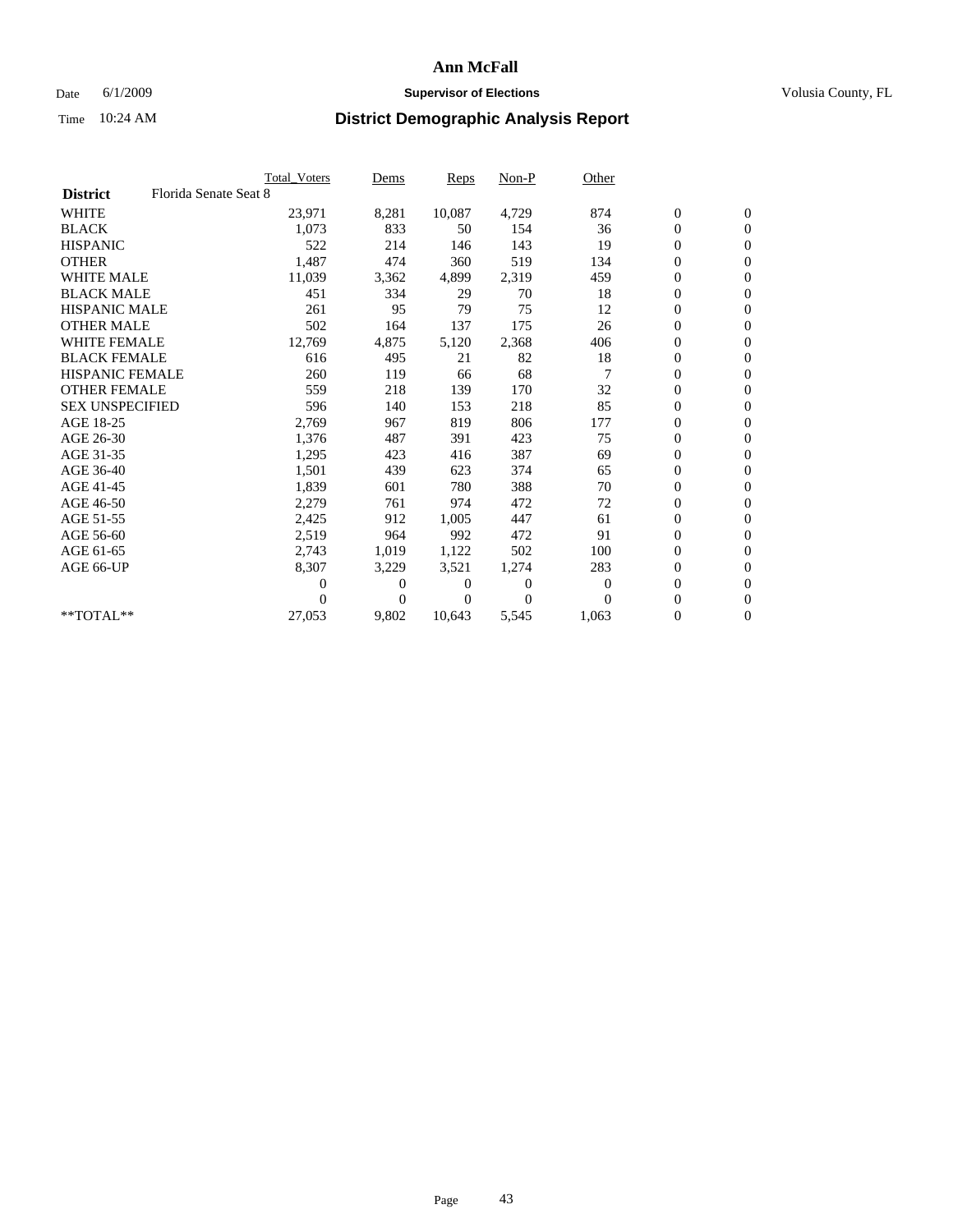## Date 6/1/2009 **Supervisor of Elections Supervisor of Elections** Volusia County, FL

|                        |                       | Total Voters | Dems           | <b>Reps</b> | $Non-P$        | Other        |                  |                  |  |
|------------------------|-----------------------|--------------|----------------|-------------|----------------|--------------|------------------|------------------|--|
| <b>District</b>        | Florida Senate Seat 8 |              |                |             |                |              |                  |                  |  |
| <b>WHITE</b>           |                       | 23,971       | 8,281          | 10,087      | 4,729          | 874          | $\boldsymbol{0}$ | $\boldsymbol{0}$ |  |
| <b>BLACK</b>           |                       | 1,073        | 833            | 50          | 154            | 36           | $\overline{0}$   | $\mathbf{0}$     |  |
| <b>HISPANIC</b>        |                       | 522          | 214            | 146         | 143            | 19           | $\overline{0}$   | $\mathbf{0}$     |  |
| <b>OTHER</b>           |                       | 1,487        | 474            | 360         | 519            | 134          | 0                | $\mathbf{0}$     |  |
| <b>WHITE MALE</b>      |                       | 11,039       | 3,362          | 4,899       | 2,319          | 459          | $\boldsymbol{0}$ | $\mathbf{0}$     |  |
| <b>BLACK MALE</b>      |                       | 451          | 334            | 29          | 70             | 18           | $\boldsymbol{0}$ | $\mathbf{0}$     |  |
| <b>HISPANIC MALE</b>   |                       | 261          | 95             | 79          | 75             | 12           | $\boldsymbol{0}$ | $\mathbf{0}$     |  |
| <b>OTHER MALE</b>      |                       | 502          | 164            | 137         | 175            | 26           | $\boldsymbol{0}$ | $\mathbf{0}$     |  |
| <b>WHITE FEMALE</b>    |                       | 12,769       | 4,875          | 5,120       | 2,368          | 406          | $\overline{0}$   | $\mathbf{0}$     |  |
| <b>BLACK FEMALE</b>    |                       | 616          | 495            | 21          | 82             | 18           | $\boldsymbol{0}$ | $\Omega$         |  |
| <b>HISPANIC FEMALE</b> |                       | 260          | 119            | 66          | 68             |              | $\boldsymbol{0}$ | $\mathbf{0}$     |  |
| <b>OTHER FEMALE</b>    |                       | 559          | 218            | 139         | 170            | 32           | $\overline{0}$   | $\mathbf{0}$     |  |
| <b>SEX UNSPECIFIED</b> |                       | 596          | 140            | 153         | 218            | 85           | $\boldsymbol{0}$ | $\mathbf{0}$     |  |
| AGE 18-25              |                       | 2,769        | 967            | 819         | 806            | 177          | $\boldsymbol{0}$ | $\mathbf{0}$     |  |
| AGE 26-30              |                       | 1,376        | 487            | 391         | 423            | 75           | $\overline{0}$   | $\mathbf{0}$     |  |
| AGE 31-35              |                       | 1,295        | 423            | 416         | 387            | 69           | $\boldsymbol{0}$ | $\mathbf{0}$     |  |
| AGE 36-40              |                       | 1,501        | 439            | 623         | 374            | 65           | $\boldsymbol{0}$ | $\mathbf{0}$     |  |
| AGE 41-45              |                       | 1,839        | 601            | 780         | 388            | 70           | $\boldsymbol{0}$ | $\mathbf{0}$     |  |
| AGE 46-50              |                       | 2,279        | 761            | 974         | 472            | 72           | 0                | $\Omega$         |  |
| AGE 51-55              |                       | 2,425        | 912            | 1,005       | 447            | 61           | $\boldsymbol{0}$ | $\mathbf{0}$     |  |
| AGE 56-60              |                       | 2,519        | 964            | 992         | 472            | 91           | $\mathbf{0}$     | $\mathbf{0}$     |  |
| AGE 61-65              |                       | 2,743        | 1,019          | 1,122       | 502            | 100          | 0                | $\Omega$         |  |
| AGE 66-UP              |                       | 8,307        | 3,229          | 3,521       | 1,274          | 283          | $\mathbf{0}$     | $\mathbf{0}$     |  |
|                        |                       | 0            | 0              | 0           | $\overline{0}$ | $\mathbf{0}$ | $\boldsymbol{0}$ | $\mathbf{0}$     |  |
|                        |                       | 0            | $\overline{0}$ | 0           | $\Omega$       | $\Omega$     | 0                | $\mathbf{0}$     |  |
| $*$ TOTAL $**$         |                       | 27,053       | 9,802          | 10,643      | 5,545          | 1,063        | $\boldsymbol{0}$ | $\boldsymbol{0}$ |  |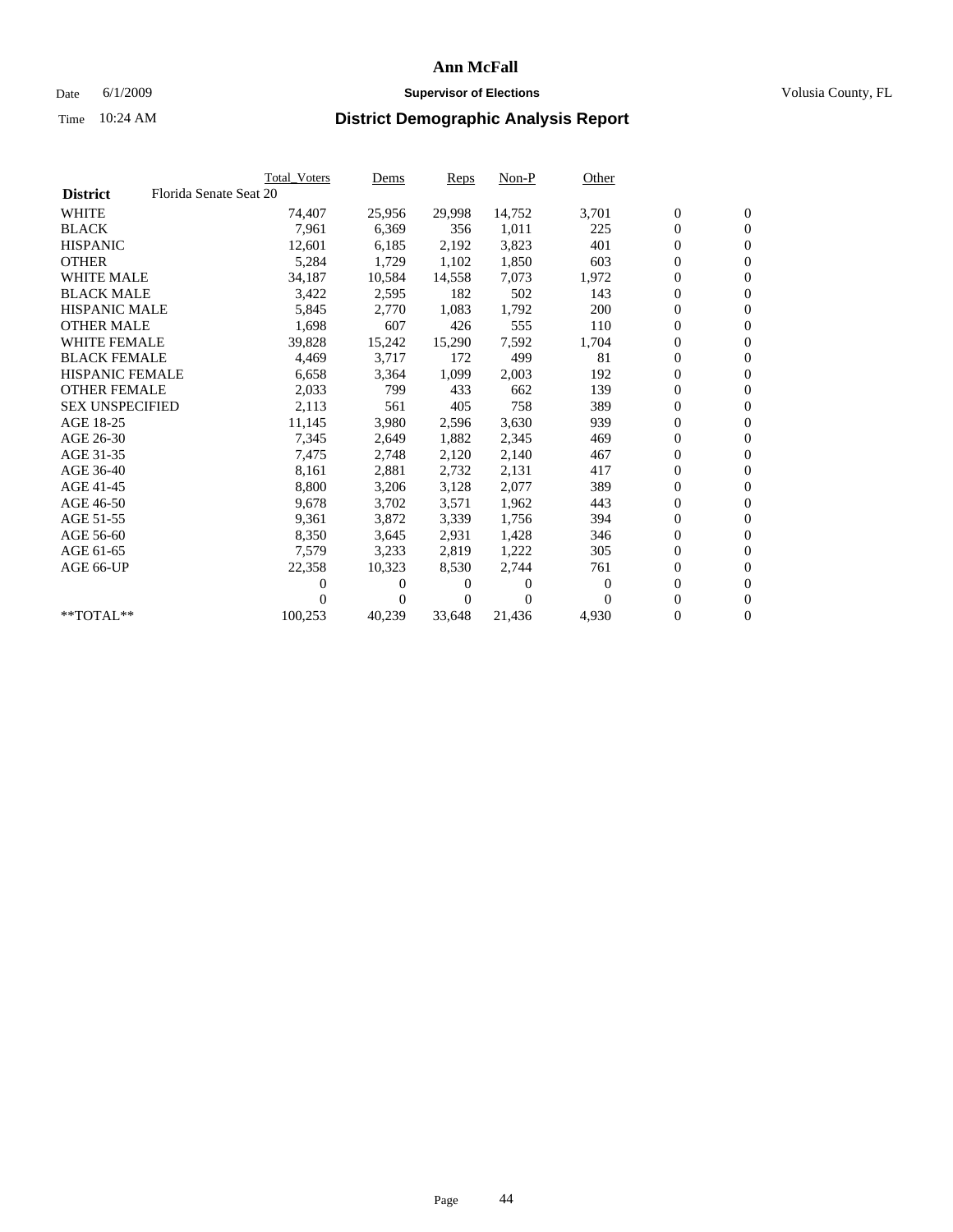## Date 6/1/2009 **Supervisor of Elections Supervisor of Elections** Volusia County, FL

|                        |                        | <b>Total Voters</b> | Dems     | Reps   | $Non-P$  | Other    |                  |                  |  |
|------------------------|------------------------|---------------------|----------|--------|----------|----------|------------------|------------------|--|
| <b>District</b>        | Florida Senate Seat 20 |                     |          |        |          |          |                  |                  |  |
| <b>WHITE</b>           |                        | 74,407              | 25,956   | 29,998 | 14,752   | 3,701    | $\boldsymbol{0}$ | $\boldsymbol{0}$ |  |
| <b>BLACK</b>           |                        | 7,961               | 6,369    | 356    | 1,011    | 225      | $\boldsymbol{0}$ | $\mathbf{0}$     |  |
| <b>HISPANIC</b>        |                        | 12,601              | 6,185    | 2,192  | 3,823    | 401      | 0                | $\mathbf{0}$     |  |
| <b>OTHER</b>           |                        | 5,284               | 1,729    | 1,102  | 1,850    | 603      | 0                | $\mathbf{0}$     |  |
| <b>WHITE MALE</b>      |                        | 34,187              | 10,584   | 14,558 | 7,073    | 1,972    | 0                | $\mathbf{0}$     |  |
| <b>BLACK MALE</b>      |                        | 3,422               | 2,595    | 182    | 502      | 143      | 0                | $\mathbf{0}$     |  |
| <b>HISPANIC MALE</b>   |                        | 5,845               | 2,770    | 1,083  | 1,792    | 200      | 0                | $\mathbf{0}$     |  |
| <b>OTHER MALE</b>      |                        | 1,698               | 607      | 426    | 555      | 110      | 0                | $\mathbf{0}$     |  |
| <b>WHITE FEMALE</b>    |                        | 39,828              | 15,242   | 15,290 | 7,592    | 1,704    | $\boldsymbol{0}$ | $\mathbf{0}$     |  |
| <b>BLACK FEMALE</b>    |                        | 4,469               | 3,717    | 172    | 499      | 81       | 0                | $\mathbf{0}$     |  |
| <b>HISPANIC FEMALE</b> |                        | 6,658               | 3,364    | 1,099  | 2,003    | 192      | 0                | $\mathbf{0}$     |  |
| <b>OTHER FEMALE</b>    |                        | 2,033               | 799      | 433    | 662      | 139      | 0                | $\mathbf{0}$     |  |
| <b>SEX UNSPECIFIED</b> |                        | 2,113               | 561      | 405    | 758      | 389      | 0                | $\mathbf{0}$     |  |
| AGE 18-25              |                        | 11,145              | 3,980    | 2,596  | 3,630    | 939      | 0                | $\mathbf{0}$     |  |
| AGE 26-30              |                        | 7,345               | 2,649    | 1,882  | 2,345    | 469      | 0                | $\mathbf{0}$     |  |
| AGE 31-35              |                        | 7,475               | 2,748    | 2,120  | 2,140    | 467      | 0                | $\mathbf{0}$     |  |
| AGE 36-40              |                        | 8,161               | 2,881    | 2,732  | 2,131    | 417      | 0                | $\mathbf{0}$     |  |
| AGE 41-45              |                        | 8,800               | 3,206    | 3,128  | 2,077    | 389      | 0                | $\mathbf{0}$     |  |
| AGE 46-50              |                        | 9,678               | 3,702    | 3,571  | 1,962    | 443      | 0                | $\mathbf{0}$     |  |
| AGE 51-55              |                        | 9,361               | 3,872    | 3,339  | 1,756    | 394      | 0                | $\mathbf{0}$     |  |
| AGE 56-60              |                        | 8,350               | 3,645    | 2.931  | 1.428    | 346      | 0                | $\mathbf{0}$     |  |
| AGE 61-65              |                        | 7,579               | 3,233    | 2,819  | 1,222    | 305      | 0                | $\mathbf{0}$     |  |
| AGE 66-UP              |                        | 22,358              | 10,323   | 8,530  | 2,744    | 761      | 0                | $\mathbf{0}$     |  |
|                        |                        | 0                   | $\theta$ | 0      | $\theta$ | $\theta$ | 0                | $\mathbf{0}$     |  |
|                        |                        | 0                   | 0        | 0      | $\Omega$ | $\Omega$ | 0                | $\mathbf{0}$     |  |
| **TOTAL**              |                        | 100,253             | 40,239   | 33,648 | 21,436   | 4,930    | 0                | $\boldsymbol{0}$ |  |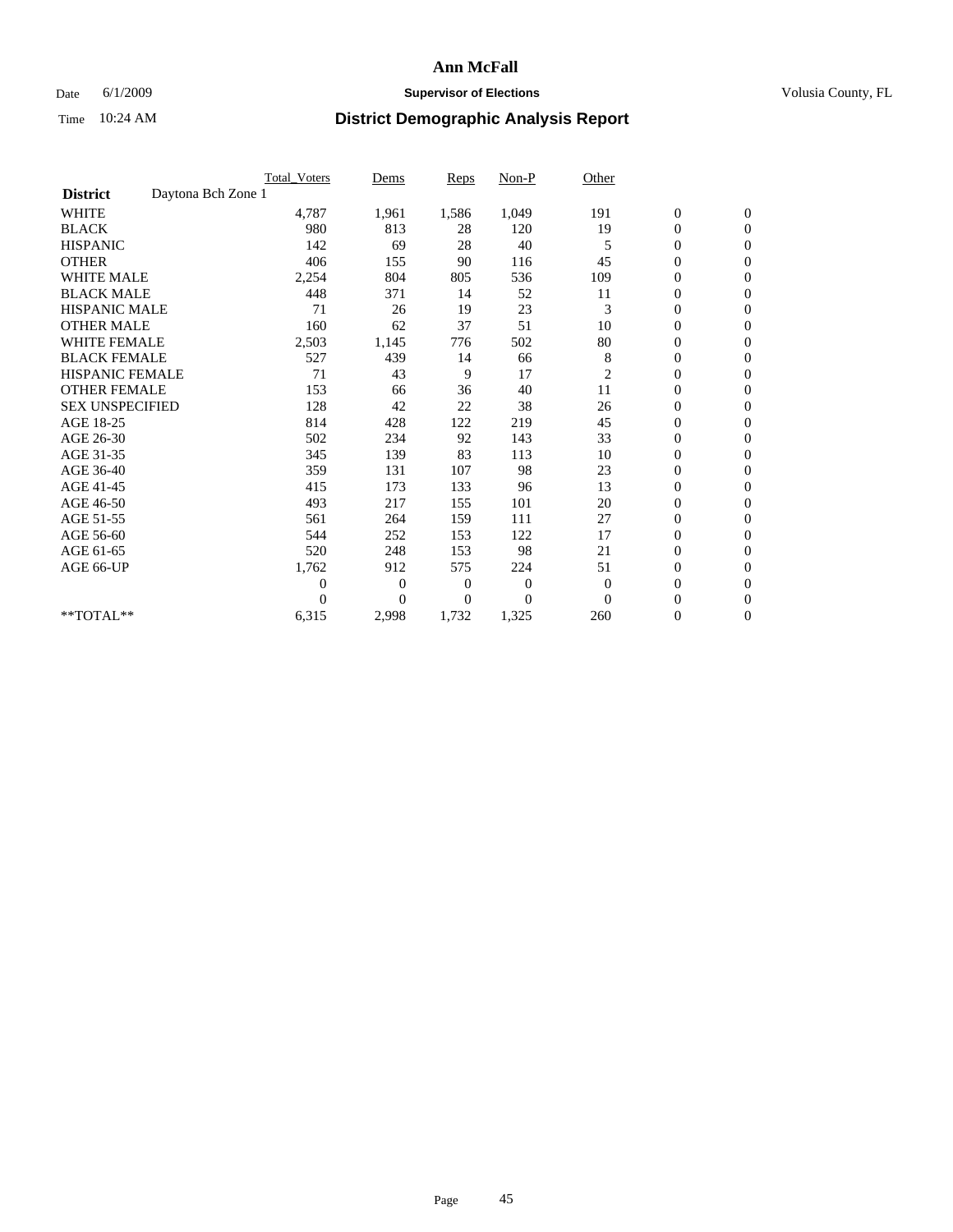### Date 6/1/2009 **Supervisor of Elections Supervisor of Elections** Volusia County, FL

|                                       | Total Voters   | Dems           | <b>Reps</b>  | Non-P        | Other          |                  |                  |  |
|---------------------------------------|----------------|----------------|--------------|--------------|----------------|------------------|------------------|--|
| Daytona Bch Zone 1<br><b>District</b> |                |                |              |              |                |                  |                  |  |
| <b>WHITE</b>                          | 4,787          | 1,961          | 1,586        | 1,049        | 191            | $\boldsymbol{0}$ | $\boldsymbol{0}$ |  |
| <b>BLACK</b>                          | 980            | 813            | 28           | 120          | 19             | $\boldsymbol{0}$ | $\mathbf{0}$     |  |
| <b>HISPANIC</b>                       | 142            | 69             | 28           | 40           | 5              | $\overline{0}$   | $\mathbf{0}$     |  |
| <b>OTHER</b>                          | 406            | 155            | 90           | 116          | 45             | $\boldsymbol{0}$ | $\mathbf{0}$     |  |
| <b>WHITE MALE</b>                     | 2,254          | 804            | 805          | 536          | 109            | $\overline{0}$   | $\mathbf{0}$     |  |
| <b>BLACK MALE</b>                     | 448            | 371            | 14           | 52           | 11             | $\boldsymbol{0}$ | $\mathbf{0}$     |  |
| <b>HISPANIC MALE</b>                  | 71             | 26             | 19           | 23           | 3              | $\boldsymbol{0}$ | $\mathbf{0}$     |  |
| <b>OTHER MALE</b>                     | 160            | 62             | 37           | 51           | 10             | $\boldsymbol{0}$ | $\mathbf{0}$     |  |
| <b>WHITE FEMALE</b>                   | 2,503          | 1,145          | 776          | 502          | 80             | $\overline{0}$   | $\mathbf{0}$     |  |
| <b>BLACK FEMALE</b>                   | 527            | 439            | 14           | 66           | 8              | $\boldsymbol{0}$ | $\mathbf{0}$     |  |
| <b>HISPANIC FEMALE</b>                | 71             | 43             | 9            | 17           | $\overline{c}$ | $\boldsymbol{0}$ | $\mathbf{0}$     |  |
| <b>OTHER FEMALE</b>                   | 153            | 66             | 36           | 40           | 11             | $\mathbf{0}$     | $\mathbf{0}$     |  |
| <b>SEX UNSPECIFIED</b>                | 128            | 42             | 22           | 38           | 26             | $\boldsymbol{0}$ | $\mathbf{0}$     |  |
| AGE 18-25                             | 814            | 428            | 122          | 219          | 45             | $\boldsymbol{0}$ | $\mathbf{0}$     |  |
| AGE 26-30                             | 502            | 234            | 92           | 143          | 33             | $\overline{0}$   | $\mathbf{0}$     |  |
| AGE 31-35                             | 345            | 139            | 83           | 113          | 10             | $\boldsymbol{0}$ | $\mathbf{0}$     |  |
| AGE 36-40                             | 359            | 131            | 107          | 98           | 23             | $\boldsymbol{0}$ | $\mathbf{0}$     |  |
| AGE 41-45                             | 415            | 173            | 133          | 96           | 13             | $\overline{0}$   | $\mathbf{0}$     |  |
| AGE 46-50                             | 493            | 217            | 155          | 101          | 20             | $\boldsymbol{0}$ | $\mathbf{0}$     |  |
| AGE 51-55                             | 561            | 264            | 159          | 111          | 27             | $\boldsymbol{0}$ | $\mathbf{0}$     |  |
| AGE 56-60                             | 544            | 252            | 153          | 122          | 17             | $\boldsymbol{0}$ | $\Omega$         |  |
| AGE 61-65                             | 520            | 248            | 153          | 98           | 21             | $\overline{0}$   | $\mathbf{0}$     |  |
| AGE 66-UP                             | 1,762          | 912            | 575          | 224          | 51             | $\boldsymbol{0}$ | $\mathbf{0}$     |  |
|                                       | $\overline{0}$ | $\overline{0}$ | 0            | $\mathbf{0}$ | $\overline{0}$ | $\overline{0}$   | $\mathbf{0}$     |  |
|                                       | $\theta$       | $\overline{0}$ | $\mathbf{0}$ | $\Omega$     | $\Omega$       | $\boldsymbol{0}$ | $\mathbf{0}$     |  |
| **TOTAL**                             | 6,315          | 2,998          | 1,732        | 1,325        | 260            | 0                | $\mathbf{0}$     |  |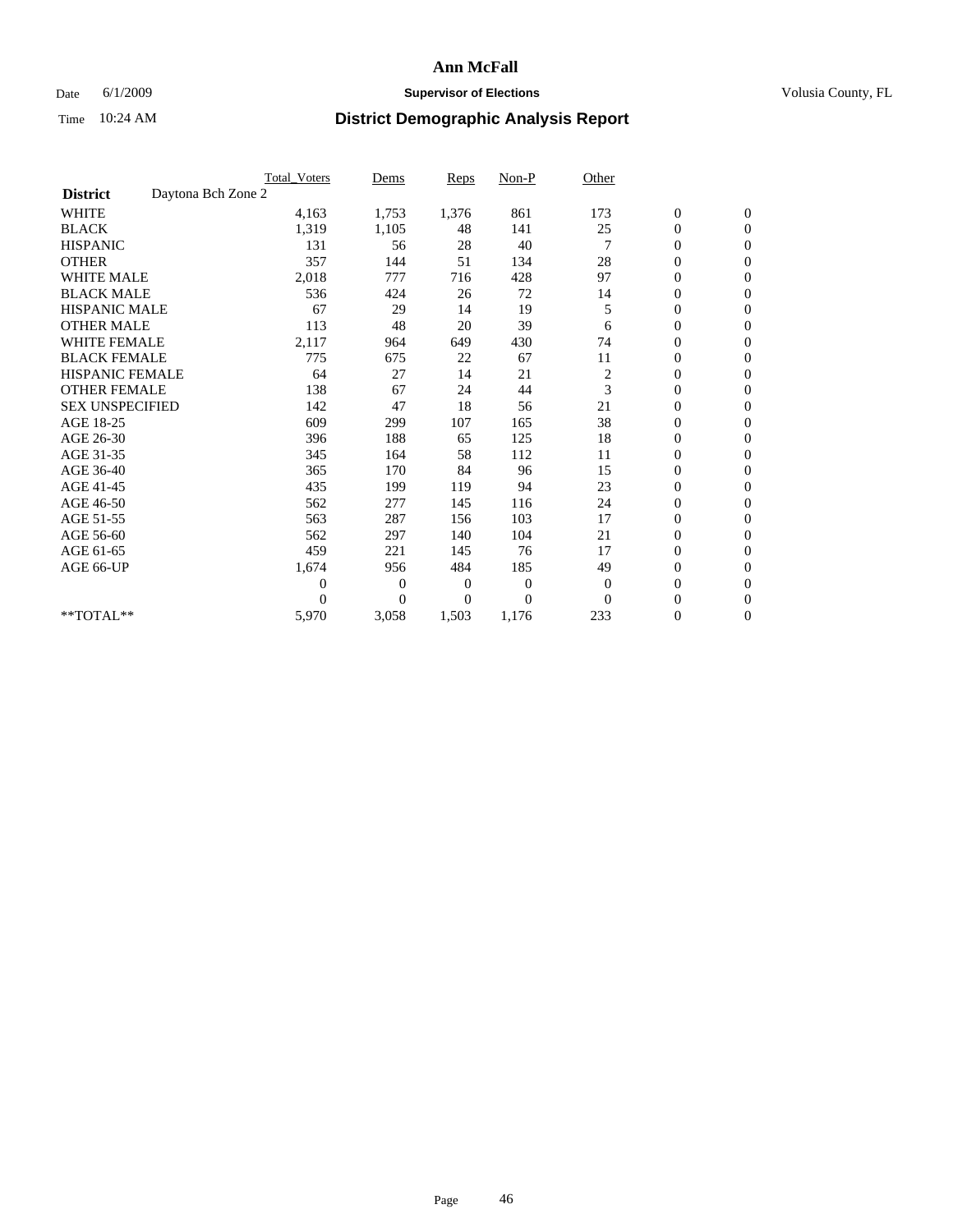## Date 6/1/2009 **Supervisor of Elections Supervisor of Elections** Volusia County, FL

|                        |                    | <b>Total Voters</b> | Dems           | <b>Reps</b>    | $Non-P$        | Other        |                  |                  |  |
|------------------------|--------------------|---------------------|----------------|----------------|----------------|--------------|------------------|------------------|--|
| <b>District</b>        | Daytona Bch Zone 2 |                     |                |                |                |              |                  |                  |  |
| <b>WHITE</b>           |                    | 4,163               | 1,753          | 1,376          | 861            | 173          | $\boldsymbol{0}$ | $\boldsymbol{0}$ |  |
| <b>BLACK</b>           |                    | 1,319               | 1,105          | 48             | 141            | 25           | $\boldsymbol{0}$ | $\mathbf{0}$     |  |
| <b>HISPANIC</b>        |                    | 131                 | 56             | 28             | 40             |              | $\overline{0}$   | $\mathbf{0}$     |  |
| <b>OTHER</b>           |                    | 357                 | 144            | 51             | 134            | 28           | 0                | $\mathbf{0}$     |  |
| <b>WHITE MALE</b>      |                    | 2,018               | 777            | 716            | 428            | 97           | $\boldsymbol{0}$ | $\mathbf{0}$     |  |
| <b>BLACK MALE</b>      |                    | 536                 | 424            | 26             | 72             | 14           | $\overline{0}$   | $\mathbf{0}$     |  |
| <b>HISPANIC MALE</b>   |                    | 67                  | 29             | 14             | 19             | 5            | $\boldsymbol{0}$ | $\Omega$         |  |
| <b>OTHER MALE</b>      |                    | 113                 | 48             | 20             | 39             | 6            | $\overline{0}$   | $\mathbf{0}$     |  |
| <b>WHITE FEMALE</b>    |                    | 2,117               | 964            | 649            | 430            | 74           | $\boldsymbol{0}$ | $\mathbf{0}$     |  |
| <b>BLACK FEMALE</b>    |                    | 775                 | 675            | 22             | 67             | 11           | $\boldsymbol{0}$ | $\mathbf{0}$     |  |
| <b>HISPANIC FEMALE</b> |                    | 64                  | 27             | 14             | 21             | 2            | $\boldsymbol{0}$ | $\mathbf{0}$     |  |
| <b>OTHER FEMALE</b>    |                    | 138                 | 67             | 24             | 44             | 3            | $\mathbf{0}$     | $\mathbf{0}$     |  |
| <b>SEX UNSPECIFIED</b> |                    | 142                 | 47             | 18             | 56             | 21           | $\boldsymbol{0}$ | $\Omega$         |  |
| AGE 18-25              |                    | 609                 | 299            | 107            | 165            | 38           | $\boldsymbol{0}$ | $\mathbf{0}$     |  |
| AGE 26-30              |                    | 396                 | 188            | 65             | 125            | 18           | $\overline{0}$   | $\Omega$         |  |
| AGE 31-35              |                    | 345                 | 164            | 58             | 112            | 11           | $\boldsymbol{0}$ | $\mathbf{0}$     |  |
| AGE 36-40              |                    | 365                 | 170            | 84             | 96             | 15           | $\boldsymbol{0}$ | $\mathbf{0}$     |  |
| AGE 41-45              |                    | 435                 | 199            | 119            | 94             | 23           | $\boldsymbol{0}$ | $\mathbf{0}$     |  |
| AGE 46-50              |                    | 562                 | 277            | 145            | 116            | 24           | $\boldsymbol{0}$ | $\Omega$         |  |
| AGE 51-55              |                    | 563                 | 287            | 156            | 103            | 17           | $\overline{0}$   | $\mathbf{0}$     |  |
| AGE 56-60              |                    | 562                 | 297            | 140            | 104            | 21           | $\overline{0}$   | $\mathbf{0}$     |  |
| AGE 61-65              |                    | 459                 | 221            | 145            | 76             | 17           | $\overline{0}$   | $\mathbf{0}$     |  |
| AGE 66-UP              |                    | 1,674               | 956            | 484            | 185            | 49           | $\boldsymbol{0}$ | $\mathbf{0}$     |  |
|                        |                    | $\overline{0}$      | $\overline{0}$ | $\mathbf{0}$   | $\mathbf{0}$   | $\mathbf{0}$ | $\mathbf{0}$     | $\mathbf{0}$     |  |
|                        |                    | $\Omega$            | $\overline{0}$ | $\overline{0}$ | $\overline{0}$ | $\mathbf{0}$ | 0                | $\mathbf{0}$     |  |
| **TOTAL**              |                    | 5,970               | 3,058          | 1,503          | 1,176          | 233          | 0                | $\boldsymbol{0}$ |  |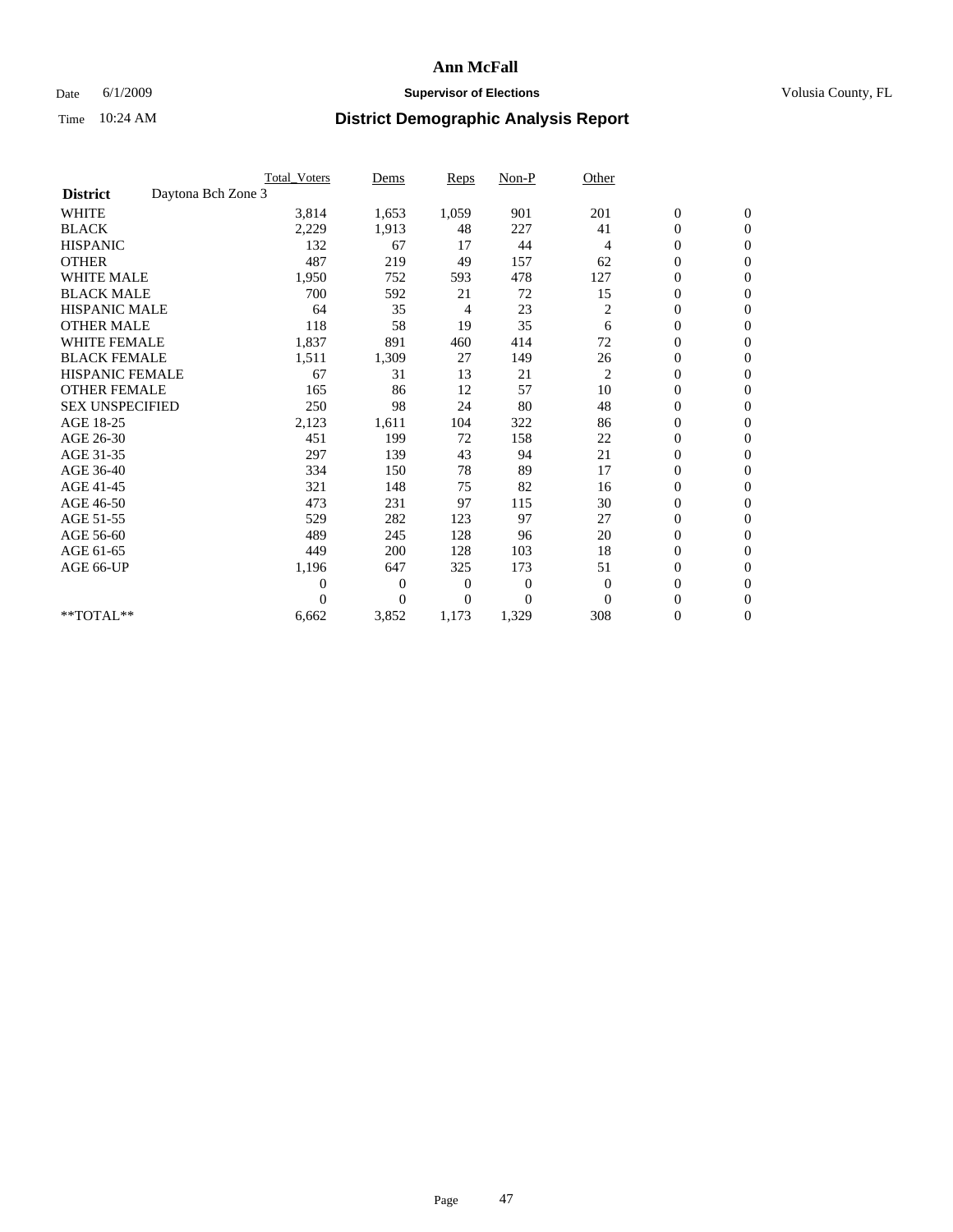## Date 6/1/2009 **Supervisor of Elections Supervisor of Elections** Volusia County, FL

|                        | <b>Total Voters</b> | Dems                             | <b>Reps</b> | $Non-P$      | Other          |                  |                  |  |
|------------------------|---------------------|----------------------------------|-------------|--------------|----------------|------------------|------------------|--|
| <b>District</b>        | Daytona Bch Zone 3  |                                  |             |              |                |                  |                  |  |
| <b>WHITE</b>           |                     | 3,814<br>1,653                   | 1,059       | 901          | 201            | $\boldsymbol{0}$ | $\boldsymbol{0}$ |  |
| <b>BLACK</b>           |                     | 2,229<br>1,913                   | 48          | 227          | 41             | $\boldsymbol{0}$ | $\mathbf{0}$     |  |
| <b>HISPANIC</b>        |                     | 132<br>67                        | 17          | 44           | $\overline{4}$ | $\overline{0}$   | $\mathbf{0}$     |  |
| <b>OTHER</b>           |                     | 487<br>219                       | 49          | 157          | 62             | $\boldsymbol{0}$ | $\Omega$         |  |
| <b>WHITE MALE</b>      |                     | 1,950<br>752                     | 593         | 478          | 127            | $\overline{0}$   | $\mathbf{0}$     |  |
| <b>BLACK MALE</b>      |                     | 700<br>592                       | 21          | 72           | 15             | $\boldsymbol{0}$ | $\mathbf{0}$     |  |
| <b>HISPANIC MALE</b>   |                     | 64<br>35                         | 4           | 23           | $\overline{c}$ | $\boldsymbol{0}$ | $\mathbf{0}$     |  |
| <b>OTHER MALE</b>      |                     | 118<br>58                        | 19          | 35           | 6              | $\boldsymbol{0}$ | $\mathbf{0}$     |  |
| <b>WHITE FEMALE</b>    | 1,837               | 891                              | 460         | 414          | 72             | $\overline{0}$   | $\mathbf{0}$     |  |
| <b>BLACK FEMALE</b>    |                     | 1,511<br>1,309                   | 27          | 149          | 26             | $\boldsymbol{0}$ | $\mathbf{0}$     |  |
| <b>HISPANIC FEMALE</b> |                     | 67<br>31                         | 13          | 21           | $\overline{c}$ | $\boldsymbol{0}$ | $\mathbf{0}$     |  |
| <b>OTHER FEMALE</b>    |                     | 165<br>86                        | 12          | 57           | 10             | $\mathbf{0}$     | $\mathbf{0}$     |  |
| <b>SEX UNSPECIFIED</b> |                     | 250<br>98                        | 24          | 80           | 48             | $\boldsymbol{0}$ | $\mathbf{0}$     |  |
| AGE 18-25              |                     | 2,123<br>1,611                   | 104         | 322          | 86             | $\overline{0}$   | $\mathbf{0}$     |  |
| AGE 26-30              |                     | 451<br>199                       | 72          | 158          | 22             | $\overline{0}$   | $\mathbf{0}$     |  |
| AGE 31-35              |                     | 297<br>139                       | 43          | 94           | 21             | $\boldsymbol{0}$ | $\mathbf{0}$     |  |
| AGE 36-40              |                     | 334<br>150                       | 78          | 89           | 17             | $\boldsymbol{0}$ | $\mathbf{0}$     |  |
| AGE 41-45              |                     | 321<br>148                       | 75          | 82           | 16             | $\overline{0}$   | $\mathbf{0}$     |  |
| AGE 46-50              |                     | 473<br>231                       | 97          | 115          | 30             | $\boldsymbol{0}$ | $\mathbf{0}$     |  |
| AGE 51-55              |                     | 529<br>282                       | 123         | 97           | 27             | $\boldsymbol{0}$ | $\mathbf{0}$     |  |
| AGE 56-60              |                     | 489<br>245                       | 128         | 96           | 20             | $\boldsymbol{0}$ | $\Omega$         |  |
| AGE 61-65              |                     | 449<br>200                       | 128         | 103          | 18             | $\mathbf{0}$     | $\mathbf{0}$     |  |
| AGE 66-UP              |                     | 1,196<br>647                     | 325         | 173          | 51             | $\boldsymbol{0}$ | $\mathbf{0}$     |  |
|                        |                     | $\overline{0}$<br>$\overline{0}$ | 0           | $\mathbf{0}$ | $\overline{0}$ | $\overline{0}$   | $\mathbf{0}$     |  |
|                        |                     | $\overline{0}$<br>$\Omega$       | $\Omega$    | $\Omega$     | $\Omega$       | $\boldsymbol{0}$ | $\mathbf{0}$     |  |
| **TOTAL**              | 6,662               | 3,852                            | 1,173       | 1,329        | 308            | 0                | $\mathbf{0}$     |  |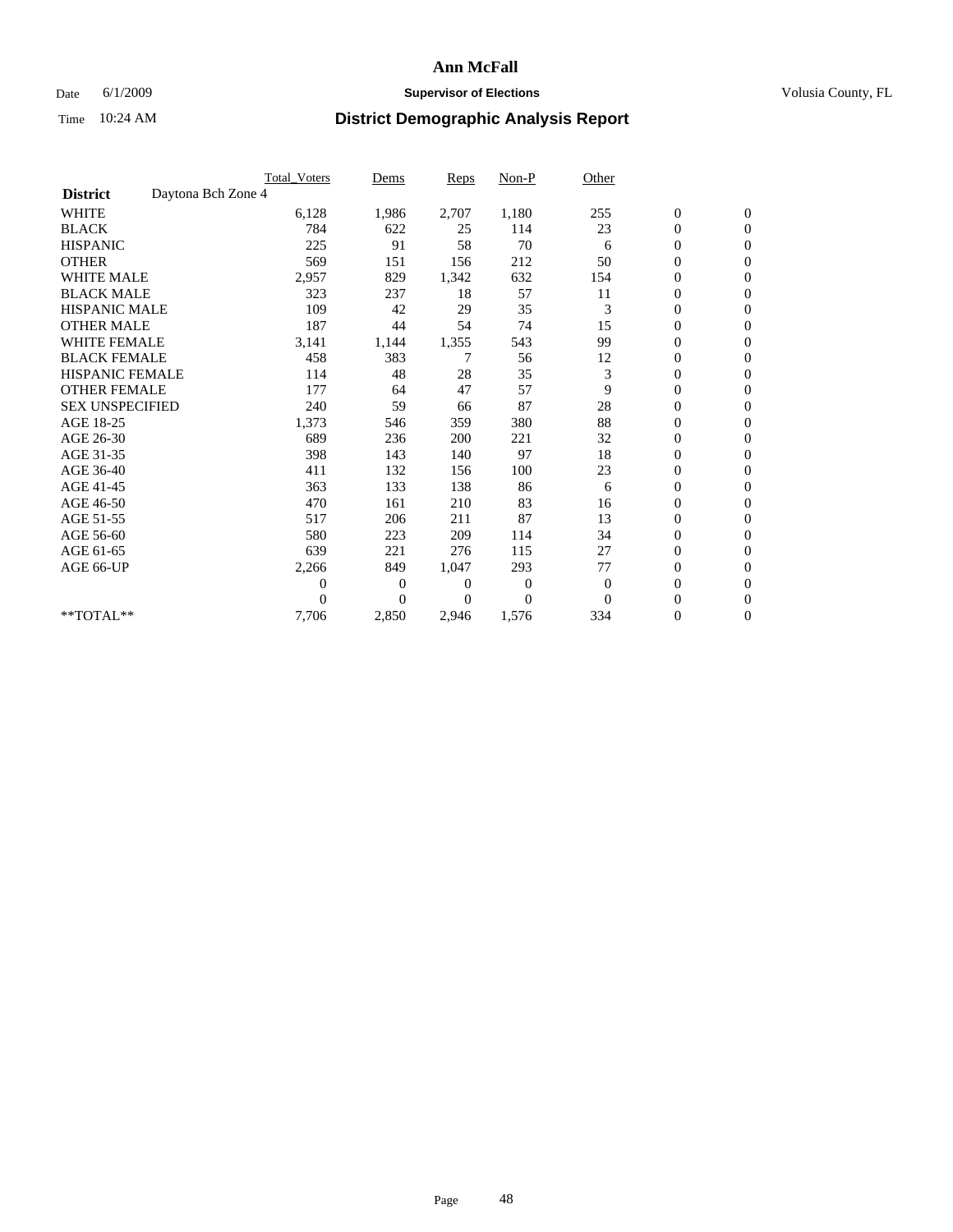## Date 6/1/2009 **Supervisor of Elections Supervisor of Elections** Volusia County, FL

|                        |                    | <b>Total Voters</b> | Dems           | <b>Reps</b> | Non-P          | Other        |                  |                  |  |
|------------------------|--------------------|---------------------|----------------|-------------|----------------|--------------|------------------|------------------|--|
| <b>District</b>        | Daytona Bch Zone 4 |                     |                |             |                |              |                  |                  |  |
| <b>WHITE</b>           |                    | 6,128               | 1,986          | 2,707       | 1,180          | 255          | $\boldsymbol{0}$ | $\boldsymbol{0}$ |  |
| <b>BLACK</b>           |                    | 784                 | 622            | 25          | 114            | 23           | $\boldsymbol{0}$ | $\mathbf{0}$     |  |
| <b>HISPANIC</b>        |                    | 225                 | 91             | 58          | 70             | 6            | $\overline{0}$   | $\mathbf{0}$     |  |
| <b>OTHER</b>           |                    | 569                 | 151            | 156         | 212            | 50           | $\boldsymbol{0}$ | $\Omega$         |  |
| <b>WHITE MALE</b>      |                    | 2,957               | 829            | 1,342       | 632            | 154          | $\overline{0}$   | $\mathbf{0}$     |  |
| <b>BLACK MALE</b>      |                    | 323                 | 237            | 18          | 57             | 11           | $\boldsymbol{0}$ | $\mathbf{0}$     |  |
| <b>HISPANIC MALE</b>   |                    | 109                 | 42             | 29          | 35             | 3            | $\boldsymbol{0}$ | $\mathbf{0}$     |  |
| <b>OTHER MALE</b>      |                    | 187                 | 44             | 54          | 74             | 15           | $\boldsymbol{0}$ | $\mathbf{0}$     |  |
| <b>WHITE FEMALE</b>    |                    | 3,141               | 1,144          | 1,355       | 543            | 99           | $\overline{0}$   | $\mathbf{0}$     |  |
| <b>BLACK FEMALE</b>    |                    | 458                 | 383            | 7           | 56             | 12           | $\boldsymbol{0}$ | $\mathbf{0}$     |  |
| <b>HISPANIC FEMALE</b> |                    | 114                 | 48             | 28          | 35             | 3            | $\boldsymbol{0}$ | $\mathbf{0}$     |  |
| <b>OTHER FEMALE</b>    |                    | 177                 | 64             | 47          | 57             | 9            | $\mathbf{0}$     | $\mathbf{0}$     |  |
| <b>SEX UNSPECIFIED</b> |                    | 240                 | 59             | 66          | 87             | 28           | $\overline{0}$   | $\mathbf{0}$     |  |
| AGE 18-25              |                    | 1,373               | 546            | 359         | 380            | 88           | $\overline{0}$   | $\mathbf{0}$     |  |
| AGE 26-30              |                    | 689                 | 236            | 200         | 221            | 32           | $\overline{0}$   | $\mathbf{0}$     |  |
| AGE 31-35              |                    | 398                 | 143            | 140         | 97             | 18           | $\boldsymbol{0}$ | $\mathbf{0}$     |  |
| AGE 36-40              |                    | 411                 | 132            | 156         | 100            | 23           | 0                | $\mathbf{0}$     |  |
| AGE 41-45              |                    | 363                 | 133            | 138         | 86             | 6            | $\overline{0}$   | $\mathbf{0}$     |  |
| AGE 46-50              |                    | 470                 | 161            | 210         | 83             | 16           | $\boldsymbol{0}$ | $\mathbf{0}$     |  |
| AGE 51-55              |                    | 517                 | 206            | 211         | 87             | 13           | $\boldsymbol{0}$ | $\mathbf{0}$     |  |
| AGE 56-60              |                    | 580                 | 223            | 209         | 114            | 34           | $\overline{0}$   | $\Omega$         |  |
| AGE 61-65              |                    | 639                 | 221            | 276         | 115            | 27           | $\overline{0}$   | $\mathbf{0}$     |  |
| AGE 66-UP              |                    | 2,266               | 849            | 1,047       | 293            | 77           | $\boldsymbol{0}$ | $\mathbf{0}$     |  |
|                        |                    | 0                   | $\overline{0}$ | 0           | $\overline{0}$ | $\mathbf{0}$ | $\overline{0}$   | $\mathbf{0}$     |  |
|                        |                    | $\theta$            | $\theta$       | 0           | $\theta$       | $\Omega$     | $\overline{0}$   | $\mathbf{0}$     |  |
| **TOTAL**              |                    | 7,706               | 2,850          | 2,946       | 1,576          | 334          | 0                | $\mathbf{0}$     |  |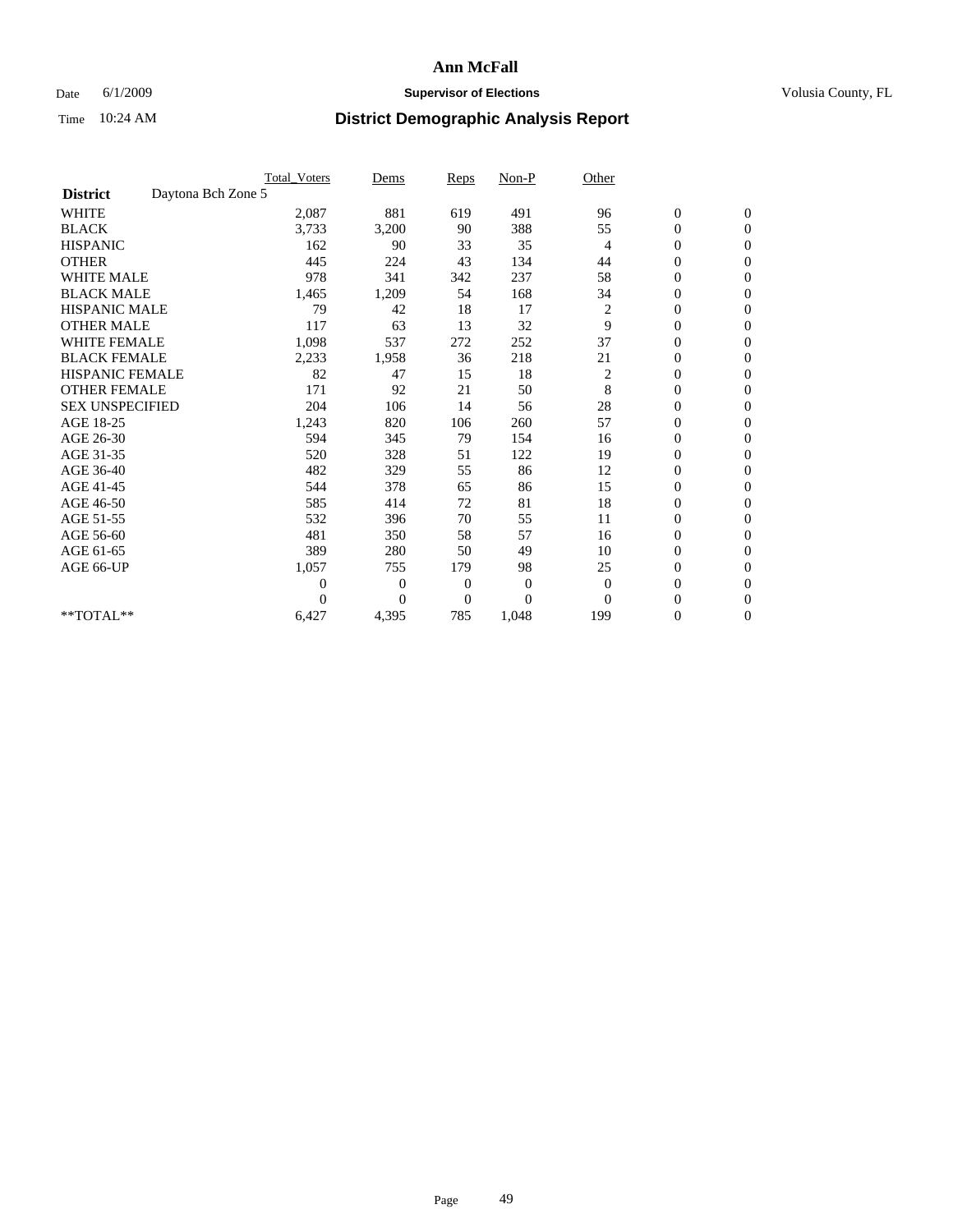## Date 6/1/2009 **Supervisor of Elections Supervisor of Elections** Volusia County, FL

|                        |                    | <b>Total Voters</b> | Dems           | <b>Reps</b>  | $Non-P$  | Other          |                  |                  |  |
|------------------------|--------------------|---------------------|----------------|--------------|----------|----------------|------------------|------------------|--|
| <b>District</b>        | Daytona Bch Zone 5 |                     |                |              |          |                |                  |                  |  |
| <b>WHITE</b>           |                    | 2,087               | 881            | 619          | 491      | 96             | $\boldsymbol{0}$ | $\boldsymbol{0}$ |  |
| <b>BLACK</b>           |                    | 3,733               | 3,200          | 90           | 388      | 55             | $\boldsymbol{0}$ | $\mathbf{0}$     |  |
| <b>HISPANIC</b>        |                    | 162                 | 90             | 33           | 35       | $\overline{4}$ | $\overline{0}$   | $\mathbf{0}$     |  |
| <b>OTHER</b>           |                    | 445                 | 224            | 43           | 134      | 44             | $\boldsymbol{0}$ | $\Omega$         |  |
| <b>WHITE MALE</b>      |                    | 978                 | 341            | 342          | 237      | 58             | $\boldsymbol{0}$ | $\mathbf{0}$     |  |
| <b>BLACK MALE</b>      |                    | 1,465               | 1,209          | 54           | 168      | 34             | $\boldsymbol{0}$ | $\mathbf{0}$     |  |
| <b>HISPANIC MALE</b>   |                    | 79                  | 42             | 18           | 17       | $\overline{c}$ | $\boldsymbol{0}$ | $\mathbf{0}$     |  |
| <b>OTHER MALE</b>      |                    | 117                 | 63             | 13           | 32       | 9              | $\boldsymbol{0}$ | $\mathbf{0}$     |  |
| <b>WHITE FEMALE</b>    |                    | 1,098               | 537            | 272          | 252      | 37             | $\overline{0}$   | $\mathbf{0}$     |  |
| <b>BLACK FEMALE</b>    |                    | 2,233               | 1,958          | 36           | 218      | 21             | $\boldsymbol{0}$ | $\mathbf{0}$     |  |
| <b>HISPANIC FEMALE</b> |                    | 82                  | 47             | 15           | 18       | 2              | $\boldsymbol{0}$ | $\mathbf{0}$     |  |
| <b>OTHER FEMALE</b>    |                    | 171                 | 92             | 21           | 50       | 8              | $\mathbf{0}$     | $\mathbf{0}$     |  |
| <b>SEX UNSPECIFIED</b> |                    | 204                 | 106            | 14           | 56       | 28             | $\boldsymbol{0}$ | $\mathbf{0}$     |  |
| AGE 18-25              |                    | 1,243               | 820            | 106          | 260      | 57             | $\overline{0}$   | $\mathbf{0}$     |  |
| AGE 26-30              |                    | 594                 | 345            | 79           | 154      | 16             | $\overline{0}$   | $\mathbf{0}$     |  |
| AGE 31-35              |                    | 520                 | 328            | 51           | 122      | 19             | $\boldsymbol{0}$ | $\mathbf{0}$     |  |
| AGE 36-40              |                    | 482                 | 329            | 55           | 86       | 12             | 0                | $\mathbf{0}$     |  |
| AGE 41-45              |                    | 544                 | 378            | 65           | 86       | 15             | $\overline{0}$   | $\mathbf{0}$     |  |
| AGE 46-50              |                    | 585                 | 414            | 72           | 81       | 18             | $\boldsymbol{0}$ | $\mathbf{0}$     |  |
| AGE 51-55              |                    | 532                 | 396            | 70           | 55       | 11             | $\boldsymbol{0}$ | $\mathbf{0}$     |  |
| AGE 56-60              |                    | 481                 | 350            | 58           | 57       | 16             | $\boldsymbol{0}$ | $\Omega$         |  |
| AGE 61-65              |                    | 389                 | 280            | 50           | 49       | 10             | $\mathbf{0}$     | $\mathbf{0}$     |  |
| AGE 66-UP              |                    | 1,057               | 755            | 179          | 98       | 25             | $\boldsymbol{0}$ | $\mathbf{0}$     |  |
|                        |                    | 0                   | $\overline{0}$ | 0            | $\bf{0}$ | $\theta$       | $\overline{0}$   | $\mathbf{0}$     |  |
|                        |                    | $\theta$            | $\overline{0}$ | $\mathbf{0}$ | $\theta$ | $\Omega$       | $\boldsymbol{0}$ | $\mathbf{0}$     |  |
| **TOTAL**              |                    | 6,427               | 4,395          | 785          | 1,048    | 199            | 0                | $\mathbf{0}$     |  |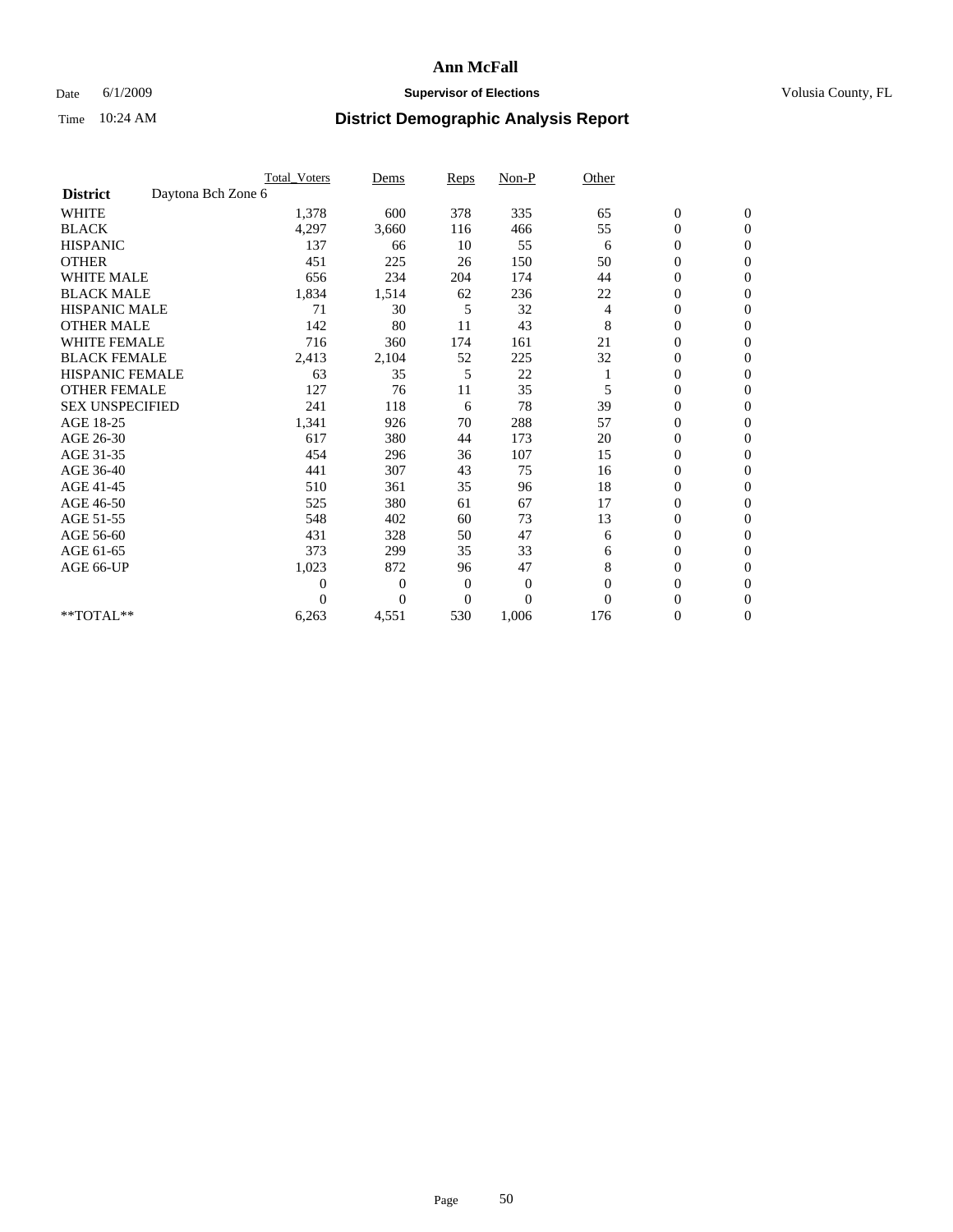## Date 6/1/2009 **Supervisor of Elections Supervisor of Elections** Volusia County, FL

|                        |                    | <b>Total_Voters</b> | Dems           | <b>Reps</b>    | $Non-P$      | Other    |                  |                |  |
|------------------------|--------------------|---------------------|----------------|----------------|--------------|----------|------------------|----------------|--|
| <b>District</b>        | Daytona Bch Zone 6 |                     |                |                |              |          |                  |                |  |
| <b>WHITE</b>           |                    | 1,378               | 600            | 378            | 335          | 65       | $\boldsymbol{0}$ | $\mathbf{0}$   |  |
| <b>BLACK</b>           |                    | 4,297               | 3,660          | 116            | 466          | 55       | $\boldsymbol{0}$ | $\mathbf{0}$   |  |
| <b>HISPANIC</b>        |                    | 137                 | 66             | 10             | 55           | 6        | $\mathbf{0}$     | $\mathbf{0}$   |  |
| <b>OTHER</b>           |                    | 451                 | 225            | 26             | 150          | 50       | $\overline{0}$   | $\mathbf{0}$   |  |
| <b>WHITE MALE</b>      |                    | 656                 | 234            | 204            | 174          | 44       | 0                | $\mathbf{0}$   |  |
| <b>BLACK MALE</b>      |                    | 1,834               | 1,514          | 62             | 236          | 22       | $\boldsymbol{0}$ | $\mathbf{0}$   |  |
| <b>HISPANIC MALE</b>   |                    | 71                  | 30             | 5              | 32           | 4        | $\boldsymbol{0}$ | $\Omega$       |  |
| <b>OTHER MALE</b>      |                    | 142                 | 80             | 11             | 43           | 8        | 0                | $\mathbf{0}$   |  |
| <b>WHITE FEMALE</b>    |                    | 716                 | 360            | 174            | 161          | 21       | $\overline{0}$   | $\mathbf{0}$   |  |
| <b>BLACK FEMALE</b>    |                    | 2,413               | 2,104          | 52             | 225          | 32       | $\boldsymbol{0}$ | $\mathbf{0}$   |  |
| <b>HISPANIC FEMALE</b> |                    | 63                  | 35             | 5              | 22           |          | $\boldsymbol{0}$ | $\mathbf{0}$   |  |
| <b>OTHER FEMALE</b>    |                    | 127                 | 76             | 11             | 35           | 5        | $\overline{0}$   | $\Omega$       |  |
| <b>SEX UNSPECIFIED</b> |                    | 241                 | 118            | 6              | 78           | 39       | $\overline{0}$   | $\mathbf{0}$   |  |
| AGE 18-25              |                    | 1,341               | 926            | 70             | 288          | 57       | 0                | $\mathbf{0}$   |  |
| AGE 26-30              |                    | 617                 | 380            | 44             | 173          | 20       | $\overline{0}$   | $\mathbf{0}$   |  |
| AGE 31-35              |                    | 454                 | 296            | 36             | 107          | 15       | $\boldsymbol{0}$ | $\mathbf{0}$   |  |
| AGE 36-40              |                    | 441                 | 307            | 43             | 75           | 16       | 0                | $\mathbf{0}$   |  |
| AGE 41-45              |                    | 510                 | 361            | 35             | 96           | 18       | $\overline{0}$   | $\mathbf{0}$   |  |
| AGE 46-50              |                    | 525                 | 380            | 61             | 67           | 17       | $\overline{0}$   | $\mathbf{0}$   |  |
| AGE 51-55              |                    | 548                 | 402            | 60             | 73           | 13       | $\boldsymbol{0}$ | $\mathbf{0}$   |  |
| AGE 56-60              |                    | 431                 | 328            | 50             | 47           | 6        | $\overline{0}$   | $\Omega$       |  |
| AGE 61-65              |                    | 373                 | 299            | 35             | 33           | 6        | $\boldsymbol{0}$ | $\overline{0}$ |  |
| AGE 66-UP              |                    | 1,023               | 872            | 96             | 47           | 8        | $\overline{0}$   | $\mathbf{0}$   |  |
|                        |                    | $\theta$            | $\overline{0}$ | $\mathbf{0}$   | $\mathbf{0}$ | $\Omega$ | 0                | $\Omega$       |  |
|                        |                    | $\Omega$            | $\overline{0}$ | $\overline{0}$ | $\theta$     | $\Omega$ | $\overline{0}$   | $\overline{0}$ |  |
| **TOTAL**              |                    | 6,263               | 4,551          | 530            | 1,006        | 176      | 0                | $\overline{0}$ |  |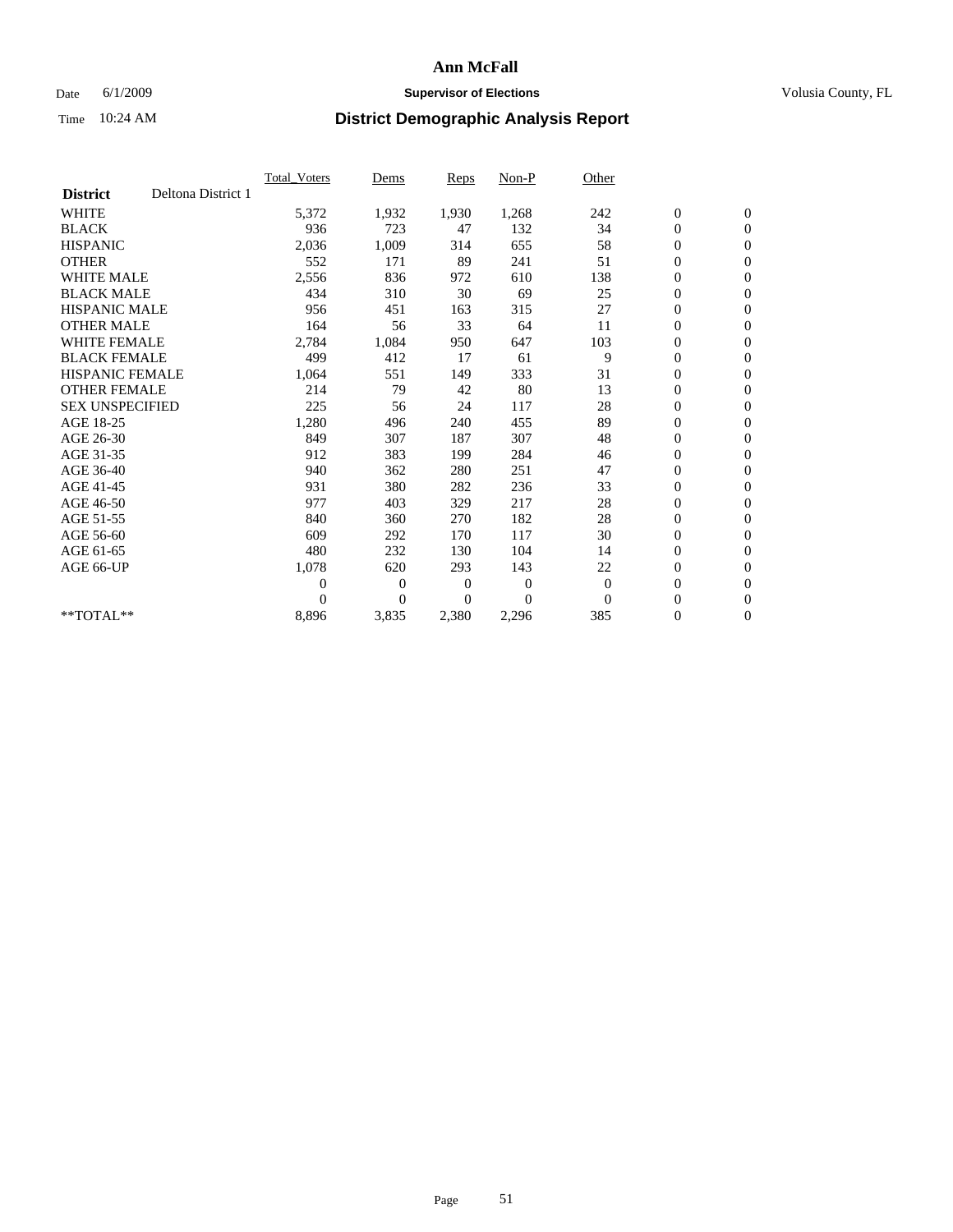### Date 6/1/2009 **Supervisor of Elections Supervisor of Elections** Volusia County, FL

|                        |                    | Total Voters   | Dems           | <b>Reps</b> | Non-P        | Other    |                  |                  |  |
|------------------------|--------------------|----------------|----------------|-------------|--------------|----------|------------------|------------------|--|
| <b>District</b>        | Deltona District 1 |                |                |             |              |          |                  |                  |  |
| <b>WHITE</b>           |                    | 5,372          | 1,932          | 1,930       | 1,268        | 242      | $\boldsymbol{0}$ | $\boldsymbol{0}$ |  |
| <b>BLACK</b>           |                    | 936            | 723            | 47          | 132          | 34       | $\boldsymbol{0}$ | $\mathbf{0}$     |  |
| <b>HISPANIC</b>        |                    | 2,036          | 1,009          | 314         | 655          | 58       | $\overline{0}$   | $\mathbf{0}$     |  |
| <b>OTHER</b>           |                    | 552            | 171            | 89          | 241          | 51       | $\boldsymbol{0}$ | $\mathbf{0}$     |  |
| <b>WHITE MALE</b>      |                    | 2,556          | 836            | 972         | 610          | 138      | $\boldsymbol{0}$ | $\mathbf{0}$     |  |
| <b>BLACK MALE</b>      |                    | 434            | 310            | 30          | 69           | 25       | $\boldsymbol{0}$ | $\mathbf{0}$     |  |
| <b>HISPANIC MALE</b>   |                    | 956            | 451            | 163         | 315          | 27       | $\boldsymbol{0}$ | $\mathbf{0}$     |  |
| <b>OTHER MALE</b>      |                    | 164            | 56             | 33          | 64           | 11       | $\boldsymbol{0}$ | $\mathbf{0}$     |  |
| <b>WHITE FEMALE</b>    |                    | 2,784          | 1,084          | 950         | 647          | 103      | $\mathbf{0}$     | $\mathbf{0}$     |  |
| <b>BLACK FEMALE</b>    |                    | 499            | 412            | 17          | 61           | 9        | $\boldsymbol{0}$ | $\mathbf{0}$     |  |
| <b>HISPANIC FEMALE</b> |                    | 1,064          | 551            | 149         | 333          | 31       | $\boldsymbol{0}$ | $\mathbf{0}$     |  |
| <b>OTHER FEMALE</b>    |                    | 214            | 79             | 42          | 80           | 13       | $\mathbf{0}$     | $\mathbf{0}$     |  |
| <b>SEX UNSPECIFIED</b> |                    | 225            | 56             | 24          | 117          | 28       | $\boldsymbol{0}$ | $\mathbf{0}$     |  |
| AGE 18-25              |                    | 1,280          | 496            | 240         | 455          | 89       | $\boldsymbol{0}$ | $\mathbf{0}$     |  |
| AGE 26-30              |                    | 849            | 307            | 187         | 307          | 48       | $\overline{0}$   | $\mathbf{0}$     |  |
| AGE 31-35              |                    | 912            | 383            | 199         | 284          | 46       | $\boldsymbol{0}$ | $\mathbf{0}$     |  |
| AGE 36-40              |                    | 940            | 362            | 280         | 251          | 47       | $\boldsymbol{0}$ | $\mathbf{0}$     |  |
| AGE 41-45              |                    | 931            | 380            | 282         | 236          | 33       | $\overline{0}$   | $\mathbf{0}$     |  |
| AGE 46-50              |                    | 977            | 403            | 329         | 217          | 28       | $\boldsymbol{0}$ | $\mathbf{0}$     |  |
| AGE 51-55              |                    | 840            | 360            | 270         | 182          | 28       | $\boldsymbol{0}$ | $\mathbf{0}$     |  |
| AGE 56-60              |                    | 609            | 292            | 170         | 117          | 30       | $\boldsymbol{0}$ | $\mathbf{0}$     |  |
| AGE 61-65              |                    | 480            | 232            | 130         | 104          | 14       | $\boldsymbol{0}$ | $\mathbf{0}$     |  |
| AGE 66-UP              |                    | 1,078          | 620            | 293         | 143          | 22       | $\boldsymbol{0}$ | $\mathbf{0}$     |  |
|                        |                    | $\overline{0}$ | $\overline{0}$ | 0           | $\mathbf{0}$ | $\theta$ | $\overline{0}$   | $\mathbf{0}$     |  |
|                        |                    | $\Omega$       | $\overline{0}$ | $\Omega$    | $\theta$     | $\Omega$ | $\boldsymbol{0}$ | $\mathbf{0}$     |  |
| $*$ TOTAL $**$         |                    | 8,896          | 3,835          | 2,380       | 2,296        | 385      | 0                | $\mathbf{0}$     |  |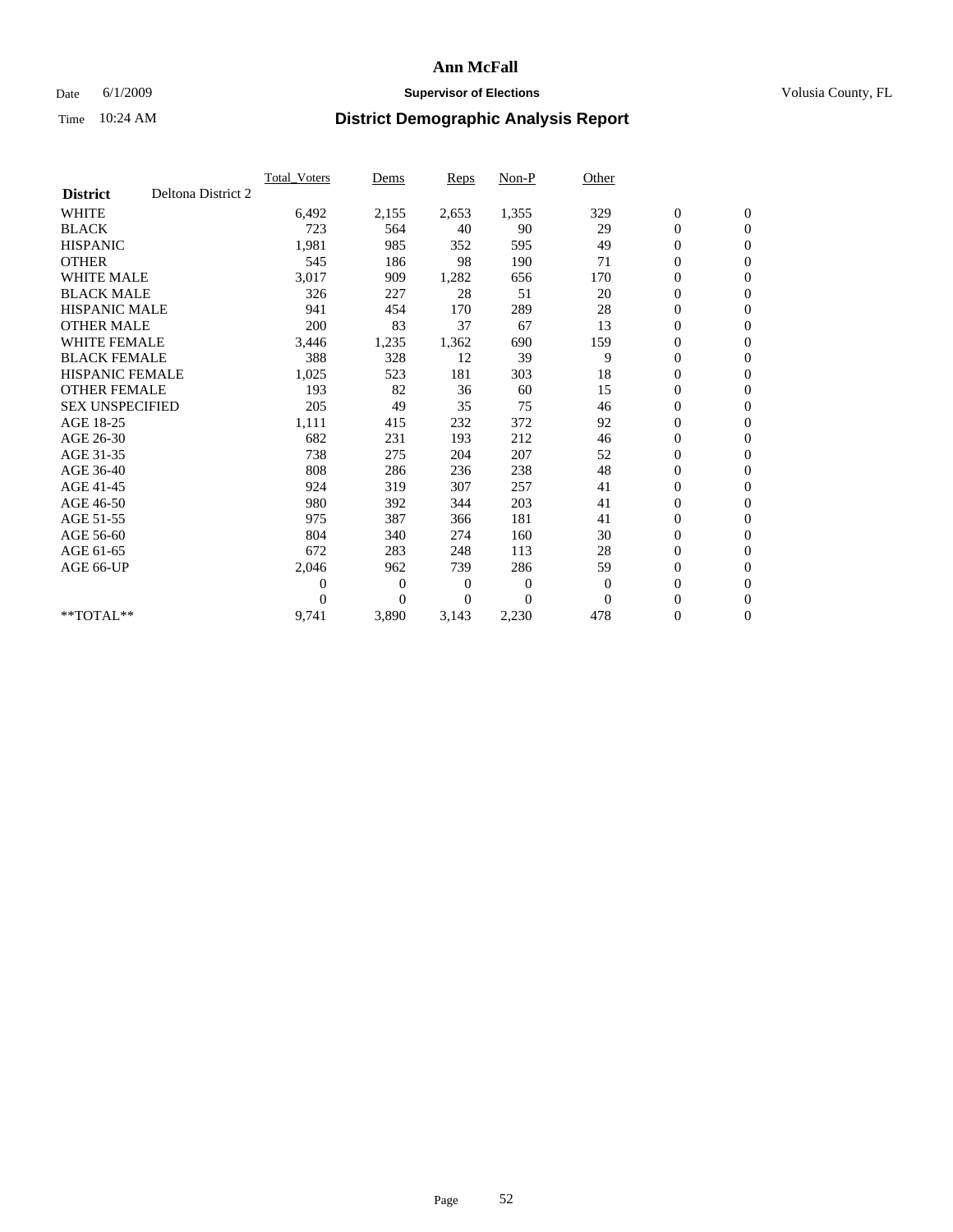### Date 6/1/2009 **Supervisor of Elections Supervisor of Elections** Volusia County, FL

|                        |                    | <b>Total Voters</b> | Dems           | <b>Reps</b> | Non-P        | Other        |                  |                  |  |
|------------------------|--------------------|---------------------|----------------|-------------|--------------|--------------|------------------|------------------|--|
| <b>District</b>        | Deltona District 2 |                     |                |             |              |              |                  |                  |  |
| <b>WHITE</b>           |                    | 6,492               | 2,155          | 2,653       | 1,355        | 329          | $\boldsymbol{0}$ | $\boldsymbol{0}$ |  |
| <b>BLACK</b>           |                    | 723                 | 564            | 40          | 90           | 29           | $\boldsymbol{0}$ | $\mathbf{0}$     |  |
| <b>HISPANIC</b>        |                    | 1,981               | 985            | 352         | 595          | 49           | $\overline{0}$   | $\mathbf{0}$     |  |
| <b>OTHER</b>           |                    | 545                 | 186            | 98          | 190          | 71           | $\boldsymbol{0}$ | $\mathbf{0}$     |  |
| <b>WHITE MALE</b>      |                    | 3,017               | 909            | 1,282       | 656          | 170          | $\boldsymbol{0}$ | $\mathbf{0}$     |  |
| <b>BLACK MALE</b>      |                    | 326                 | 227            | 28          | 51           | 20           | $\boldsymbol{0}$ | $\mathbf{0}$     |  |
| <b>HISPANIC MALE</b>   |                    | 941                 | 454            | 170         | 289          | 28           | $\boldsymbol{0}$ | $\mathbf{0}$     |  |
| <b>OTHER MALE</b>      |                    | 200                 | 83             | 37          | 67           | 13           | $\boldsymbol{0}$ | $\mathbf{0}$     |  |
| <b>WHITE FEMALE</b>    |                    | 3,446               | 1,235          | 1,362       | 690          | 159          | $\overline{0}$   | $\mathbf{0}$     |  |
| <b>BLACK FEMALE</b>    |                    | 388                 | 328            | 12          | 39           | 9            | $\boldsymbol{0}$ | $\mathbf{0}$     |  |
| <b>HISPANIC FEMALE</b> |                    | 1,025               | 523            | 181         | 303          | 18           | $\boldsymbol{0}$ | $\mathbf{0}$     |  |
| <b>OTHER FEMALE</b>    |                    | 193                 | 82             | 36          | 60           | 15           | $\mathbf{0}$     | $\mathbf{0}$     |  |
| <b>SEX UNSPECIFIED</b> |                    | 205                 | 49             | 35          | 75           | 46           | $\boldsymbol{0}$ | $\mathbf{0}$     |  |
| AGE 18-25              |                    | 1,111               | 415            | 232         | 372          | 92           | $\overline{0}$   | $\mathbf{0}$     |  |
| AGE 26-30              |                    | 682                 | 231            | 193         | 212          | 46           | $\overline{0}$   | $\mathbf{0}$     |  |
| AGE 31-35              |                    | 738                 | 275            | 204         | 207          | 52           | $\boldsymbol{0}$ | $\mathbf{0}$     |  |
| AGE 36-40              |                    | 808                 | 286            | 236         | 238          | 48           | 0                | $\mathbf{0}$     |  |
| AGE 41-45              |                    | 924                 | 319            | 307         | 257          | 41           | $\overline{0}$   | $\mathbf{0}$     |  |
| AGE 46-50              |                    | 980                 | 392            | 344         | 203          | 41           | $\boldsymbol{0}$ | $\mathbf{0}$     |  |
| AGE 51-55              |                    | 975                 | 387            | 366         | 181          | 41           | $\boldsymbol{0}$ | $\mathbf{0}$     |  |
| AGE 56-60              |                    | 804                 | 340            | 274         | 160          | 30           | $\boldsymbol{0}$ | $\mathbf{0}$     |  |
| AGE 61-65              |                    | 672                 | 283            | 248         | 113          | 28           | $\mathbf{0}$     | $\mathbf{0}$     |  |
| AGE 66-UP              |                    | 2,046               | 962            | 739         | 286          | 59           | $\boldsymbol{0}$ | $\mathbf{0}$     |  |
|                        |                    | $\overline{0}$      | $\overline{0}$ | 0           | $\mathbf{0}$ | $\mathbf{0}$ | $\overline{0}$   | $\mathbf{0}$     |  |
|                        |                    | $\theta$            | $\overline{0}$ | $\Omega$    | $\theta$     | $\Omega$     | $\boldsymbol{0}$ | $\mathbf{0}$     |  |
| $*$ TOTAL $**$         |                    | 9,741               | 3,890          | 3,143       | 2,230        | 478          | 0                | $\mathbf{0}$     |  |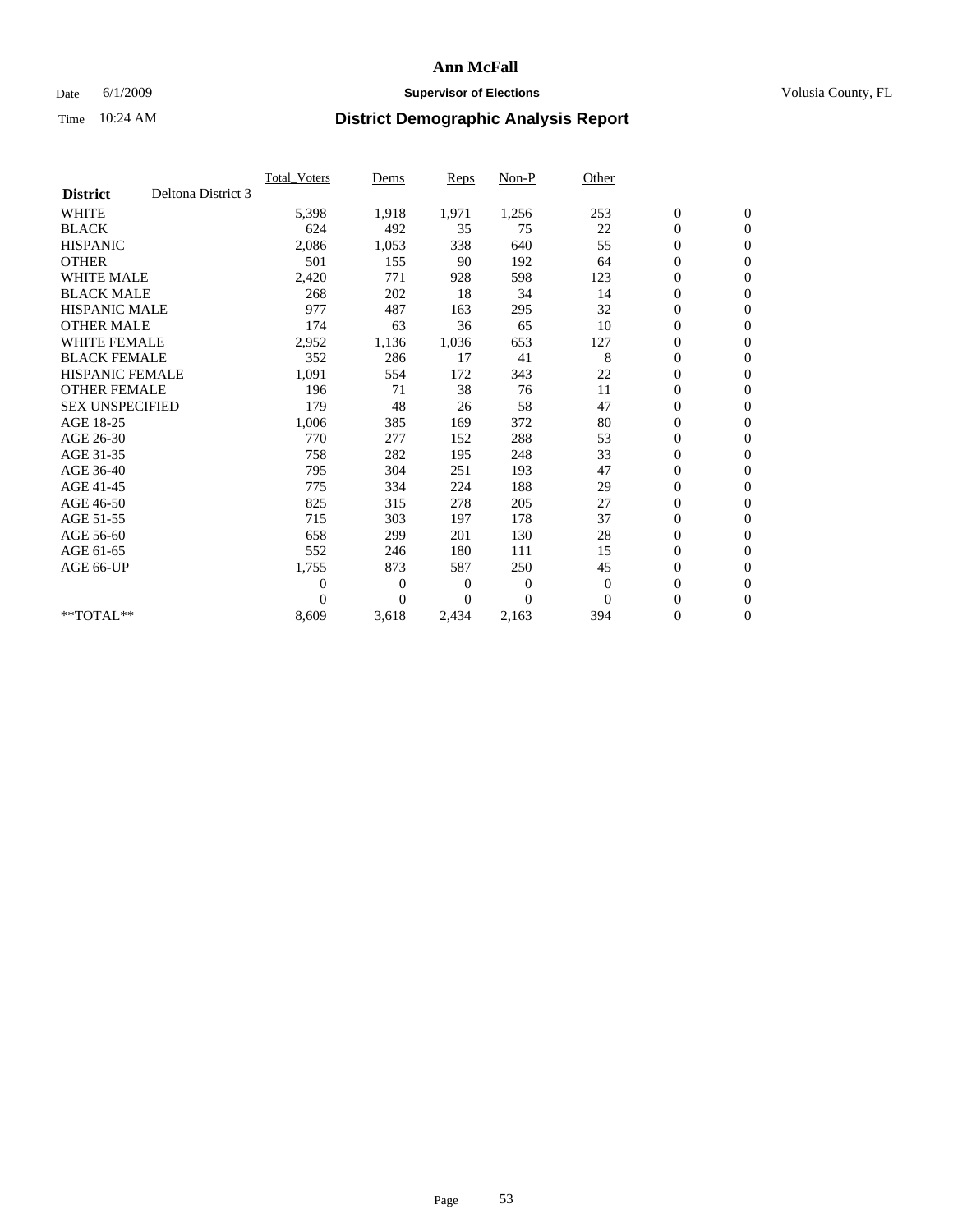## Date 6/1/2009 **Supervisor of Elections Supervisor of Elections** Volusia County, FL

|                        |                    | Total Voters   | Dems           | <b>Reps</b> | Non-P        | Other        |                  |                  |  |
|------------------------|--------------------|----------------|----------------|-------------|--------------|--------------|------------------|------------------|--|
| <b>District</b>        | Deltona District 3 |                |                |             |              |              |                  |                  |  |
| <b>WHITE</b>           |                    | 5,398          | 1,918          | 1,971       | 1,256        | 253          | $\boldsymbol{0}$ | $\boldsymbol{0}$ |  |
| <b>BLACK</b>           |                    | 624            | 492            | 35          | 75           | 22           | $\boldsymbol{0}$ | $\mathbf{0}$     |  |
| <b>HISPANIC</b>        |                    | 2,086          | 1,053          | 338         | 640          | 55           | $\overline{0}$   | $\mathbf{0}$     |  |
| <b>OTHER</b>           |                    | 501            | 155            | 90          | 192          | 64           | $\boldsymbol{0}$ | $\mathbf{0}$     |  |
| <b>WHITE MALE</b>      |                    | 2,420          | 771            | 928         | 598          | 123          | $\boldsymbol{0}$ | $\mathbf{0}$     |  |
| <b>BLACK MALE</b>      |                    | 268            | 202            | 18          | 34           | 14           | $\boldsymbol{0}$ | $\mathbf{0}$     |  |
| <b>HISPANIC MALE</b>   |                    | 977            | 487            | 163         | 295          | 32           | $\boldsymbol{0}$ | $\mathbf{0}$     |  |
| <b>OTHER MALE</b>      |                    | 174            | 63             | 36          | 65           | 10           | $\boldsymbol{0}$ | $\mathbf{0}$     |  |
| <b>WHITE FEMALE</b>    |                    | 2,952          | 1,136          | 1,036       | 653          | 127          | $\overline{0}$   | $\mathbf{0}$     |  |
| <b>BLACK FEMALE</b>    |                    | 352            | 286            | 17          | 41           | 8            | $\boldsymbol{0}$ | $\mathbf{0}$     |  |
| <b>HISPANIC FEMALE</b> |                    | 1,091          | 554            | 172         | 343          | 22           | $\boldsymbol{0}$ | $\mathbf{0}$     |  |
| <b>OTHER FEMALE</b>    |                    | 196            | 71             | 38          | 76           | 11           | $\mathbf{0}$     | $\mathbf{0}$     |  |
| <b>SEX UNSPECIFIED</b> |                    | 179            | 48             | 26          | 58           | 47           | $\boldsymbol{0}$ | $\mathbf{0}$     |  |
| AGE 18-25              |                    | 1,006          | 385            | 169         | 372          | 80           | $\boldsymbol{0}$ | $\mathbf{0}$     |  |
| AGE 26-30              |                    | 770            | 277            | 152         | 288          | 53           | $\overline{0}$   | $\mathbf{0}$     |  |
| AGE 31-35              |                    | 758            | 282            | 195         | 248          | 33           | $\boldsymbol{0}$ | $\mathbf{0}$     |  |
| AGE 36-40              |                    | 795            | 304            | 251         | 193          | 47           | $\boldsymbol{0}$ | $\mathbf{0}$     |  |
| AGE 41-45              |                    | 775            | 334            | 224         | 188          | 29           | $\overline{0}$   | $\mathbf{0}$     |  |
| AGE 46-50              |                    | 825            | 315            | 278         | 205          | 27           | $\boldsymbol{0}$ | $\mathbf{0}$     |  |
| AGE 51-55              |                    | 715            | 303            | 197         | 178          | 37           | $\boldsymbol{0}$ | $\mathbf{0}$     |  |
| AGE 56-60              |                    | 658            | 299            | 201         | 130          | 28           | $\overline{0}$   | $\Omega$         |  |
| AGE 61-65              |                    | 552            | 246            | 180         | 111          | 15           | $\overline{0}$   | $\mathbf{0}$     |  |
| AGE 66-UP              |                    | 1,755          | 873            | 587         | 250          | 45           | $\boldsymbol{0}$ | $\mathbf{0}$     |  |
|                        |                    | $\overline{0}$ | $\overline{0}$ | 0           | $\mathbf{0}$ | $\mathbf{0}$ | $\overline{0}$   | $\mathbf{0}$     |  |
|                        |                    | $\theta$       | $\theta$       | $\Omega$    | $\Omega$     | $\Omega$     | $\boldsymbol{0}$ | $\mathbf{0}$     |  |
| **TOTAL**              |                    | 8,609          | 3,618          | 2,434       | 2,163        | 394          | 0                | $\mathbf{0}$     |  |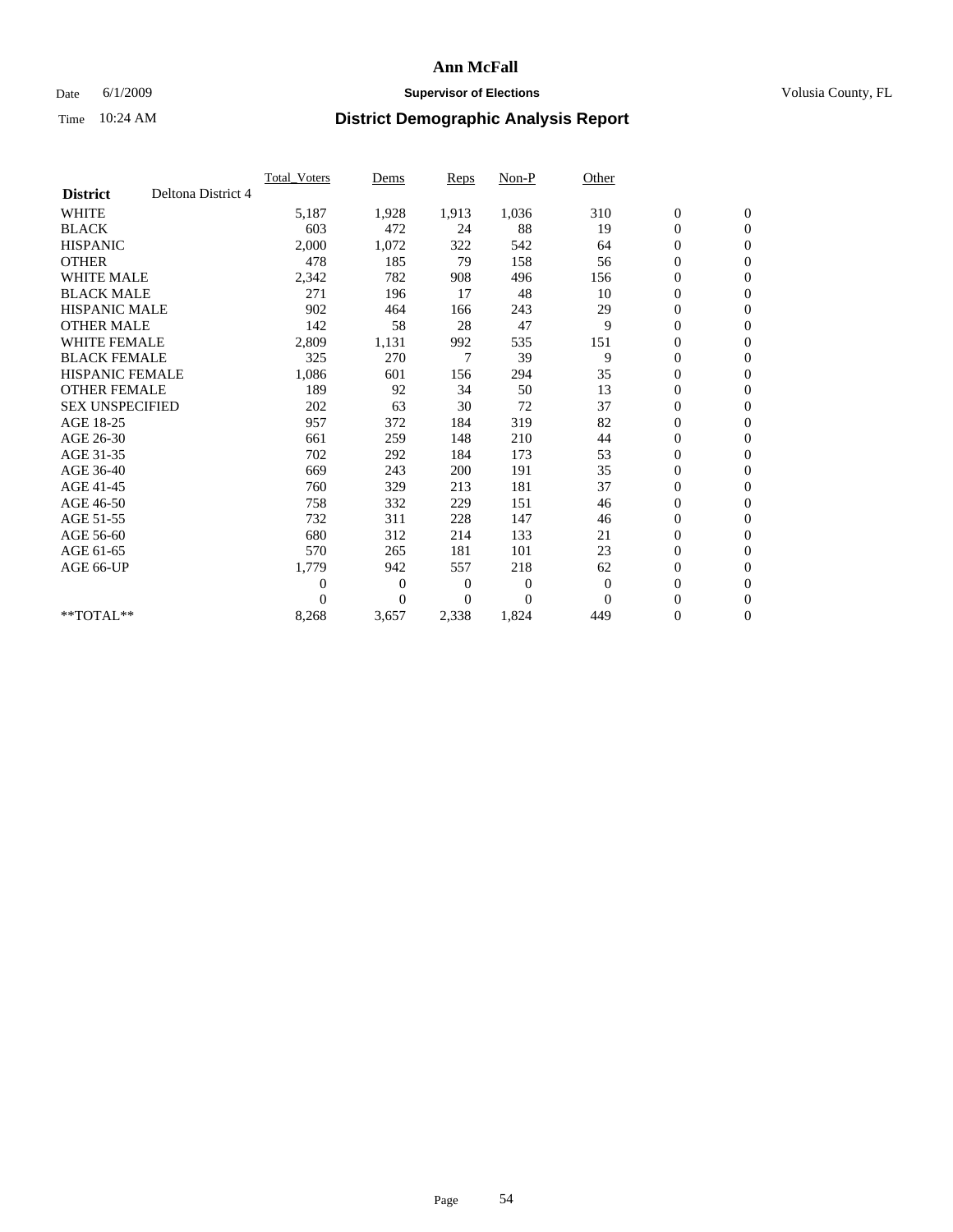## Date 6/1/2009 **Supervisor of Elections Supervisor of Elections** Volusia County, FL

|                        |                    | Total Voters   | Dems           | <b>Reps</b> | Non-P        | Other        |                  |                  |  |
|------------------------|--------------------|----------------|----------------|-------------|--------------|--------------|------------------|------------------|--|
| <b>District</b>        | Deltona District 4 |                |                |             |              |              |                  |                  |  |
| <b>WHITE</b>           |                    | 5,187          | 1,928          | 1,913       | 1,036        | 310          | $\boldsymbol{0}$ | $\boldsymbol{0}$ |  |
| <b>BLACK</b>           |                    | 603            | 472            | 24          | 88           | 19           | $\boldsymbol{0}$ | $\mathbf{0}$     |  |
| <b>HISPANIC</b>        |                    | 2,000          | 1,072          | 322         | 542          | 64           | $\overline{0}$   | $\mathbf{0}$     |  |
| <b>OTHER</b>           |                    | 478            | 185            | 79          | 158          | 56           | $\boldsymbol{0}$ | $\mathbf{0}$     |  |
| <b>WHITE MALE</b>      |                    | 2,342          | 782            | 908         | 496          | 156          | $\boldsymbol{0}$ | $\mathbf{0}$     |  |
| <b>BLACK MALE</b>      |                    | 271            | 196            | 17          | 48           | 10           | $\boldsymbol{0}$ | $\mathbf{0}$     |  |
| <b>HISPANIC MALE</b>   |                    | 902            | 464            | 166         | 243          | 29           | $\boldsymbol{0}$ | $\mathbf{0}$     |  |
| <b>OTHER MALE</b>      |                    | 142            | 58             | 28          | 47           | 9            | $\boldsymbol{0}$ | $\mathbf{0}$     |  |
| <b>WHITE FEMALE</b>    |                    | 2,809          | 1,131          | 992         | 535          | 151          | $\overline{0}$   | $\mathbf{0}$     |  |
| <b>BLACK FEMALE</b>    |                    | 325            | 270            | 7           | 39           | 9            | $\boldsymbol{0}$ | $\mathbf{0}$     |  |
| <b>HISPANIC FEMALE</b> |                    | 1,086          | 601            | 156         | 294          | 35           | $\boldsymbol{0}$ | $\mathbf{0}$     |  |
| <b>OTHER FEMALE</b>    |                    | 189            | 92             | 34          | 50           | 13           | $\mathbf{0}$     | $\mathbf{0}$     |  |
| <b>SEX UNSPECIFIED</b> |                    | 202            | 63             | 30          | 72           | 37           | $\boldsymbol{0}$ | $\mathbf{0}$     |  |
| AGE 18-25              |                    | 957            | 372            | 184         | 319          | 82           | $\boldsymbol{0}$ | $\mathbf{0}$     |  |
| AGE 26-30              |                    | 661            | 259            | 148         | 210          | 44           | $\overline{0}$   | $\mathbf{0}$     |  |
| AGE 31-35              |                    | 702            | 292            | 184         | 173          | 53           | $\boldsymbol{0}$ | $\mathbf{0}$     |  |
| AGE 36-40              |                    | 669            | 243            | 200         | 191          | 35           | $\boldsymbol{0}$ | $\mathbf{0}$     |  |
| AGE 41-45              |                    | 760            | 329            | 213         | 181          | 37           | $\overline{0}$   | $\mathbf{0}$     |  |
| AGE 46-50              |                    | 758            | 332            | 229         | 151          | 46           | $\boldsymbol{0}$ | $\mathbf{0}$     |  |
| AGE 51-55              |                    | 732            | 311            | 228         | 147          | 46           | $\boldsymbol{0}$ | $\mathbf{0}$     |  |
| AGE 56-60              |                    | 680            | 312            | 214         | 133          | 21           | $\boldsymbol{0}$ | $\Omega$         |  |
| AGE 61-65              |                    | 570            | 265            | 181         | 101          | 23           | $\mathbf{0}$     | $\mathbf{0}$     |  |
| AGE 66-UP              |                    | 1,779          | 942            | 557         | 218          | 62           | $\boldsymbol{0}$ | $\mathbf{0}$     |  |
|                        |                    | $\overline{0}$ | $\overline{0}$ | 0           | $\mathbf{0}$ | $\mathbf{0}$ | $\overline{0}$   | $\mathbf{0}$     |  |
|                        |                    | $\Omega$       | $\theta$       | $\Omega$    | $\Omega$     | $\Omega$     | $\boldsymbol{0}$ | $\mathbf{0}$     |  |
| **TOTAL**              |                    | 8,268          | 3,657          | 2,338       | 1,824        | 449          | 0                | $\mathbf{0}$     |  |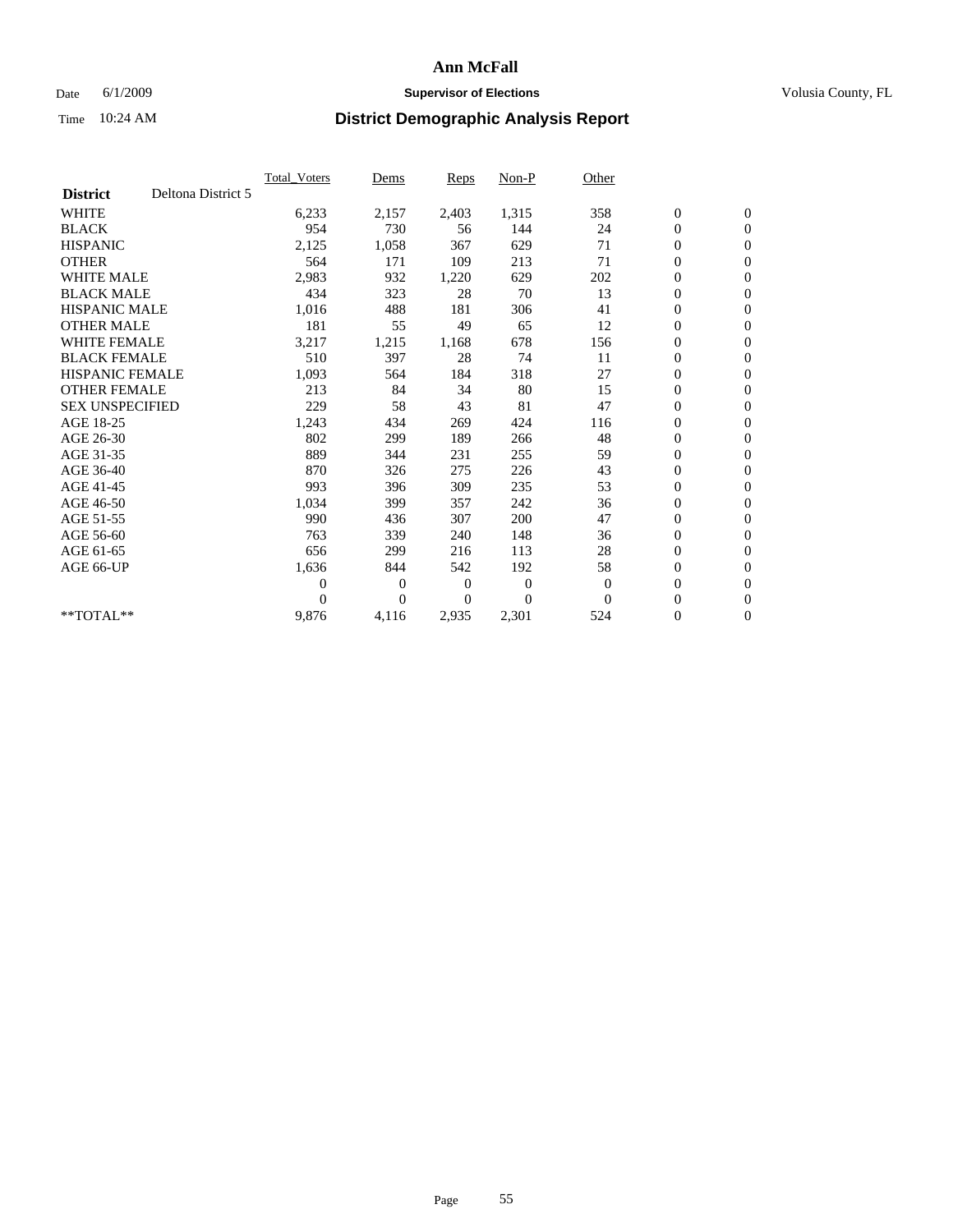### Date 6/1/2009 **Supervisor of Elections Supervisor of Elections** Volusia County, FL

|                        |                    | <b>Total Voters</b> | Dems           | <b>Reps</b>    | Non-P          | Other        |                  |                  |  |
|------------------------|--------------------|---------------------|----------------|----------------|----------------|--------------|------------------|------------------|--|
| <b>District</b>        | Deltona District 5 |                     |                |                |                |              |                  |                  |  |
| <b>WHITE</b>           |                    | 6,233               | 2,157          | 2,403          | 1,315          | 358          | $\boldsymbol{0}$ | $\boldsymbol{0}$ |  |
| <b>BLACK</b>           |                    | 954                 | 730            | 56             | 144            | 24           | $\boldsymbol{0}$ | $\mathbf{0}$     |  |
| <b>HISPANIC</b>        |                    | 2,125               | 1,058          | 367            | 629            | 71           | $\boldsymbol{0}$ | $\mathbf{0}$     |  |
| <b>OTHER</b>           |                    | 564                 | 171            | 109            | 213            | 71           | $\boldsymbol{0}$ | $\mathbf{0}$     |  |
| <b>WHITE MALE</b>      |                    | 2,983               | 932            | 1,220          | 629            | 202          | $\boldsymbol{0}$ | $\mathbf{0}$     |  |
| <b>BLACK MALE</b>      |                    | 434                 | 323            | 28             | 70             | 13           | $\overline{0}$   | $\mathbf{0}$     |  |
| <b>HISPANIC MALE</b>   |                    | 1,016               | 488            | 181            | 306            | 41           | $\boldsymbol{0}$ | $\mathbf{0}$     |  |
| <b>OTHER MALE</b>      |                    | 181                 | 55             | 49             | 65             | 12           | $\overline{0}$   | $\mathbf{0}$     |  |
| <b>WHITE FEMALE</b>    |                    | 3,217               | 1,215          | 1,168          | 678            | 156          | $\boldsymbol{0}$ | $\mathbf{0}$     |  |
| <b>BLACK FEMALE</b>    |                    | 510                 | 397            | 28             | 74             | 11           | $\boldsymbol{0}$ | $\mathbf{0}$     |  |
| <b>HISPANIC FEMALE</b> |                    | 1,093               | 564            | 184            | 318            | 27           | $\boldsymbol{0}$ | $\mathbf{0}$     |  |
| <b>OTHER FEMALE</b>    |                    | 213                 | 84             | 34             | 80             | 15           | $\mathbf{0}$     | $\mathbf{0}$     |  |
| <b>SEX UNSPECIFIED</b> |                    | 229                 | 58             | 43             | 81             | 47           | $\boldsymbol{0}$ | $\mathbf{0}$     |  |
| AGE 18-25              |                    | 1,243               | 434            | 269            | 424            | 116          | $\boldsymbol{0}$ | $\mathbf{0}$     |  |
| AGE 26-30              |                    | 802                 | 299            | 189            | 266            | 48           | $\boldsymbol{0}$ | $\mathbf{0}$     |  |
| AGE 31-35              |                    | 889                 | 344            | 231            | 255            | 59           | $\boldsymbol{0}$ | $\mathbf{0}$     |  |
| AGE 36-40              |                    | 870                 | 326            | 275            | 226            | 43           | $\boldsymbol{0}$ | $\mathbf{0}$     |  |
| AGE 41-45              |                    | 993                 | 396            | 309            | 235            | 53           | $\boldsymbol{0}$ | $\mathbf{0}$     |  |
| AGE 46-50              |                    | 1,034               | 399            | 357            | 242            | 36           | $\boldsymbol{0}$ | $\mathbf{0}$     |  |
| AGE 51-55              |                    | 990                 | 436            | 307            | 200            | 47           | $\boldsymbol{0}$ | $\mathbf{0}$     |  |
| AGE 56-60              |                    | 763                 | 339            | 240            | 148            | 36           | $\boldsymbol{0}$ | $\mathbf{0}$     |  |
| AGE 61-65              |                    | 656                 | 299            | 216            | 113            | 28           | $\overline{0}$   | $\mathbf{0}$     |  |
| AGE 66-UP              |                    | 1,636               | 844            | 542            | 192            | 58           | $\boldsymbol{0}$ | $\mathbf{0}$     |  |
|                        |                    | $\overline{0}$      | $\overline{0}$ | $\mathbf{0}$   | $\mathbf{0}$   | $\mathbf{0}$ | $\mathbf{0}$     | $\mathbf{0}$     |  |
|                        |                    | $\Omega$            | $\overline{0}$ | $\overline{0}$ | $\overline{0}$ | $\mathbf{0}$ | $\boldsymbol{0}$ | $\mathbf{0}$     |  |
| **TOTAL**              |                    | 9,876               | 4,116          | 2,935          | 2,301          | 524          | 0                | $\boldsymbol{0}$ |  |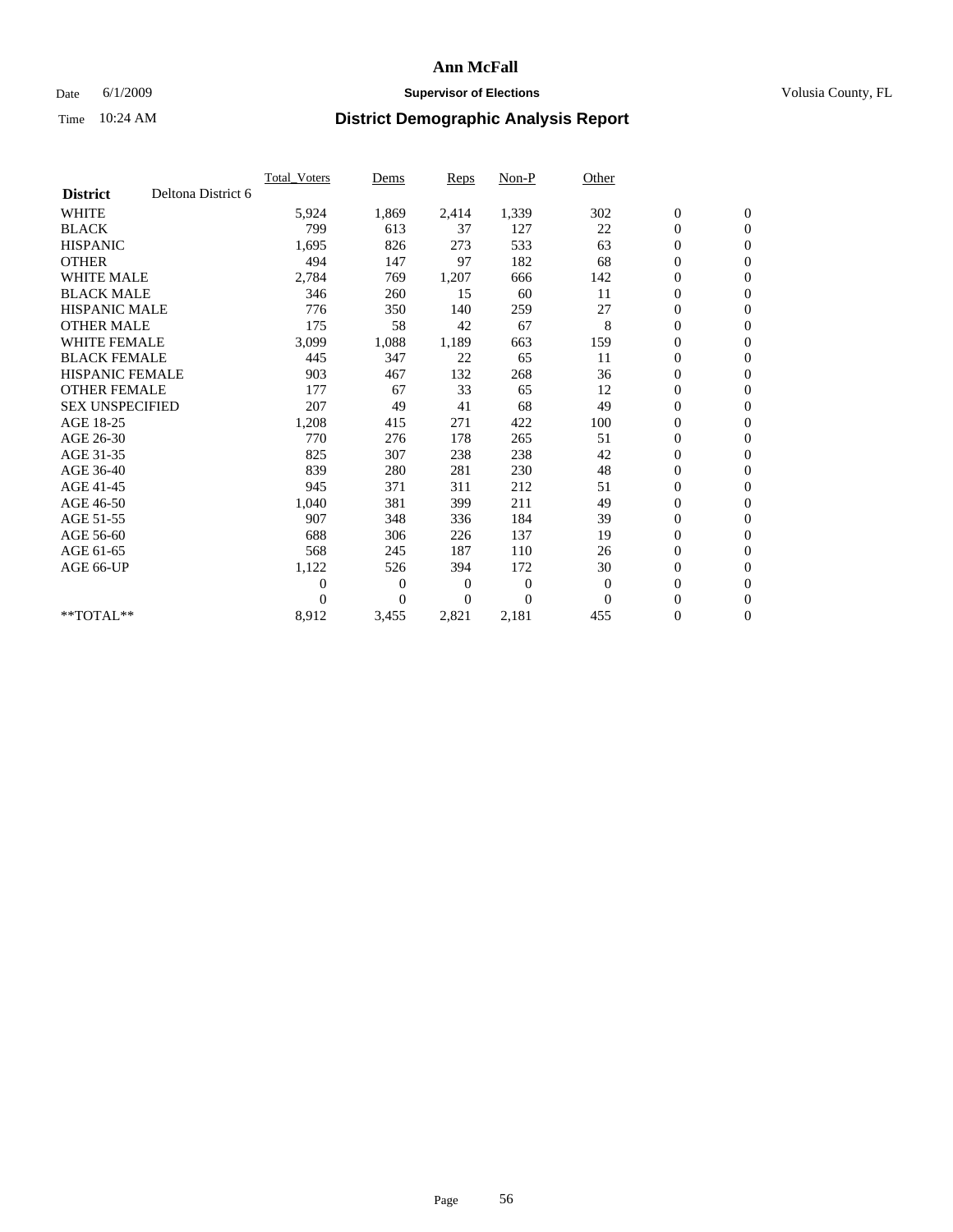### Date 6/1/2009 **Supervisor of Elections Supervisor of Elections** Volusia County, FL

|                        |                    | <b>Total Voters</b> | Dems           | Reps           | Non-P          | Other    |                  |                  |  |
|------------------------|--------------------|---------------------|----------------|----------------|----------------|----------|------------------|------------------|--|
| <b>District</b>        | Deltona District 6 |                     |                |                |                |          |                  |                  |  |
| <b>WHITE</b>           |                    | 5,924               | 1,869          | 2,414          | 1,339          | 302      | $\boldsymbol{0}$ | $\boldsymbol{0}$ |  |
| <b>BLACK</b>           |                    | 799                 | 613            | 37             | 127            | 22       | $\boldsymbol{0}$ | $\mathbf{0}$     |  |
| <b>HISPANIC</b>        |                    | 1,695               | 826            | 273            | 533            | 63       | $\boldsymbol{0}$ | $\mathbf{0}$     |  |
| <b>OTHER</b>           |                    | 494                 | 147            | 97             | 182            | 68       | 0                | $\mathbf{0}$     |  |
| <b>WHITE MALE</b>      |                    | 2,784               | 769            | 1,207          | 666            | 142      | 0                | $\mathbf{0}$     |  |
| <b>BLACK MALE</b>      |                    | 346                 | 260            | 15             | 60             | 11       | $\overline{0}$   | $\mathbf{0}$     |  |
| <b>HISPANIC MALE</b>   |                    | 776                 | 350            | 140            | 259            | 27       | 0                | $\mathbf{0}$     |  |
| <b>OTHER MALE</b>      |                    | 175                 | 58             | 42             | 67             | 8        | 0                | $\mathbf{0}$     |  |
| <b>WHITE FEMALE</b>    |                    | 3,099               | 1,088          | 1,189          | 663            | 159      | $\boldsymbol{0}$ | $\mathbf{0}$     |  |
| <b>BLACK FEMALE</b>    |                    | 445                 | 347            | 22             | 65             | 11       | 0                | $\mathbf{0}$     |  |
| <b>HISPANIC FEMALE</b> |                    | 903                 | 467            | 132            | 268            | 36       | $\boldsymbol{0}$ | $\mathbf{0}$     |  |
| <b>OTHER FEMALE</b>    |                    | 177                 | 67             | 33             | 65             | 12       | $\overline{0}$   | $\mathbf{0}$     |  |
| <b>SEX UNSPECIFIED</b> |                    | 207                 | 49             | 41             | 68             | 49       | 0                | $\mathbf{0}$     |  |
| AGE 18-25              |                    | 1,208               | 415            | 271            | 422            | 100      | 0                | $\mathbf{0}$     |  |
| AGE 26-30              |                    | 770                 | 276            | 178            | 265            | 51       | $\boldsymbol{0}$ | $\mathbf{0}$     |  |
| AGE 31-35              |                    | 825                 | 307            | 238            | 238            | 42       | 0                | $\mathbf{0}$     |  |
| AGE 36-40              |                    | 839                 | 280            | 281            | 230            | 48       | 0                | $\mathbf{0}$     |  |
| AGE 41-45              |                    | 945                 | 371            | 311            | 212            | 51       | 0                | $\mathbf{0}$     |  |
| AGE 46-50              |                    | 1,040               | 381            | 399            | 211            | 49       | 0                | $\mathbf{0}$     |  |
| AGE 51-55              |                    | 907                 | 348            | 336            | 184            | 39       | $\boldsymbol{0}$ | $\mathbf{0}$     |  |
| AGE 56-60              |                    | 688                 | 306            | 226            | 137            | 19       | $\overline{0}$   | $\mathbf{0}$     |  |
| AGE 61-65              |                    | 568                 | 245            | 187            | 110            | 26       | 0                | $\mathbf{0}$     |  |
| AGE 66-UP              |                    | 1,122               | 526            | 394            | 172            | 30       | $\boldsymbol{0}$ | $\mathbf{0}$     |  |
|                        |                    | 0                   | $\mathbf{0}$   | $\overline{0}$ | $\overline{0}$ | $\theta$ | $\overline{0}$   | $\mathbf{0}$     |  |
|                        |                    | 0                   | $\overline{0}$ | $\overline{0}$ | $\theta$       | $\theta$ | 0                | $\mathbf{0}$     |  |
| **TOTAL**              |                    | 8,912               | 3,455          | 2,821          | 2,181          | 455      | 0                | $\boldsymbol{0}$ |  |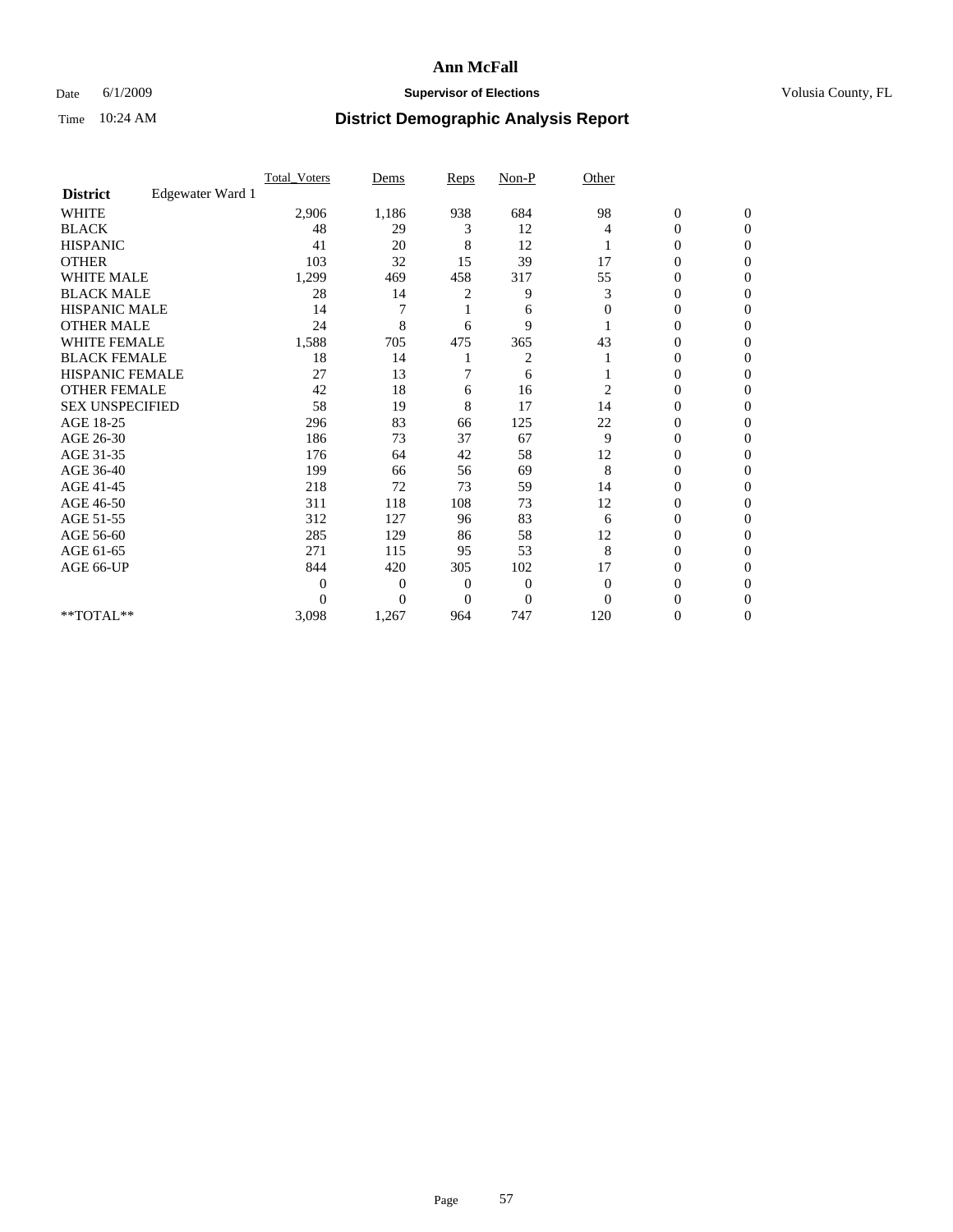## Date 6/1/2009 **Supervisor of Elections Supervisor of Elections** Volusia County, FL

|                        |                  | Total Voters   | Dems           | <b>Reps</b> | $Non-P$        | Other          |                  |                  |  |
|------------------------|------------------|----------------|----------------|-------------|----------------|----------------|------------------|------------------|--|
| <b>District</b>        | Edgewater Ward 1 |                |                |             |                |                |                  |                  |  |
| <b>WHITE</b>           |                  | 2,906          | 1,186          | 938         | 684            | 98             | $\boldsymbol{0}$ | $\boldsymbol{0}$ |  |
| <b>BLACK</b>           |                  | 48             | 29             | 3           | 12             | 4              | $\overline{0}$   | $\Omega$         |  |
| <b>HISPANIC</b>        |                  | 41             | 20             | 8           | 12             |                | 0                | $\Omega$         |  |
| <b>OTHER</b>           |                  | 103            | 32             | 15          | 39             | 17             | 0                | $\Omega$         |  |
| <b>WHITE MALE</b>      |                  | 1,299          | 469            | 458         | 317            | 55             | $\mathbf{0}$     | $\mathbf{0}$     |  |
| <b>BLACK MALE</b>      |                  | 28             | 14             | 2           | 9              | 3              | 0                | $\Omega$         |  |
| <b>HISPANIC MALE</b>   |                  | 14             | 7              |             | 6              | $\mathbf{0}$   | 0                | $\Omega$         |  |
| <b>OTHER MALE</b>      |                  | 24             | 8              | 6           | 9              |                | 0                | 0                |  |
| <b>WHITE FEMALE</b>    |                  | 1,588          | 705            | 475         | 365            | 43             | 0                | $\Omega$         |  |
| <b>BLACK FEMALE</b>    |                  | 18             | 14             |             | 2              |                | 0                | $\Omega$         |  |
| HISPANIC FEMALE        |                  | 27             | 13             | 7           | 6              |                | 0                | $\Omega$         |  |
| <b>OTHER FEMALE</b>    |                  | 42             | 18             | 6           | 16             | $\overline{c}$ | 0                | $\Omega$         |  |
| <b>SEX UNSPECIFIED</b> |                  | 58             | 19             | 8           | 17             | 14             | 0                | $\Omega$         |  |
| AGE 18-25              |                  | 296            | 83             | 66          | 125            | 22             | 0                | $\Omega$         |  |
| AGE 26-30              |                  | 186            | 73             | 37          | 67             | 9              | 0                | $\Omega$         |  |
| AGE 31-35              |                  | 176            | 64             | 42          | 58             | 12             | $\boldsymbol{0}$ | $\Omega$         |  |
| AGE 36-40              |                  | 199            | 66             | 56          | 69             | 8              | 0                | 0                |  |
| AGE 41-45              |                  | 218            | 72             | 73          | 59             | 14             | 0                | $\Omega$         |  |
| AGE 46-50              |                  | 311            | 118            | 108         | 73             | 12             | 0                | $\Omega$         |  |
| AGE 51-55              |                  | 312            | 127            | 96          | 83             | 6              | 0                | $\mathbf{0}$     |  |
| AGE 56-60              |                  | 285            | 129            | 86          | 58             | 12             | 0                | 0                |  |
| AGE 61-65              |                  | 271            | 115            | 95          | 53             | 8              | $\overline{0}$   | $\Omega$         |  |
| AGE 66-UP              |                  | 844            | 420            | 305         | 102            | 17             | 0                | 0                |  |
|                        |                  | $\overline{0}$ | 0              | 0           | $\mathbf{0}$   | $\overline{0}$ | 0                | $\Omega$         |  |
|                        |                  | $\theta$       | $\overline{0}$ | $\Omega$    | $\overline{0}$ | $\Omega$       | 0                | $\Omega$         |  |
| **TOTAL**              |                  | 3,098          | 1,267          | 964         | 747            | 120            | 0                | $\mathbf{0}$     |  |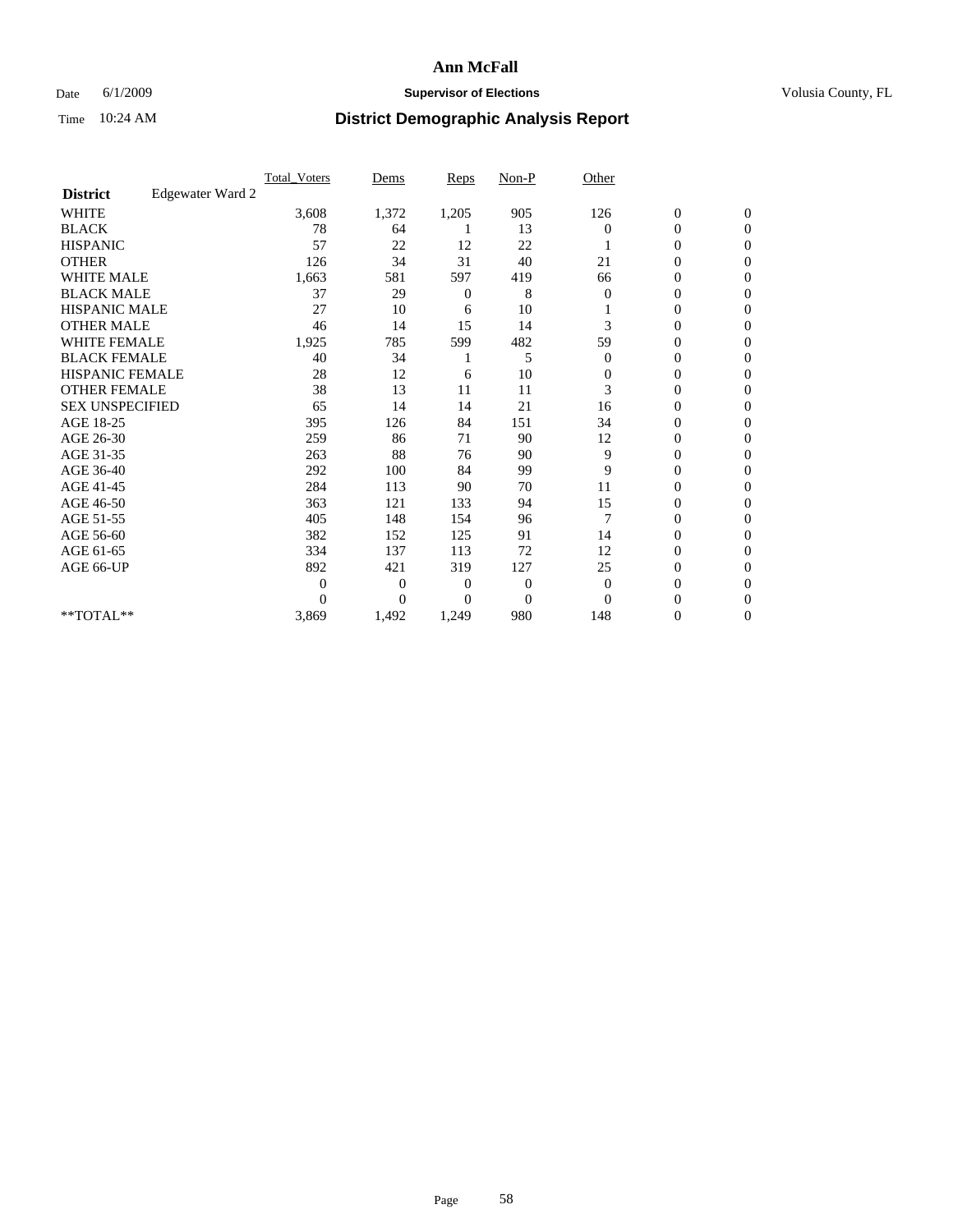## Date 6/1/2009 **Supervisor of Elections Supervisor of Elections** Volusia County, FL

|                        |                  | <b>Total_Voters</b> | Dems           | <b>Reps</b>    | $Non-P$        | Other        |                  |                |  |
|------------------------|------------------|---------------------|----------------|----------------|----------------|--------------|------------------|----------------|--|
| <b>District</b>        | Edgewater Ward 2 |                     |                |                |                |              |                  |                |  |
| <b>WHITE</b>           |                  | 3,608               | 1,372          | 1,205          | 905            | 126          | $\boldsymbol{0}$ | $\mathbf{0}$   |  |
| <b>BLACK</b>           |                  | 78                  | 64             |                | 13             | $\Omega$     | $\boldsymbol{0}$ | $\mathbf{0}$   |  |
| <b>HISPANIC</b>        |                  | 57                  | 22             | 12             | 22             |              | $\mathbf{0}$     | $\Omega$       |  |
| <b>OTHER</b>           |                  | 126                 | 34             | 31             | 40             | 21           | 0                | $\Omega$       |  |
| <b>WHITE MALE</b>      |                  | 1,663               | 581            | 597            | 419            | 66           | 0                | $\Omega$       |  |
| <b>BLACK MALE</b>      |                  | 37                  | 29             | 0              | 8              | $\mathbf{0}$ | $\boldsymbol{0}$ | $\Omega$       |  |
| HISPANIC MALE          |                  | 27                  | 10             | 6              | 10             |              | $\boldsymbol{0}$ | $\Omega$       |  |
| <b>OTHER MALE</b>      |                  | 46                  | 14             | 15             | 14             | 3            | 0                | $\mathbf{0}$   |  |
| <b>WHITE FEMALE</b>    |                  | 1,925               | 785            | 599            | 482            | 59           | 0                | $\Omega$       |  |
| <b>BLACK FEMALE</b>    |                  | 40                  | 34             |                | 5              | $\mathbf{0}$ | $\overline{0}$   | $\mathbf{0}$   |  |
| <b>HISPANIC FEMALE</b> |                  | 28                  | 12             | 6              | 10             | 0            | 0                | $\mathbf{0}$   |  |
| <b>OTHER FEMALE</b>    |                  | 38                  | 13             | 11             | 11             | 3            | $\theta$         | $\Omega$       |  |
| <b>SEX UNSPECIFIED</b> |                  | 65                  | 14             | 14             | 21             | 16           | 0                | $\mathbf{0}$   |  |
| AGE 18-25              |                  | 395                 | 126            | 84             | 151            | 34           | 0                | $\mathbf{0}$   |  |
| AGE 26-30              |                  | 259                 | 86             | 71             | 90             | 12           | 0                | $\Omega$       |  |
| AGE 31-35              |                  | 263                 | 88             | 76             | 90             | 9            | $\boldsymbol{0}$ | $\Omega$       |  |
| AGE 36-40              |                  | 292                 | 100            | 84             | 99             | 9            | 0                | $\mathbf{0}$   |  |
| AGE 41-45              |                  | 284                 | 113            | 90             | 70             | 11           | $\mathbf{0}$     | $\Omega$       |  |
| AGE 46-50              |                  | 363                 | 121            | 133            | 94             | 15           | $\overline{0}$   | $\mathbf{0}$   |  |
| AGE 51-55              |                  | 405                 | 148            | 154            | 96             | 7            | $\overline{0}$   | $\mathbf{0}$   |  |
| AGE 56-60              |                  | 382                 | 152            | 125            | 91             | 14           | $\overline{0}$   | $\Omega$       |  |
| AGE 61-65              |                  | 334                 | 137            | 113            | 72             | 12           | $\overline{0}$   | $\Omega$       |  |
| AGE 66-UP              |                  | 892                 | 421            | 319            | 127            | 25           | 0                | $\mathbf{0}$   |  |
|                        |                  | $\Omega$            | $\overline{0}$ | $\mathbf{0}$   | 0              | $\mathbf{0}$ | 0                | $\Omega$       |  |
|                        |                  | $\theta$            | $\overline{0}$ | $\overline{0}$ | $\overline{0}$ | $\Omega$     | $\overline{0}$   | $\Omega$       |  |
| **TOTAL**              |                  | 3,869               | 1,492          | 1,249          | 980            | 148          | 0                | $\overline{0}$ |  |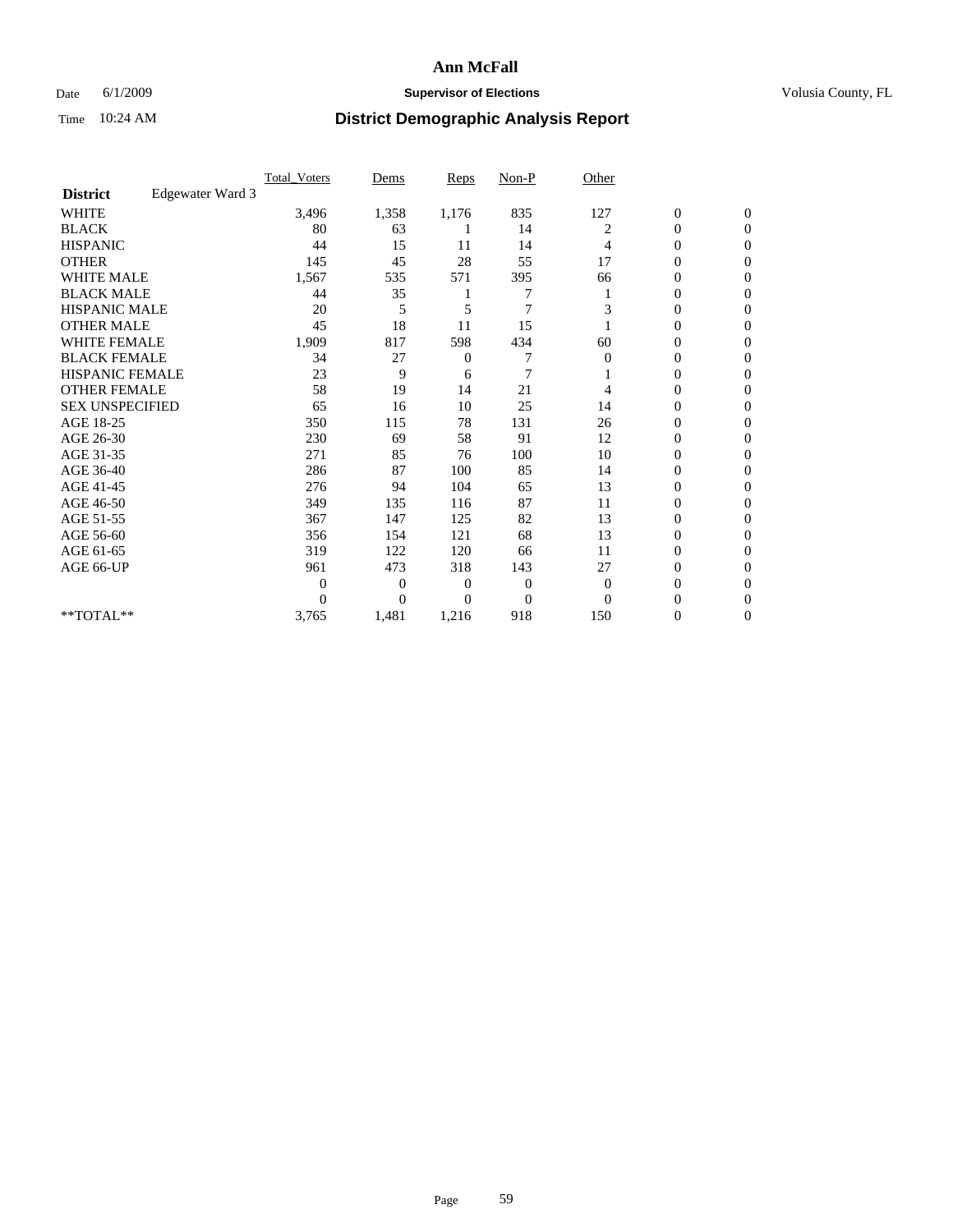## Date 6/1/2009 **Supervisor of Elections Supervisor of Elections** Volusia County, FL

|                        |                  | <b>Total_Voters</b> | Dems           | <b>Reps</b>  | $Non-P$        | Other        |                  |                  |  |
|------------------------|------------------|---------------------|----------------|--------------|----------------|--------------|------------------|------------------|--|
| <b>District</b>        | Edgewater Ward 3 |                     |                |              |                |              |                  |                  |  |
| <b>WHITE</b>           |                  | 3,496               | 1,358          | 1,176        | 835            | 127          | $\boldsymbol{0}$ | $\boldsymbol{0}$ |  |
| <b>BLACK</b>           |                  | 80                  | 63             |              | 14             | 2            | $\overline{0}$   | $\mathbf{0}$     |  |
| <b>HISPANIC</b>        |                  | 44                  | 15             | 11           | 14             | 4            | $\mathbf{0}$     | $\Omega$         |  |
| <b>OTHER</b>           |                  | 145                 | 45             | 28           | 55             | 17           | 0                | $\Omega$         |  |
| <b>WHITE MALE</b>      |                  | 1,567               | 535            | 571          | 395            | 66           | $\mathbf{0}$     | $\mathbf{0}$     |  |
| <b>BLACK MALE</b>      |                  | 44                  | 35             |              |                |              | $\mathbf{0}$     | $\Omega$         |  |
| <b>HISPANIC MALE</b>   |                  | 20                  | 5              | 5            | $\overline{7}$ | 3            | 0                | $\Omega$         |  |
| <b>OTHER MALE</b>      |                  | 45                  | 18             | 11           | 15             |              | 0                | $\Omega$         |  |
| <b>WHITE FEMALE</b>    |                  | 1,909               | 817            | 598          | 434            | 60           | 0                | $\mathbf{0}$     |  |
| <b>BLACK FEMALE</b>    |                  | 34                  | 27             | $\mathbf{0}$ | 7              | $\mathbf{0}$ | $\boldsymbol{0}$ | $\Omega$         |  |
| <b>HISPANIC FEMALE</b> |                  | 23                  | 9              | 6            | 7              |              | 0                | $\mathbf{0}$     |  |
| <b>OTHER FEMALE</b>    |                  | 58                  | 19             | 14           | 21             | 4            | 0                | $\Omega$         |  |
| <b>SEX UNSPECIFIED</b> |                  | 65                  | 16             | 10           | 25             | 14           | 0                | $\mathbf{0}$     |  |
| AGE 18-25              |                  | 350                 | 115            | 78           | 131            | 26           | 0                | $\mathbf{0}$     |  |
| AGE 26-30              |                  | 230                 | 69             | 58           | 91             | 12           | $\overline{0}$   | $\Omega$         |  |
| AGE 31-35              |                  | 271                 | 85             | 76           | 100            | 10           | $\boldsymbol{0}$ | $\mathbf{0}$     |  |
| AGE 36-40              |                  | 286                 | 87             | 100          | 85             | 14           | 0                | $\Omega$         |  |
| AGE 41-45              |                  | 276                 | 94             | 104          | 65             | 13           | 0                | $\Omega$         |  |
| AGE 46-50              |                  | 349                 | 135            | 116          | 87             | 11           | $\boldsymbol{0}$ | $\Omega$         |  |
| AGE 51-55              |                  | 367                 | 147            | 125          | 82             | 13           | 0                | $\mathbf{0}$     |  |
| AGE 56-60              |                  | 356                 | 154            | 121          | 68             | 13           | $\mathbf{0}$     | $\Omega$         |  |
| AGE 61-65              |                  | 319                 | 122            | 120          | 66             | 11           | 0                | $\mathbf{0}$     |  |
| AGE 66-UP              |                  | 961                 | 473            | 318          | 143            | 27           | 0                | $\Omega$         |  |
|                        |                  | $\overline{0}$      | $\overline{0}$ | 0            | $\mathbf{0}$   | $\mathbf{0}$ | 0                | $\Omega$         |  |
|                        |                  | $\Omega$            | $\overline{0}$ | $\Omega$     | $\Omega$       | $\Omega$     | 0                | $\Omega$         |  |
| **TOTAL**              |                  | 3,765               | 1,481          | 1,216        | 918            | 150          | 0                | $\mathbf{0}$     |  |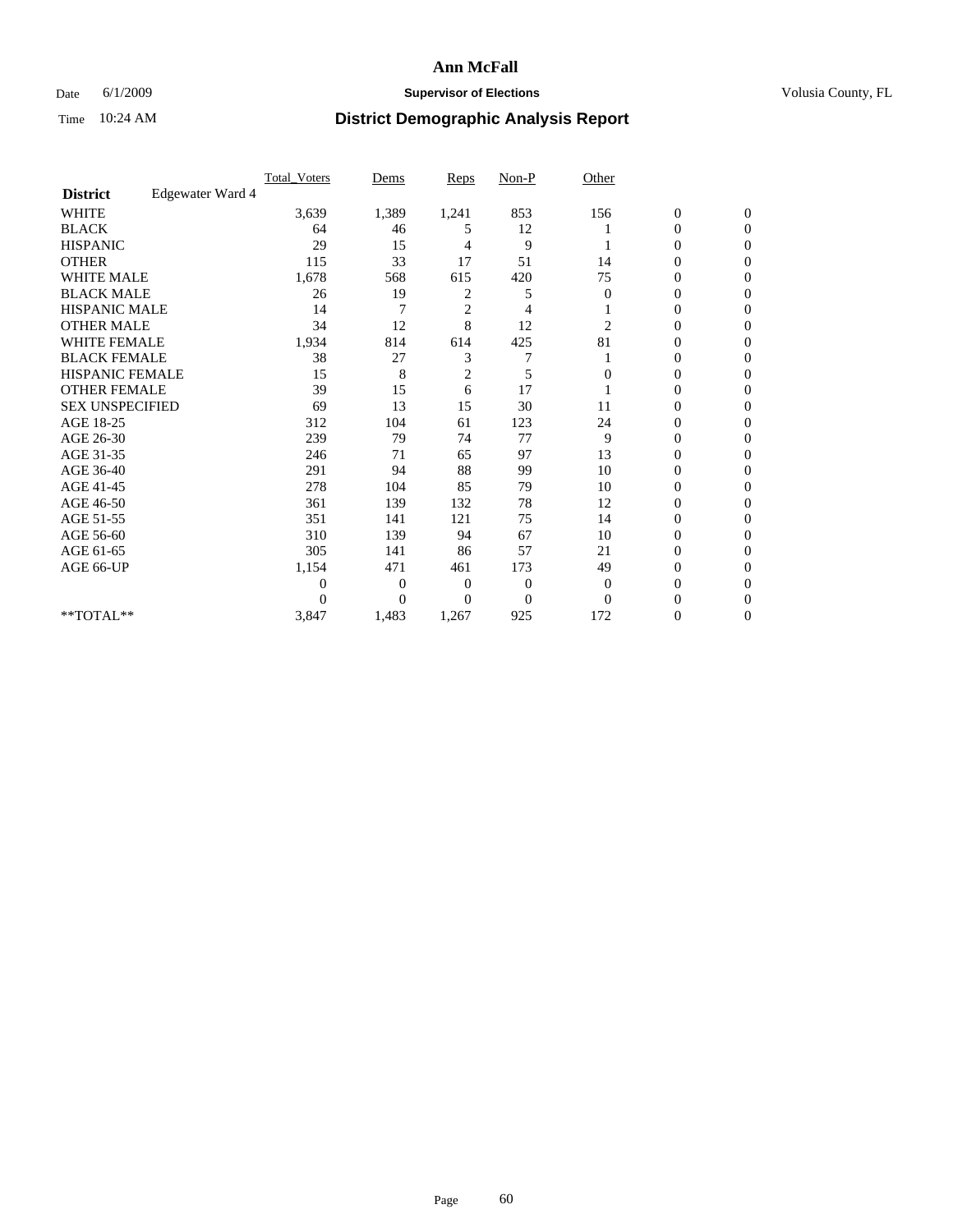## Date 6/1/2009 **Supervisor of Elections Supervisor of Elections** Volusia County, FL

|                        |                  | Total Voters   | Dems           | <b>Reps</b>    | $Non-P$      | Other        |                  |                  |  |
|------------------------|------------------|----------------|----------------|----------------|--------------|--------------|------------------|------------------|--|
| <b>District</b>        | Edgewater Ward 4 |                |                |                |              |              |                  |                  |  |
| <b>WHITE</b>           |                  | 3,639          | 1,389          | 1,241          | 853          | 156          | $\boldsymbol{0}$ | $\boldsymbol{0}$ |  |
| <b>BLACK</b>           |                  | 64             | 46             | 5              | 12           |              | $\boldsymbol{0}$ | $\Omega$         |  |
| <b>HISPANIC</b>        |                  | 29             | 15             | 4              | 9            |              | 0                | $\Omega$         |  |
| <b>OTHER</b>           |                  | 115            | 33             | 17             | 51           | 14           | 0                | $\Omega$         |  |
| <b>WHITE MALE</b>      |                  | 1,678          | 568            | 615            | 420          | 75           | $\overline{0}$   | $\mathbf{0}$     |  |
| <b>BLACK MALE</b>      |                  | 26             | 19             | 2              | 5            | $\mathbf{0}$ | $\overline{0}$   | $\Omega$         |  |
| <b>HISPANIC MALE</b>   |                  | 14             | 7              | $\overline{2}$ | 4            |              | 0                | $\Omega$         |  |
| <b>OTHER MALE</b>      |                  | 34             | 12             | 8              | 12           | 2            | 0                | 0                |  |
| <b>WHITE FEMALE</b>    |                  | 1,934          | 814            | 614            | 425          | 81           | 0                | $\Omega$         |  |
| <b>BLACK FEMALE</b>    |                  | 38             | 27             | 3              | 7            |              | 0                | $\Omega$         |  |
| <b>HISPANIC FEMALE</b> |                  | 15             | 8              | $\overline{c}$ | 5            | 0            | 0                | $\Omega$         |  |
| <b>OTHER FEMALE</b>    |                  | 39             | 15             | 6              | 17           |              | 0                | $\Omega$         |  |
| <b>SEX UNSPECIFIED</b> |                  | 69             | 13             | 15             | 30           | 11           | 0                | $\overline{0}$   |  |
| AGE 18-25              |                  | 312            | 104            | 61             | 123          | 24           | 0                | $\Omega$         |  |
| AGE 26-30              |                  | 239            | 79             | 74             | 77           | 9            | $\overline{0}$   | $\Omega$         |  |
| AGE 31-35              |                  | 246            | 71             | 65             | 97           | 13           | $\boldsymbol{0}$ | $\Omega$         |  |
| AGE 36-40              |                  | 291            | 94             | 88             | 99           | 10           | 0                | 0                |  |
| AGE 41-45              |                  | 278            | 104            | 85             | 79           | 10           | 0                | $\Omega$         |  |
| AGE 46-50              |                  | 361            | 139            | 132            | 78           | 12           | 0                | $\Omega$         |  |
| AGE 51-55              |                  | 351            | 141            | 121            | 75           | 14           | 0                | $\mathbf{0}$     |  |
| AGE 56-60              |                  | 310            | 139            | 94             | 67           | 10           | $\mathbf{0}$     | 0                |  |
| AGE 61-65              |                  | 305            | 141            | 86             | 57           | 21           | 0                | $\Omega$         |  |
| AGE 66-UP              |                  | 1,154          | 471            | 461            | 173          | 49           | 0                | 0                |  |
|                        |                  | $\overline{0}$ | $\overline{0}$ | 0              | $\mathbf{0}$ | $\mathbf{0}$ | 0                | $\Omega$         |  |
|                        |                  | $\theta$       | $\overline{0}$ | $\Omega$       | $\Omega$     | $\Omega$     | 0                | $\Omega$         |  |
| **TOTAL**              |                  | 3,847          | 1,483          | 1,267          | 925          | 172          | 0                | $\mathbf{0}$     |  |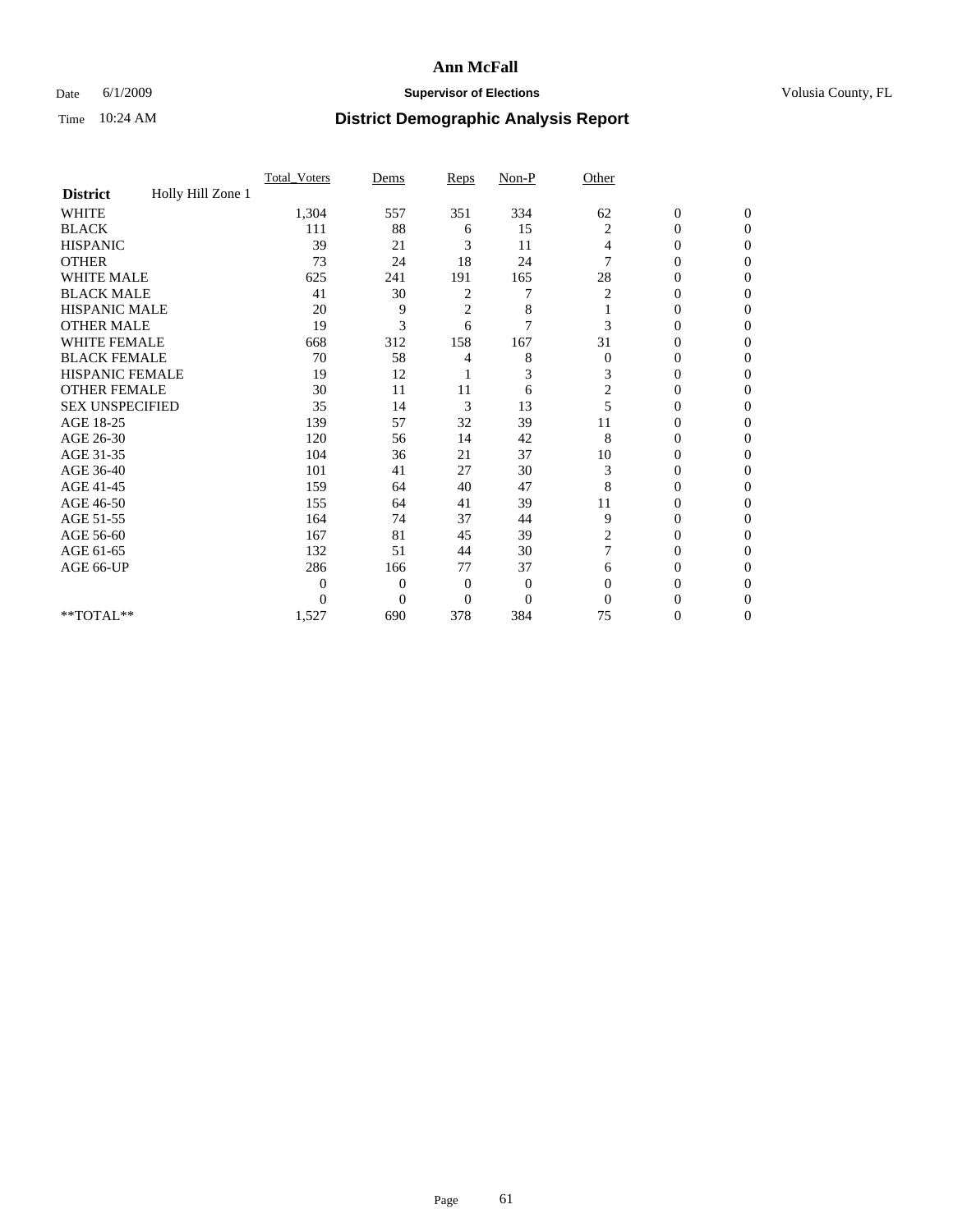## Date 6/1/2009 **Supervisor of Elections Supervisor of Elections** Volusia County, FL

|                        |                   | Total Voters   | Dems           | Reps         | Non-P          | Other                   |                  |                  |
|------------------------|-------------------|----------------|----------------|--------------|----------------|-------------------------|------------------|------------------|
| <b>District</b>        | Holly Hill Zone 1 |                |                |              |                |                         |                  |                  |
| <b>WHITE</b>           |                   | 1,304          | 557            | 351          | 334            | 62                      | $\boldsymbol{0}$ | $\boldsymbol{0}$ |
| <b>BLACK</b>           |                   | 111            | 88             | 6            | 15             | $\overline{c}$          | 0                | $\Omega$         |
| <b>HISPANIC</b>        |                   | 39             | 21             | 3            | 11             | 4                       | $\mathbf{0}$     | $\Omega$         |
| <b>OTHER</b>           |                   | 73             | 24             | 18           | 24             | 7                       | 0                | $\Omega$         |
| <b>WHITE MALE</b>      |                   | 625            | 241            | 191          | 165            | 28                      | $\theta$         | $\Omega$         |
| <b>BLACK MALE</b>      |                   | 41             | 30             | 2            | 7              | 2                       | $\overline{0}$   | $\mathbf{0}$     |
| <b>HISPANIC MALE</b>   |                   | 20             | 9              | 2            | 8              |                         | 0                | 0                |
| <b>OTHER MALE</b>      |                   | 19             | 3              | 6            | $\overline{7}$ | 3                       | $\theta$         | $\Omega$         |
| <b>WHITE FEMALE</b>    |                   | 668            | 312            | 158          | 167            | 31                      | $\overline{0}$   | $\mathbf{0}$     |
| <b>BLACK FEMALE</b>    |                   | 70             | 58             | 4            | 8              | $\mathbf{0}$            | 0                | $\mathbf{0}$     |
| <b>HISPANIC FEMALE</b> |                   | 19             | 12             |              | 3              | 3                       | 0                | $\Omega$         |
| <b>OTHER FEMALE</b>    |                   | 30             | 11             | 11           | 6              | $\overline{\mathbf{c}}$ | $\overline{0}$   | $\Omega$         |
| <b>SEX UNSPECIFIED</b> |                   | 35             | 14             | 3            | 13             | 5                       | 0                | $\mathbf{0}$     |
| AGE 18-25              |                   | 139            | 57             | 32           | 39             | 11                      | 0                | $\Omega$         |
| AGE 26-30              |                   | 120            | 56             | 14           | 42             | 8                       | 0                | 0                |
| AGE 31-35              |                   | 104            | 36             | 21           | 37             | 10                      | $\overline{0}$   | 0                |
| AGE 36-40              |                   | 101            | 41             | 27           | 30             | 3                       | $\overline{0}$   | $\overline{0}$   |
| AGE 41-45              |                   | 159            | 64             | 40           | 47             | 8                       | 0                | 0                |
| AGE 46-50              |                   | 155            | 64             | 41           | 39             | 11                      | $\overline{0}$   | $\mathbf{0}$     |
| AGE 51-55              |                   | 164            | 74             | 37           | 44             | 9                       | $\overline{0}$   | $\mathbf{0}$     |
| AGE 56-60              |                   | 167            | 81             | 45           | 39             | $\overline{c}$          | 0                | $\Omega$         |
| AGE 61-65              |                   | 132            | 51             | 44           | 30             | 7                       | $\overline{0}$   | $\Omega$         |
| AGE 66-UP              |                   | 286            | 166            | 77           | 37             | 6                       | 0                | $\mathbf{0}$     |
|                        |                   | $\overline{0}$ | $\overline{0}$ | $\mathbf{0}$ | $\mathbf{0}$   | $\Omega$                | 0                | $\Omega$         |
|                        |                   | $\theta$       | $\overline{0}$ | $\mathbf{0}$ | $\overline{0}$ | $\Omega$                | $\theta$         | $\overline{0}$   |
| $**TOTAL**$            |                   | 1,527          | 690            | 378          | 384            | 75                      | 0                | $\mathbf{0}$     |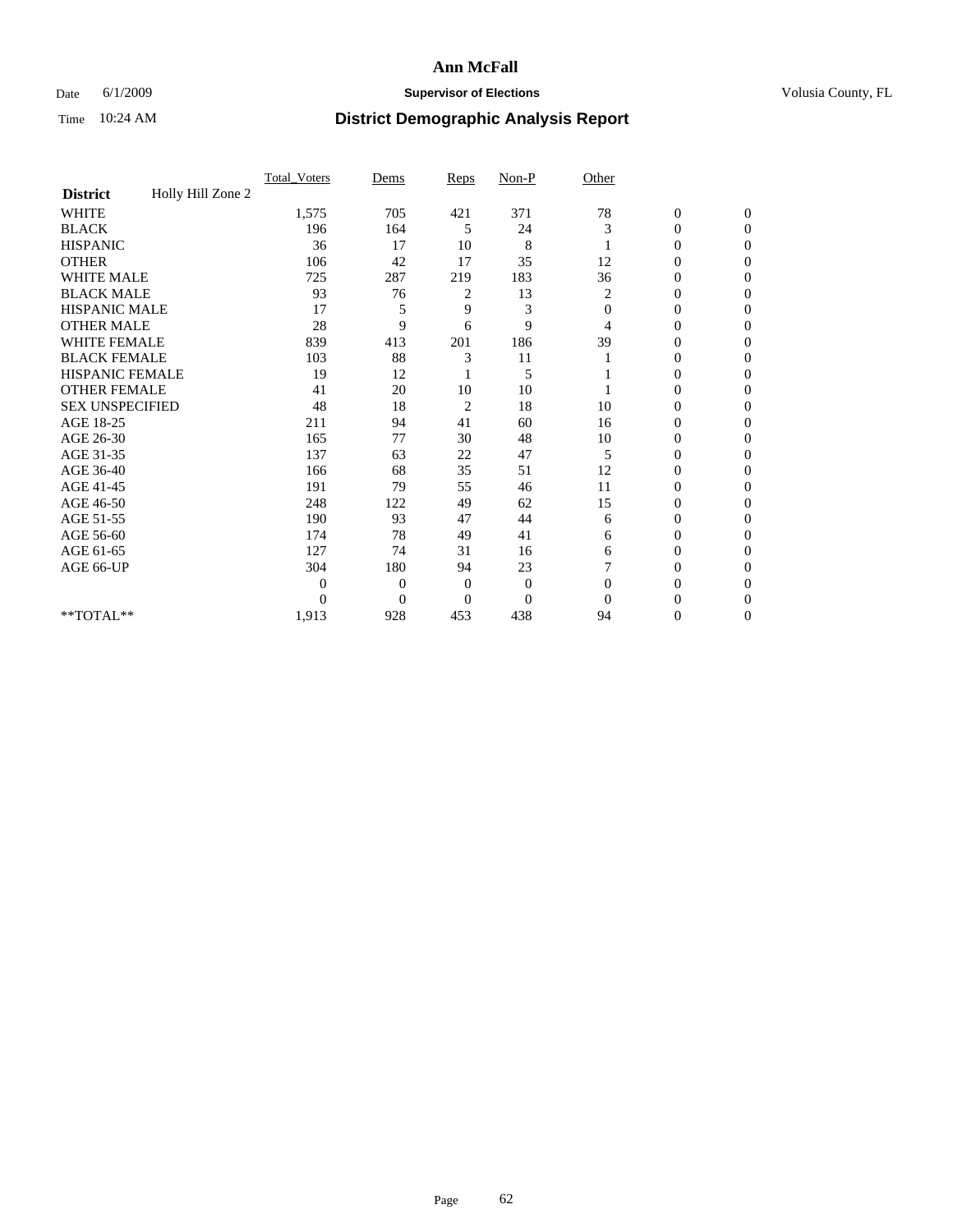## Date 6/1/2009 **Supervisor of Elections Supervisor of Elections** Volusia County, FL

|                        |                   | Total Voters | Dems           | Reps           | $Non-P$          | Other        |                  |              |  |
|------------------------|-------------------|--------------|----------------|----------------|------------------|--------------|------------------|--------------|--|
| <b>District</b>        | Holly Hill Zone 2 |              |                |                |                  |              |                  |              |  |
| <b>WHITE</b>           |                   | 1,575        | 705            | 421            | 371              | 78           | $\boldsymbol{0}$ | $\mathbf{0}$ |  |
| <b>BLACK</b>           |                   | 196          | 164            | 5              | 24               | 3            | $\boldsymbol{0}$ | $\mathbf{0}$ |  |
| <b>HISPANIC</b>        |                   | 36           | 17             | 10             | 8                |              | 0                | $\Omega$     |  |
| <b>OTHER</b>           |                   | 106          | 42             | 17             | 35               | 12           | 0                | $\Omega$     |  |
| <b>WHITE MALE</b>      |                   | 725          | 287            | 219            | 183              | 36           | 0                | $\Omega$     |  |
| <b>BLACK MALE</b>      |                   | 93           | 76             | 2              | 13               | 2            | $\mathbf{0}$     | $\Omega$     |  |
| HISPANIC MALE          |                   | 17           | 5              | 9              | 3                | $\mathbf{0}$ | $\boldsymbol{0}$ | $\Omega$     |  |
| <b>OTHER MALE</b>      |                   | 28           | 9              | 6              | 9                | 4            | 0                | $\Omega$     |  |
| <b>WHITE FEMALE</b>    |                   | 839          | 413            | 201            | 186              | 39           | 0                | $\Omega$     |  |
| <b>BLACK FEMALE</b>    |                   | 103          | 88             | 3              | 11               |              | $\overline{0}$   | $\mathbf{0}$ |  |
| <b>HISPANIC FEMALE</b> |                   | 19           | 12             |                | 5                |              | 0                | $\Omega$     |  |
| <b>OTHER FEMALE</b>    |                   | 41           | 20             | 10             | 10               |              | 0                | 0            |  |
| <b>SEX UNSPECIFIED</b> |                   | 48           | 18             | $\overline{c}$ | 18               | 10           | $\overline{0}$   | $\Omega$     |  |
| AGE 18-25              |                   | 211          | 94             | 41             | 60               | 16           | 0                | $\mathbf{0}$ |  |
| AGE 26-30              |                   | 165          | 77             | 30             | 48               | 10           | 0                | $\Omega$     |  |
| AGE 31-35              |                   | 137          | 63             | 22             | 47               | 5            | $\boldsymbol{0}$ | $\Omega$     |  |
| AGE 36-40              |                   | 166          | 68             | 35             | 51               | 12           | 0                | $\Omega$     |  |
| AGE 41-45              |                   | 191          | 79             | 55             | 46               | 11           | $\mathbf{0}$     | $\Omega$     |  |
| AGE 46-50              |                   | 248          | 122            | 49             | 62               | 15           | $\overline{0}$   | $\mathbf{0}$ |  |
| AGE 51-55              |                   | 190          | 93             | 47             | 44               | 6            | 0                | 0            |  |
| AGE 56-60              |                   | 174          | 78             | 49             | 41               | 6            | 0                | $\Omega$     |  |
| AGE 61-65              |                   | 127          | 74             | 31             | 16               | 6            | $\overline{0}$   | $\Omega$     |  |
| AGE 66-UP              |                   | 304          | 180            | 94             | 23               |              | 0                | 0            |  |
|                        |                   | $\theta$     | $\overline{0}$ | $\mathbf{0}$   | $\boldsymbol{0}$ | $\Omega$     | 0                | $\Omega$     |  |
|                        |                   | $\theta$     | $\overline{0}$ | $\Omega$       | $\overline{0}$   | $\Omega$     | $\theta$         | $\Omega$     |  |
| **TOTAL**              |                   | 1,913        | 928            | 453            | 438              | 94           | 0                | $\mathbf{0}$ |  |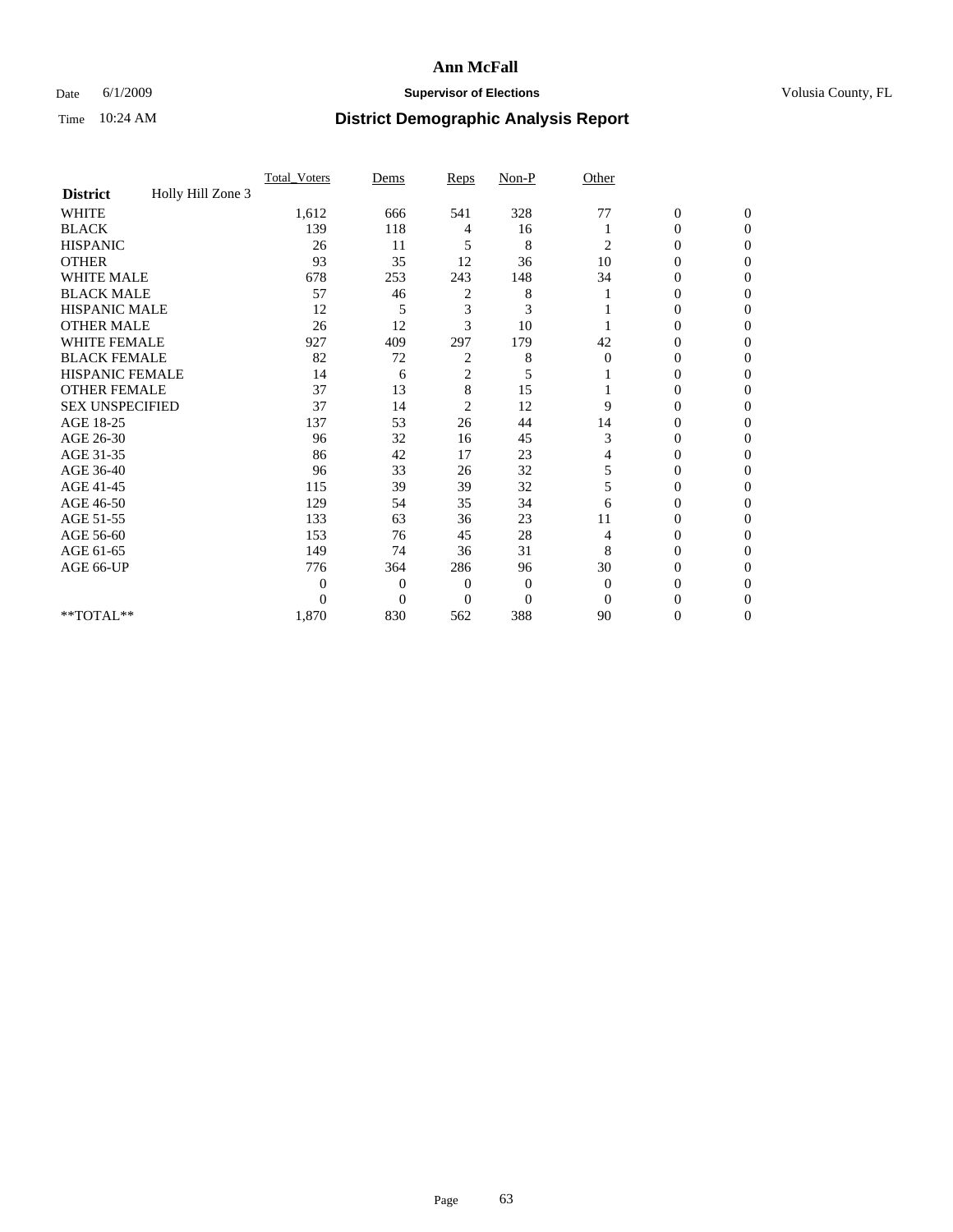## Date 6/1/2009 **Supervisor of Elections Supervisor of Elections** Volusia County, FL

|                        |                   | Total Voters | Dems           | Reps           | $Non-P$        | Other        |                  |              |  |
|------------------------|-------------------|--------------|----------------|----------------|----------------|--------------|------------------|--------------|--|
| <b>District</b>        | Holly Hill Zone 3 |              |                |                |                |              |                  |              |  |
| <b>WHITE</b>           |                   | 1,612        | 666            | 541            | 328            | 77           | $\boldsymbol{0}$ | $\mathbf{0}$ |  |
| <b>BLACK</b>           |                   | 139          | 118            | 4              | 16             |              | $\overline{0}$   | $\Omega$     |  |
| <b>HISPANIC</b>        |                   | 26           | 11             | 5              | 8              | 2            | 0                | $\Omega$     |  |
| <b>OTHER</b>           |                   | 93           | 35             | 12             | 36             | 10           | 0                | $\Omega$     |  |
| <b>WHITE MALE</b>      |                   | 678          | 253            | 243            | 148            | 34           | 0                | 0            |  |
| <b>BLACK MALE</b>      |                   | 57           | 46             | 2              | 8              |              | $\mathbf{0}$     | $\Omega$     |  |
| HISPANIC MALE          |                   | 12           | 5              | 3              | 3              |              | 0                | $\Omega$     |  |
| <b>OTHER MALE</b>      |                   | 26           | 12             | 3              | 10             |              | 0                | 0            |  |
| <b>WHITE FEMALE</b>    |                   | 927          | 409            | 297            | 179            | 42           | 0                | $\Omega$     |  |
| <b>BLACK FEMALE</b>    |                   | 82           | 72             | 2              | 8              | $\mathbf{0}$ | $\overline{0}$   | $\Omega$     |  |
| <b>HISPANIC FEMALE</b> |                   | 14           | 6              | $\overline{c}$ | 5              |              | 0                | 0            |  |
| <b>OTHER FEMALE</b>    |                   | 37           | 13             | $\,$ 8 $\,$    | 15             |              | 0                | 0            |  |
| <b>SEX UNSPECIFIED</b> |                   | 37           | 14             | $\overline{c}$ | 12             | 9            | 0                | $\Omega$     |  |
| AGE 18-25              |                   | 137          | 53             | 26             | 44             | 14           | 0                | $\mathbf{0}$ |  |
| AGE 26-30              |                   | 96           | 32             | 16             | 45             | 3            | 0                | $\Omega$     |  |
| AGE 31-35              |                   | 86           | 42             | 17             | 23             | 4            | 0                | $\Omega$     |  |
| AGE 36-40              |                   | 96           | 33             | 26             | 32             | 5            | 0                | 0            |  |
| AGE 41-45              |                   | 115          | 39             | 39             | 32             | 5            | 0                | $\Omega$     |  |
| AGE 46-50              |                   | 129          | 54             | 35             | 34             | 6            | $\overline{0}$   | $\Omega$     |  |
| AGE 51-55              |                   | 133          | 63             | 36             | 23             | 11           | 0                | 0            |  |
| AGE 56-60              |                   | 153          | 76             | 45             | 28             | 4            | 0                | $\Omega$     |  |
| AGE 61-65              |                   | 149          | 74             | 36             | 31             | 8            | $\overline{0}$   | $\Omega$     |  |
| AGE 66-UP              |                   | 776          | 364            | 286            | 96             | 30           | 0                | 0            |  |
|                        |                   | $\Omega$     | $\overline{0}$ | $\mathbf{0}$   | $\mathbf{0}$   | $\Omega$     | 0                | $\Omega$     |  |
|                        |                   | $\theta$     | $\overline{0}$ | $\Omega$       | $\overline{0}$ | $\Omega$     | 0                | 0            |  |
| **TOTAL**              |                   | 1,870        | 830            | 562            | 388            | 90           | 0                | 0            |  |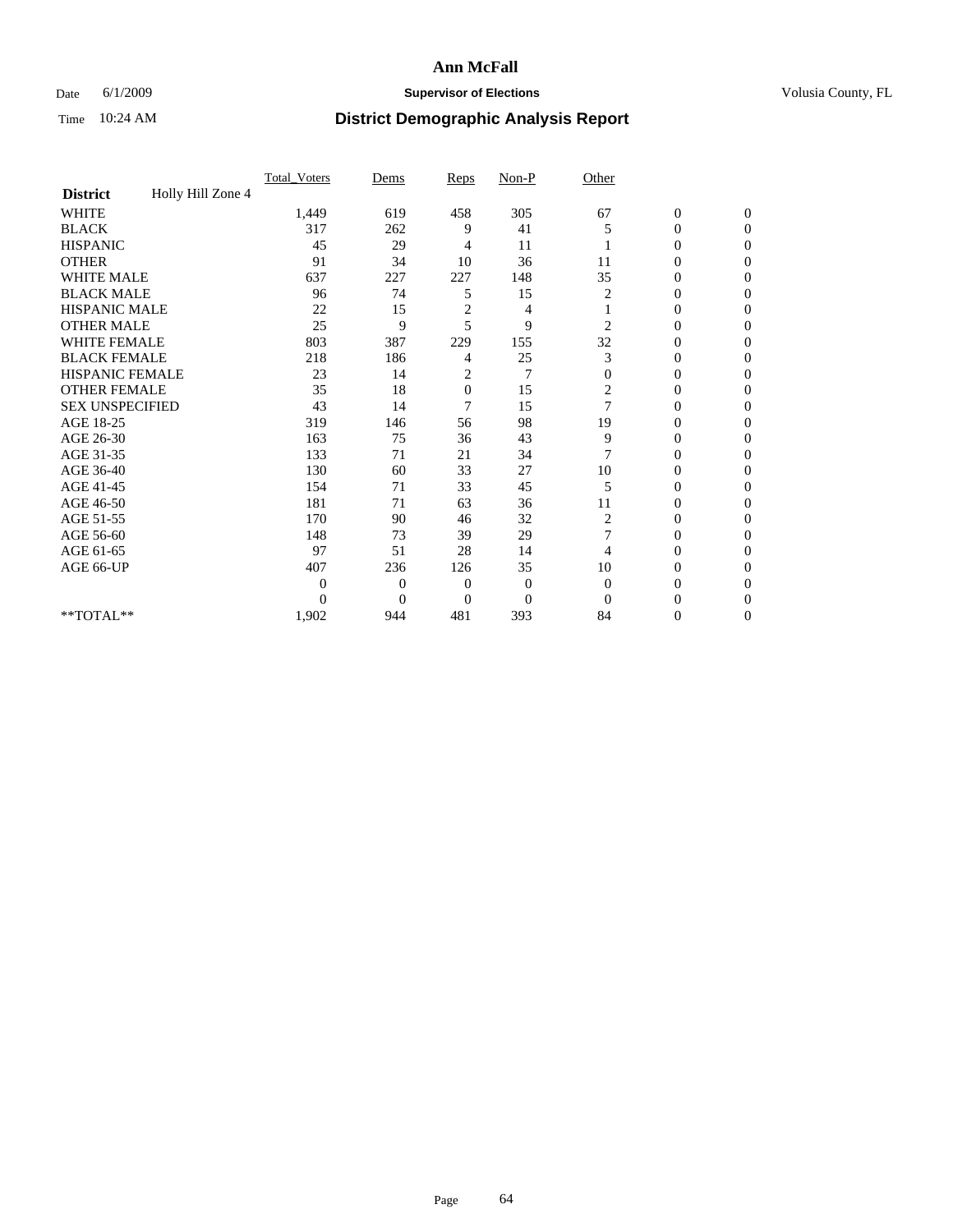## Date 6/1/2009 **Supervisor of Elections Supervisor of Elections** Volusia County, FL

|                        |                   | Total Voters | Dems           | Reps           | $Non-P$        | Other          |                  |                |  |
|------------------------|-------------------|--------------|----------------|----------------|----------------|----------------|------------------|----------------|--|
| <b>District</b>        | Holly Hill Zone 4 |              |                |                |                |                |                  |                |  |
| <b>WHITE</b>           |                   | 1,449        | 619            | 458            | 305            | 67             | $\boldsymbol{0}$ | $\mathbf{0}$   |  |
| <b>BLACK</b>           |                   | 317          | 262            | 9              | 41             | 5              | $\overline{0}$   | $\mathbf{0}$   |  |
| <b>HISPANIC</b>        |                   | 45           | 29             | 4              | 11             |                | 0                | $\Omega$       |  |
| <b>OTHER</b>           |                   | 91           | 34             | 10             | 36             | 11             | 0                | $\Omega$       |  |
| <b>WHITE MALE</b>      |                   | 637          | 227            | 227            | 148            | 35             | 0                | $\Omega$       |  |
| <b>BLACK MALE</b>      |                   | 96           | 74             | 5              | 15             | 2              | $\mathbf{0}$     | $\Omega$       |  |
| HISPANIC MALE          |                   | 22           | 15             | $\overline{c}$ | 4              |                | $\boldsymbol{0}$ | $\Omega$       |  |
| <b>OTHER MALE</b>      |                   | 25           | 9              | 5              | 9              | $\overline{c}$ | 0                | 0              |  |
| <b>WHITE FEMALE</b>    |                   | 803          | 387            | 229            | 155            | 32             | 0                | $\Omega$       |  |
| <b>BLACK FEMALE</b>    |                   | 218          | 186            | 4              | 25             | 3              | $\overline{0}$   | $\mathbf{0}$   |  |
| <b>HISPANIC FEMALE</b> |                   | 23           | 14             | 2              | $\overline{7}$ | $\Omega$       | 0                | $\Omega$       |  |
| <b>OTHER FEMALE</b>    |                   | 35           | 18             | $\overline{0}$ | 15             | 2              | 0                | 0              |  |
| <b>SEX UNSPECIFIED</b> |                   | 43           | 14             | 7              | 15             | $\overline{7}$ | 0                | $\Omega$       |  |
| AGE 18-25              |                   | 319          | 146            | 56             | 98             | 19             | 0                | $\mathbf{0}$   |  |
| AGE 26-30              |                   | 163          | 75             | 36             | 43             | 9              | 0                | $\Omega$       |  |
| AGE 31-35              |                   | 133          | 71             | 21             | 34             | 7              | 0                | $\Omega$       |  |
| AGE 36-40              |                   | 130          | 60             | 33             | 27             | 10             | 0                | $\Omega$       |  |
| AGE 41-45              |                   | 154          | 71             | 33             | 45             | 5              | 0                | $\Omega$       |  |
| AGE 46-50              |                   | 181          | 71             | 63             | 36             | 11             | $\overline{0}$   | $\Omega$       |  |
| AGE 51-55              |                   | 170          | 90             | 46             | 32             | 2              | 0                | 0              |  |
| AGE 56-60              |                   | 148          | 73             | 39             | 29             | 7              | $\overline{0}$   | $\Omega$       |  |
| AGE 61-65              |                   | 97           | 51             | 28             | 14             | 4              | 0                | $\Omega$       |  |
| AGE 66-UP              |                   | 407          | 236            | 126            | 35             | 10             | 0                | 0              |  |
|                        |                   | 0            | $\overline{0}$ | $\mathbf{0}$   | $\mathbf{0}$   | $\Omega$       | 0                | $\Omega$       |  |
|                        |                   | $\theta$     | $\overline{0}$ | $\overline{0}$ | $\overline{0}$ | $\Omega$       | $\theta$         | $\Omega$       |  |
| **TOTAL**              |                   | 1,902        | 944            | 481            | 393            | 84             | 0                | $\overline{0}$ |  |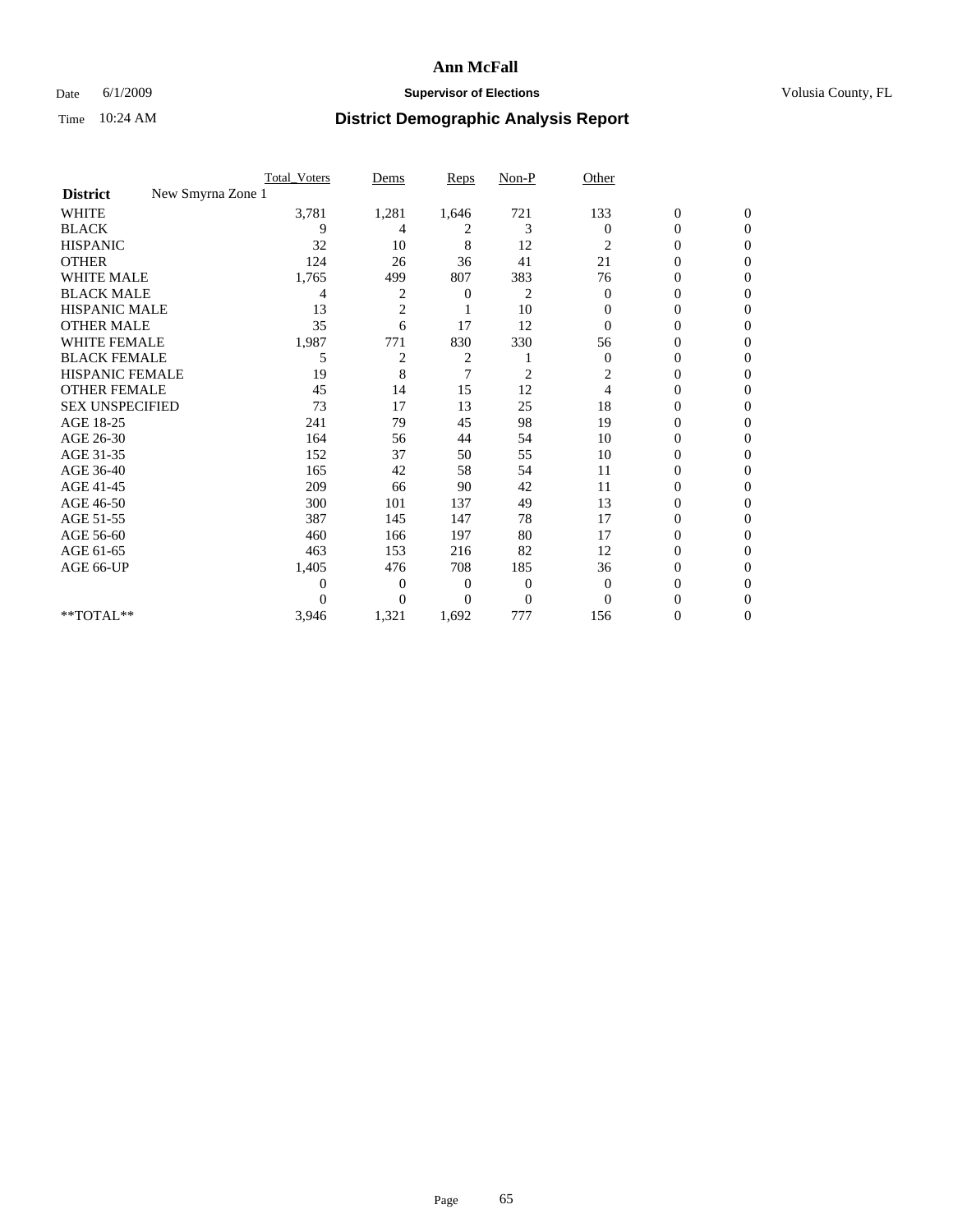## Date 6/1/2009 **Supervisor of Elections Supervisor of Elections** Volusia County, FL

|                                      | <b>Total_Voters</b> | Dems           | <b>Reps</b> | $Non-P$        | Other        |                  |                  |  |
|--------------------------------------|---------------------|----------------|-------------|----------------|--------------|------------------|------------------|--|
| New Smyrna Zone 1<br><b>District</b> |                     |                |             |                |              |                  |                  |  |
| WHITE                                | 3,781               | 1,281          | 1,646       | 721            | 133          | $\boldsymbol{0}$ | $\boldsymbol{0}$ |  |
| <b>BLACK</b>                         | 9                   | 4              | 2           | 3              | $\Omega$     | $\boldsymbol{0}$ | $\Omega$         |  |
| <b>HISPANIC</b>                      | 32                  | 10             | 8           | 12             | 2            | 0                | $\Omega$         |  |
| <b>OTHER</b>                         | 124                 | 26             | 36          | 41             | 21           | 0                | $\Omega$         |  |
| <b>WHITE MALE</b>                    | 1,765               | 499            | 807         | 383            | 76           | $\overline{0}$   | $\overline{0}$   |  |
| <b>BLACK MALE</b>                    | 4                   | 2              | 0           | 2              | $\mathbf{0}$ | $\overline{0}$   | $\Omega$         |  |
| <b>HISPANIC MALE</b>                 | 13                  | $\overline{2}$ |             | 10             | 0            | 0                | $\Omega$         |  |
| <b>OTHER MALE</b>                    | 35                  | 6              | 17          | 12             | $\Omega$     | 0                | 0                |  |
| <b>WHITE FEMALE</b>                  | 1,987               | 771            | 830         | 330            | 56           | 0                | $\Omega$         |  |
| <b>BLACK FEMALE</b>                  | 5                   | 2              | 2           |                | $\mathbf{0}$ | $\boldsymbol{0}$ | $\Omega$         |  |
| <b>HISPANIC FEMALE</b>               | 19                  | 8              | 7           | $\overline{c}$ | 2            | 0                | $\mathbf{0}$     |  |
| <b>OTHER FEMALE</b>                  | 45                  | 14             | 15          | 12             | 4            | 0                | $\Omega$         |  |
| <b>SEX UNSPECIFIED</b>               | 73                  | 17             | 13          | 25             | 18           | 0                | $\mathbf{0}$     |  |
| AGE 18-25                            | 241                 | 79             | 45          | 98             | 19           | 0                | 0                |  |
| AGE 26-30                            | 164                 | 56             | 44          | 54             | 10           | 0                | $\Omega$         |  |
| AGE 31-35                            | 152                 | 37             | 50          | 55             | 10           | $\boldsymbol{0}$ | $\Omega$         |  |
| AGE 36-40                            | 165                 | 42             | 58          | 54             | 11           | 0                | 0                |  |
| AGE 41-45                            | 209                 | 66             | 90          | 42             | 11           | 0                | $\Omega$         |  |
| AGE 46-50                            | 300                 | 101            | 137         | 49             | 13           | $\boldsymbol{0}$ | $\Omega$         |  |
| AGE 51-55                            | 387                 | 145            | 147         | 78             | 17           | 0                | $\mathbf{0}$     |  |
| AGE 56-60                            | 460                 | 166            | 197         | 80             | 17           | $\mathbf{0}$     | 0                |  |
| AGE 61-65                            | 463                 | 153            | 216         | 82             | 12           | 0                | $\Omega$         |  |
| AGE 66-UP                            | 1,405               | 476            | 708         | 185            | 36           | 0                | 0                |  |
|                                      | 0                   | 0              | 0           | $\mathbf{0}$   | $\mathbf{0}$ | 0                | $\Omega$         |  |
|                                      | $\theta$            | $\overline{0}$ | $\Omega$    | $\overline{0}$ | $\Omega$     | 0                | $\Omega$         |  |
| **TOTAL**                            | 3,946               | 1,321          | 1,692       | 777            | 156          | 0                | $\mathbf{0}$     |  |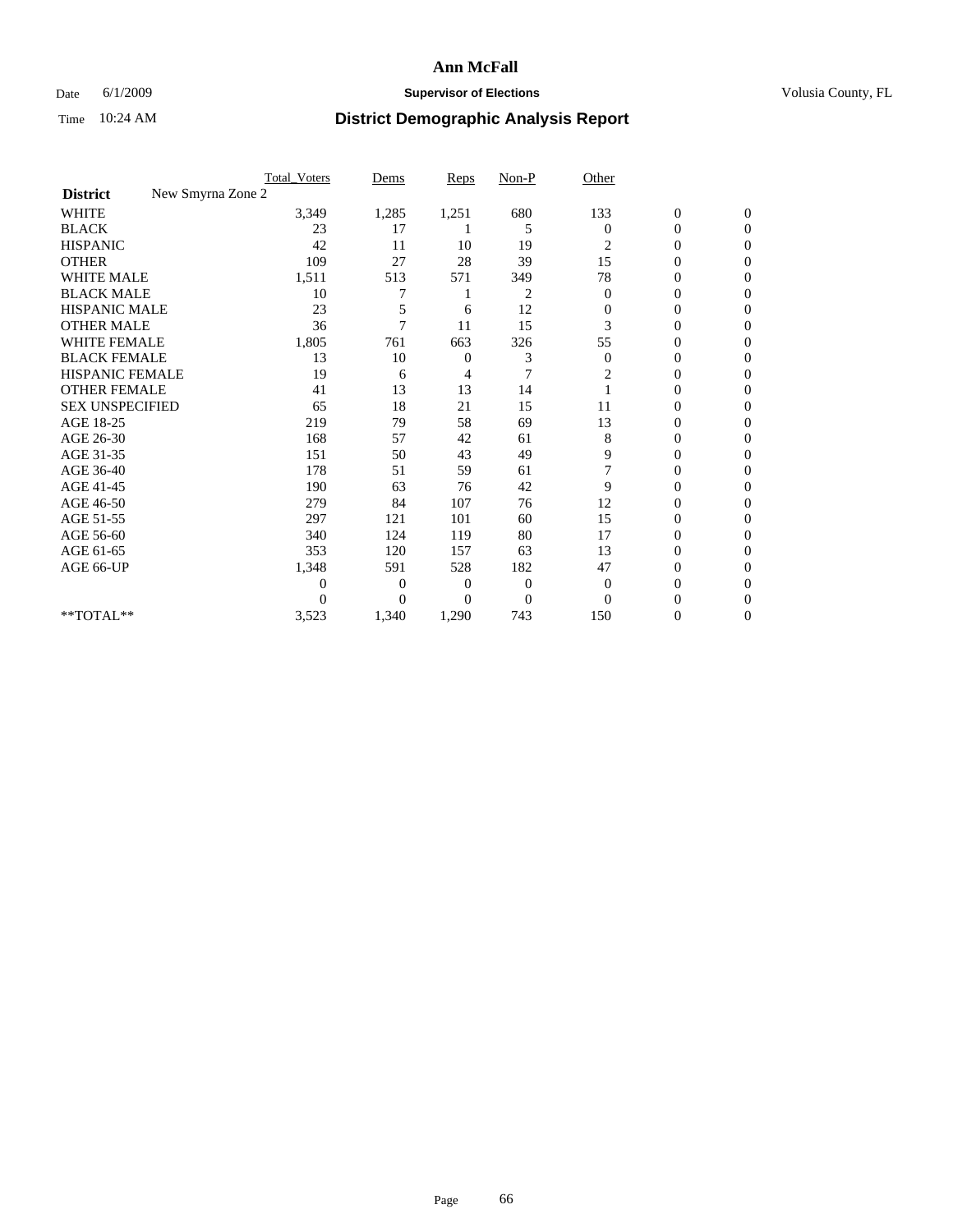## Date 6/1/2009 **Supervisor of Elections Supervisor of Elections** Volusia County, FL

|                                      | <b>Total_Voters</b> | Dems           | <b>Reps</b>    | $Non-P$        | Other          |                  |              |  |
|--------------------------------------|---------------------|----------------|----------------|----------------|----------------|------------------|--------------|--|
| New Smyrna Zone 2<br><b>District</b> |                     |                |                |                |                |                  |              |  |
| <b>WHITE</b>                         | 3,349               | 1,285          | 1,251          | 680            | 133            | $\boldsymbol{0}$ | $\mathbf{0}$ |  |
| <b>BLACK</b>                         | 23                  | 17             |                | 5              | $\mathbf{0}$   | $\boldsymbol{0}$ | $\mathbf{0}$ |  |
| <b>HISPANIC</b>                      | 42                  | 11             | 10             | 19             | 2              | $\mathbf{0}$     | $\Omega$     |  |
| <b>OTHER</b>                         | 109                 | 27             | 28             | 39             | 15             | 0                | $\Omega$     |  |
| <b>WHITE MALE</b>                    | 1,511               | 513            | 571            | 349            | 78             | 0                | $\Omega$     |  |
| <b>BLACK MALE</b>                    | 10                  |                |                | $\overline{c}$ | $\mathbf{0}$   | $\mathbf{0}$     | $\Omega$     |  |
| HISPANIC MALE                        | 23                  | 5              | 6              | 12             | $\mathbf{0}$   | 0                | $\Omega$     |  |
| <b>OTHER MALE</b>                    | 36                  | 7              | 11             | 15             | 3              | 0                | 0            |  |
| <b>WHITE FEMALE</b>                  | 1,805               | 761            | 663            | 326            | 55             | 0                | $\Omega$     |  |
| <b>BLACK FEMALE</b>                  | 13                  | 10             | $\mathbf{0}$   | 3              | $\mathbf{0}$   | $\overline{0}$   | $\mathbf{0}$ |  |
| <b>HISPANIC FEMALE</b>               | 19                  | 6              | 4              | 7              | 2              | 0                | $\Omega$     |  |
| <b>OTHER FEMALE</b>                  | 41                  | 13             | 13             | 14             |                | 0                | 0            |  |
| <b>SEX UNSPECIFIED</b>               | 65                  | 18             | 21             | 15             | 11             | 0                | $\Omega$     |  |
| AGE 18-25                            | 219                 | 79             | 58             | 69             | 13             | 0                | $\mathbf{0}$ |  |
| AGE 26-30                            | 168                 | 57             | 42             | 61             | 8              | 0                | $\Omega$     |  |
| AGE 31-35                            | 151                 | 50             | 43             | 49             | 9              | 0                | $\Omega$     |  |
| AGE 36-40                            | 178                 | 51             | 59             | 61             | $\overline{7}$ | 0                | $\Omega$     |  |
| AGE 41-45                            | 190                 | 63             | 76             | 42             | 9              | 0                | $\Omega$     |  |
| AGE 46-50                            | 279                 | 84             | 107            | 76             | 12             | $\overline{0}$   | $\Omega$     |  |
| AGE 51-55                            | 297                 | 121            | 101            | 60             | 15             | 0                | 0            |  |
| AGE 56-60                            | 340                 | 124            | 119            | 80             | 17             | $\mathbf{0}$     | $\Omega$     |  |
| AGE 61-65                            | 353                 | 120            | 157            | 63             | 13             | 0                | $\Omega$     |  |
| AGE 66-UP                            | 1,348               | 591            | 528            | 182            | 47             | 0                | 0            |  |
|                                      | $\theta$            | $\overline{0}$ | 0              | $\mathbf{0}$   | $\overline{0}$ | 0                | $\Omega$     |  |
|                                      | $\Omega$            | $\overline{0}$ | $\overline{0}$ | $\overline{0}$ | $\Omega$       | 0                | $\Omega$     |  |
| **TOTAL**                            | 3,523               | 1,340          | 1,290          | 743            | 150            | 0                | 0            |  |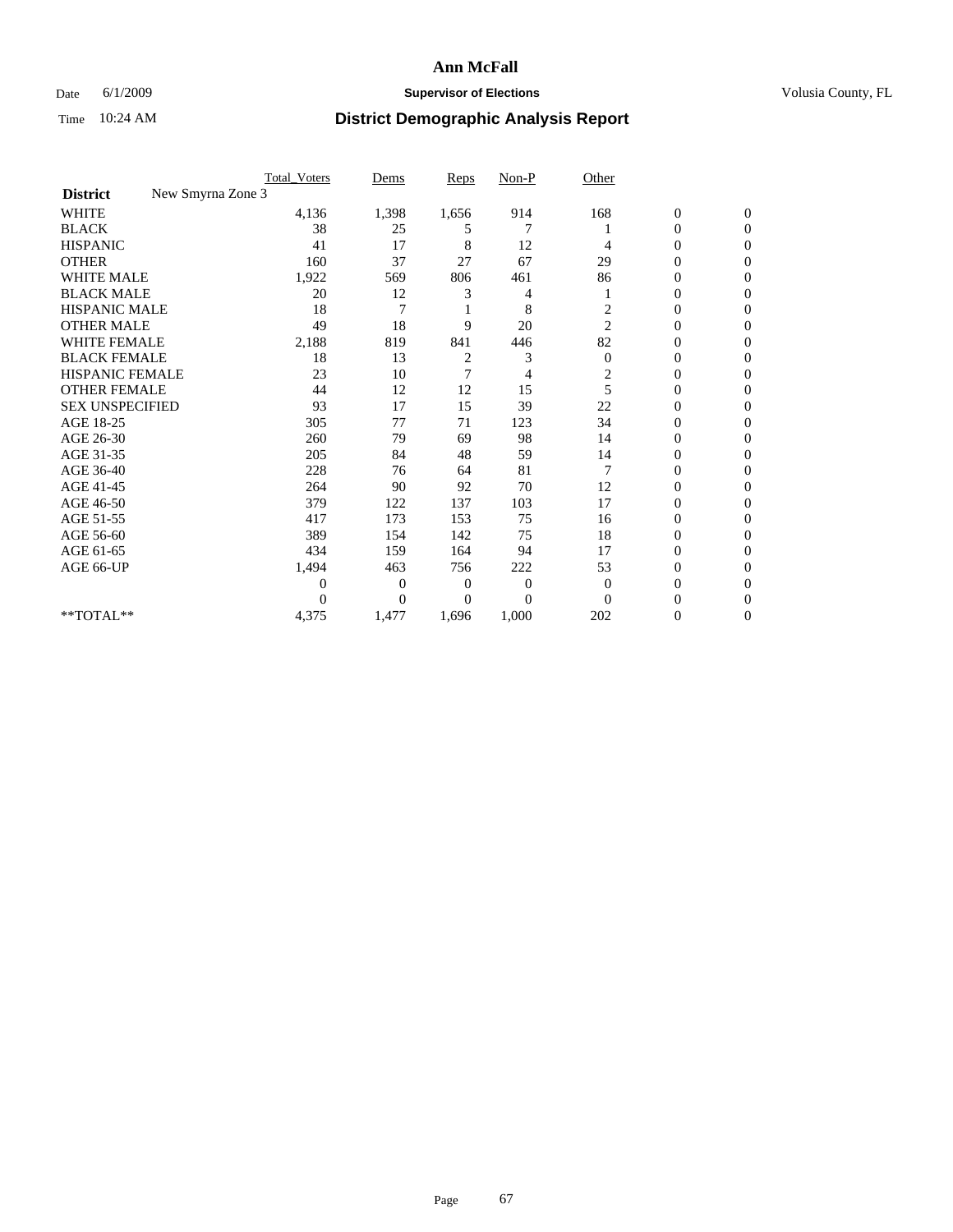## Date 6/1/2009 **Supervisor of Elections Supervisor of Elections** Volusia County, FL

|                                      | <b>Total_Voters</b> | Dems     | Reps  | $Non-P$        | Other                   |                  |                  |  |
|--------------------------------------|---------------------|----------|-------|----------------|-------------------------|------------------|------------------|--|
| New Smyrna Zone 3<br><b>District</b> |                     |          |       |                |                         |                  |                  |  |
| <b>WHITE</b>                         | 4,136               | 1,398    | 1,656 | 914            | 168                     | $\boldsymbol{0}$ | $\boldsymbol{0}$ |  |
| <b>BLACK</b>                         | 38                  | 25       | 5     | 7              |                         | 0                | $\Omega$         |  |
| <b>HISPANIC</b>                      | 41                  | 17       | 8     | 12             | 4                       | 0                | $\Omega$         |  |
| <b>OTHER</b>                         | 160                 | 37       | 27    | 67             | 29                      | 0                | $\Omega$         |  |
| <b>WHITE MALE</b>                    | 1,922               | 569      | 806   | 461            | 86                      | 0                | $\Omega$         |  |
| <b>BLACK MALE</b>                    | 20                  | 12       | 3     | 4              |                         | 0                | $\Omega$         |  |
| <b>HISPANIC MALE</b>                 | 18                  | 7        |       | 8              | $\overline{\mathbf{c}}$ | 0                | $\Omega$         |  |
| <b>OTHER MALE</b>                    | 49                  | 18       | 9     | 20             | $\overline{c}$          | 0                | 0                |  |
| <b>WHITE FEMALE</b>                  | 2,188               | 819      | 841   | 446            | 82                      | 0                | $\Omega$         |  |
| <b>BLACK FEMALE</b>                  | 18                  | 13       | 2     | 3              | $\boldsymbol{0}$        | 0                | $\Omega$         |  |
| <b>HISPANIC FEMALE</b>               | 23                  | 10       | 7     | 4              | $\overline{\mathbf{c}}$ | 0                | $\overline{0}$   |  |
| <b>OTHER FEMALE</b>                  | 44                  | 12       | 12    | 15             | 5                       | 0                | $\Omega$         |  |
| <b>SEX UNSPECIFIED</b>               | 93                  | 17       | 15    | 39             | 22                      | $\overline{0}$   | $\Omega$         |  |
| AGE 18-25                            | 305                 | 77       | 71    | 123            | 34                      | 0                | $\Omega$         |  |
| AGE 26-30                            | 260                 | 79       | 69    | 98             | 14                      | 0                | $\Omega$         |  |
| AGE 31-35                            | 205                 | 84       | 48    | 59             | 14                      | 0                | $\Omega$         |  |
| AGE 36-40                            | 228                 | 76       | 64    | 81             | 7                       | 0                | $\Omega$         |  |
| AGE 41-45                            | 264                 | 90       | 92    | 70             | 12                      | 0                | $\Omega$         |  |
| AGE 46-50                            | 379                 | 122      | 137   | 103            | 17                      | 0                | $\Omega$         |  |
| AGE 51-55                            | 417                 | 173      | 153   | 75             | 16                      | 0                | $\overline{0}$   |  |
| AGE 56-60                            | 389                 | 154      | 142   | 75             | 18                      | 0                | $\Omega$         |  |
| AGE 61-65                            | 434                 | 159      | 164   | 94             | 17                      | 0                | $\mathbf{0}$     |  |
| AGE 66-UP                            | 1,494               | 463      | 756   | 222            | 53                      | 0                | $\Omega$         |  |
|                                      | 0                   | 0        | 0     | $\overline{0}$ | $\bf{0}$                | 0                | $\Omega$         |  |
|                                      | 0                   | $\Omega$ | 0     | $\Omega$       | $\Omega$                | 0                | $\Omega$         |  |
| **TOTAL**                            | 4,375               | 1,477    | 1,696 | 1,000          | 202                     | 0                | $\overline{0}$   |  |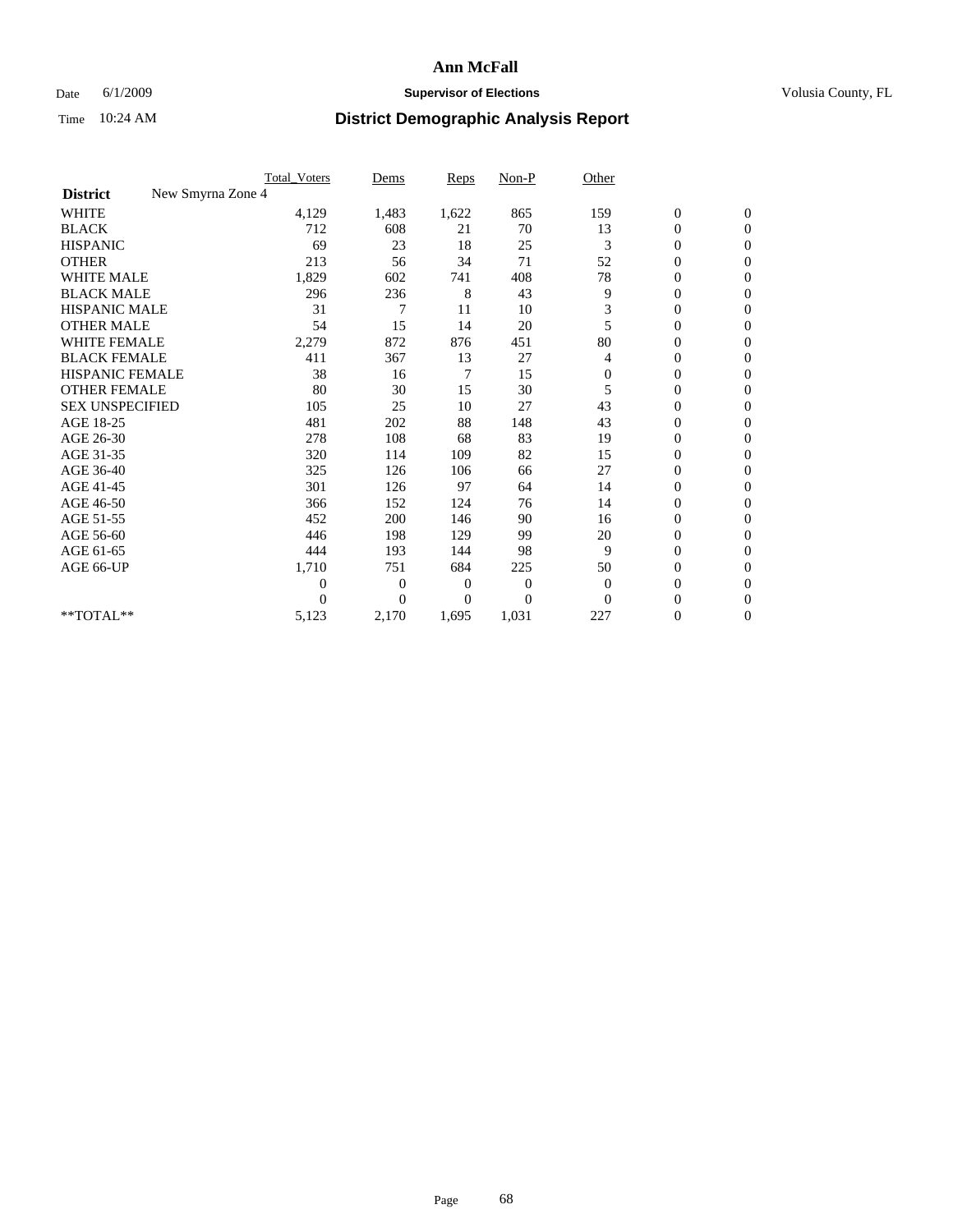## Date 6/1/2009 **Supervisor of Elections Supervisor of Elections** Volusia County, FL

|                                      | <b>Total_Voters</b> | Dems           | <b>Reps</b> | $Non-P$      | Other        |                  |                  |  |
|--------------------------------------|---------------------|----------------|-------------|--------------|--------------|------------------|------------------|--|
| New Smyrna Zone 4<br><b>District</b> |                     |                |             |              |              |                  |                  |  |
| <b>WHITE</b>                         | 4,129               | 1,483          | 1,622       | 865          | 159          | $\boldsymbol{0}$ | $\boldsymbol{0}$ |  |
| <b>BLACK</b>                         | 712                 | 608            | 21          | 70           | 13           | $\boldsymbol{0}$ | $\mathbf{0}$     |  |
| <b>HISPANIC</b>                      | 69                  | 23             | 18          | 25           | 3            | $\overline{0}$   | $\mathbf{0}$     |  |
| <b>OTHER</b>                         | 213                 | 56             | 34          | 71           | 52           | $\boldsymbol{0}$ | $\Omega$         |  |
| <b>WHITE MALE</b>                    | 1,829               | 602            | 741         | 408          | 78           | $\overline{0}$   | $\mathbf{0}$     |  |
| <b>BLACK MALE</b>                    | 296                 | 236            | 8           | 43           | 9            | $\overline{0}$   | $\mathbf{0}$     |  |
| <b>HISPANIC MALE</b>                 | 31                  | 7              | 11          | 10           | 3            | $\overline{0}$   | $\mathbf{0}$     |  |
| <b>OTHER MALE</b>                    | 54                  | 15             | 14          | 20           | 5            | $\boldsymbol{0}$ | $\mathbf{0}$     |  |
| <b>WHITE FEMALE</b>                  | 2,279               | 872            | 876         | 451          | 80           | $\overline{0}$   | $\mathbf{0}$     |  |
| <b>BLACK FEMALE</b>                  | 411                 | 367            | 13          | 27           | 4            | $\boldsymbol{0}$ | $\mathbf{0}$     |  |
| <b>HISPANIC FEMALE</b>               | 38                  | 16             | 7           | 15           | $\mathbf{0}$ | $\boldsymbol{0}$ | $\mathbf{0}$     |  |
| <b>OTHER FEMALE</b>                  | 80                  | 30             | 15          | 30           | 5            | $\mathbf{0}$     | $\Omega$         |  |
| <b>SEX UNSPECIFIED</b>               | 105                 | 25             | 10          | 27           | 43           | $\overline{0}$   | $\mathbf{0}$     |  |
| AGE 18-25                            | 481                 | 202            | 88          | 148          | 43           | $\mathbf{0}$     | $\mathbf{0}$     |  |
| AGE 26-30                            | 278                 | 108            | 68          | 83           | 19           | $\overline{0}$   | $\mathbf{0}$     |  |
| AGE 31-35                            | 320                 | 114            | 109         | 82           | 15           | $\boldsymbol{0}$ | $\mathbf{0}$     |  |
| AGE 36-40                            | 325                 | 126            | 106         | 66           | 27           | 0                | $\mathbf{0}$     |  |
| AGE 41-45                            | 301                 | 126            | 97          | 64           | 14           | $\overline{0}$   | $\mathbf{0}$     |  |
| AGE 46-50                            | 366                 | 152            | 124         | 76           | 14           | $\boldsymbol{0}$ | $\mathbf{0}$     |  |
| AGE 51-55                            | 452                 | 200            | 146         | 90           | 16           | $\boldsymbol{0}$ | $\mathbf{0}$     |  |
| AGE 56-60                            | 446                 | 198            | 129         | 99           | 20           | $\overline{0}$   | $\Omega$         |  |
| AGE 61-65                            | 444                 | 193            | 144         | 98           | 9            | $\overline{0}$   | $\mathbf{0}$     |  |
| AGE 66-UP                            | 1,710               | 751            | 684         | 225          | 50           | $\boldsymbol{0}$ | $\mathbf{0}$     |  |
|                                      | $\overline{0}$      | $\overline{0}$ | 0           | $\mathbf{0}$ | $\theta$     | $\overline{0}$   | $\mathbf{0}$     |  |
|                                      | $\theta$            | $\theta$       | $\Omega$    | $\theta$     | $\Omega$     | $\overline{0}$   | $\mathbf{0}$     |  |
| **TOTAL**                            | 5,123               | 2,170          | 1,695       | 1,031        | 227          | 0                | $\mathbf{0}$     |  |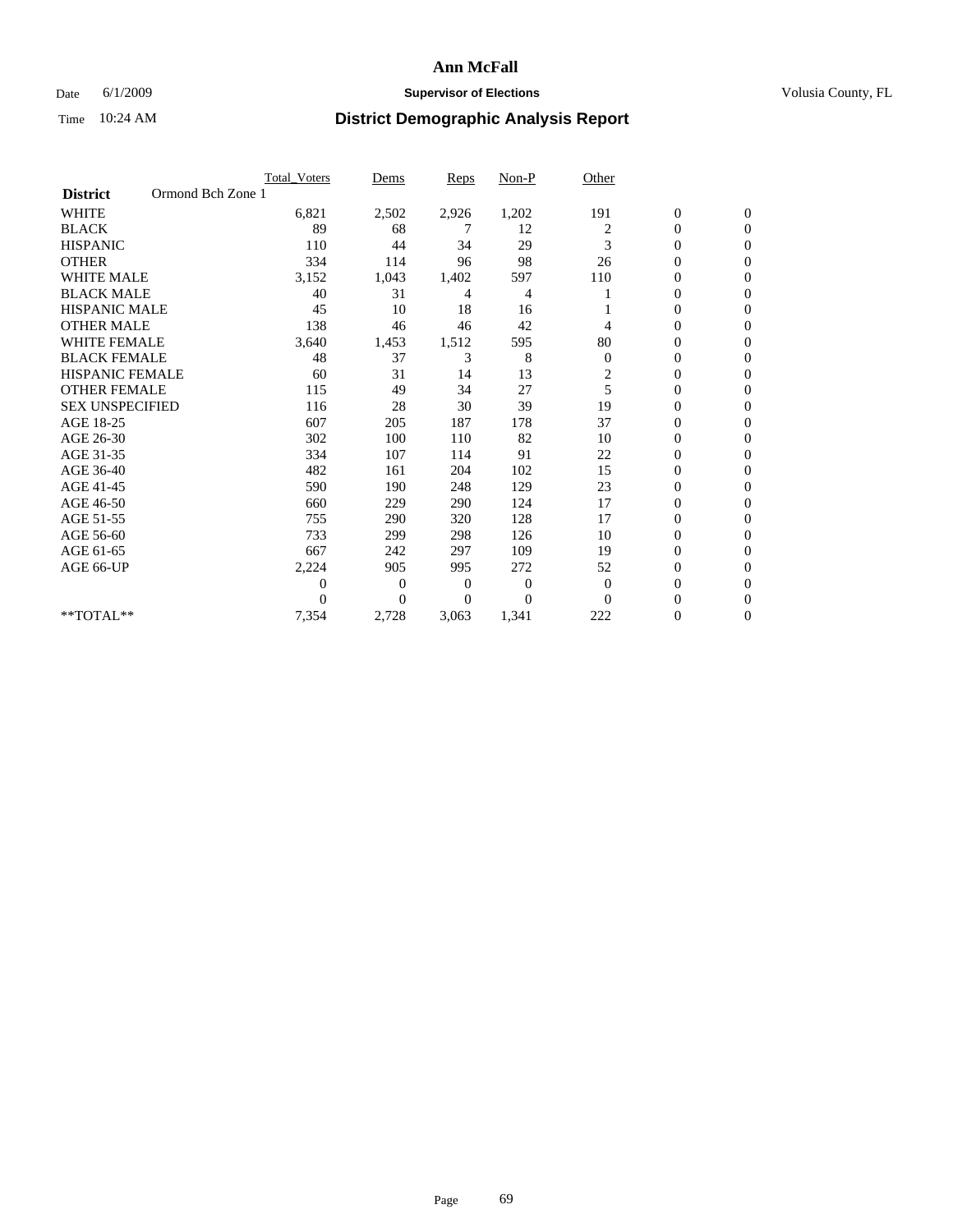## Date 6/1/2009 **Supervisor of Elections Supervisor of Elections** Volusia County, FL

|                        | Total Voters      | Dems                 | <b>Reps</b> | Non-P        | Other                   |                  |                  |  |
|------------------------|-------------------|----------------------|-------------|--------------|-------------------------|------------------|------------------|--|
| <b>District</b>        | Ormond Bch Zone 1 |                      |             |              |                         |                  |                  |  |
| <b>WHITE</b>           | 6,821             | 2,502                | 2,926       | 1,202        | 191                     | $\boldsymbol{0}$ | $\boldsymbol{0}$ |  |
| <b>BLACK</b>           | 89                | 68                   | 7           | 12           | 2                       | $\boldsymbol{0}$ | $\mathbf{0}$     |  |
| <b>HISPANIC</b>        | 110               | 44                   | 34          | 29           | 3                       | $\overline{0}$   | $\mathbf{0}$     |  |
| <b>OTHER</b>           | 334               | 114                  | 96          | 98           | 26                      | 0                | $\Omega$         |  |
| <b>WHITE MALE</b>      | 3,152             | 1,043                | 1,402       | 597          | 110                     | 0                | $\mathbf{0}$     |  |
| <b>BLACK MALE</b>      | 40                | 31                   | 4           | 4            |                         | $\overline{0}$   | $\mathbf{0}$     |  |
| <b>HISPANIC MALE</b>   | 45                | 10                   | 18          | 16           |                         | 0                | $\Omega$         |  |
| <b>OTHER MALE</b>      | 138               | 46                   | 46          | 42           | 4                       | 0                | $\Omega$         |  |
| WHITE FEMALE           | 3,640             | 1,453                | 1,512       | 595          | 80                      | $\overline{0}$   | $\mathbf{0}$     |  |
| <b>BLACK FEMALE</b>    | 48                | 37                   | 3           | 8            | $\boldsymbol{0}$        | $\boldsymbol{0}$ | $\Omega$         |  |
| <b>HISPANIC FEMALE</b> | 60                | 31                   | 14          | 13           | $\overline{\mathbf{c}}$ | 0                | $\mathbf{0}$     |  |
| <b>OTHER FEMALE</b>    | 115               | 49                   | 34          | 27           | 5                       | $\overline{0}$   | $\Omega$         |  |
| <b>SEX UNSPECIFIED</b> | 116               | 28                   | 30          | 39           | 19                      | $\overline{0}$   | $\mathbf{0}$     |  |
| AGE 18-25              | 607               | 205                  | 187         | 178          | 37                      | 0                | $\mathbf{0}$     |  |
| AGE 26-30              | 302               | 100                  | 110         | 82           | 10                      | $\overline{0}$   | $\mathbf{0}$     |  |
| AGE 31-35              | 334               | 107                  | 114         | 91           | 22                      | $\boldsymbol{0}$ | $\mathbf{0}$     |  |
| AGE 36-40              | 482               | 161                  | 204         | 102          | 15                      | 0                | $\mathbf{0}$     |  |
| AGE 41-45              | 590               | 190                  | 248         | 129          | 23                      | $\mathbf{0}$     | $\Omega$         |  |
| AGE 46-50              | 660               | 229                  | 290         | 124          | 17                      | $\boldsymbol{0}$ | $\Omega$         |  |
| AGE 51-55              | 755               | 290                  | 320         | 128          | 17                      | $\boldsymbol{0}$ | $\mathbf{0}$     |  |
| AGE 56-60              | 733               | 299                  | 298         | 126          | 10                      | $\overline{0}$   | $\Omega$         |  |
| AGE 61-65              | 667               | 242                  | 297         | 109          | 19                      | $\overline{0}$   | $\mathbf{0}$     |  |
| AGE 66-UP              | 2,224             | 905                  | 995         | 272          | 52                      | 0                | $\mathbf{0}$     |  |
|                        |                   | $\overline{0}$<br>0  | 0           | $\mathbf{0}$ | $\mathbf{0}$            | 0                | $\mathbf{0}$     |  |
|                        |                   | $\theta$<br>$\Omega$ | $\Omega$    | $\Omega$     | $\Omega$                | $\overline{0}$   | $\Omega$         |  |
| **TOTAL**              | 7,354             | 2,728                | 3,063       | 1,341        | 222                     | 0                | $\mathbf{0}$     |  |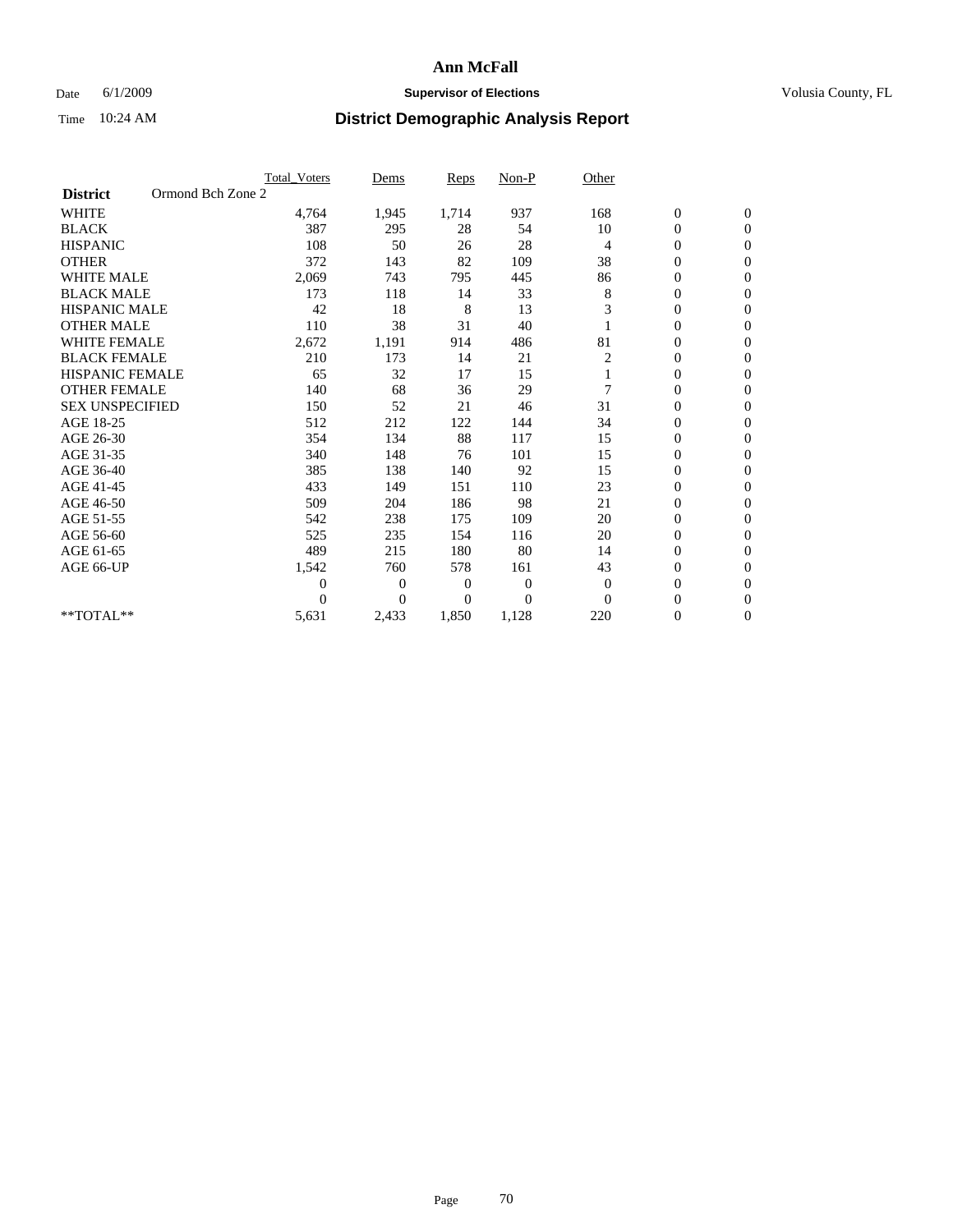## Date 6/1/2009 **Supervisor of Elections Supervisor of Elections** Volusia County, FL

|                        | <b>Total Voters</b> |                | Dems           | <b>Reps</b> | Non-P          | Other          |                  |                  |
|------------------------|---------------------|----------------|----------------|-------------|----------------|----------------|------------------|------------------|
| <b>District</b>        | Ormond Bch Zone 2   |                |                |             |                |                |                  |                  |
| <b>WHITE</b>           |                     | 4,764          | 1,945          | 1,714       | 937            | 168            | $\boldsymbol{0}$ | $\boldsymbol{0}$ |
| <b>BLACK</b>           |                     | 387            | 295            | 28          | 54             | 10             | $\boldsymbol{0}$ | $\mathbf{0}$     |
| <b>HISPANIC</b>        |                     | 108            | 50             | 26          | 28             | $\overline{4}$ | $\overline{0}$   | $\mathbf{0}$     |
| <b>OTHER</b>           |                     | 372            | 143            | 82          | 109            | 38             | 0                | $\Omega$         |
| <b>WHITE MALE</b>      |                     | 2,069          | 743            | 795         | 445            | 86             | $\overline{0}$   | $\mathbf{0}$     |
| <b>BLACK MALE</b>      |                     | 173            | 118            | 14          | 33             | 8              | $\overline{0}$   | $\mathbf{0}$     |
| <b>HISPANIC MALE</b>   |                     | 42             | 18             | 8           | 13             | 3              | $\overline{0}$   | $\overline{0}$   |
| <b>OTHER MALE</b>      |                     | 110            | 38             | 31          | 40             |                | $\boldsymbol{0}$ | $\mathbf{0}$     |
| <b>WHITE FEMALE</b>    |                     | 2,672          | 1,191          | 914         | 486            | 81             | $\overline{0}$   | $\mathbf{0}$     |
| <b>BLACK FEMALE</b>    |                     | 210            | 173            | 14          | 21             | 2              | $\boldsymbol{0}$ | $\mathbf{0}$     |
| <b>HISPANIC FEMALE</b> |                     | 65             | 32             | 17          | 15             |                | $\boldsymbol{0}$ | $\mathbf{0}$     |
| <b>OTHER FEMALE</b>    |                     | 140            | 68             | 36          | 29             | 7              | $\mathbf{0}$     | $\mathbf{0}$     |
| <b>SEX UNSPECIFIED</b> |                     | 150            | 52             | 21          | 46             | 31             | $\overline{0}$   | $\mathbf{0}$     |
| AGE 18-25              |                     | 512            | 212            | 122         | 144            | 34             | $\overline{0}$   | $\mathbf{0}$     |
| AGE 26-30              |                     | 354            | 134            | 88          | 117            | 15             | $\overline{0}$   | $\mathbf{0}$     |
| AGE 31-35              |                     | 340            | 148            | 76          | 101            | 15             | $\boldsymbol{0}$ | $\mathbf{0}$     |
| AGE 36-40              |                     | 385            | 138            | 140         | 92             | 15             | 0                | $\mathbf{0}$     |
| AGE 41-45              |                     | 433            | 149            | 151         | 110            | 23             | $\overline{0}$   | $\mathbf{0}$     |
| AGE 46-50              |                     | 509            | 204            | 186         | 98             | 21             | $\boldsymbol{0}$ | $\mathbf{0}$     |
| AGE 51-55              |                     | 542            | 238            | 175         | 109            | 20             | $\boldsymbol{0}$ | $\mathbf{0}$     |
| AGE 56-60              |                     | 525            | 235            | 154         | 116            | 20             | $\overline{0}$   | $\Omega$         |
| AGE 61-65              |                     | 489            | 215            | 180         | 80             | 14             | $\overline{0}$   | $\mathbf{0}$     |
| AGE 66-UP              |                     | 1,542          | 760            | 578         | 161            | 43             | $\boldsymbol{0}$ | $\mathbf{0}$     |
|                        |                     | $\overline{0}$ | $\overline{0}$ | 0           | $\overline{0}$ | $\mathbf{0}$   | $\overline{0}$   | $\mathbf{0}$     |
|                        |                     | $\theta$       | $\theta$       | $\Omega$    | $\theta$       | $\Omega$       | $\boldsymbol{0}$ | $\mathbf{0}$     |
| **TOTAL**              |                     | 5,631          | 2,433          | 1,850       | 1,128          | 220            | 0                | $\mathbf{0}$     |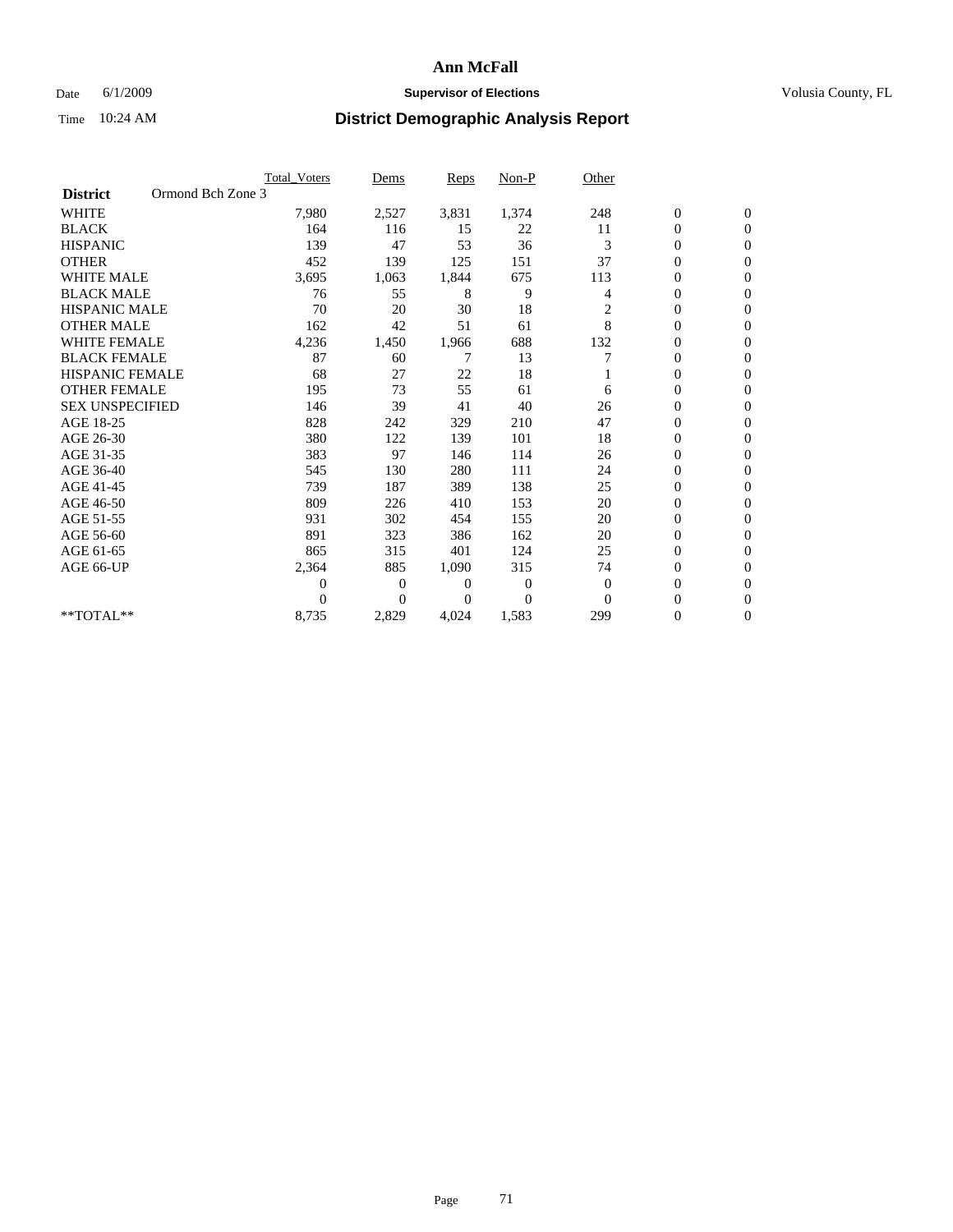### Date 6/1/2009 **Supervisor of Elections Supervisor of Elections** Volusia County, FL

|                        |                   | Total Voters | Dems           | <b>Reps</b> | Non-P        | Other          |                  |                  |  |
|------------------------|-------------------|--------------|----------------|-------------|--------------|----------------|------------------|------------------|--|
| <b>District</b>        | Ormond Bch Zone 3 |              |                |             |              |                |                  |                  |  |
| <b>WHITE</b>           |                   | 7,980        | 2,527          | 3,831       | 1,374        | 248            | $\boldsymbol{0}$ | $\boldsymbol{0}$ |  |
| <b>BLACK</b>           |                   | 164          | 116            | 15          | 22           | 11             | $\boldsymbol{0}$ | $\mathbf{0}$     |  |
| <b>HISPANIC</b>        |                   | 139          | 47             | 53          | 36           | 3              | $\overline{0}$   | $\mathbf{0}$     |  |
| <b>OTHER</b>           |                   | 452          | 139            | 125         | 151          | 37             | 0                | $\Omega$         |  |
| <b>WHITE MALE</b>      |                   | 3,695        | 1,063          | 1,844       | 675          | 113            | $\mathbf{0}$     | $\mathbf{0}$     |  |
| <b>BLACK MALE</b>      |                   | 76           | 55             | 8           | 9            | $\overline{4}$ | $\overline{0}$   | $\mathbf{0}$     |  |
| <b>HISPANIC MALE</b>   |                   | 70           | 20             | 30          | 18           | 2              | 0                | $\mathbf{0}$     |  |
| <b>OTHER MALE</b>      |                   | 162          | 42             | 51          | 61           | 8              | 0                | $\mathbf{0}$     |  |
| <b>WHITE FEMALE</b>    |                   | 4,236        | 1,450          | 1,966       | 688          | 132            | 0                | $\mathbf{0}$     |  |
| <b>BLACK FEMALE</b>    |                   | 87           | 60             | 7           | 13           | 7              | $\boldsymbol{0}$ | $\mathbf{0}$     |  |
| <b>HISPANIC FEMALE</b> |                   | 68           | 27             | 22          | 18           |                | 0                | $\mathbf{0}$     |  |
| <b>OTHER FEMALE</b>    |                   | 195          | 73             | 55          | 61           | 6              | $\overline{0}$   | $\Omega$         |  |
| <b>SEX UNSPECIFIED</b> |                   | 146          | 39             | 41          | 40           | 26             | $\overline{0}$   | $\mathbf{0}$     |  |
| AGE 18-25              |                   | 828          | 242            | 329         | 210          | 47             | 0                | $\mathbf{0}$     |  |
| AGE 26-30              |                   | 380          | 122            | 139         | 101          | 18             | $\overline{0}$   | $\mathbf{0}$     |  |
| AGE 31-35              |                   | 383          | 97             | 146         | 114          | 26             | $\boldsymbol{0}$ | $\mathbf{0}$     |  |
| AGE 36-40              |                   | 545          | 130            | 280         | 111          | 24             | 0                | $\mathbf{0}$     |  |
| AGE 41-45              |                   | 739          | 187            | 389         | 138          | 25             | $\overline{0}$   | $\mathbf{0}$     |  |
| AGE 46-50              |                   | 809          | 226            | 410         | 153          | 20             | $\boldsymbol{0}$ | $\Omega$         |  |
| AGE 51-55              |                   | 931          | 302            | 454         | 155          | 20             | $\boldsymbol{0}$ | $\mathbf{0}$     |  |
| AGE 56-60              |                   | 891          | 323            | 386         | 162          | 20             | $\overline{0}$   | $\Omega$         |  |
| AGE 61-65              |                   | 865          | 315            | 401         | 124          | 25             | $\overline{0}$   | $\mathbf{0}$     |  |
| AGE 66-UP              |                   | 2,364        | 885            | 1,090       | 315          | 74             | $\boldsymbol{0}$ | $\mathbf{0}$     |  |
|                        |                   | 0            | $\overline{0}$ | 0           | $\mathbf{0}$ | $\theta$       | $\overline{0}$   | $\mathbf{0}$     |  |
|                        |                   | $\theta$     | $\Omega$       | $\Omega$    | $\Omega$     | $\Omega$       | $\overline{0}$   | $\mathbf{0}$     |  |
| **TOTAL**              |                   | 8,735        | 2,829          | 4,024       | 1,583        | 299            | 0                | $\mathbf{0}$     |  |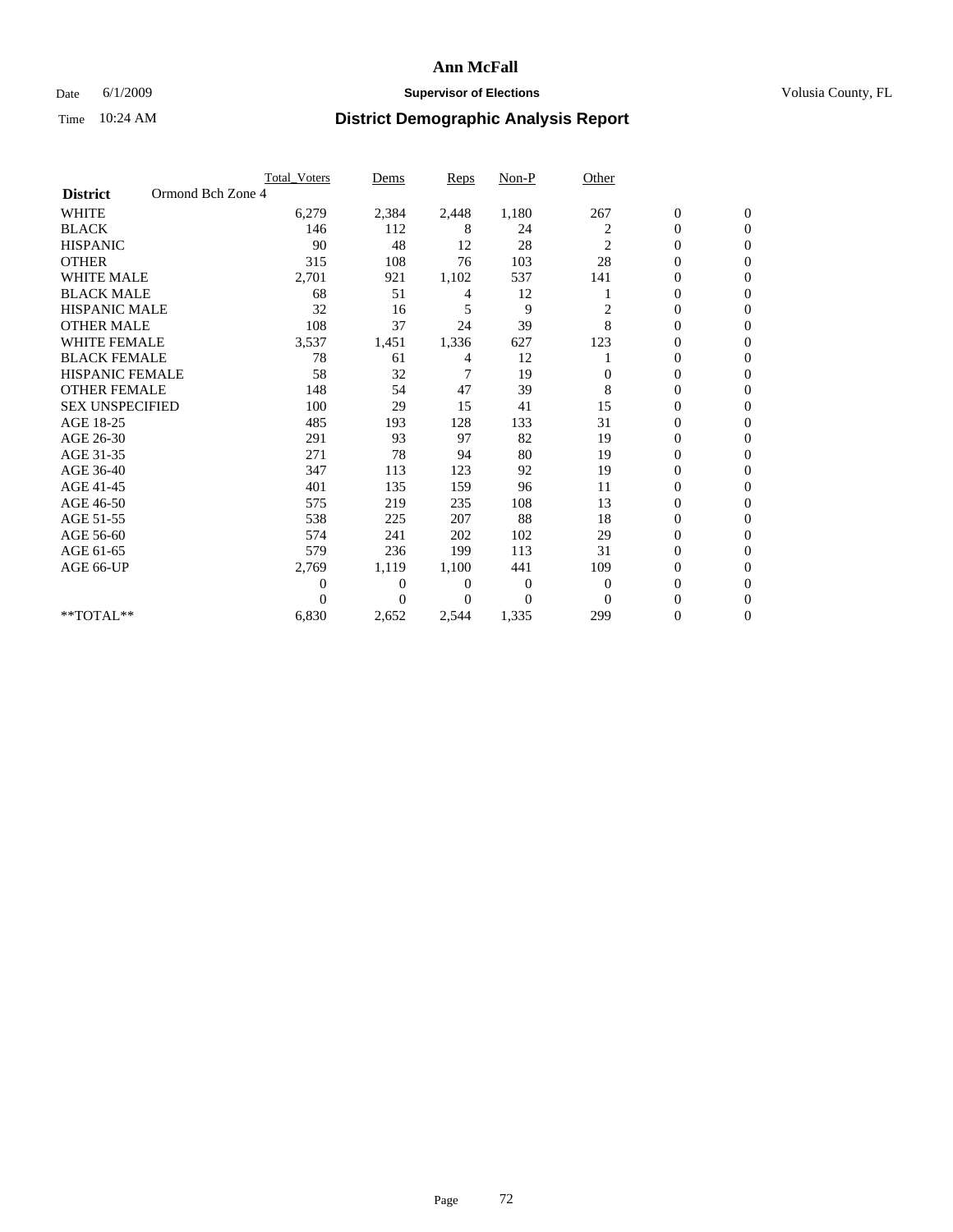### Date 6/1/2009 **Supervisor of Elections Supervisor of Elections** Volusia County, FL

|                        |                   | Total Voters   | Dems           | <b>Reps</b> | Non-P    | Other          |                  |                  |  |
|------------------------|-------------------|----------------|----------------|-------------|----------|----------------|------------------|------------------|--|
| <b>District</b>        | Ormond Bch Zone 4 |                |                |             |          |                |                  |                  |  |
| <b>WHITE</b>           |                   | 6,279          | 2,384          | 2,448       | 1,180    | 267            | $\boldsymbol{0}$ | $\boldsymbol{0}$ |  |
| <b>BLACK</b>           |                   | 146            | 112            | 8           | 24       | 2              | $\boldsymbol{0}$ | $\mathbf{0}$     |  |
| <b>HISPANIC</b>        |                   | 90             | 48             | 12          | 28       | $\overline{2}$ | $\overline{0}$   | $\Omega$         |  |
| <b>OTHER</b>           |                   | 315            | 108            | 76          | 103      | 28             | 0                | $\Omega$         |  |
| <b>WHITE MALE</b>      |                   | 2,701          | 921            | 1,102       | 537      | 141            | 0                | $\mathbf{0}$     |  |
| <b>BLACK MALE</b>      |                   | 68             | 51             | 4           | 12       |                | $\overline{0}$   | $\mathbf{0}$     |  |
| <b>HISPANIC MALE</b>   |                   | 32             | 16             | 5           | 9        | 2              | 0                | $\Omega$         |  |
| <b>OTHER MALE</b>      |                   | 108            | 37             | 24          | 39       | 8              | 0                | $\Omega$         |  |
| <b>WHITE FEMALE</b>    |                   | 3,537          | 1,451          | 1,336       | 627      | 123            | 0                | $\mathbf{0}$     |  |
| <b>BLACK FEMALE</b>    |                   | 78             | 61             | 4           | 12       |                | $\boldsymbol{0}$ | $\Omega$         |  |
| <b>HISPANIC FEMALE</b> |                   | 58             | 32             | 7           | 19       | $\theta$       | 0                | $\mathbf{0}$     |  |
| <b>OTHER FEMALE</b>    |                   | 148            | 54             | 47          | 39       | 8              | 0                | $\Omega$         |  |
| <b>SEX UNSPECIFIED</b> |                   | 100            | 29             | 15          | 41       | 15             | $\overline{0}$   | $\mathbf{0}$     |  |
| AGE 18-25              |                   | 485            | 193            | 128         | 133      | 31             | 0                | $\mathbf{0}$     |  |
| AGE 26-30              |                   | 291            | 93             | 97          | 82       | 19             | $\overline{0}$   | $\Omega$         |  |
| AGE 31-35              |                   | 271            | 78             | 94          | 80       | 19             | $\boldsymbol{0}$ | $\mathbf{0}$     |  |
| AGE 36-40              |                   | 347            | 113            | 123         | 92       | 19             | 0                | $\bf{0}$         |  |
| AGE 41-45              |                   | 401            | 135            | 159         | 96       | 11             | 0                | $\Omega$         |  |
| AGE 46-50              |                   | 575            | 219            | 235         | 108      | 13             | $\boldsymbol{0}$ | $\Omega$         |  |
| AGE 51-55              |                   | 538            | 225            | 207         | 88       | 18             | $\boldsymbol{0}$ | $\mathbf{0}$     |  |
| AGE 56-60              |                   | 574            | 241            | 202         | 102      | 29             | 0                | $\Omega$         |  |
| AGE 61-65              |                   | 579            | 236            | 199         | 113      | 31             | 0                | $\mathbf{0}$     |  |
| AGE 66-UP              |                   | 2,769          | 1,119          | 1,100       | 441      | 109            | 0                | $\bf{0}$         |  |
|                        |                   | $\overline{0}$ | $\overline{0}$ | 0           | 0        | $\mathbf{0}$   | $\overline{0}$   | $\mathbf{0}$     |  |
|                        |                   | $\theta$       | $\Omega$       | 0           | $\Omega$ | $\Omega$       | $\overline{0}$   | $\Omega$         |  |
| **TOTAL**              |                   | 6,830          | 2,652          | 2,544       | 1,335    | 299            | 0                | $\mathbf{0}$     |  |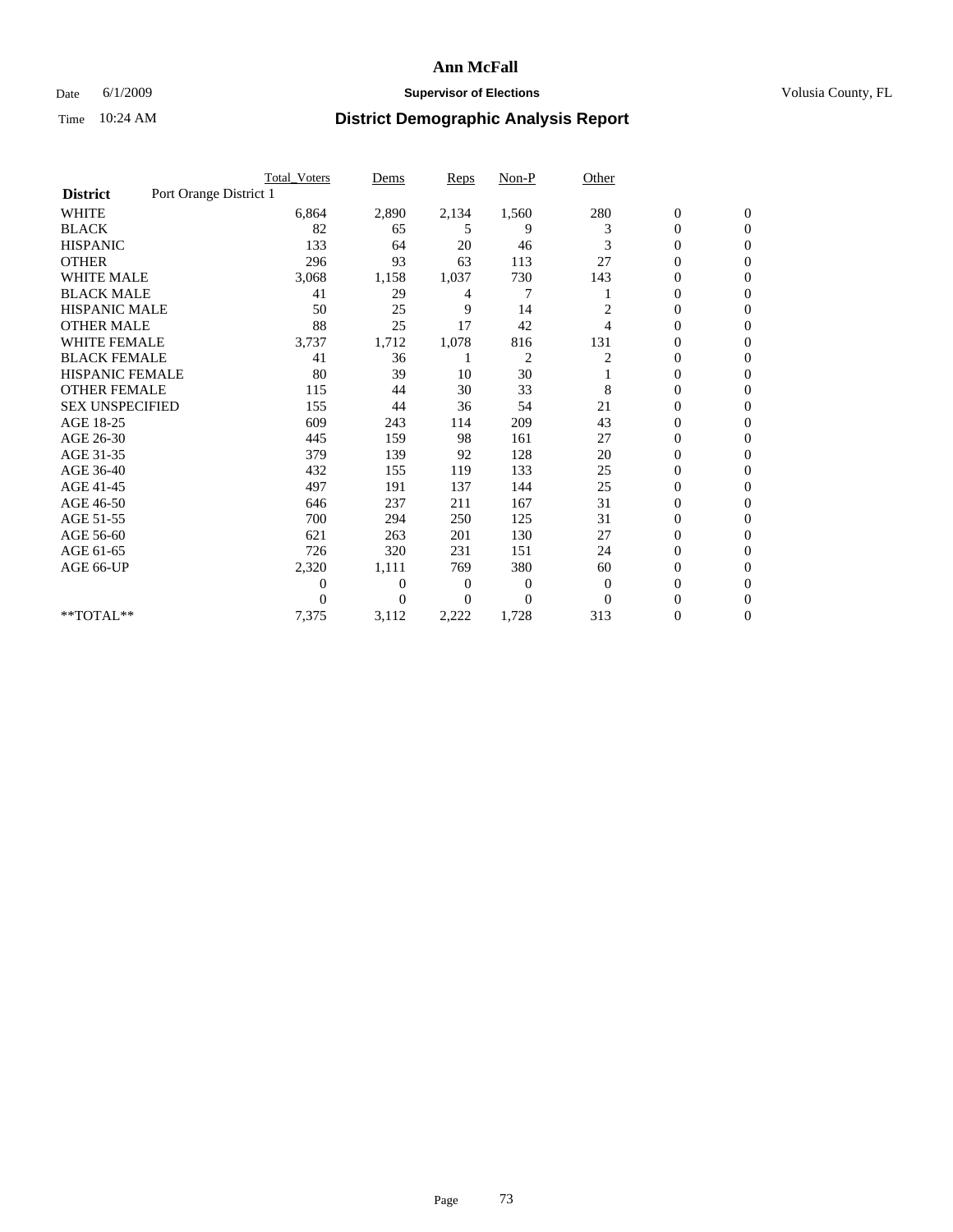#### Date 6/1/2009 **Supervisor of Elections Supervisor of Elections** Volusia County, FL

|                        |                        | <b>Total Voters</b> | Dems           | <b>Reps</b> | $Non-P$        | Other        |                  |                  |  |
|------------------------|------------------------|---------------------|----------------|-------------|----------------|--------------|------------------|------------------|--|
| <b>District</b>        | Port Orange District 1 |                     |                |             |                |              |                  |                  |  |
| <b>WHITE</b>           |                        | 6,864               | 2,890          | 2,134       | 1,560          | 280          | $\boldsymbol{0}$ | $\boldsymbol{0}$ |  |
| <b>BLACK</b>           |                        | 82                  | 65             | 5           | 9              | 3            | $\boldsymbol{0}$ | $\mathbf{0}$     |  |
| <b>HISPANIC</b>        |                        | 133                 | 64             | 20          | 46             | 3            | $\overline{0}$   | $\mathbf{0}$     |  |
| <b>OTHER</b>           |                        | 296                 | 93             | 63          | 113            | 27           | 0                | $\Omega$         |  |
| <b>WHITE MALE</b>      |                        | 3,068               | 1,158          | 1,037       | 730            | 143          | $\mathbf{0}$     | $\mathbf{0}$     |  |
| <b>BLACK MALE</b>      |                        | 41                  | 29             | 4           | 7              |              | $\overline{0}$   | $\mathbf{0}$     |  |
| <b>HISPANIC MALE</b>   |                        | 50                  | 25             | 9           | 14             | 2            | $\overline{0}$   | $\Omega$         |  |
| <b>OTHER MALE</b>      |                        | 88                  | 25             | 17          | 42             | 4            | 0                | $\mathbf{0}$     |  |
| <b>WHITE FEMALE</b>    |                        | 3,737               | 1,712          | 1,078       | 816            | 131          | $\overline{0}$   | $\mathbf{0}$     |  |
| <b>BLACK FEMALE</b>    |                        | 41                  | 36             |             | $\overline{c}$ | 2            | $\boldsymbol{0}$ | $\Omega$         |  |
| <b>HISPANIC FEMALE</b> |                        | 80                  | 39             | 10          | 30             |              | 0                | $\mathbf{0}$     |  |
| <b>OTHER FEMALE</b>    |                        | 115                 | 44             | 30          | 33             | 8            | $\overline{0}$   | $\Omega$         |  |
| <b>SEX UNSPECIFIED</b> |                        | 155                 | 44             | 36          | 54             | 21           | $\overline{0}$   | $\overline{0}$   |  |
| AGE 18-25              |                        | 609                 | 243            | 114         | 209            | 43           | $\overline{0}$   | $\mathbf{0}$     |  |
| AGE 26-30              |                        | 445                 | 159            | 98          | 161            | 27           | $\overline{0}$   | $\mathbf{0}$     |  |
| AGE 31-35              |                        | 379                 | 139            | 92          | 128            | 20           | $\boldsymbol{0}$ | $\overline{0}$   |  |
| AGE 36-40              |                        | 432                 | 155            | 119         | 133            | 25           | 0                | $\mathbf{0}$     |  |
| AGE 41-45              |                        | 497                 | 191            | 137         | 144            | 25           | $\overline{0}$   | $\Omega$         |  |
| AGE 46-50              |                        | 646                 | 237            | 211         | 167            | 31           | $\boldsymbol{0}$ | $\Omega$         |  |
| AGE 51-55              |                        | 700                 | 294            | 250         | 125            | 31           | $\boldsymbol{0}$ | $\mathbf{0}$     |  |
| AGE 56-60              |                        | 621                 | 263            | 201         | 130            | 27           | $\overline{0}$   | $\Omega$         |  |
| AGE 61-65              |                        | 726                 | 320            | 231         | 151            | 24           | $\overline{0}$   | $\overline{0}$   |  |
| AGE 66-UP              |                        | 2,320               | 1,111          | 769         | 380            | 60           | $\boldsymbol{0}$ | $\mathbf{0}$     |  |
|                        |                        | $\overline{0}$      | $\overline{0}$ | 0           | 0              | $\mathbf{0}$ | $\overline{0}$   | $\mathbf{0}$     |  |
|                        |                        | $\theta$            | $\Omega$       | $\Omega$    | $\Omega$       | $\Omega$     | $\overline{0}$   | $\mathbf{0}$     |  |
| **TOTAL**              |                        | 7,375               | 3,112          | 2,222       | 1,728          | 313          | 0                | $\mathbf{0}$     |  |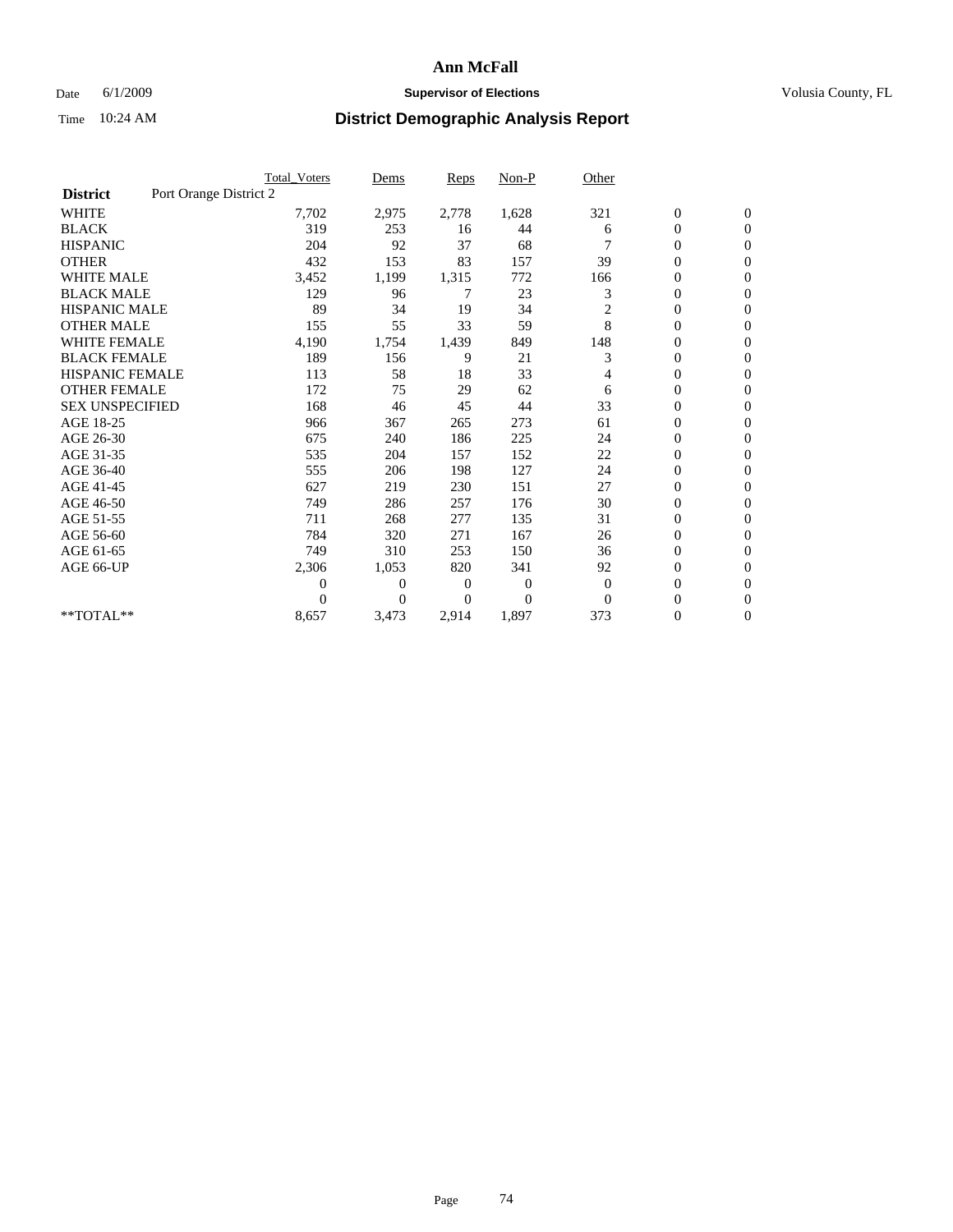## Date 6/1/2009 **Supervisor of Elections Supervisor of Elections** Volusia County, FL

|                        |                        | <b>Total Voters</b> | Dems           | <b>Reps</b> | $Non-P$      | Other          |                  |                  |  |
|------------------------|------------------------|---------------------|----------------|-------------|--------------|----------------|------------------|------------------|--|
| <b>District</b>        | Port Orange District 2 |                     |                |             |              |                |                  |                  |  |
| <b>WHITE</b>           |                        | 7,702               | 2,975          | 2,778       | 1,628        | 321            | $\boldsymbol{0}$ | $\boldsymbol{0}$ |  |
| <b>BLACK</b>           |                        | 319                 | 253            | 16          | 44           | 6              | $\boldsymbol{0}$ | $\mathbf{0}$     |  |
| <b>HISPANIC</b>        |                        | 204                 | 92             | 37          | 68           |                | $\overline{0}$   | $\mathbf{0}$     |  |
| <b>OTHER</b>           |                        | 432                 | 153            | 83          | 157          | 39             | $\boldsymbol{0}$ | $\Omega$         |  |
| <b>WHITE MALE</b>      |                        | 3,452               | 1,199          | 1,315       | 772          | 166            | $\overline{0}$   | $\mathbf{0}$     |  |
| <b>BLACK MALE</b>      |                        | 129                 | 96             | 7           | 23           | 3              | $\overline{0}$   | $\mathbf{0}$     |  |
| <b>HISPANIC MALE</b>   |                        | 89                  | 34             | 19          | 34           | $\overline{c}$ | 0                | $\mathbf{0}$     |  |
| <b>OTHER MALE</b>      |                        | 155                 | 55             | 33          | 59           | 8              | 0                | $\mathbf{0}$     |  |
| <b>WHITE FEMALE</b>    |                        | 4,190               | 1,754          | 1,439       | 849          | 148            | $\overline{0}$   | $\mathbf{0}$     |  |
| <b>BLACK FEMALE</b>    |                        | 189                 | 156            | 9           | 21           | 3              | $\boldsymbol{0}$ | $\mathbf{0}$     |  |
| <b>HISPANIC FEMALE</b> |                        | 113                 | 58             | 18          | 33           | 4              | 0                | $\mathbf{0}$     |  |
| <b>OTHER FEMALE</b>    |                        | 172                 | 75             | 29          | 62           | 6              | $\overline{0}$   | $\Omega$         |  |
| <b>SEX UNSPECIFIED</b> |                        | 168                 | 46             | 45          | 44           | 33             | $\overline{0}$   | $\mathbf{0}$     |  |
| AGE 18-25              |                        | 966                 | 367            | 265         | 273          | 61             | $\mathbf{0}$     | $\mathbf{0}$     |  |
| AGE 26-30              |                        | 675                 | 240            | 186         | 225          | 24             | $\overline{0}$   | $\mathbf{0}$     |  |
| AGE 31-35              |                        | 535                 | 204            | 157         | 152          | 22             | $\boldsymbol{0}$ | $\mathbf{0}$     |  |
| AGE 36-40              |                        | 555                 | 206            | 198         | 127          | 24             | 0                | $\mathbf{0}$     |  |
| AGE 41-45              |                        | 627                 | 219            | 230         | 151          | 27             | $\overline{0}$   | $\mathbf{0}$     |  |
| AGE 46-50              |                        | 749                 | 286            | 257         | 176          | 30             | $\boldsymbol{0}$ | $\mathbf{0}$     |  |
| AGE 51-55              |                        | 711                 | 268            | 277         | 135          | 31             | $\boldsymbol{0}$ | $\mathbf{0}$     |  |
| AGE 56-60              |                        | 784                 | 320            | 271         | 167          | 26             | $\overline{0}$   | $\Omega$         |  |
| AGE 61-65              |                        | 749                 | 310            | 253         | 150          | 36             | $\overline{0}$   | $\mathbf{0}$     |  |
| AGE 66-UP              |                        | 2,306               | 1,053          | 820         | 341          | 92             | $\boldsymbol{0}$ | $\mathbf{0}$     |  |
|                        |                        | $\overline{0}$      | $\overline{0}$ | 0           | $\mathbf{0}$ | $\mathbf{0}$   | $\overline{0}$   | $\mathbf{0}$     |  |
|                        |                        | $\theta$            | $\Omega$       | $\Omega$    | $\Omega$     | $\Omega$       | $\overline{0}$   | $\mathbf{0}$     |  |
| **TOTAL**              |                        | 8,657               | 3,473          | 2,914       | 1,897        | 373            | 0                | $\mathbf{0}$     |  |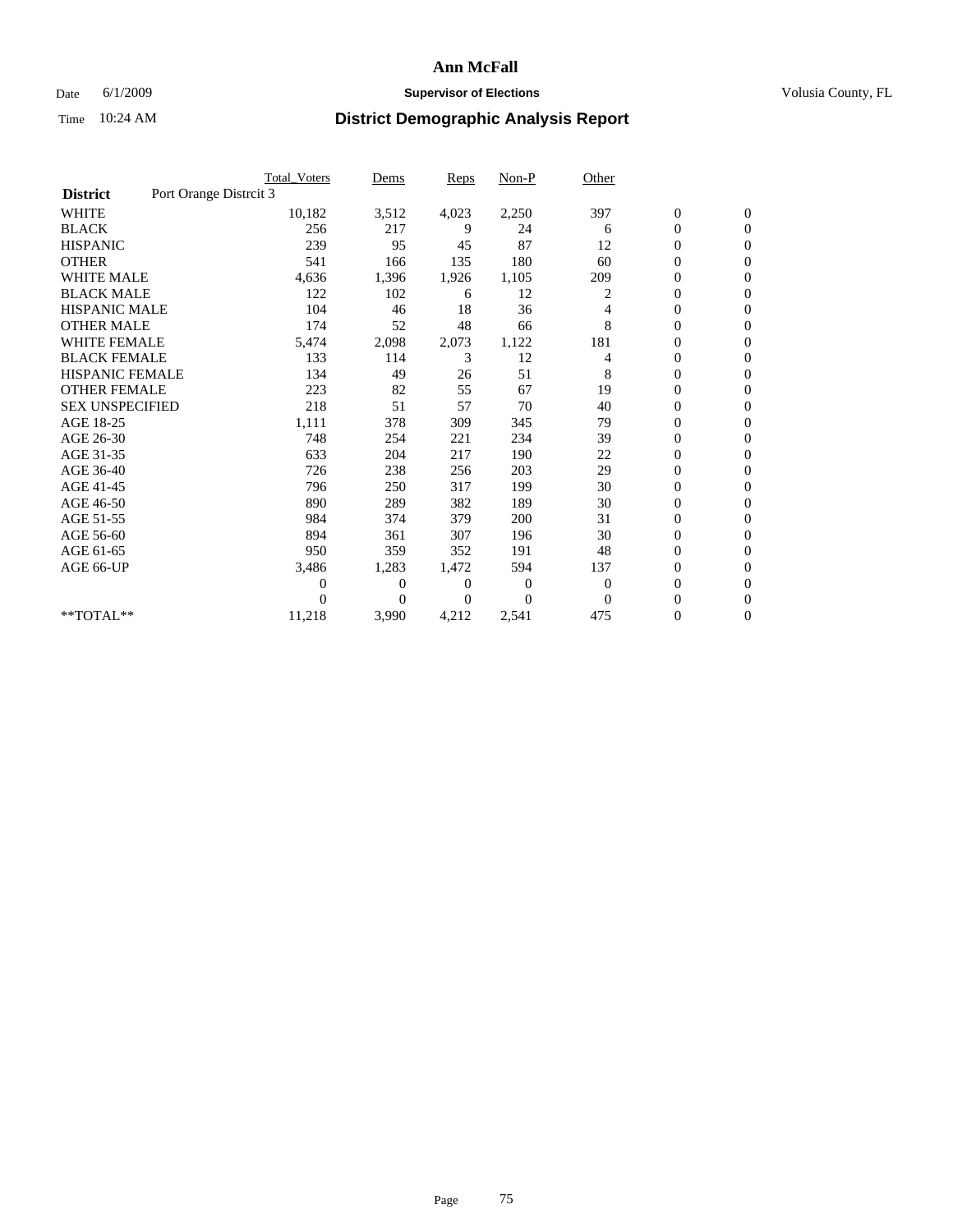## Date 6/1/2009 **Supervisor of Elections Supervisor of Elections** Volusia County, FL

|                        |                        | Total Voters   | Dems           | <b>Reps</b>  | $Non-P$      | Other        |                  |                  |
|------------------------|------------------------|----------------|----------------|--------------|--------------|--------------|------------------|------------------|
| <b>District</b>        | Port Orange Distrcit 3 |                |                |              |              |              |                  |                  |
| <b>WHITE</b>           |                        | 10,182         | 3,512          | 4,023        | 2,250        | 397          | $\boldsymbol{0}$ | $\boldsymbol{0}$ |
| <b>BLACK</b>           |                        | 256            | 217            | 9            | 24           | 6            | $\boldsymbol{0}$ | $\mathbf{0}$     |
| <b>HISPANIC</b>        |                        | 239            | 95             | 45           | 87           | 12           | $\overline{0}$   | $\mathbf{0}$     |
| <b>OTHER</b>           |                        | 541            | 166            | 135          | 180          | 60           | 0                | $\mathbf{0}$     |
| <b>WHITE MALE</b>      |                        | 4,636          | 1,396          | 1,926        | 1,105        | 209          | $\boldsymbol{0}$ | $\mathbf{0}$     |
| <b>BLACK MALE</b>      |                        | 122            | 102            | 6            | 12           | 2            | $\overline{0}$   | $\mathbf{0}$     |
| <b>HISPANIC MALE</b>   |                        | 104            | 46             | 18           | 36           | 4            | 0                | $\Omega$         |
| <b>OTHER MALE</b>      |                        | 174            | 52             | 48           | 66           | 8            | $\overline{0}$   | $\mathbf{0}$     |
| <b>WHITE FEMALE</b>    |                        | 5,474          | 2,098          | 2,073        | 1,122        | 181          | $\mathbf{0}$     | $\mathbf{0}$     |
| <b>BLACK FEMALE</b>    |                        | 133            | 114            | 3            | 12           | 4            | $\boldsymbol{0}$ | $\mathbf{0}$     |
| <b>HISPANIC FEMALE</b> |                        | 134            | 49             | 26           | 51           | 8            | $\boldsymbol{0}$ | $\mathbf{0}$     |
| <b>OTHER FEMALE</b>    |                        | 223            | 82             | 55           | 67           | 19           | $\mathbf{0}$     | $\mathbf{0}$     |
| <b>SEX UNSPECIFIED</b> |                        | 218            | 51             | 57           | 70           | 40           | $\boldsymbol{0}$ | $\Omega$         |
| AGE 18-25              |                        | 1,111          | 378            | 309          | 345          | 79           | $\overline{0}$   | $\mathbf{0}$     |
| AGE 26-30              |                        | 748            | 254            | 221          | 234          | 39           | $\overline{0}$   | $\Omega$         |
| AGE 31-35              |                        | 633            | 204            | 217          | 190          | 22           | $\boldsymbol{0}$ | $\mathbf{0}$     |
| AGE 36-40              |                        | 726            | 238            | 256          | 203          | 29           | $\boldsymbol{0}$ | $\mathbf{0}$     |
| AGE 41-45              |                        | 796            | 250            | 317          | 199          | 30           | $\boldsymbol{0}$ | $\mathbf{0}$     |
| AGE 46-50              |                        | 890            | 289            | 382          | 189          | 30           | $\boldsymbol{0}$ | $\Omega$         |
| AGE 51-55              |                        | 984            | 374            | 379          | 200          | 31           | $\overline{0}$   | $\mathbf{0}$     |
| AGE 56-60              |                        | 894            | 361            | 307          | 196          | 30           | $\overline{0}$   | $\mathbf{0}$     |
| AGE 61-65              |                        | 950            | 359            | 352          | 191          | 48           | $\overline{0}$   | $\Omega$         |
| AGE 66-UP              |                        | 3,486          | 1,283          | 1,472        | 594          | 137          | $\overline{0}$   | $\mathbf{0}$     |
|                        |                        | $\overline{0}$ | $\overline{0}$ | 0            | $\mathbf{0}$ | $\mathbf{0}$ | $\mathbf{0}$     | $\mathbf{0}$     |
|                        |                        | 0              | $\overline{0}$ | $\mathbf{0}$ | $\Omega$     | $\mathbf{0}$ | 0                | $\mathbf{0}$     |
| **TOTAL**              |                        | 11,218         | 3,990          | 4,212        | 2,541        | 475          | 0                | $\boldsymbol{0}$ |